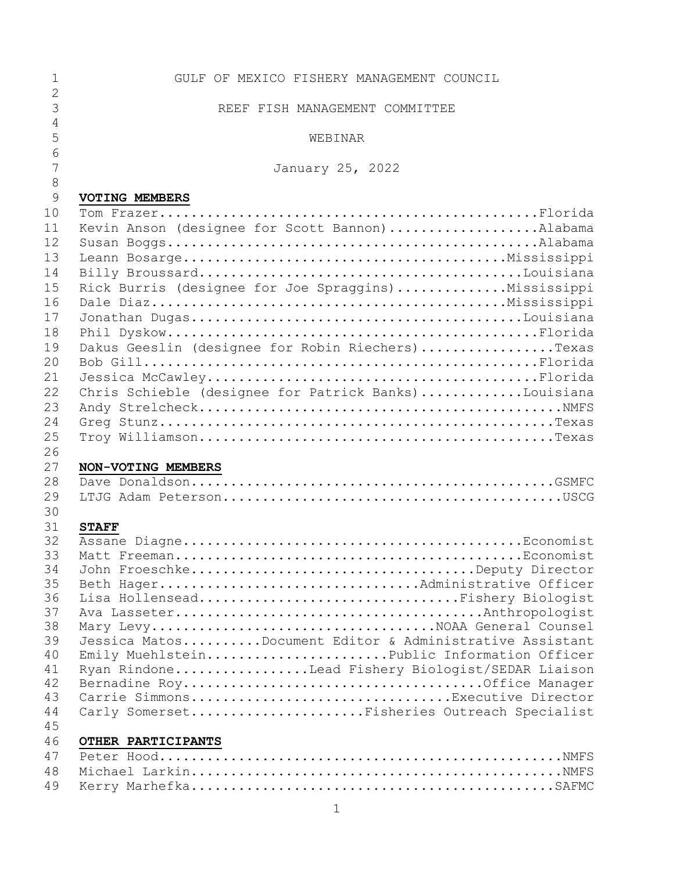| 1              | GULF OF MEXICO FISHERY MANAGEMENT COUNCIL                                                |
|----------------|------------------------------------------------------------------------------------------|
| $\overline{2}$ |                                                                                          |
| 3              | REEF FISH MANAGEMENT COMMITTEE                                                           |
| 4              |                                                                                          |
| 5              | WEBINAR                                                                                  |
| 6              |                                                                                          |
| $\overline{7}$ | January 25, 2022                                                                         |
| $\,8\,$        |                                                                                          |
| 9              | VOTING MEMBERS                                                                           |
| 10             |                                                                                          |
| 11             | Kevin Anson (designee for Scott Bannon)Alabama                                           |
| 12             |                                                                                          |
| 13             |                                                                                          |
| 14             |                                                                                          |
| 15             | Rick Burris (designee for Joe Spraggins)Mississippi                                      |
| 16             |                                                                                          |
| 17             |                                                                                          |
|                |                                                                                          |
| 18             |                                                                                          |
| 19             | Dakus Geeslin (designee for Robin Riechers)Texas                                         |
| 20             |                                                                                          |
| 21             |                                                                                          |
| 22             | Chris Schieble (designee for Patrick Banks)Louisiana                                     |
| 23             |                                                                                          |
| 24             |                                                                                          |
| 25             |                                                                                          |
| 26             |                                                                                          |
| 27             | NON-VOTING MEMBERS                                                                       |
| 28             |                                                                                          |
| 29             |                                                                                          |
| 30             |                                                                                          |
| 31             | <b>STAFF</b>                                                                             |
| 32             |                                                                                          |
| 33             |                                                                                          |
| 34             | John FroeschkeDeputy Director                                                            |
| 35             | Beth HagerAdministrative Officer                                                         |
| 36             | Lisa HollenseadFishery Biologist                                                         |
| 37             |                                                                                          |
| 38<br>39       | Mary LevyNOAA General Counsel<br>Jessica MatosDocument Editor & Administrative Assistant |
| 40             | Emily MuehlsteinPublic Information Officer                                               |
| 41             | Ryan RindoneLead Fishery Biologist/SEDAR Liaison                                         |
| 42             |                                                                                          |
| 43             | Carrie SimmonsExecutive Director                                                         |
| 44             | Carly SomersetFisheries Outreach Specialist                                              |
| 45             |                                                                                          |
| 46             | OTHER PARTICIPANTS                                                                       |
| 47             |                                                                                          |
| 48             |                                                                                          |
| 49             |                                                                                          |
|                |                                                                                          |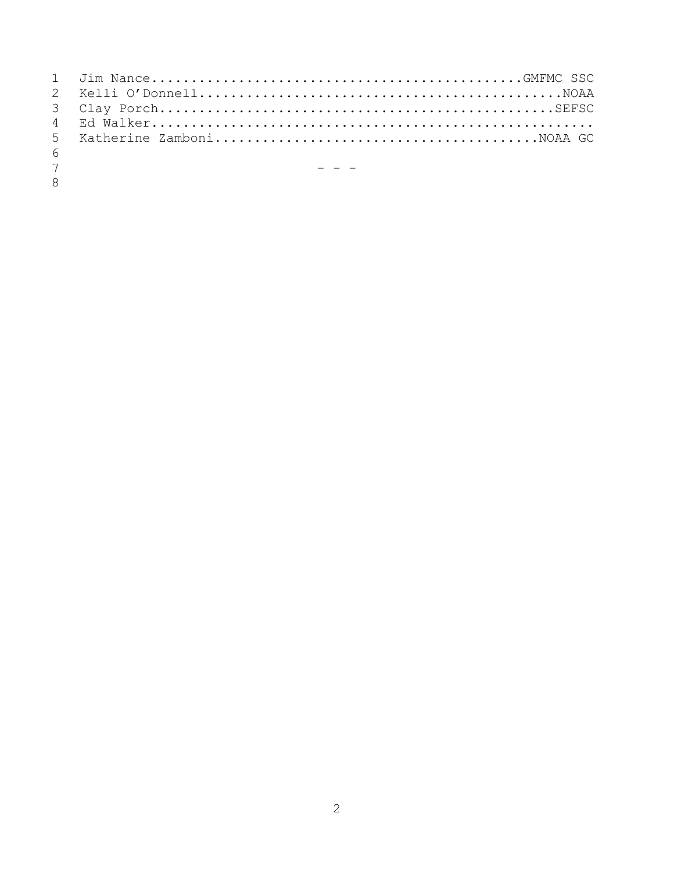| 6              |                                                             |
|----------------|-------------------------------------------------------------|
| 7 <sup>7</sup> | and the state of the state of the state of the state of the |
| 8 <sup>7</sup> |                                                             |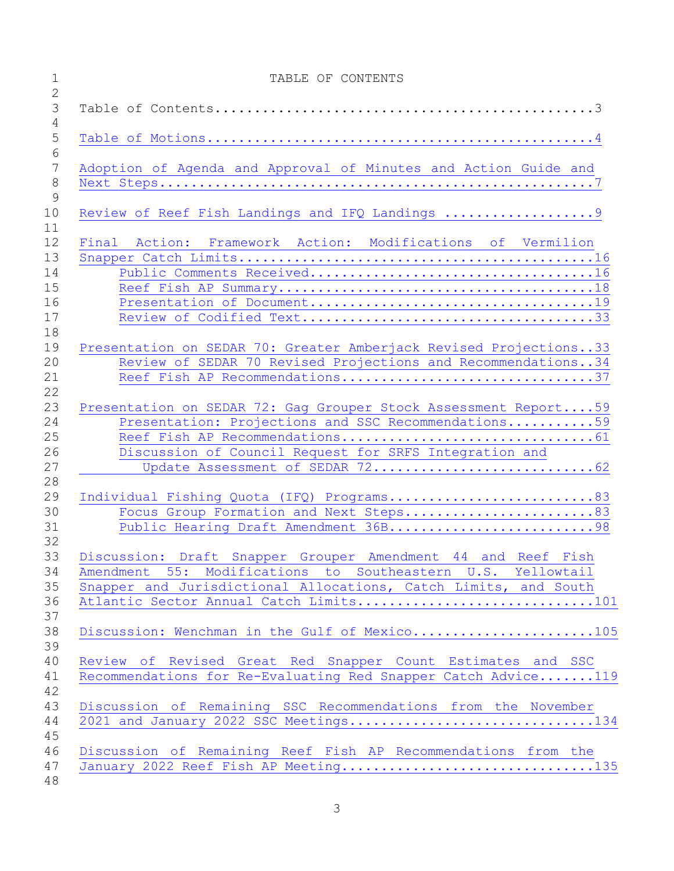| $\mathbf 1$                | TABLE OF CONTENTS                                                 |
|----------------------------|-------------------------------------------------------------------|
| $\overline{2}$<br>3<br>4   |                                                                   |
| 5<br>6                     |                                                                   |
| $7\phantom{.0}$<br>$\,8\,$ | Adoption of Agenda and Approval of Minutes and Action Guide and   |
| 9<br>10<br>11              | Review of Reef Fish Landings and IFQ Landings 9                   |
| 12                         | Final Action: Framework Action: Modifications of Vermilion        |
| 13                         |                                                                   |
| 14                         |                                                                   |
| 15                         |                                                                   |
| 16                         |                                                                   |
| 17<br>18                   |                                                                   |
| 19                         | Presentation on SEDAR 70: Greater Amberjack Revised Projections33 |
| 20                         | Review of SEDAR 70 Revised Projections and Recommendations34      |
| 21<br>22                   | Reef Fish AP Recommendations37                                    |
| 23                         | Presentation on SEDAR 72: Gag Grouper Stock Assessment Report59   |
| 24                         | Presentation: Projections and SSC Recommendations59               |
| 25                         |                                                                   |
| 26                         | Discussion of Council Request for SRFS Integration and            |
| 27<br>28                   |                                                                   |
| 29                         | Individual Fishing Quota (IFQ) Programs83                         |
| 30                         | Focus Group Formation and Next Steps83                            |
| 31<br>32                   | Public Hearing Draft Amendment 36B98                              |
| 33                         | Discussion: Draft Snapper Grouper Amendment 44 and Reef Fish      |
| 34                         | Amendment 55: Modifications to Southeastern U.S. Yellowtail       |
| 35                         | Snapper and Jurisdictional Allocations, Catch Limits, and South   |
| 36<br>37                   | Atlantic Sector Annual Catch Limits101                            |
| 38<br>39                   | Discussion: Wenchman in the Gulf of Mexico105                     |
| 40                         | Review of Revised Great Red Snapper Count Estimates and SSC       |
| 41                         | Recommendations for Re-Evaluating Red Snapper Catch Advice119     |
| 42                         |                                                                   |
| 43                         | Discussion of Remaining SSC Recommendations from the November     |
| 44                         | 2021 and January 2022 SSC Meetings134                             |
| 45                         |                                                                   |
| 46                         | Discussion of Remaining Reef Fish AP Recommendations from the     |
| 47                         | January 2022 Reef Fish AP Meeting135                              |
| 48                         |                                                                   |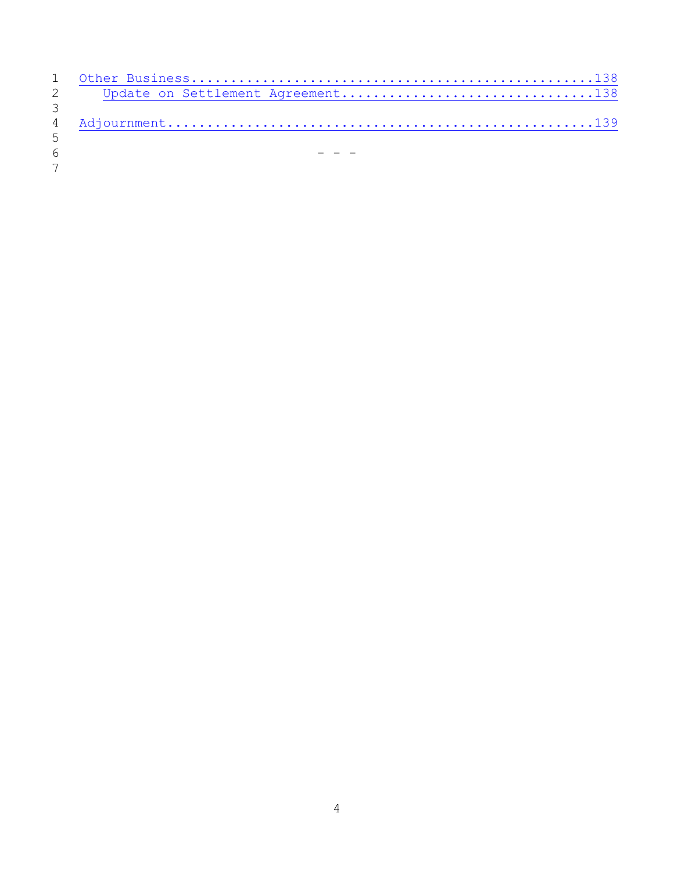| $\mathcal{E}$ |  |
|---------------|--|
|               |  |
| 5             |  |
| 6             |  |
| $7^{\circ}$   |  |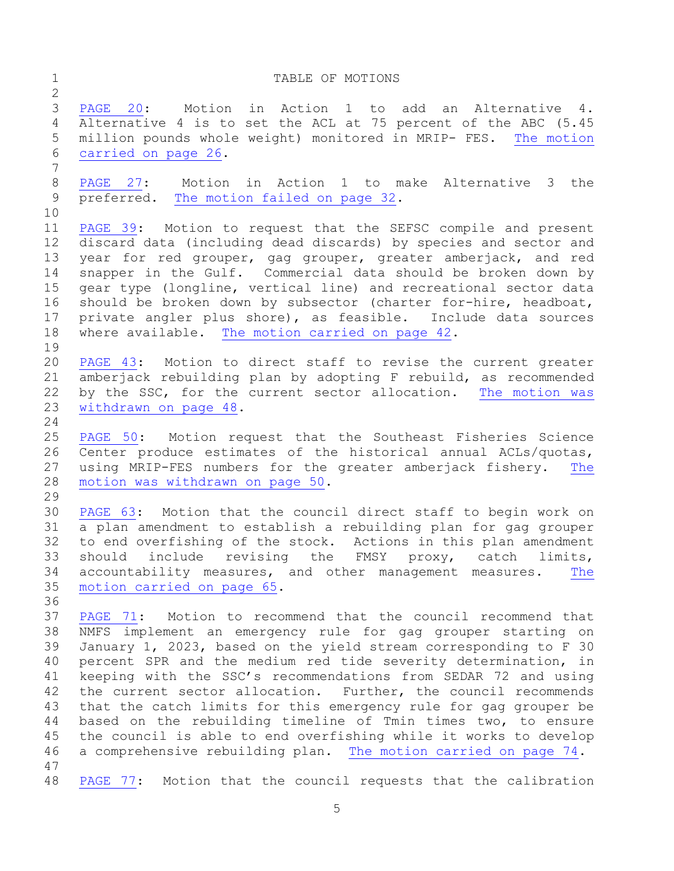<span id="page-4-0"></span>1 TABLE OF MOTIONS

 [PAGE 20:](#page-19-0) Motion in Action 1 to add an Alternative 4. Alternative 4 is to set the ACL at 75 percent of the ABC (5.45 million pounds whole weight) monitored in MRIP- FES. [The motion](#page-25-0)  [carried on page 26.](#page-25-0) [PAGE 27:](#page-26-0) Motion in Action 1 to make Alternative 3 the preferred. [The motion failed on page 32.](#page-31-0) [PAGE 39:](#page-38-0) Motion to request that the SEFSC compile and present discard data (including dead discards) by species and sector and year for red grouper, gag grouper, greater amberjack, and red snapper in the Gulf. Commercial data should be broken down by gear type (longline, vertical line) and recreational sector data should be broken down by subsector (charter for-hire, headboat, private angler plus shore), as feasible. Include data sources where available. [The motion carried on page 42.](#page-41-0) [PAGE 43:](#page-42-0) Motion to direct staff to revise the current greater amberjack rebuilding plan by adopting F rebuild, as recommended by the SSC, for the current sector allocation. [The motion was](#page-47-0)  [withdrawn on page 48.](#page-47-0) [PAGE 50:](#page-49-0) Motion request that the Southeast Fisheries Science Center produce estimates of the historical annual ACLs/quotas, using MRIP-FES numbers for the greater amberjack fishery. [The](#page-49-1)  [motion was withdrawn on page 50.](#page-49-1) [PAGE 63:](#page-62-0) Motion that the council direct staff to begin work on a plan amendment to establish a rebuilding plan for gag grouper to end overfishing of the stock. Actions in this plan amendment should include revising the FMSY proxy, catch limits, accountability measures, and other management measures. [The](#page-64-0)  [motion carried on page 65.](#page-64-0) [PAGE 71:](#page-70-0) Motion to recommend that the council recommend that NMFS implement an emergency rule for gag grouper starting on January 1, 2023, based on the yield stream corresponding to F 30 percent SPR and the medium red tide severity determination, in keeping with the SSC's recommendations from SEDAR 72 and using the current sector allocation. Further, the council recommends that the catch limits for this emergency rule for gag grouper be based on the rebuilding timeline of Tmin times two, to ensure the council is able to end overfishing while it works to develop a comprehensive rebuilding plan. [The motion carried on page 74.](#page-73-0) [PAGE 77:](#page-76-0) Motion that the council requests that the calibration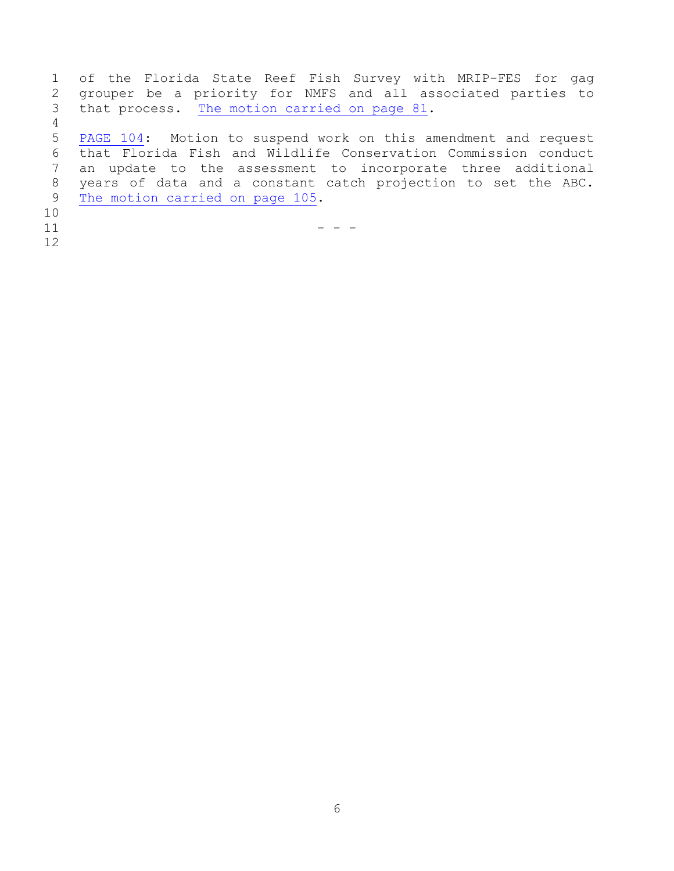of the Florida State Reef Fish Survey with MRIP-FES for gag grouper be a priority for NMFS and all associated parties to that process. [The motion carried on page 81.](#page-80-0) [PAGE 104:](#page-103-0) Motion to suspend work on this amendment and request that Florida Fish and Wildlife Conservation Commission conduct an update to the assessment to incorporate three additional years of data and a constant catch projection to set the ABC. [The motion carried on page 105.](#page-104-1) -  $-$  -  $-$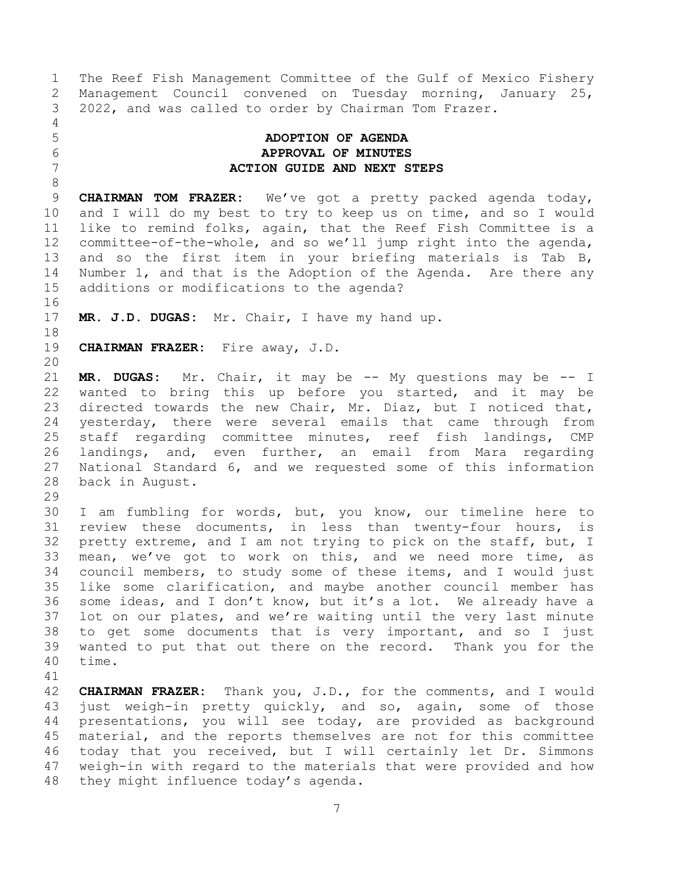The Reef Fish Management Committee of the Gulf of Mexico Fishery Management Council convened on Tuesday morning, January 25, 2022, and was called to order by Chairman Tom Frazer. 

## <span id="page-6-0"></span> **ADOPTION OF AGENDA APPROVAL OF MINUTES ACTION GUIDE AND NEXT STEPS**

 **CHAIRMAN TOM FRAZER:** We've got a pretty packed agenda today, and I will do my best to try to keep us on time, and so I would like to remind folks, again, that the Reef Fish Committee is a committee-of-the-whole, and so we'll jump right into the agenda, and so the first item in your briefing materials is Tab B, Number 1, and that is the Adoption of the Agenda. Are there any additions or modifications to the agenda?

**MR. J.D. DUGAS:** Mr. Chair, I have my hand up.

**CHAIRMAN FRAZER:** Fire away, J.D.

 **MR. DUGAS:** Mr. Chair, it may be -- My questions may be -- I wanted to bring this up before you started, and it may be directed towards the new Chair, Mr. Diaz, but I noticed that, yesterday, there were several emails that came through from staff regarding committee minutes, reef fish landings, CMP landings, and, even further, an email from Mara regarding National Standard 6, and we requested some of this information back in August.

 I am fumbling for words, but, you know, our timeline here to review these documents, in less than twenty-four hours, is pretty extreme, and I am not trying to pick on the staff, but, I mean, we've got to work on this, and we need more time, as council members, to study some of these items, and I would just like some clarification, and maybe another council member has some ideas, and I don't know, but it's a lot. We already have a lot on our plates, and we're waiting until the very last minute to get some documents that is very important, and so I just wanted to put that out there on the record. Thank you for the time.

 **CHAIRMAN FRAZER:** Thank you, J.D., for the comments, and I would just weigh-in pretty quickly, and so, again, some of those presentations, you will see today, are provided as background material, and the reports themselves are not for this committee today that you received, but I will certainly let Dr. Simmons weigh-in with regard to the materials that were provided and how they might influence today's agenda.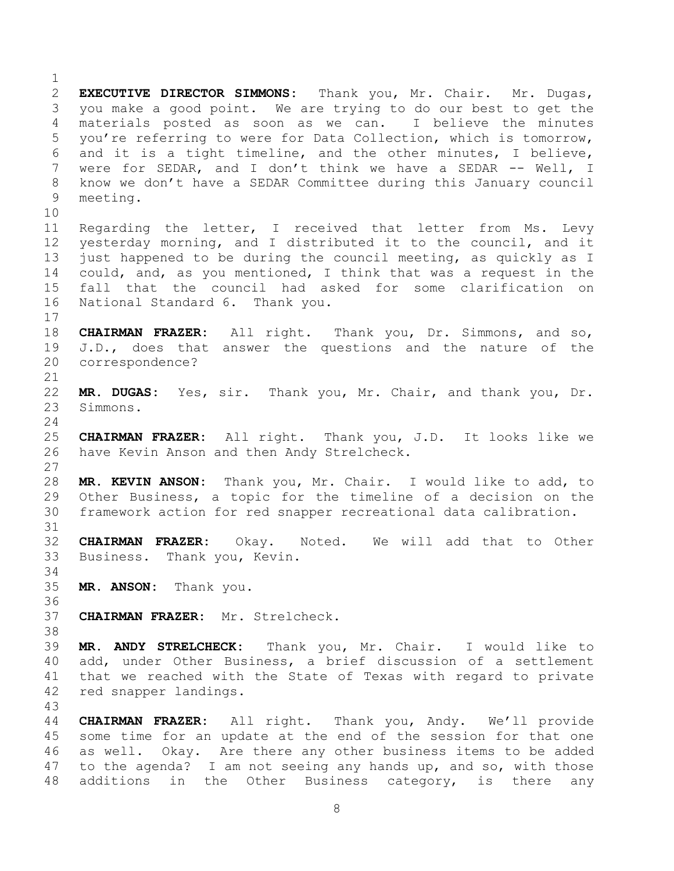**EXECUTIVE DIRECTOR SIMMONS:** Thank you, Mr. Chair. Mr. Dugas, you make a good point. We are trying to do our best to get the materials posted as soon as we can. I believe the minutes you're referring to were for Data Collection, which is tomorrow, and it is a tight timeline, and the other minutes, I believe, were for SEDAR, and I don't think we have a SEDAR -- Well, I know we don't have a SEDAR Committee during this January council meeting. Regarding the letter, I received that letter from Ms. Levy yesterday morning, and I distributed it to the council, and it just happened to be during the council meeting, as quickly as I could, and, as you mentioned, I think that was a request in the fall that the council had asked for some clarification on National Standard 6. Thank you. **CHAIRMAN FRAZER:** All right. Thank you, Dr. Simmons, and so, J.D., does that answer the questions and the nature of the correspondence? **MR. DUGAS:** Yes, sir. Thank you, Mr. Chair, and thank you, Dr. Simmons. **CHAIRMAN FRAZER:** All right. Thank you, J.D. It looks like we have Kevin Anson and then Andy Strelcheck. **MR. KEVIN ANSON:** Thank you, Mr. Chair. I would like to add, to Other Business, a topic for the timeline of a decision on the framework action for red snapper recreational data calibration. **CHAIRMAN FRAZER:** Okay. Noted. We will add that to Other Business. Thank you, Kevin. **MR. ANSON:** Thank you. **CHAIRMAN FRAZER:** Mr. Strelcheck. **MR. ANDY STRELCHECK:** Thank you, Mr. Chair. I would like to add, under Other Business, a brief discussion of a settlement that we reached with the State of Texas with regard to private red snapper landings. **CHAIRMAN FRAZER:** All right. Thank you, Andy. We'll provide some time for an update at the end of the session for that one as well. Okay. Are there any other business items to be added to the agenda? I am not seeing any hands up, and so, with those additions in the Other Business category, is there any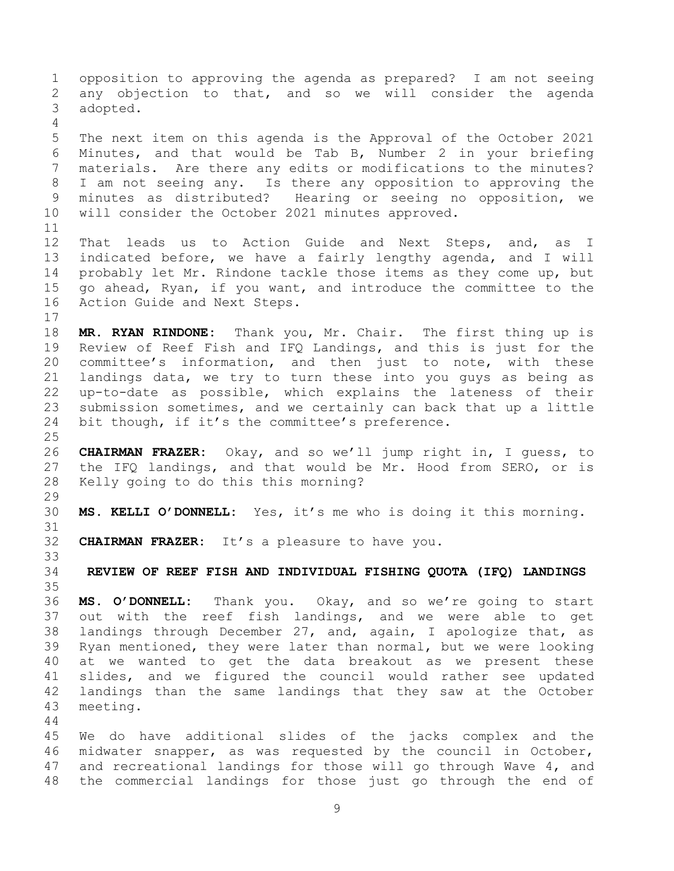opposition to approving the agenda as prepared? I am not seeing any objection to that, and so we will consider the agenda adopted. The next item on this agenda is the Approval of the October 2021 Minutes, and that would be Tab B, Number 2 in your briefing materials. Are there any edits or modifications to the minutes? I am not seeing any. Is there any opposition to approving the minutes as distributed? Hearing or seeing no opposition, we will consider the October 2021 minutes approved. That leads us to Action Guide and Next Steps, and, as I indicated before, we have a fairly lengthy agenda, and I will probably let Mr. Rindone tackle those items as they come up, but go ahead, Ryan, if you want, and introduce the committee to the Action Guide and Next Steps. **MR. RYAN RINDONE:** Thank you, Mr. Chair. The first thing up is Review of Reef Fish and IFQ Landings, and this is just for the committee's information, and then just to note, with these landings data, we try to turn these into you guys as being as up-to-date as possible, which explains the lateness of their submission sometimes, and we certainly can back that up a little bit though, if it's the committee's preference. **CHAIRMAN FRAZER:** Okay, and so we'll jump right in, I guess, to the IFQ landings, and that would be Mr. Hood from SERO, or is Kelly going to do this this morning? **MS. KELLI O'DONNELL:** Yes, it's me who is doing it this morning. **CHAIRMAN FRAZER:** It's a pleasure to have you. **REVIEW OF REEF FISH AND INDIVIDUAL FISHING QUOTA (IFQ) LANDINGS MS. O'DONNELL:** Thank you. Okay, and so we're going to start out with the reef fish landings, and we were able to get landings through December 27, and, again, I apologize that, as Ryan mentioned, they were later than normal, but we were looking at we wanted to get the data breakout as we present these slides, and we figured the council would rather see updated landings than the same landings that they saw at the October meeting. We do have additional slides of the jacks complex and the midwater snapper, as was requested by the council in October,

<span id="page-8-0"></span> and recreational landings for those will go through Wave 4, and the commercial landings for those just go through the end of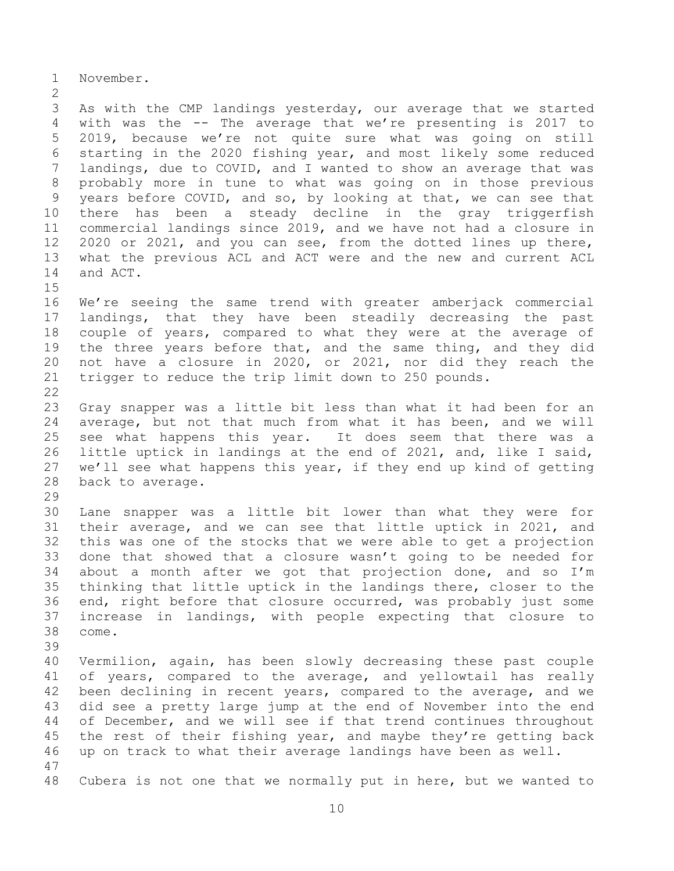November.

 As with the CMP landings yesterday, our average that we started with was the -- The average that we're presenting is 2017 to 2019, because we're not quite sure what was going on still starting in the 2020 fishing year, and most likely some reduced landings, due to COVID, and I wanted to show an average that was probably more in tune to what was going on in those previous years before COVID, and so, by looking at that, we can see that there has been a steady decline in the gray triggerfish commercial landings since 2019, and we have not had a closure in 2020 or 2021, and you can see, from the dotted lines up there, what the previous ACL and ACT were and the new and current ACL and ACT. 

 We're seeing the same trend with greater amberjack commercial landings, that they have been steadily decreasing the past couple of years, compared to what they were at the average of the three years before that, and the same thing, and they did not have a closure in 2020, or 2021, nor did they reach the trigger to reduce the trip limit down to 250 pounds. 

 Gray snapper was a little bit less than what it had been for an average, but not that much from what it has been, and we will see what happens this year. It does seem that there was a little uptick in landings at the end of 2021, and, like I said, we'll see what happens this year, if they end up kind of getting back to average.

 Lane snapper was a little bit lower than what they were for their average, and we can see that little uptick in 2021, and this was one of the stocks that we were able to get a projection done that showed that a closure wasn't going to be needed for about a month after we got that projection done, and so I'm thinking that little uptick in the landings there, closer to the end, right before that closure occurred, was probably just some increase in landings, with people expecting that closure to come.

 Vermilion, again, has been slowly decreasing these past couple of years, compared to the average, and yellowtail has really been declining in recent years, compared to the average, and we did see a pretty large jump at the end of November into the end of December, and we will see if that trend continues throughout the rest of their fishing year, and maybe they're getting back up on track to what their average landings have been as well.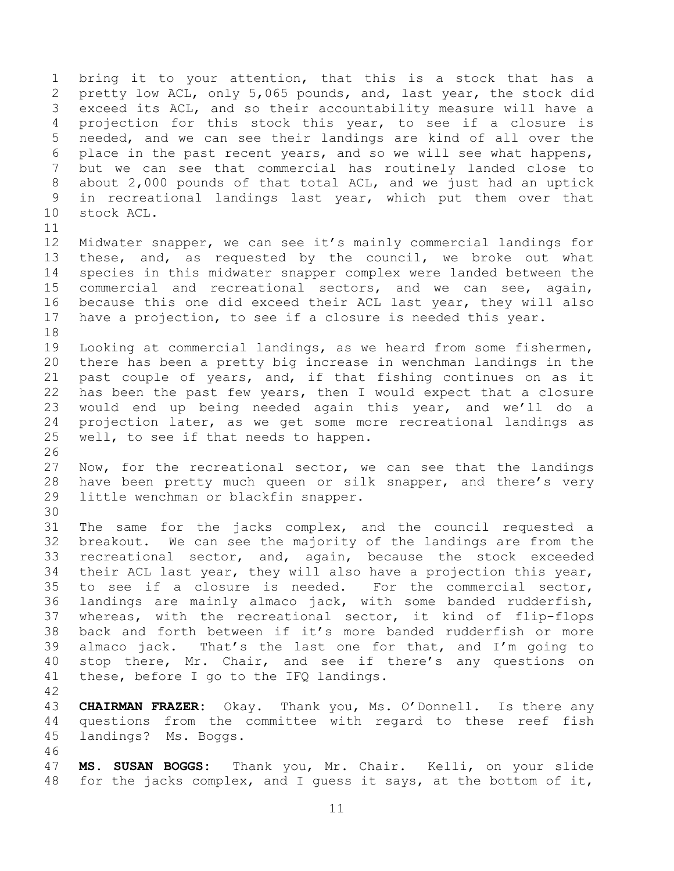bring it to your attention, that this is a stock that has a pretty low ACL, only 5,065 pounds, and, last year, the stock did exceed its ACL, and so their accountability measure will have a projection for this stock this year, to see if a closure is needed, and we can see their landings are kind of all over the place in the past recent years, and so we will see what happens, but we can see that commercial has routinely landed close to about 2,000 pounds of that total ACL, and we just had an uptick in recreational landings last year, which put them over that stock ACL. 

- Midwater snapper, we can see it's mainly commercial landings for these, and, as requested by the council, we broke out what species in this midwater snapper complex were landed between the commercial and recreational sectors, and we can see, again, because this one did exceed their ACL last year, they will also have a projection, to see if a closure is needed this year.
- Looking at commercial landings, as we heard from some fishermen, there has been a pretty big increase in wenchman landings in the past couple of years, and, if that fishing continues on as it has been the past few years, then I would expect that a closure would end up being needed again this year, and we'll do a projection later, as we get some more recreational landings as well, to see if that needs to happen.
- Now, for the recreational sector, we can see that the landings have been pretty much queen or silk snapper, and there's very little wenchman or blackfin snapper.
- The same for the jacks complex, and the council requested a breakout. We can see the majority of the landings are from the recreational sector, and, again, because the stock exceeded their ACL last year, they will also have a projection this year, to see if a closure is needed. For the commercial sector, landings are mainly almaco jack, with some banded rudderfish, whereas, with the recreational sector, it kind of flip-flops back and forth between if it's more banded rudderfish or more 39 almaco jack. That's the last one for that, and  $I'm$  going to stop there, Mr. Chair, and see if there's any questions on these, before I go to the IFQ landings.
- 

- **CHAIRMAN FRAZER:** Okay. Thank you, Ms. O'Donnell. Is there any questions from the committee with regard to these reef fish landings? Ms. Boggs.
- 
- **MS. SUSAN BOGGS:** Thank you, Mr. Chair. Kelli, on your slide for the jacks complex, and I guess it says, at the bottom of it,
	-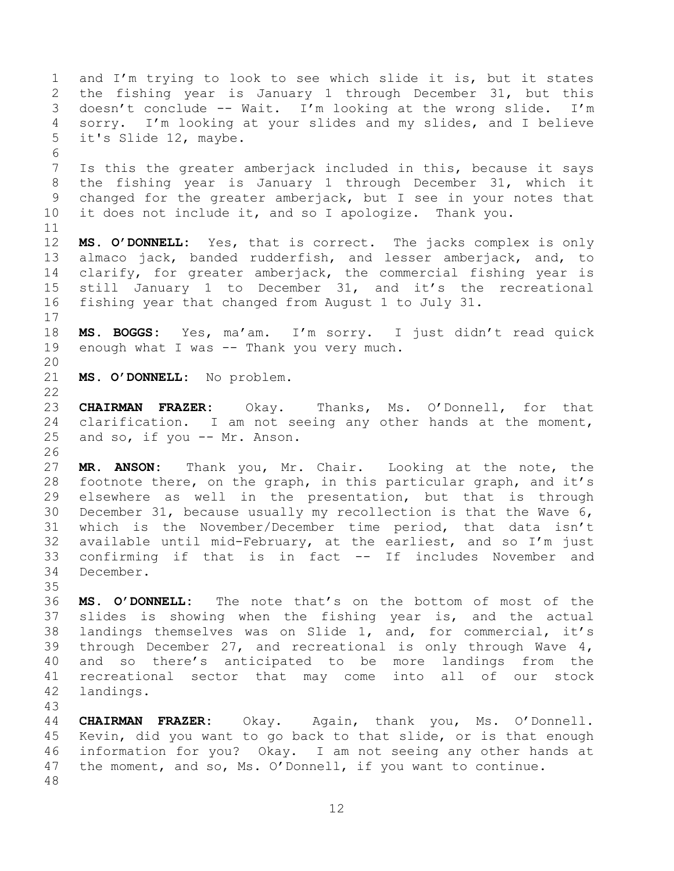and I'm trying to look to see which slide it is, but it states the fishing year is January 1 through December 31, but this doesn't conclude -- Wait. I'm looking at the wrong slide. I'm sorry. I'm looking at your slides and my slides, and I believe it's Slide 12, maybe. Is this the greater amberjack included in this, because it says the fishing year is January 1 through December 31, which it changed for the greater amberjack, but I see in your notes that it does not include it, and so I apologize. Thank you. **MS. O'DONNELL:** Yes, that is correct. The jacks complex is only almaco jack, banded rudderfish, and lesser amberjack, and, to clarify, for greater amberjack, the commercial fishing year is still January 1 to December 31, and it's the recreational fishing year that changed from August 1 to July 31. **MS. BOGGS:** Yes, ma'am. I'm sorry. I just didn't read quick 19 enough what I was -- Thank you very much. **MS. O'DONNELL:** No problem. **CHAIRMAN FRAZER:** Okay. Thanks, Ms. O'Donnell, for that clarification. I am not seeing any other hands at the moment, and so, if you -- Mr. Anson. **MR. ANSON:** Thank you, Mr. Chair. Looking at the note, the footnote there, on the graph, in this particular graph, and it's elsewhere as well in the presentation, but that is through December 31, because usually my recollection is that the Wave 6, which is the November/December time period, that data isn't available until mid-February, at the earliest, and so I'm just confirming if that is in fact -- If includes November and December. **MS. O'DONNELL:** The note that's on the bottom of most of the slides is showing when the fishing year is, and the actual landings themselves was on Slide 1, and, for commercial, it's through December 27, and recreational is only through Wave 4, and so there's anticipated to be more landings from the recreational sector that may come into all of our stock landings. **CHAIRMAN FRAZER:** Okay. Again, thank you, Ms. O'Donnell. Kevin, did you want to go back to that slide, or is that enough

 information for you? Okay. I am not seeing any other hands at 47 the moment, and so, Ms. O'Donnell, if you want to continue.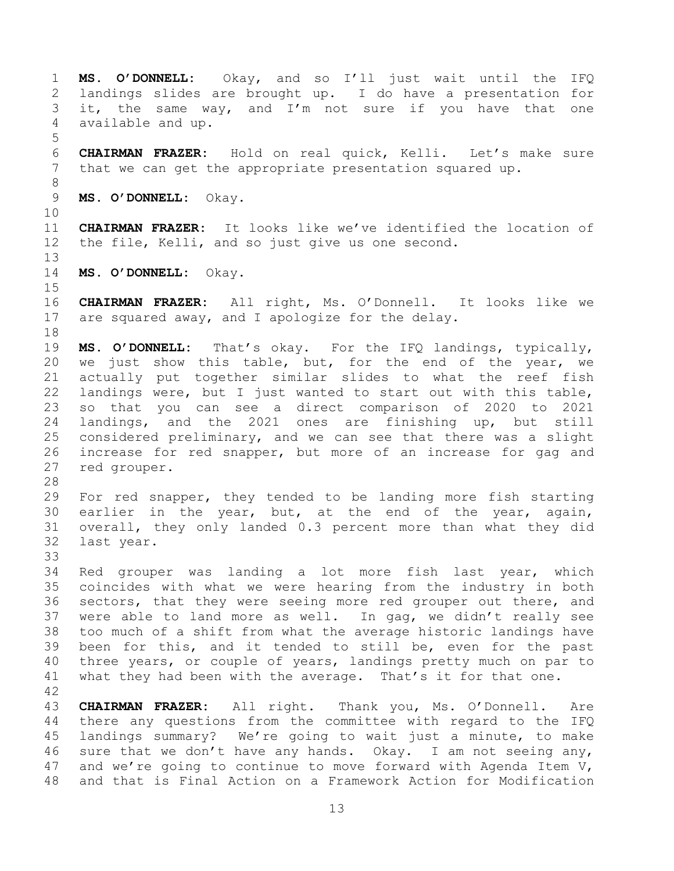**MS. O'DONNELL:** Okay, and so I'll just wait until the IFQ landings slides are brought up. I do have a presentation for it, the same way, and I'm not sure if you have that one available and up. **CHAIRMAN FRAZER:** Hold on real quick, Kelli. Let's make sure that we can get the appropriate presentation squared up. **MS. O'DONNELL:** Okay. **CHAIRMAN FRAZER:** It looks like we've identified the location of the file, Kelli, and so just give us one second. **MS. O'DONNELL:** Okay. **CHAIRMAN FRAZER:** All right, Ms. O'Donnell. It looks like we are squared away, and I apologize for the delay. **MS. O'DONNELL:** That's okay. For the IFQ landings, typically, we just show this table, but, for the end of the year, we actually put together similar slides to what the reef fish landings were, but I just wanted to start out with this table, so that you can see a direct comparison of 2020 to 2021 landings, and the 2021 ones are finishing up, but still considered preliminary, and we can see that there was a slight increase for red snapper, but more of an increase for gag and red grouper. For red snapper, they tended to be landing more fish starting earlier in the year, but, at the end of the year, again, overall, they only landed 0.3 percent more than what they did last year. Red grouper was landing a lot more fish last year, which coincides with what we were hearing from the industry in both sectors, that they were seeing more red grouper out there, and were able to land more as well. In gag, we didn't really see too much of a shift from what the average historic landings have been for this, and it tended to still be, even for the past three years, or couple of years, landings pretty much on par to 41 what they had been with the average. That's it for that one. **CHAIRMAN FRAZER:** All right. Thank you, Ms. O'Donnell. Are there any questions from the committee with regard to the IFQ landings summary? We're going to wait just a minute, to make sure that we don't have any hands. Okay. I am not seeing any, and we're going to continue to move forward with Agenda Item V, and that is Final Action on a Framework Action for Modification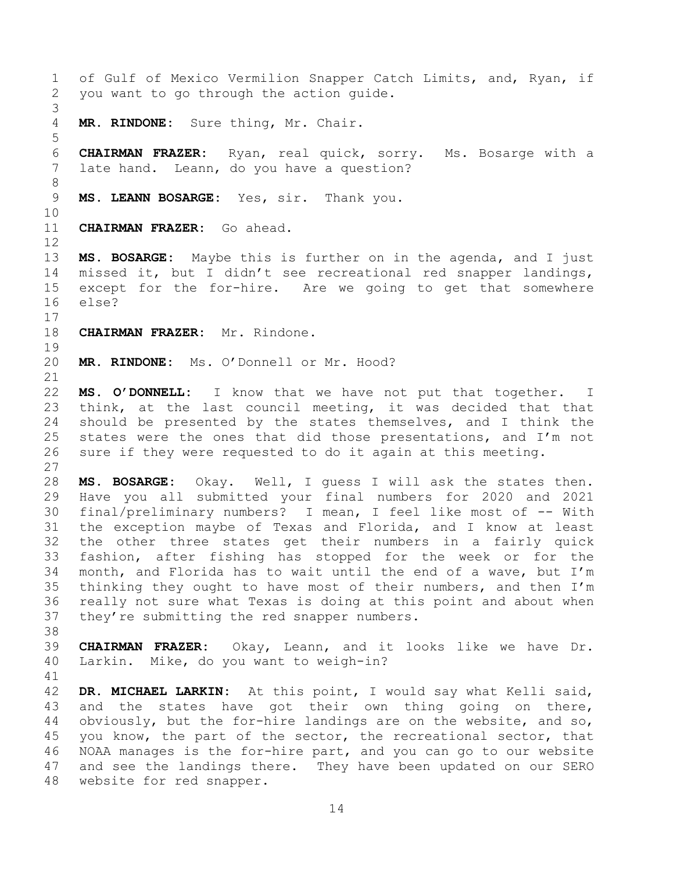of Gulf of Mexico Vermilion Snapper Catch Limits, and, Ryan, if you want to go through the action guide. **MR. RINDONE:** Sure thing, Mr. Chair. **CHAIRMAN FRAZER:** Ryan, real quick, sorry. Ms. Bosarge with a late hand. Leann, do you have a question? **MS. LEANN BOSARGE:** Yes, sir. Thank you. **CHAIRMAN FRAZER:** Go ahead. **MS. BOSARGE:** Maybe this is further on in the agenda, and I just missed it, but I didn't see recreational red snapper landings, except for the for-hire. Are we going to get that somewhere else? **CHAIRMAN FRAZER:** Mr. Rindone. **MR. RINDONE:** Ms. O'Donnell or Mr. Hood? **MS. O'DONNELL:** I know that we have not put that together. I think, at the last council meeting, it was decided that that should be presented by the states themselves, and I think the states were the ones that did those presentations, and I'm not sure if they were requested to do it again at this meeting. **MS. BOSARGE:** Okay. Well, I guess I will ask the states then. Have you all submitted your final numbers for 2020 and 2021 final/preliminary numbers? I mean, I feel like most of -- With the exception maybe of Texas and Florida, and I know at least the other three states get their numbers in a fairly quick fashion, after fishing has stopped for the week or for the month, and Florida has to wait until the end of a wave, but I'm thinking they ought to have most of their numbers, and then I'm really not sure what Texas is doing at this point and about when they're submitting the red snapper numbers. **CHAIRMAN FRAZER:** Okay, Leann, and it looks like we have Dr. Larkin. Mike, do you want to weigh-in? **DR. MICHAEL LARKIN:** At this point, I would say what Kelli said, 43 and the states have got their own thing going on there, obviously, but the for-hire landings are on the website, and so, you know, the part of the sector, the recreational sector, that NOAA manages is the for-hire part, and you can go to our website and see the landings there. They have been updated on our SERO website for red snapper.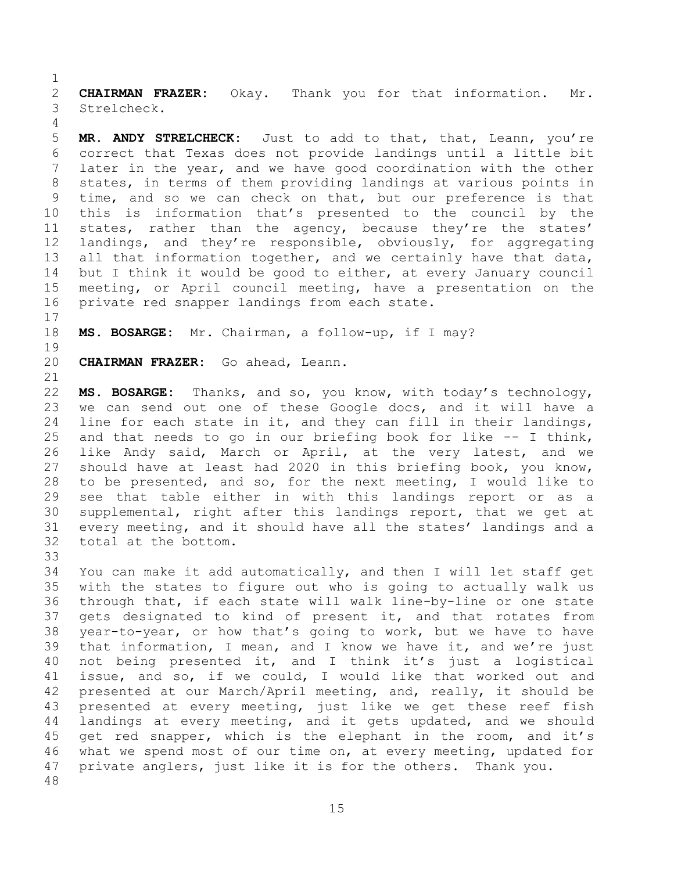**CHAIRMAN FRAZER:** Okay. Thank you for that information. Mr. Strelcheck.

 **MR. ANDY STRELCHECK:** Just to add to that, that, Leann, you're correct that Texas does not provide landings until a little bit later in the year, and we have good coordination with the other states, in terms of them providing landings at various points in time, and so we can check on that, but our preference is that this is information that's presented to the council by the states, rather than the agency, because they're the states' landings, and they're responsible, obviously, for aggregating 13 all that information together, and we certainly have that data, but I think it would be good to either, at every January council meeting, or April council meeting, have a presentation on the private red snapper landings from each state.

**MS. BOSARGE:** Mr. Chairman, a follow-up, if I may?

**CHAIRMAN FRAZER:** Go ahead, Leann.

 **MS. BOSARGE:** Thanks, and so, you know, with today's technology, we can send out one of these Google docs, and it will have a line for each state in it, and they can fill in their landings, and that needs to go in our briefing book for like -- I think, like Andy said, March or April, at the very latest, and we should have at least had 2020 in this briefing book, you know, to be presented, and so, for the next meeting, I would like to see that table either in with this landings report or as a supplemental, right after this landings report, that we get at every meeting, and it should have all the states' landings and a total at the bottom.

 You can make it add automatically, and then I will let staff get with the states to figure out who is going to actually walk us through that, if each state will walk line-by-line or one state gets designated to kind of present it, and that rotates from year-to-year, or how that's going to work, but we have to have that information, I mean, and I know we have it, and we're just not being presented it, and I think it's just a logistical issue, and so, if we could, I would like that worked out and presented at our March/April meeting, and, really, it should be presented at every meeting, just like we get these reef fish landings at every meeting, and it gets updated, and we should get red snapper, which is the elephant in the room, and it's what we spend most of our time on, at every meeting, updated for private anglers, just like it is for the others. Thank you.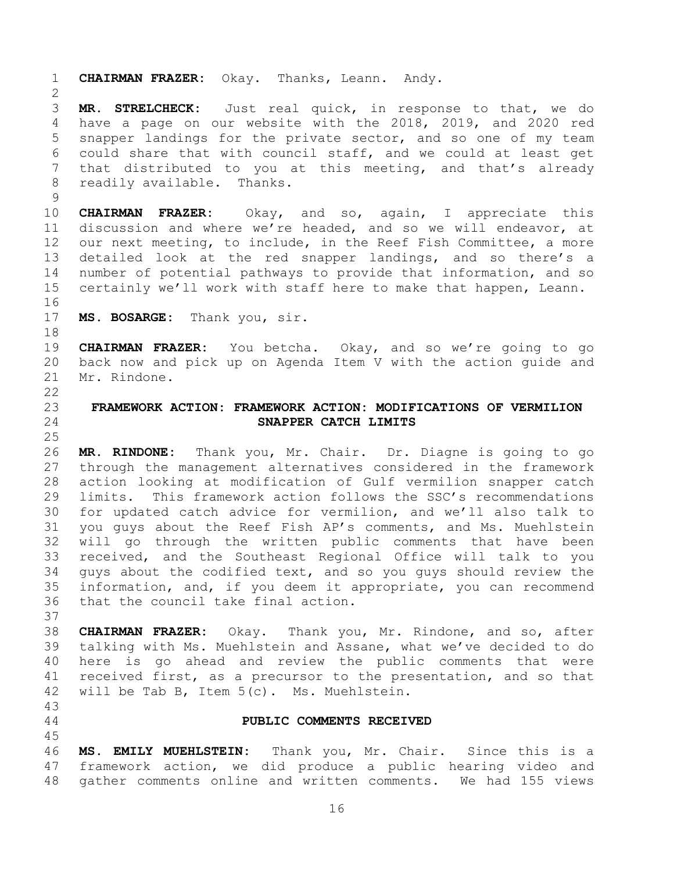<span id="page-15-1"></span><span id="page-15-0"></span> **CHAIRMAN FRAZER:** Okay. Thanks, Leann. Andy. **MR. STRELCHECK:** Just real quick, in response to that, we do have a page on our website with the 2018, 2019, and 2020 red snapper landings for the private sector, and so one of my team could share that with council staff, and we could at least get that distributed to you at this meeting, and that's already readily available. Thanks. **CHAIRMAN FRAZER:** Okay, and so, again, I appreciate this discussion and where we're headed, and so we will endeavor, at our next meeting, to include, in the Reef Fish Committee, a more detailed look at the red snapper landings, and so there's a number of potential pathways to provide that information, and so certainly we'll work with staff here to make that happen, Leann. **MS. BOSARGE:** Thank you, sir. **CHAIRMAN FRAZER:** You betcha. Okay, and so we're going to go back now and pick up on Agenda Item V with the action guide and Mr. Rindone. **FRAMEWORK ACTION: FRAMEWORK ACTION: MODIFICATIONS OF VERMILION SNAPPER CATCH LIMITS MR. RINDONE:** Thank you, Mr. Chair. Dr. Diagne is going to go through the management alternatives considered in the framework action looking at modification of Gulf vermilion snapper catch limits. This framework action follows the SSC's recommendations for updated catch advice for vermilion, and we'll also talk to you guys about the Reef Fish AP's comments, and Ms. Muehlstein will go through the written public comments that have been received, and the Southeast Regional Office will talk to you guys about the codified text, and so you guys should review the information, and, if you deem it appropriate, you can recommend that the council take final action. **CHAIRMAN FRAZER:** Okay. Thank you, Mr. Rindone, and so, after talking with Ms. Muehlstein and Assane, what we've decided to do here is go ahead and review the public comments that were received first, as a precursor to the presentation, and so that will be Tab B, Item 5(c). Ms. Muehlstein. **PUBLIC COMMENTS RECEIVED MS. EMILY MUEHLSTEIN:** Thank you, Mr. Chair. Since this is a framework action, we did produce a public hearing video and gather comments online and written comments. We had 155 views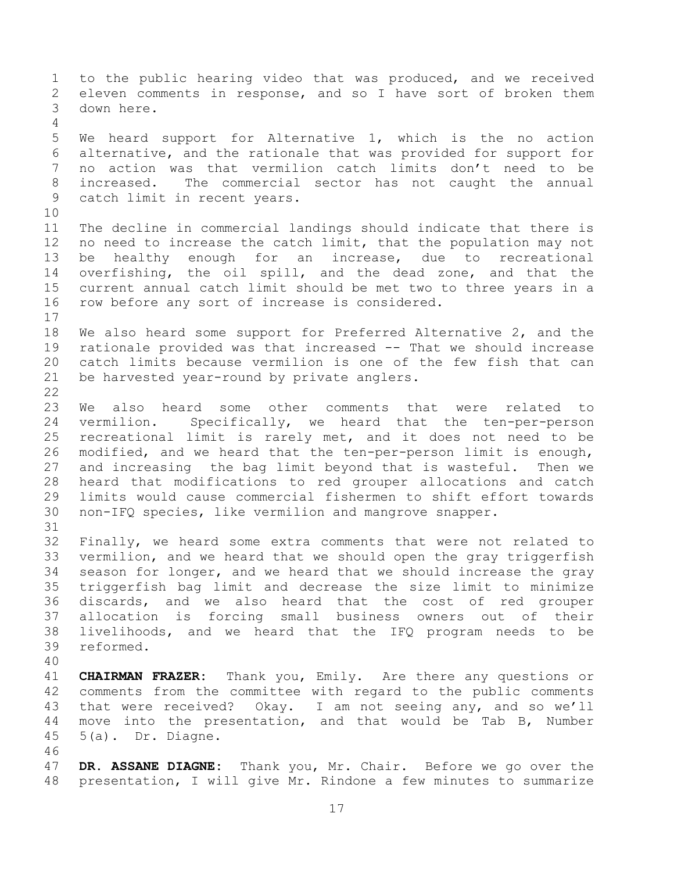to the public hearing video that was produced, and we received eleven comments in response, and so I have sort of broken them down here. We heard support for Alternative 1, which is the no action alternative, and the rationale that was provided for support for no action was that vermilion catch limits don't need to be increased. The commercial sector has not caught the annual catch limit in recent years. The decline in commercial landings should indicate that there is no need to increase the catch limit, that the population may not be healthy enough for an increase, due to recreational overfishing, the oil spill, and the dead zone, and that the current annual catch limit should be met two to three years in a row before any sort of increase is considered. We also heard some support for Preferred Alternative 2, and the rationale provided was that increased -- That we should increase catch limits because vermilion is one of the few fish that can be harvested year-round by private anglers. We also heard some other comments that were related to vermilion. Specifically, we heard that the ten-per-person recreational limit is rarely met, and it does not need to be modified, and we heard that the ten-per-person limit is enough, and increasing the bag limit beyond that is wasteful. Then we heard that modifications to red grouper allocations and catch limits would cause commercial fishermen to shift effort towards non-IFQ species, like vermilion and mangrove snapper. Finally, we heard some extra comments that were not related to vermilion, and we heard that we should open the gray triggerfish season for longer, and we heard that we should increase the gray triggerfish bag limit and decrease the size limit to minimize discards, and we also heard that the cost of red grouper allocation is forcing small business owners out of their livelihoods, and we heard that the IFQ program needs to be reformed. **CHAIRMAN FRAZER:** Thank you, Emily. Are there any questions or comments from the committee with regard to the public comments that were received? Okay. I am not seeing any, and so we'll move into the presentation, and that would be Tab B, Number 5(a). Dr. Diagne. **DR. ASSANE DIAGNE:** Thank you, Mr. Chair. Before we go over the presentation, I will give Mr. Rindone a few minutes to summarize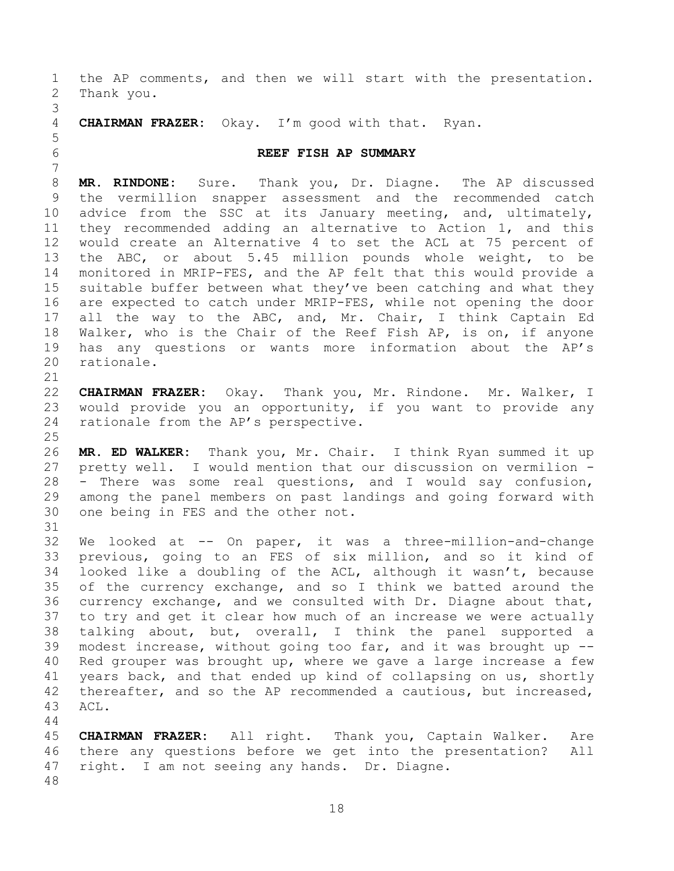<span id="page-17-0"></span> the AP comments, and then we will start with the presentation. Thank you. **CHAIRMAN FRAZER:** Okay. I'm good with that. Ryan. **REEF FISH AP SUMMARY MR. RINDONE:** Sure. Thank you, Dr. Diagne. The AP discussed the vermillion snapper assessment and the recommended catch advice from the SSC at its January meeting, and, ultimately, they recommended adding an alternative to Action 1, and this would create an Alternative 4 to set the ACL at 75 percent of the ABC, or about 5.45 million pounds whole weight, to be monitored in MRIP-FES, and the AP felt that this would provide a suitable buffer between what they've been catching and what they are expected to catch under MRIP-FES, while not opening the door 17 all the way to the ABC, and, Mr. Chair, I think Captain Ed Walker, who is the Chair of the Reef Fish AP, is on, if anyone has any questions or wants more information about the AP's rationale. **CHAIRMAN FRAZER:** Okay. Thank you, Mr. Rindone. Mr. Walker, I would provide you an opportunity, if you want to provide any rationale from the AP's perspective. **MR. ED WALKER:** Thank you, Mr. Chair. I think Ryan summed it up pretty well. I would mention that our discussion on vermilion - - There was some real questions, and I would say confusion, among the panel members on past landings and going forward with one being in FES and the other not. We looked at -- On paper, it was a three-million-and-change previous, going to an FES of six million, and so it kind of looked like a doubling of the ACL, although it wasn't, because of the currency exchange, and so I think we batted around the currency exchange, and we consulted with Dr. Diagne about that, to try and get it clear how much of an increase we were actually talking about, but, overall, I think the panel supported a modest increase, without going too far, and it was brought up -- Red grouper was brought up, where we gave a large increase a few years back, and that ended up kind of collapsing on us, shortly thereafter, and so the AP recommended a cautious, but increased, ACL. **CHAIRMAN FRAZER:** All right. Thank you, Captain Walker. Are there any questions before we get into the presentation? All right. I am not seeing any hands. Dr. Diagne.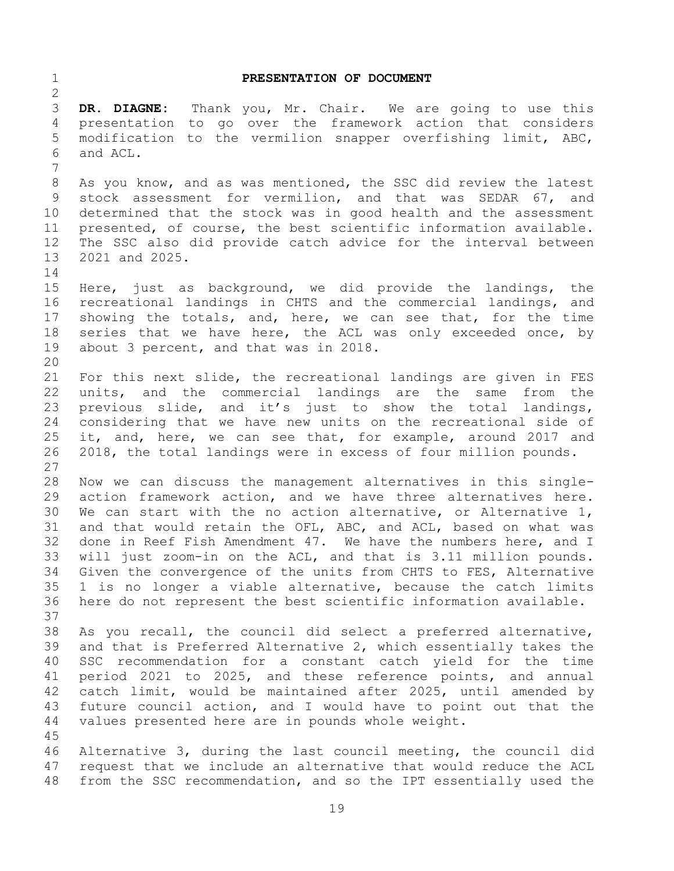<span id="page-18-0"></span> **PRESENTATION OF DOCUMENT DR. DIAGNE:** Thank you, Mr. Chair. We are going to use this presentation to go over the framework action that considers modification to the vermilion snapper overfishing limit, ABC, and ACL. As you know, and as was mentioned, the SSC did review the latest stock assessment for vermilion, and that was SEDAR 67, and determined that the stock was in good health and the assessment presented, of course, the best scientific information available. The SSC also did provide catch advice for the interval between 2021 and 2025. Here, just as background, we did provide the landings, the recreational landings in CHTS and the commercial landings, and showing the totals, and, here, we can see that, for the time 18 series that we have here, the ACL was only exceeded once, by about 3 percent, and that was in 2018. For this next slide, the recreational landings are given in FES units, and the commercial landings are the same from the previous slide, and it's just to show the total landings, considering that we have new units on the recreational side of it, and, here, we can see that, for example, around 2017 and 2018, the total landings were in excess of four million pounds. Now we can discuss the management alternatives in this single- action framework action, and we have three alternatives here. We can start with the no action alternative, or Alternative 1, and that would retain the OFL, ABC, and ACL, based on what was done in Reef Fish Amendment 47. We have the numbers here, and I will just zoom-in on the ACL, and that is 3.11 million pounds. Given the convergence of the units from CHTS to FES, Alternative 1 is no longer a viable alternative, because the catch limits here do not represent the best scientific information available. As you recall, the council did select a preferred alternative, and that is Preferred Alternative 2, which essentially takes the SSC recommendation for a constant catch yield for the time period 2021 to 2025, and these reference points, and annual catch limit, would be maintained after 2025, until amended by future council action, and I would have to point out that the values presented here are in pounds whole weight. Alternative 3, during the last council meeting, the council did request that we include an alternative that would reduce the ACL from the SSC recommendation, and so the IPT essentially used the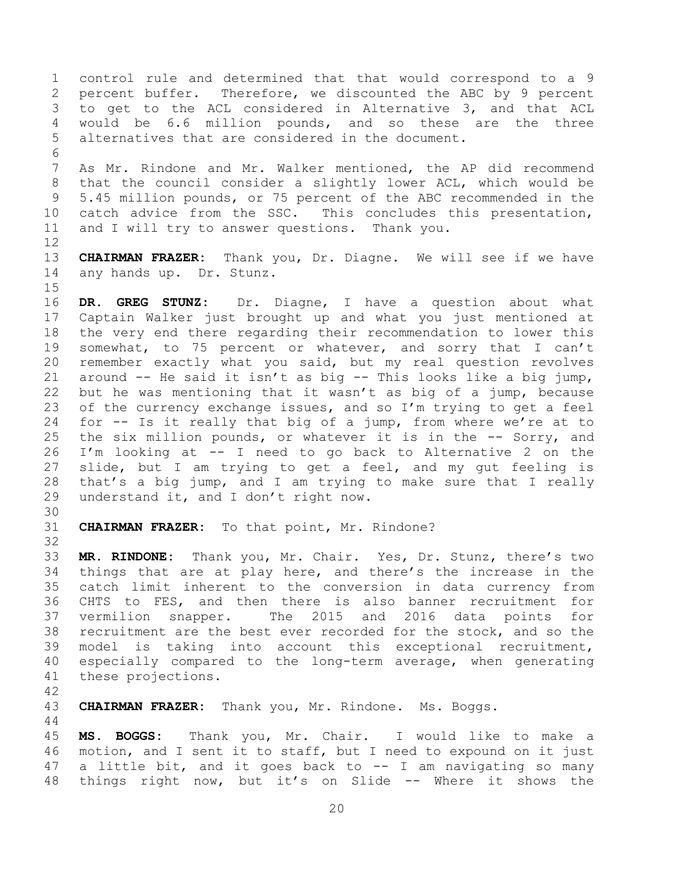control rule and determined that that would correspond to a 9 percent buffer. Therefore, we discounted the ABC by 9 percent to get to the ACL considered in Alternative 3, and that ACL would be 6.6 million pounds, and so these are the three alternatives that are considered in the document. As Mr. Rindone and Mr. Walker mentioned, the AP did recommend that the council consider a slightly lower ACL, which would be 5.45 million pounds, or 75 percent of the ABC recommended in the catch advice from the SSC. This concludes this presentation,

 **CHAIRMAN FRAZER:** Thank you, Dr. Diagne. We will see if we have any hands up. Dr. Stunz.

 **DR. GREG STUNZ:** Dr. Diagne, I have a question about what Captain Walker just brought up and what you just mentioned at the very end there regarding their recommendation to lower this 19 somewhat, to 75 percent or whatever, and sorry that I can't remember exactly what you said, but my real question revolves around -- He said it isn't as big -- This looks like a big jump, but he was mentioning that it wasn't as big of a jump, because 23 of the currency exchange issues, and so  $I'm$  trying to get a feel for -- Is it really that big of a jump, from where we're at to the six million pounds, or whatever it is in the -- Sorry, and I'm looking at -- I need to go back to Alternative 2 on the slide, but I am trying to get a feel, and my gut feeling is that's a big jump, and I am trying to make sure that I really understand it, and I don't right now.

**CHAIRMAN FRAZER:** To that point, Mr. Rindone?

and I will try to answer questions. Thank you.

 **MR. RINDONE:** Thank you, Mr. Chair. Yes, Dr. Stunz, there's two things that are at play here, and there's the increase in the catch limit inherent to the conversion in data currency from CHTS to FES, and then there is also banner recruitment for vermilion snapper. The 2015 and 2016 data points for recruitment are the best ever recorded for the stock, and so the model is taking into account this exceptional recruitment, especially compared to the long-term average, when generating these projections.

**CHAIRMAN FRAZER:** Thank you, Mr. Rindone. Ms. Boggs.

<span id="page-19-0"></span> **MS. BOGGS:** Thank you, Mr. Chair. I would like to make a motion, and I sent it to staff, but I need to expound on it just a little bit, and it goes back to -- I am navigating so many things right now, but it's on Slide -- Where it shows the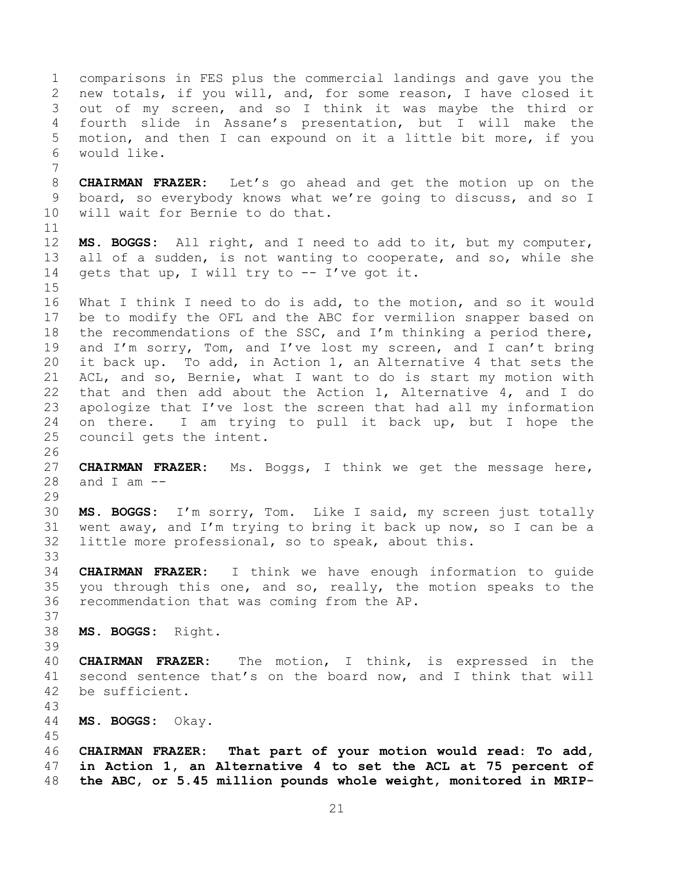comparisons in FES plus the commercial landings and gave you the new totals, if you will, and, for some reason, I have closed it out of my screen, and so I think it was maybe the third or fourth slide in Assane's presentation, but I will make the motion, and then I can expound on it a little bit more, if you would like. **CHAIRMAN FRAZER:** Let's go ahead and get the motion up on the board, so everybody knows what we're going to discuss, and so I will wait for Bernie to do that. **MS. BOGGS:** All right, and I need to add to it, but my computer, all of a sudden, is not wanting to cooperate, and so, while she 14 gets that up, I will try to -- I've got it. What I think I need to do is add, to the motion, and so it would be to modify the OFL and the ABC for vermilion snapper based on the recommendations of the SSC, and I'm thinking a period there, and I'm sorry, Tom, and I've lost my screen, and I can't bring it back up. To add, in Action 1, an Alternative 4 that sets the ACL, and so, Bernie, what I want to do is start my motion with that and then add about the Action 1, Alternative 4, and I do apologize that I've lost the screen that had all my information on there. I am trying to pull it back up, but I hope the council gets the intent. **CHAIRMAN FRAZER:** Ms. Boggs, I think we get the message here, 28 and I am  $-$  **MS. BOGGS:** I'm sorry, Tom. Like I said, my screen just totally went away, and I'm trying to bring it back up now, so I can be a little more professional, so to speak, about this. **CHAIRMAN FRAZER:** I think we have enough information to guide you through this one, and so, really, the motion speaks to the recommendation that was coming from the AP. **MS. BOGGS:** Right. **CHAIRMAN FRAZER:** The motion, I think, is expressed in the second sentence that's on the board now, and I think that will be sufficient. **MS. BOGGS:** Okay. **CHAIRMAN FRAZER: That part of your motion would read: To add, in Action 1, an Alternative 4 to set the ACL at 75 percent of the ABC, or 5.45 million pounds whole weight, monitored in MRIP-**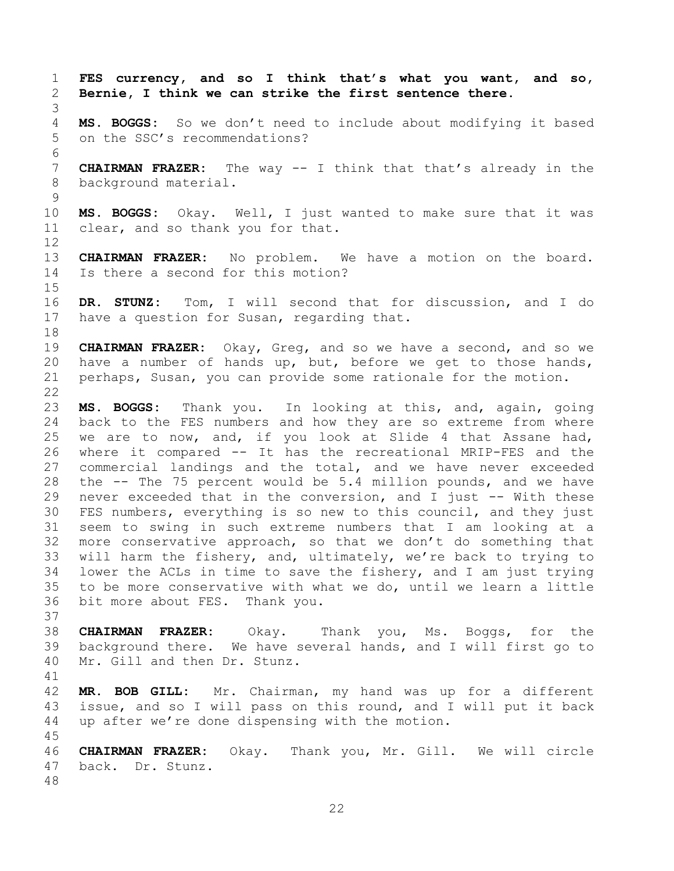**FES currency, and so I think that's what you want, and so, Bernie, I think we can strike the first sentence there. MS. BOGGS:** So we don't need to include about modifying it based on the SSC's recommendations? **CHAIRMAN FRAZER:** The way -- I think that that's already in the background material. **MS. BOGGS:** Okay. Well, I just wanted to make sure that it was clear, and so thank you for that. **CHAIRMAN FRAZER:** No problem. We have a motion on the board. Is there a second for this motion? **DR. STUNZ:** Tom, I will second that for discussion, and I do have a question for Susan, regarding that. **CHAIRMAN FRAZER:** Okay, Greg, and so we have a second, and so we have a number of hands up, but, before we get to those hands, perhaps, Susan, you can provide some rationale for the motion. **MS. BOGGS:** Thank you. In looking at this, and, again, going back to the FES numbers and how they are so extreme from where we are to now, and, if you look at Slide 4 that Assane had, where it compared -- It has the recreational MRIP-FES and the commercial landings and the total, and we have never exceeded the -- The 75 percent would be 5.4 million pounds, and we have never exceeded that in the conversion, and I just -- With these FES numbers, everything is so new to this council, and they just seem to swing in such extreme numbers that I am looking at a more conservative approach, so that we don't do something that will harm the fishery, and, ultimately, we're back to trying to lower the ACLs in time to save the fishery, and I am just trying to be more conservative with what we do, until we learn a little bit more about FES. Thank you. **CHAIRMAN FRAZER:** Okay. Thank you, Ms. Boggs, for the background there. We have several hands, and I will first go to Mr. Gill and then Dr. Stunz. **MR. BOB GILL:** Mr. Chairman, my hand was up for a different issue, and so I will pass on this round, and I will put it back up after we're done dispensing with the motion. **CHAIRMAN FRAZER:** Okay. Thank you, Mr. Gill. We will circle back. Dr. Stunz.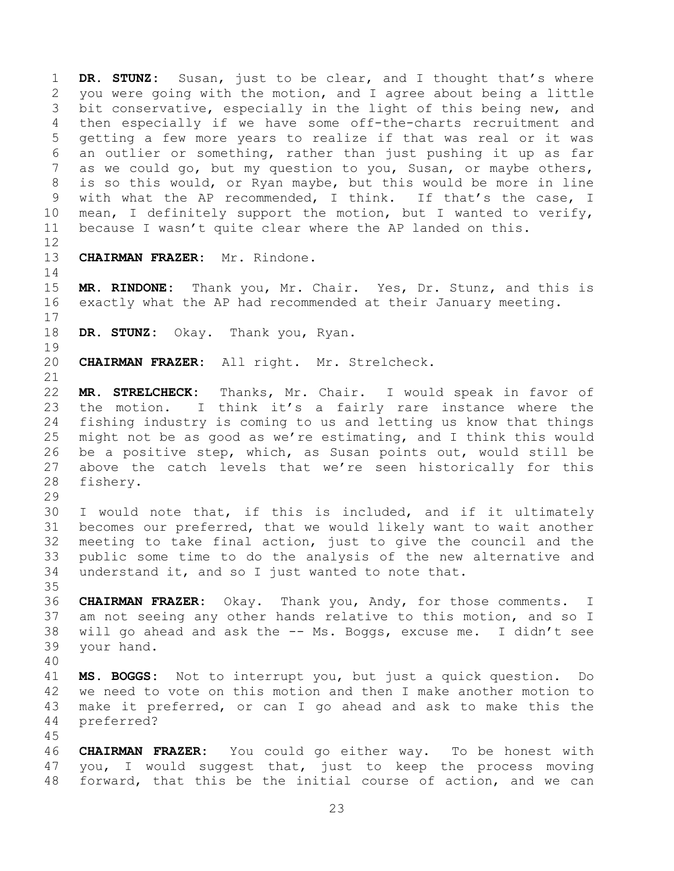**DR. STUNZ:** Susan, just to be clear, and I thought that's where you were going with the motion, and I agree about being a little bit conservative, especially in the light of this being new, and then especially if we have some off-the-charts recruitment and getting a few more years to realize if that was real or it was an outlier or something, rather than just pushing it up as far as we could go, but my question to you, Susan, or maybe others, is so this would, or Ryan maybe, but this would be more in line with what the AP recommended, I think. If that's the case, I mean, I definitely support the motion, but I wanted to verify, because I wasn't quite clear where the AP landed on this. 

**CHAIRMAN FRAZER:** Mr. Rindone.

 **MR. RINDONE:** Thank you, Mr. Chair. Yes, Dr. Stunz, and this is exactly what the AP had recommended at their January meeting.

**DR. STUNZ:** Okay. Thank you, Ryan.

**CHAIRMAN FRAZER:** All right. Mr. Strelcheck.

 **MR. STRELCHECK:** Thanks, Mr. Chair. I would speak in favor of the motion. I think it's a fairly rare instance where the fishing industry is coming to us and letting us know that things might not be as good as we're estimating, and I think this would be a positive step, which, as Susan points out, would still be above the catch levels that we're seen historically for this fishery.

 I would note that, if this is included, and if it ultimately becomes our preferred, that we would likely want to wait another meeting to take final action, just to give the council and the public some time to do the analysis of the new alternative and understand it, and so I just wanted to note that.

 **CHAIRMAN FRAZER:** Okay. Thank you, Andy, for those comments. I am not seeing any other hands relative to this motion, and so I will go ahead and ask the -- Ms. Boggs, excuse me. I didn't see your hand.

 **MS. BOGGS:** Not to interrupt you, but just a quick question. Do we need to vote on this motion and then I make another motion to make it preferred, or can I go ahead and ask to make this the preferred?

 **CHAIRMAN FRAZER:** You could go either way. To be honest with you, I would suggest that, just to keep the process moving forward, that this be the initial course of action, and we can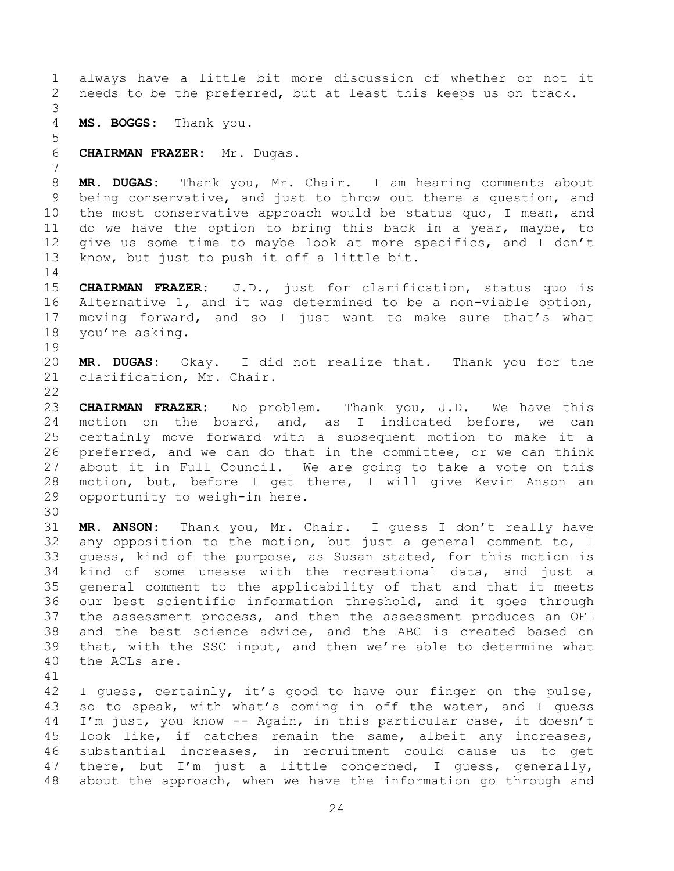always have a little bit more discussion of whether or not it needs to be the preferred, but at least this keeps us on track. **MS. BOGGS:** Thank you. **CHAIRMAN FRAZER:** Mr. Dugas. **MR. DUGAS:** Thank you, Mr. Chair. I am hearing comments about being conservative, and just to throw out there a question, and the most conservative approach would be status quo, I mean, and do we have the option to bring this back in a year, maybe, to give us some time to maybe look at more specifics, and I don't know, but just to push it off a little bit. **CHAIRMAN FRAZER:** J.D., just for clarification, status quo is Alternative 1, and it was determined to be a non-viable option, moving forward, and so I just want to make sure that's what you're asking. **MR. DUGAS:** Okay. I did not realize that. Thank you for the clarification, Mr. Chair. **CHAIRMAN FRAZER:** No problem. Thank you, J.D. We have this motion on the board, and, as I indicated before, we can certainly move forward with a subsequent motion to make it a preferred, and we can do that in the committee, or we can think about it in Full Council. We are going to take a vote on this motion, but, before I get there, I will give Kevin Anson an opportunity to weigh-in here. **MR. ANSON:** Thank you, Mr. Chair. I guess I don't really have any opposition to the motion, but just a general comment to, I guess, kind of the purpose, as Susan stated, for this motion is kind of some unease with the recreational data, and just a general comment to the applicability of that and that it meets our best scientific information threshold, and it goes through the assessment process, and then the assessment produces an OFL and the best science advice, and the ABC is created based on that, with the SSC input, and then we're able to determine what the ACLs are. I guess, certainly, it's good to have our finger on the pulse, so to speak, with what's coming in off the water, and I guess I'm just, you know -- Again, in this particular case, it doesn't look like, if catches remain the same, albeit any increases, substantial increases, in recruitment could cause us to get there, but I'm just a little concerned, I guess, generally,

about the approach, when we have the information go through and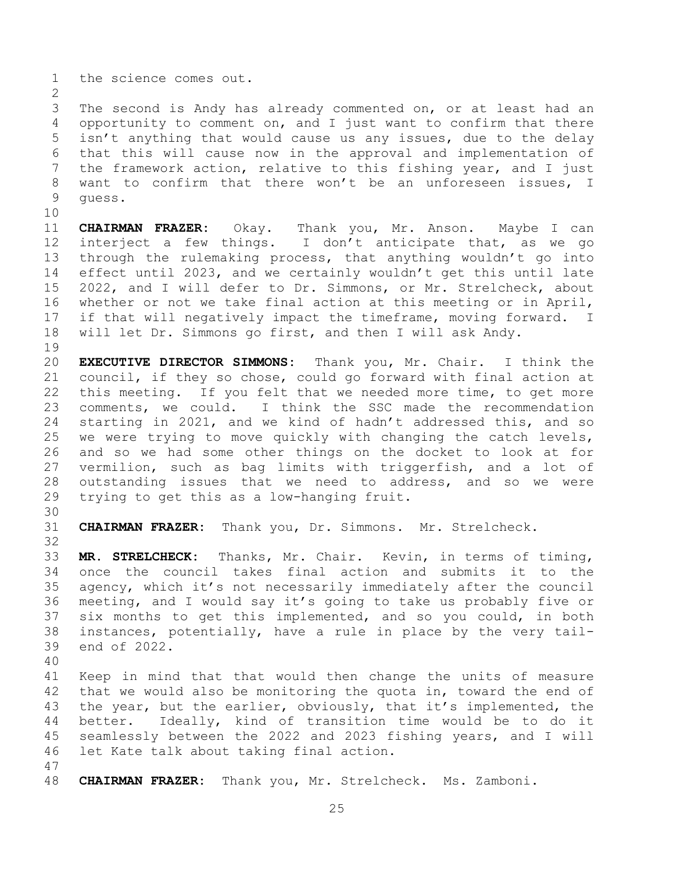the science comes out.

 The second is Andy has already commented on, or at least had an opportunity to comment on, and I just want to confirm that there isn't anything that would cause us any issues, due to the delay that this will cause now in the approval and implementation of the framework action, relative to this fishing year, and I just want to confirm that there won't be an unforeseen issues, I guess.

 **CHAIRMAN FRAZER:** Okay. Thank you, Mr. Anson. Maybe I can interject a few things. I don't anticipate that, as we go through the rulemaking process, that anything wouldn't go into effect until 2023, and we certainly wouldn't get this until late 2022, and I will defer to Dr. Simmons, or Mr. Strelcheck, about whether or not we take final action at this meeting or in April, if that will negatively impact the timeframe, moving forward. I will let Dr. Simmons go first, and then I will ask Andy.

 **EXECUTIVE DIRECTOR SIMMONS:** Thank you, Mr. Chair. I think the council, if they so chose, could go forward with final action at this meeting. If you felt that we needed more time, to get more comments, we could. I think the SSC made the recommendation starting in 2021, and we kind of hadn't addressed this, and so we were trying to move quickly with changing the catch levels, and so we had some other things on the docket to look at for vermilion, such as bag limits with triggerfish, and a lot of outstanding issues that we need to address, and so we were trying to get this as a low-hanging fruit.

**CHAIRMAN FRAZER:** Thank you, Dr. Simmons. Mr. Strelcheck.

 **MR. STRELCHECK:** Thanks, Mr. Chair. Kevin, in terms of timing, once the council takes final action and submits it to the agency, which it's not necessarily immediately after the council meeting, and I would say it's going to take us probably five or six months to get this implemented, and so you could, in both instances, potentially, have a rule in place by the very tail-end of 2022.

 Keep in mind that that would then change the units of measure 42 that we would also be monitoring the quota in, toward the end of 43 the year, but the earlier, obviously, that it's implemented, the better. Ideally, kind of transition time would be to do it seamlessly between the 2022 and 2023 fishing years, and I will let Kate talk about taking final action.

**CHAIRMAN FRAZER:** Thank you, Mr. Strelcheck. Ms. Zamboni.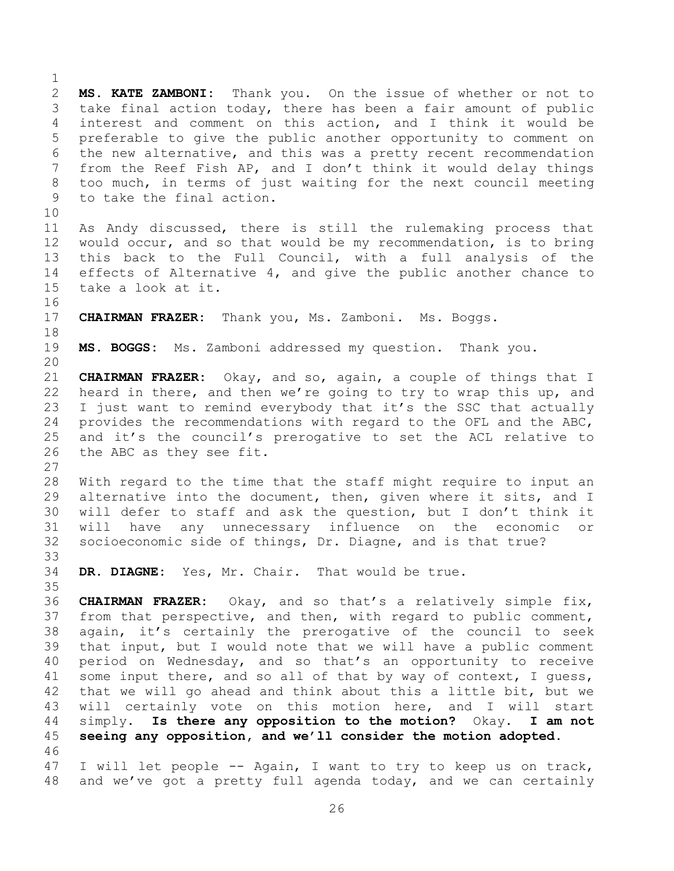<span id="page-25-0"></span> **MS. KATE ZAMBONI:** Thank you. On the issue of whether or not to take final action today, there has been a fair amount of public interest and comment on this action, and I think it would be preferable to give the public another opportunity to comment on the new alternative, and this was a pretty recent recommendation from the Reef Fish AP, and I don't think it would delay things too much, in terms of just waiting for the next council meeting to take the final action. As Andy discussed, there is still the rulemaking process that would occur, and so that would be my recommendation, is to bring this back to the Full Council, with a full analysis of the effects of Alternative 4, and give the public another chance to take a look at it. **CHAIRMAN FRAZER:** Thank you, Ms. Zamboni. Ms. Boggs. **MS. BOGGS:** Ms. Zamboni addressed my question. Thank you. **CHAIRMAN FRAZER:** Okay, and so, again, a couple of things that I heard in there, and then we're going to try to wrap this up, and I just want to remind everybody that it's the SSC that actually provides the recommendations with regard to the OFL and the ABC, and it's the council's prerogative to set the ACL relative to the ABC as they see fit. With regard to the time that the staff might require to input an alternative into the document, then, given where it sits, and I will defer to staff and ask the question, but I don't think it will have any unnecessary influence on the economic or socioeconomic side of things, Dr. Diagne, and is that true? **DR. DIAGNE:** Yes, Mr. Chair. That would be true. **CHAIRMAN FRAZER:** Okay, and so that's a relatively simple fix, from that perspective, and then, with regard to public comment, again, it's certainly the prerogative of the council to seek that input, but I would note that we will have a public comment period on Wednesday, and so that's an opportunity to receive some input there, and so all of that by way of context, I guess, that we will go ahead and think about this a little bit, but we will certainly vote on this motion here, and I will start simply. **Is there any opposition to the motion?** Okay. **I am not seeing any opposition, and we'll consider the motion adopted.** I will let people -- Again, I want to try to keep us on track, and we've got a pretty full agenda today, and we can certainly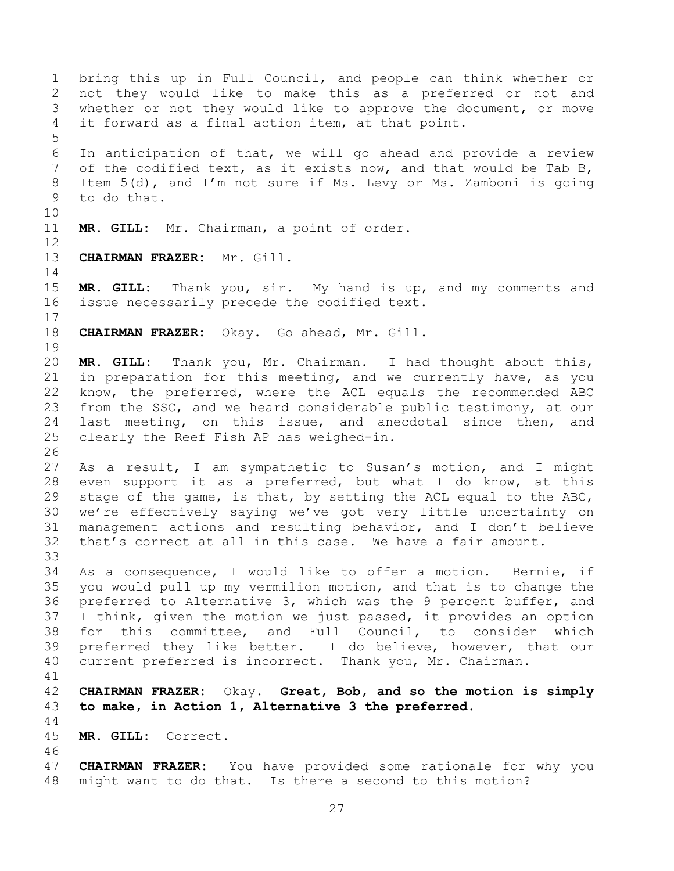<span id="page-26-0"></span> bring this up in Full Council, and people can think whether or not they would like to make this as a preferred or not and whether or not they would like to approve the document, or move it forward as a final action item, at that point. In anticipation of that, we will go ahead and provide a review of the codified text, as it exists now, and that would be Tab B, Item 5(d), and I'm not sure if Ms. Levy or Ms. Zamboni is going to do that. **MR. GILL:** Mr. Chairman, a point of order. **CHAIRMAN FRAZER:** Mr. Gill. **MR. GILL:** Thank you, sir. My hand is up, and my comments and issue necessarily precede the codified text. **CHAIRMAN FRAZER:** Okay. Go ahead, Mr. Gill. **MR. GILL:** Thank you, Mr. Chairman. I had thought about this, in preparation for this meeting, and we currently have, as you know, the preferred, where the ACL equals the recommended ABC from the SSC, and we heard considerable public testimony, at our last meeting, on this issue, and anecdotal since then, and clearly the Reef Fish AP has weighed-in. As a result, I am sympathetic to Susan's motion, and I might even support it as a preferred, but what I do know, at this stage of the game, is that, by setting the ACL equal to the ABC, we're effectively saying we've got very little uncertainty on management actions and resulting behavior, and I don't believe that's correct at all in this case. We have a fair amount. As a consequence, I would like to offer a motion. Bernie, if you would pull up my vermilion motion, and that is to change the preferred to Alternative 3, which was the 9 percent buffer, and I think, given the motion we just passed, it provides an option for this committee, and Full Council, to consider which preferred they like better. I do believe, however, that our current preferred is incorrect. Thank you, Mr. Chairman. **CHAIRMAN FRAZER:** Okay. **Great, Bob, and so the motion is simply to make, in Action 1, Alternative 3 the preferred. MR. GILL:** Correct. **CHAIRMAN FRAZER:** You have provided some rationale for why you might want to do that. Is there a second to this motion?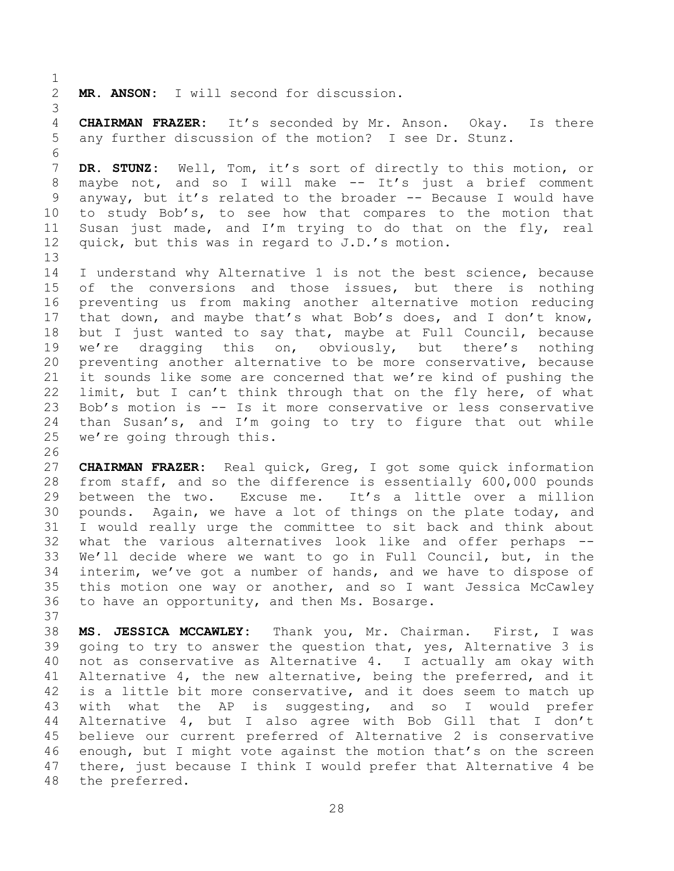**MR. ANSON:** I will second for discussion.

 **CHAIRMAN FRAZER:** It's seconded by Mr. Anson. Okay. Is there any further discussion of the motion? I see Dr. Stunz.

 **DR. STUNZ:** Well, Tom, it's sort of directly to this motion, or maybe not, and so I will make -- It's just a brief comment anyway, but it's related to the broader -- Because I would have to study Bob's, to see how that compares to the motion that Susan just made, and I'm trying to do that on the fly, real quick, but this was in regard to J.D.'s motion.

 I understand why Alternative 1 is not the best science, because 15 of the conversions and those issues, but there is nothing preventing us from making another alternative motion reducing that down, and maybe that's what Bob's does, and I don't know, but I just wanted to say that, maybe at Full Council, because we're dragging this on, obviously, but there's nothing preventing another alternative to be more conservative, because it sounds like some are concerned that we're kind of pushing the limit, but I can't think through that on the fly here, of what Bob's motion is -- Is it more conservative or less conservative than Susan's, and I'm going to try to figure that out while we're going through this.

 **CHAIRMAN FRAZER:** Real quick, Greg, I got some quick information from staff, and so the difference is essentially 600,000 pounds between the two. Excuse me. It's a little over a million pounds. Again, we have a lot of things on the plate today, and I would really urge the committee to sit back and think about what the various alternatives look like and offer perhaps -- We'll decide where we want to go in Full Council, but, in the interim, we've got a number of hands, and we have to dispose of this motion one way or another, and so I want Jessica McCawley to have an opportunity, and then Ms. Bosarge.

 **MS. JESSICA MCCAWLEY:** Thank you, Mr. Chairman. First, I was going to try to answer the question that, yes, Alternative 3 is not as conservative as Alternative 4. I actually am okay with Alternative 4, the new alternative, being the preferred, and it is a little bit more conservative, and it does seem to match up with what the AP is suggesting, and so I would prefer Alternative 4, but I also agree with Bob Gill that I don't believe our current preferred of Alternative 2 is conservative enough, but I might vote against the motion that's on the screen there, just because I think I would prefer that Alternative 4 be the preferred.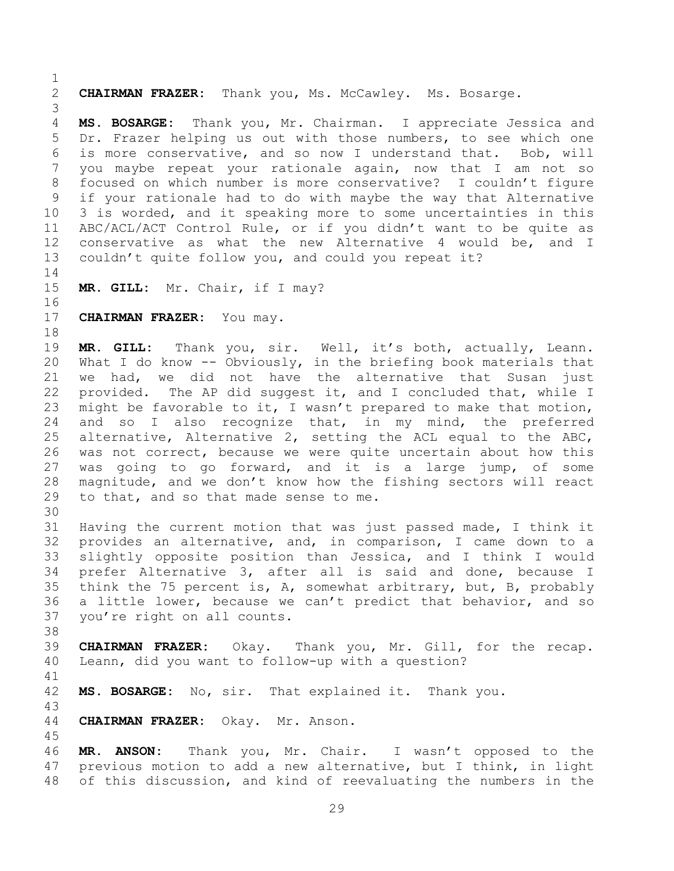**CHAIRMAN FRAZER:** Thank you, Ms. McCawley. Ms. Bosarge. **MS. BOSARGE:** Thank you, Mr. Chairman. I appreciate Jessica and Dr. Frazer helping us out with those numbers, to see which one is more conservative, and so now I understand that. Bob, will you maybe repeat your rationale again, now that I am not so focused on which number is more conservative? I couldn't figure if your rationale had to do with maybe the way that Alternative 3 is worded, and it speaking more to some uncertainties in this ABC/ACL/ACT Control Rule, or if you didn't want to be quite as conservative as what the new Alternative 4 would be, and I couldn't quite follow you, and could you repeat it? **MR. GILL:** Mr. Chair, if I may? **CHAIRMAN FRAZER:** You may. **MR. GILL:** Thank you, sir. Well, it's both, actually, Leann. What I do know -- Obviously, in the briefing book materials that we had, we did not have the alternative that Susan just provided. The AP did suggest it, and I concluded that, while I might be favorable to it, I wasn't prepared to make that motion, and so I also recognize that, in my mind, the preferred alternative, Alternative 2, setting the ACL equal to the ABC, was not correct, because we were quite uncertain about how this was going to go forward, and it is a large jump, of some magnitude, and we don't know how the fishing sectors will react to that, and so that made sense to me. Having the current motion that was just passed made, I think it provides an alternative, and, in comparison, I came down to a slightly opposite position than Jessica, and I think I would prefer Alternative 3, after all is said and done, because I think the 75 percent is, A, somewhat arbitrary, but, B, probably a little lower, because we can't predict that behavior, and so you're right on all counts. **CHAIRMAN FRAZER:** Okay. Thank you, Mr. Gill, for the recap. Leann, did you want to follow-up with a question? **MS. BOSARGE:** No, sir. That explained it. Thank you. **CHAIRMAN FRAZER:** Okay. Mr. Anson. **MR. ANSON:** Thank you, Mr. Chair. I wasn't opposed to the previous motion to add a new alternative, but I think, in light of this discussion, and kind of reevaluating the numbers in the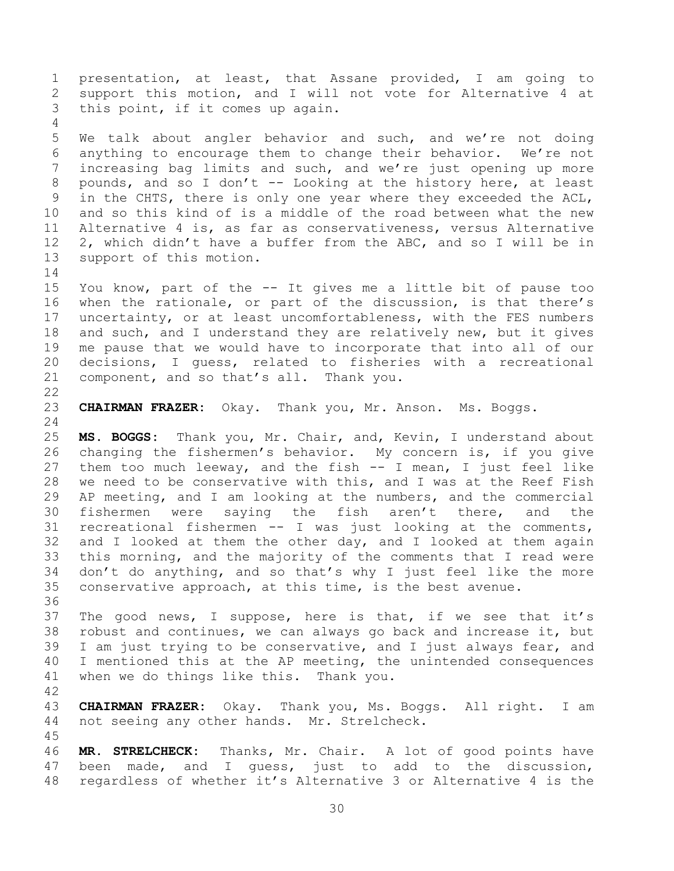presentation, at least, that Assane provided, I am going to support this motion, and I will not vote for Alternative 4 at this point, if it comes up again. We talk about angler behavior and such, and we're not doing anything to encourage them to change their behavior. We're not increasing bag limits and such, and we're just opening up more pounds, and so I don't -- Looking at the history here, at least in the CHTS, there is only one year where they exceeded the ACL, and so this kind of is a middle of the road between what the new Alternative 4 is, as far as conservativeness, versus Alternative 2, which didn't have a buffer from the ABC, and so I will be in support of this motion. You know, part of the -- It gives me a little bit of pause too when the rationale, or part of the discussion, is that there's uncertainty, or at least uncomfortableness, with the FES numbers 18 and such, and I understand they are relatively new, but it gives me pause that we would have to incorporate that into all of our decisions, I guess, related to fisheries with a recreational component, and so that's all. Thank you. **CHAIRMAN FRAZER:** Okay. Thank you, Mr. Anson. Ms. Boggs. **MS. BOGGS:** Thank you, Mr. Chair, and, Kevin, I understand about changing the fishermen's behavior. My concern is, if you give them too much leeway, and the fish -- I mean, I just feel like we need to be conservative with this, and I was at the Reef Fish AP meeting, and I am looking at the numbers, and the commercial fishermen were saying the fish aren't there, and the recreational fishermen -- I was just looking at the comments, and I looked at them the other day, and I looked at them again this morning, and the majority of the comments that I read were don't do anything, and so that's why I just feel like the more conservative approach, at this time, is the best avenue. The good news, I suppose, here is that, if we see that it's robust and continues, we can always go back and increase it, but I am just trying to be conservative, and I just always fear, and I mentioned this at the AP meeting, the unintended consequences when we do things like this. Thank you. **CHAIRMAN FRAZER:** Okay. Thank you, Ms. Boggs. All right. I am not seeing any other hands. Mr. Strelcheck. **MR. STRELCHECK:** Thanks, Mr. Chair. A lot of good points have been made, and I guess, just to add to the discussion, regardless of whether it's Alternative 3 or Alternative 4 is the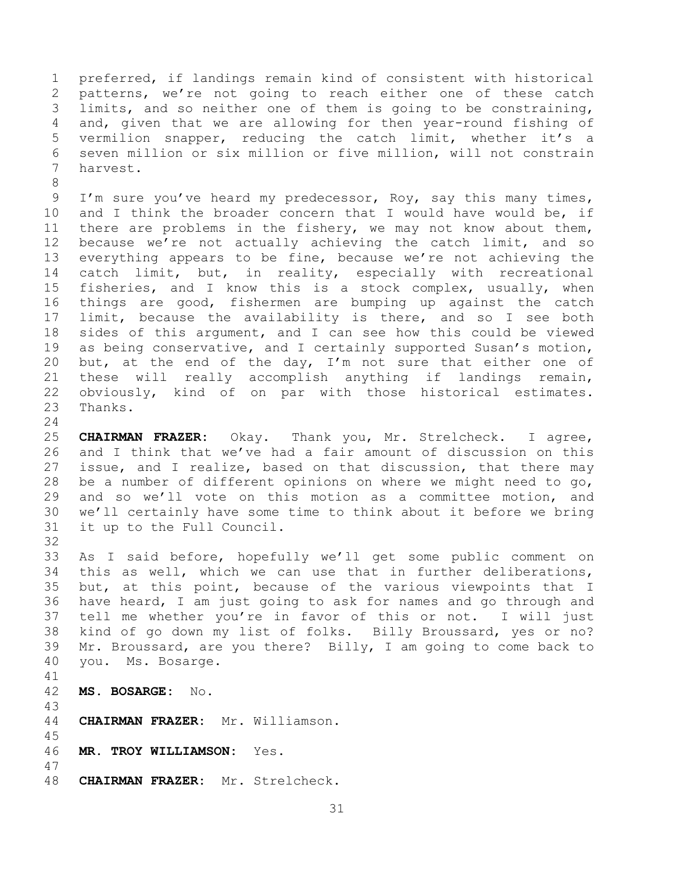preferred, if landings remain kind of consistent with historical patterns, we're not going to reach either one of these catch limits, and so neither one of them is going to be constraining, and, given that we are allowing for then year-round fishing of vermilion snapper, reducing the catch limit, whether it's a seven million or six million or five million, will not constrain harvest.

 I'm sure you've heard my predecessor, Roy, say this many times, and I think the broader concern that I would have would be, if there are problems in the fishery, we may not know about them, because we're not actually achieving the catch limit, and so everything appears to be fine, because we're not achieving the catch limit, but, in reality, especially with recreational fisheries, and I know this is a stock complex, usually, when things are good, fishermen are bumping up against the catch limit, because the availability is there, and so I see both sides of this argument, and I can see how this could be viewed as being conservative, and I certainly supported Susan's motion, 20 but, at the end of the day, I'm not sure that either one of these will really accomplish anything if landings remain, obviously, kind of on par with those historical estimates. Thanks.

 **CHAIRMAN FRAZER:** Okay. Thank you, Mr. Strelcheck. I agree, and I think that we've had a fair amount of discussion on this issue, and I realize, based on that discussion, that there may be a number of different opinions on where we might need to go, and so we'll vote on this motion as a committee motion, and we'll certainly have some time to think about it before we bring it up to the Full Council.

 As I said before, hopefully we'll get some public comment on this as well, which we can use that in further deliberations, but, at this point, because of the various viewpoints that I have heard, I am just going to ask for names and go through and tell me whether you're in favor of this or not. I will just kind of go down my list of folks. Billy Broussard, yes or no? Mr. Broussard, are you there? Billy, I am going to come back to you. Ms. Bosarge.

**MS. BOSARGE:** No.

- **CHAIRMAN FRAZER:** Mr. Williamson.
- **MR. TROY WILLIAMSON:** Yes.
- **CHAIRMAN FRAZER:** Mr. Strelcheck.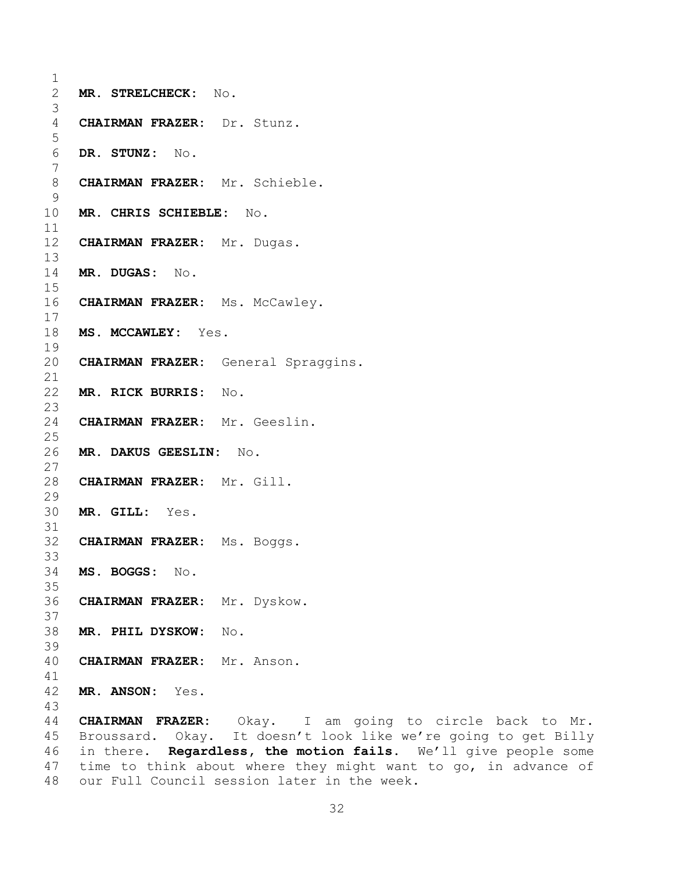```
1
2 MR. STRELCHECK: No.
3
4 CHAIRMAN FRAZER: Dr. Stunz.
5
6 DR. STUNZ: No.
7
8 CHAIRMAN FRAZER: Mr. Schieble.
9
10 MR. CHRIS SCHIEBLE: No.
11
12 CHAIRMAN FRAZER: Mr. Dugas.
13
14 MR. DUGAS: No.
15
16 CHAIRMAN FRAZER: Ms. McCawley.
17
18 MS. MCCAWLEY: Yes.
19
20 CHAIRMAN FRAZER: General Spraggins.
21
22 MR. RICK BURRIS: No.
23
24 CHAIRMAN FRAZER: Mr. Geeslin.
25
26 MR. DAKUS GEESLIN: No.
27
28 CHAIRMAN FRAZER: Mr. Gill.
29
30 MR. GILL: Yes.
31
32 CHAIRMAN FRAZER: Ms. Boggs.
33
34 MS. BOGGS: No.
35
36 CHAIRMAN FRAZER: Mr. Dyskow.
37
38 MR. PHIL DYSKOW: No.
39
40 CHAIRMAN FRAZER: Mr. Anson.
41
42 MR. ANSON: Yes.
43
44 CHAIRMAN FRAZER: Okay. I am going to circle back to Mr. 
45 Broussard. Okay. It doesn't look like we're going to get Billy
```
<span id="page-31-0"></span> in there. **Regardless, the motion fails.** We'll give people some time to think about where they might want to go, in advance of our Full Council session later in the week.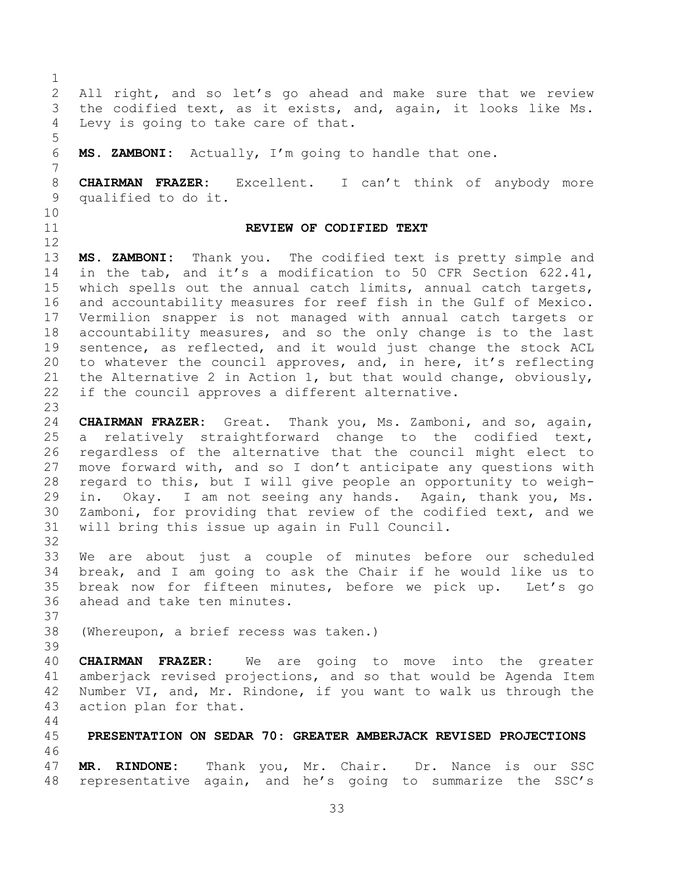<span id="page-32-1"></span><span id="page-32-0"></span> All right, and so let's go ahead and make sure that we review the codified text, as it exists, and, again, it looks like Ms. Levy is going to take care of that. **MS. ZAMBONI:** Actually, I'm going to handle that one. **CHAIRMAN FRAZER:** Excellent. I can't think of anybody more qualified to do it. **REVIEW OF CODIFIED TEXT MS. ZAMBONI:** Thank you. The codified text is pretty simple and in the tab, and it's a modification to 50 CFR Section 622.41, which spells out the annual catch limits, annual catch targets, and accountability measures for reef fish in the Gulf of Mexico. Vermilion snapper is not managed with annual catch targets or accountability measures, and so the only change is to the last sentence, as reflected, and it would just change the stock ACL to whatever the council approves, and, in here, it's reflecting the Alternative 2 in Action 1, but that would change, obviously, if the council approves a different alternative. **CHAIRMAN FRAZER:** Great. Thank you, Ms. Zamboni, and so, again, a relatively straightforward change to the codified text, regardless of the alternative that the council might elect to move forward with, and so I don't anticipate any questions with regard to this, but I will give people an opportunity to weigh- in. Okay. I am not seeing any hands. Again, thank you, Ms. Zamboni, for providing that review of the codified text, and we will bring this issue up again in Full Council. We are about just a couple of minutes before our scheduled break, and I am going to ask the Chair if he would like us to break now for fifteen minutes, before we pick up. Let's go ahead and take ten minutes. (Whereupon, a brief recess was taken.) **CHAIRMAN FRAZER:** We are going to move into the greater amberjack revised projections, and so that would be Agenda Item Number VI, and, Mr. Rindone, if you want to walk us through the action plan for that. **PRESENTATION ON SEDAR 70: GREATER AMBERJACK REVISED PROJECTIONS MR. RINDONE:** Thank you, Mr. Chair. Dr. Nance is our SSC representative again, and he's going to summarize the SSC's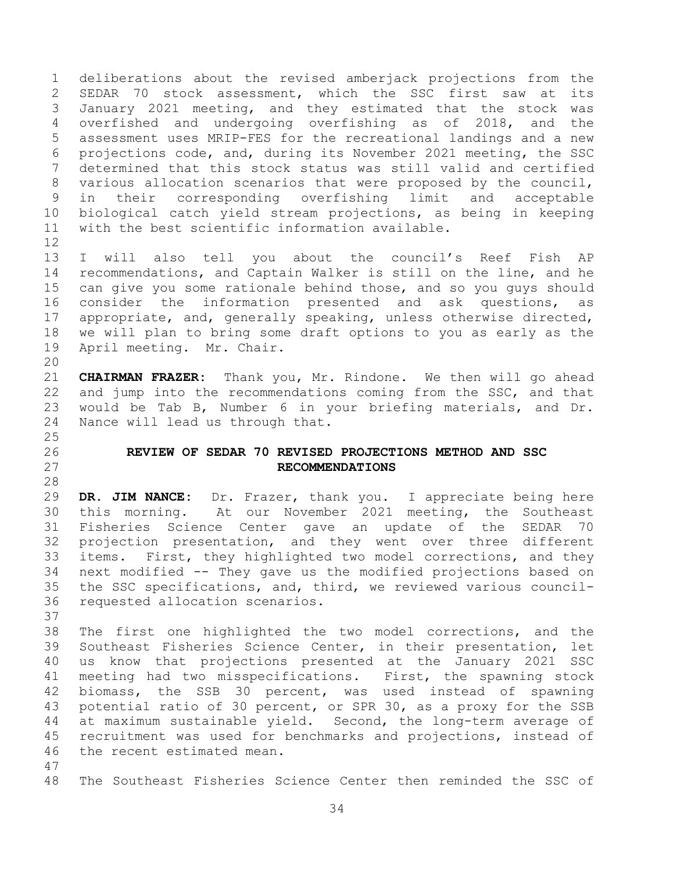deliberations about the revised amberjack projections from the SEDAR 70 stock assessment, which the SSC first saw at its January 2021 meeting, and they estimated that the stock was overfished and undergoing overfishing as of 2018, and the assessment uses MRIP-FES for the recreational landings and a new projections code, and, during its November 2021 meeting, the SSC determined that this stock status was still valid and certified various allocation scenarios that were proposed by the council, in their corresponding overfishing limit and acceptable biological catch yield stream projections, as being in keeping with the best scientific information available. 

 I will also tell you about the council's Reef Fish AP recommendations, and Captain Walker is still on the line, and he can give you some rationale behind those, and so you guys should consider the information presented and ask questions, as appropriate, and, generally speaking, unless otherwise directed, we will plan to bring some draft options to you as early as the April meeting. Mr. Chair. 

 **CHAIRMAN FRAZER:** Thank you, Mr. Rindone. We then will go ahead and jump into the recommendations coming from the SSC, and that would be Tab B, Number 6 in your briefing materials, and Dr. Nance will lead us through that.

## <span id="page-33-0"></span> **REVIEW OF SEDAR 70 REVISED PROJECTIONS METHOD AND SSC RECOMMENDATIONS**

 **DR. JIM NANCE:** Dr. Frazer, thank you. I appreciate being here this morning. At our November 2021 meeting, the Southeast Fisheries Science Center gave an update of the SEDAR 70 projection presentation, and they went over three different items. First, they highlighted two model corrections, and they next modified -- They gave us the modified projections based on the SSC specifications, and, third, we reviewed various council-requested allocation scenarios.

- The first one highlighted the two model corrections, and the Southeast Fisheries Science Center, in their presentation, let us know that projections presented at the January 2021 SSC meeting had two misspecifications. First, the spawning stock biomass, the SSB 30 percent, was used instead of spawning potential ratio of 30 percent, or SPR 30, as a proxy for the SSB at maximum sustainable yield. Second, the long-term average of recruitment was used for benchmarks and projections, instead of the recent estimated mean.
	- The Southeast Fisheries Science Center then reminded the SSC of
		-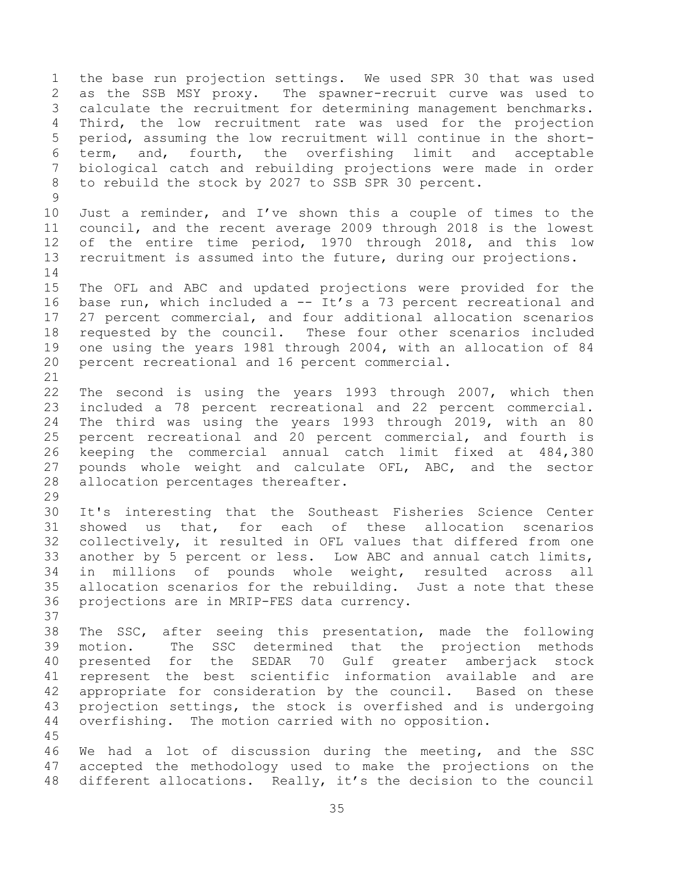the base run projection settings. We used SPR 30 that was used as the SSB MSY proxy. The spawner-recruit curve was used to calculate the recruitment for determining management benchmarks. Third, the low recruitment rate was used for the projection period, assuming the low recruitment will continue in the short- term, and, fourth, the overfishing limit and acceptable biological catch and rebuilding projections were made in order to rebuild the stock by 2027 to SSB SPR 30 percent. Just a reminder, and I've shown this a couple of times to the council, and the recent average 2009 through 2018 is the lowest of the entire time period, 1970 through 2018, and this low recruitment is assumed into the future, during our projections. The OFL and ABC and updated projections were provided for the base run, which included a -- It's a 73 percent recreational and 27 percent commercial, and four additional allocation scenarios requested by the council. These four other scenarios included one using the years 1981 through 2004, with an allocation of 84 percent recreational and 16 percent commercial. The second is using the years 1993 through 2007, which then included a 78 percent recreational and 22 percent commercial. The third was using the years 1993 through 2019, with an 80 percent recreational and 20 percent commercial, and fourth is keeping the commercial annual catch limit fixed at 484,380 pounds whole weight and calculate OFL, ABC, and the sector allocation percentages thereafter. It's interesting that the Southeast Fisheries Science Center showed us that, for each of these allocation scenarios collectively, it resulted in OFL values that differed from one another by 5 percent or less. Low ABC and annual catch limits, in millions of pounds whole weight, resulted across all allocation scenarios for the rebuilding. Just a note that these projections are in MRIP-FES data currency. The SSC, after seeing this presentation, made the following motion. The SSC determined that the projection methods presented for the SEDAR 70 Gulf greater amberjack stock represent the best scientific information available and are appropriate for consideration by the council. Based on these projection settings, the stock is overfished and is undergoing overfishing. The motion carried with no opposition. We had a lot of discussion during the meeting, and the SSC accepted the methodology used to make the projections on the

 different allocations. Really, it's the decision to the council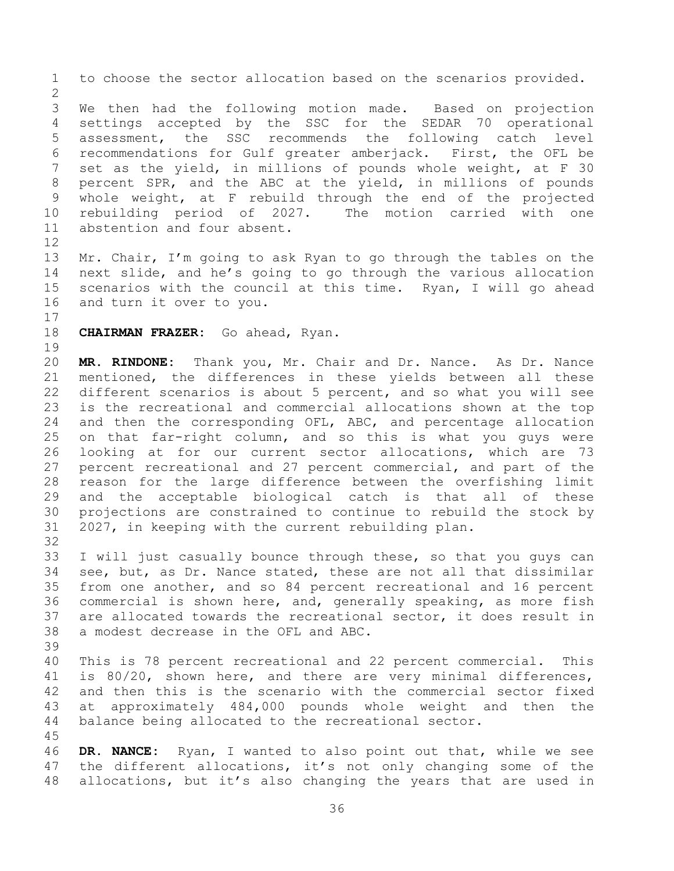to choose the sector allocation based on the scenarios provided. We then had the following motion made. Based on projection settings accepted by the SSC for the SEDAR 70 operational assessment, the SSC recommends the following catch level recommendations for Gulf greater amberjack. First, the OFL be set as the yield, in millions of pounds whole weight, at F 30 percent SPR, and the ABC at the yield, in millions of pounds whole weight, at F rebuild through the end of the projected rebuilding period of 2027. The motion carried with one abstention and four absent. Mr. Chair, I'm going to ask Ryan to go through the tables on the next slide, and he's going to go through the various allocation scenarios with the council at this time. Ryan, I will go ahead and turn it over to you. **CHAIRMAN FRAZER:** Go ahead, Ryan. **MR. RINDONE:** Thank you, Mr. Chair and Dr. Nance. As Dr. Nance mentioned, the differences in these yields between all these different scenarios is about 5 percent, and so what you will see is the recreational and commercial allocations shown at the top and then the corresponding OFL, ABC, and percentage allocation on that far-right column, and so this is what you guys were looking at for our current sector allocations, which are 73 percent recreational and 27 percent commercial, and part of the reason for the large difference between the overfishing limit and the acceptable biological catch is that all of these projections are constrained to continue to rebuild the stock by 2027, in keeping with the current rebuilding plan. I will just casually bounce through these, so that you guys can see, but, as Dr. Nance stated, these are not all that dissimilar from one another, and so 84 percent recreational and 16 percent commercial is shown here, and, generally speaking, as more fish are allocated towards the recreational sector, it does result in a modest decrease in the OFL and ABC. This is 78 percent recreational and 22 percent commercial. This is 80/20, shown here, and there are very minimal differences, and then this is the scenario with the commercial sector fixed at approximately 484,000 pounds whole weight and then the balance being allocated to the recreational sector. **DR. NANCE:** Ryan, I wanted to also point out that, while we see the different allocations, it's not only changing some of the allocations, but it's also changing the years that are used in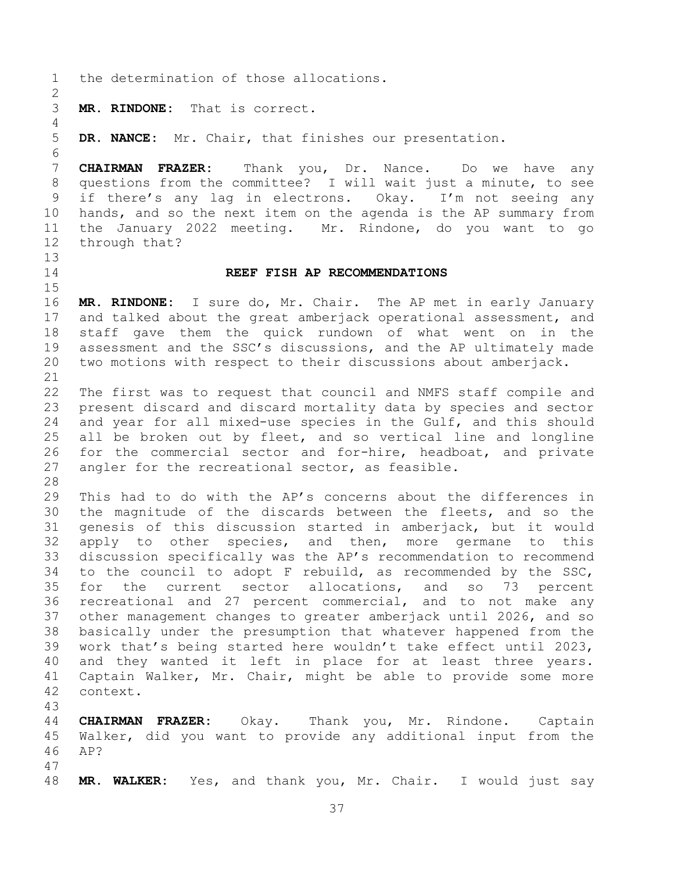- the determination of those allocations. **MR. RINDONE:** That is correct. **DR. NANCE:** Mr. Chair, that finishes our presentation. **CHAIRMAN FRAZER:** Thank you, Dr. Nance. Do we have any questions from the committee? I will wait just a minute, to see if there's any lag in electrons. Okay. I'm not seeing any hands, and so the next item on the agenda is the AP summary from the January 2022 meeting. Mr. Rindone, do you want to go through that? **REEF FISH AP RECOMMENDATIONS MR. RINDONE:** I sure do, Mr. Chair. The AP met in early January and talked about the great amberjack operational assessment, and staff gave them the quick rundown of what went on in the assessment and the SSC's discussions, and the AP ultimately made two motions with respect to their discussions about amberjack. The first was to request that council and NMFS staff compile and present discard and discard mortality data by species and sector and year for all mixed-use species in the Gulf, and this should all be broken out by fleet, and so vertical line and longline for the commercial sector and for-hire, headboat, and private angler for the recreational sector, as feasible. This had to do with the AP's concerns about the differences in the magnitude of the discards between the fleets, and so the genesis of this discussion started in amberjack, but it would apply to other species, and then, more germane to this discussion specifically was the AP's recommendation to recommend to the council to adopt F rebuild, as recommended by the SSC, for the current sector allocations, and so 73 percent recreational and 27 percent commercial, and to not make any other management changes to greater amberjack until 2026, and so basically under the presumption that whatever happened from the work that's being started here wouldn't take effect until 2023, and they wanted it left in place for at least three years. Captain Walker, Mr. Chair, might be able to provide some more context. **CHAIRMAN FRAZER:** Okay. Thank you, Mr. Rindone. Captain Walker, did you want to provide any additional input from the AP? **MR. WALKER:** Yes, and thank you, Mr. Chair. I would just say
	-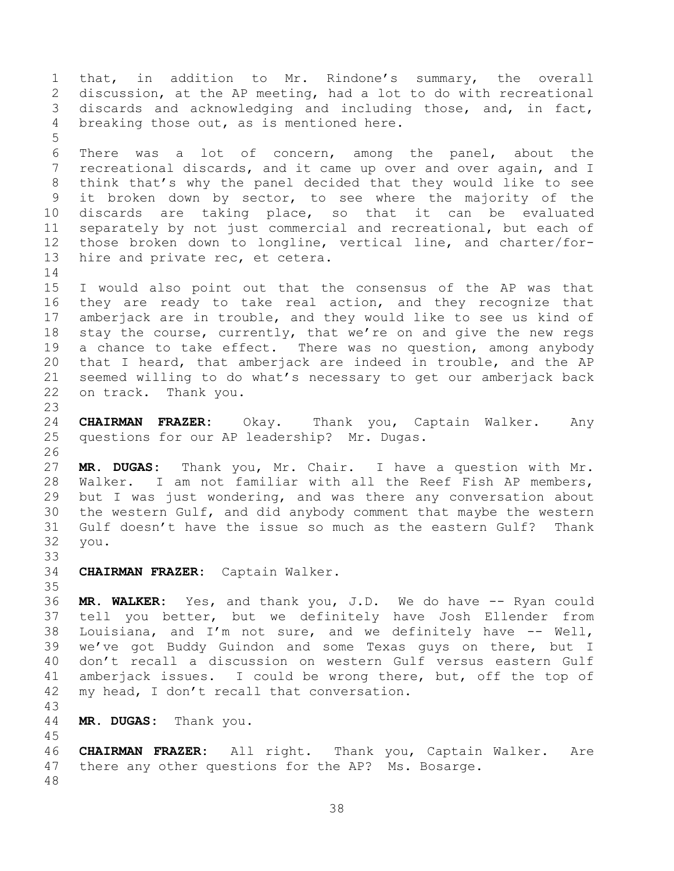that, in addition to Mr. Rindone's summary, the overall discussion, at the AP meeting, had a lot to do with recreational discards and acknowledging and including those, and, in fact, breaking those out, as is mentioned here. There was a lot of concern, among the panel, about the recreational discards, and it came up over and over again, and I think that's why the panel decided that they would like to see it broken down by sector, to see where the majority of the discards are taking place, so that it can be evaluated separately by not just commercial and recreational, but each of those broken down to longline, vertical line, and charter/for- hire and private rec, et cetera. I would also point out that the consensus of the AP was that they are ready to take real action, and they recognize that amberjack are in trouble, and they would like to see us kind of stay the course, currently, that we're on and give the new regs a chance to take effect. There was no question, among anybody that I heard, that amberjack are indeed in trouble, and the AP seemed willing to do what's necessary to get our amberjack back on track. Thank you. **CHAIRMAN FRAZER:** Okay. Thank you, Captain Walker. Any questions for our AP leadership? Mr. Dugas. **MR. DUGAS:** Thank you, Mr. Chair. I have a question with Mr. Walker. I am not familiar with all the Reef Fish AP members, but I was just wondering, and was there any conversation about the western Gulf, and did anybody comment that maybe the western Gulf doesn't have the issue so much as the eastern Gulf? Thank you. **CHAIRMAN FRAZER:** Captain Walker. **MR. WALKER:** Yes, and thank you, J.D. We do have -- Ryan could tell you better, but we definitely have Josh Ellender from Louisiana, and I'm not sure, and we definitely have -- Well, we've got Buddy Guindon and some Texas guys on there, but I don't recall a discussion on western Gulf versus eastern Gulf amberjack issues. I could be wrong there, but, off the top of my head, I don't recall that conversation. **MR. DUGAS:** Thank you. **CHAIRMAN FRAZER:** All right. Thank you, Captain Walker. Are there any other questions for the AP? Ms. Bosarge.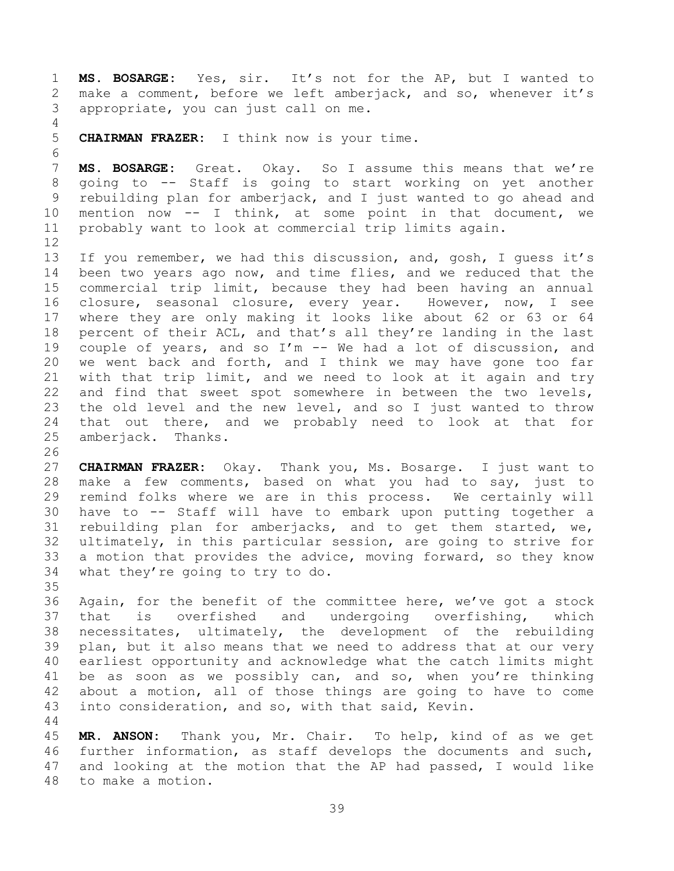**MS. BOSARGE:** Yes, sir. It's not for the AP, but I wanted to make a comment, before we left amberjack, and so, whenever it's appropriate, you can just call on me.

**CHAIRMAN FRAZER:** I think now is your time.

 **MS. BOSARGE:** Great. Okay. So I assume this means that we're going to -- Staff is going to start working on yet another rebuilding plan for amberjack, and I just wanted to go ahead and mention now -- I think, at some point in that document, we probably want to look at commercial trip limits again.

 If you remember, we had this discussion, and, gosh, I guess it's been two years ago now, and time flies, and we reduced that the commercial trip limit, because they had been having an annual closure, seasonal closure, every year. However, now, I see where they are only making it looks like about 62 or 63 or 64 percent of their ACL, and that's all they're landing in the last couple of years, and so I'm -- We had a lot of discussion, and we went back and forth, and I think we may have gone too far with that trip limit, and we need to look at it again and try and find that sweet spot somewhere in between the two levels, the old level and the new level, and so I just wanted to throw that out there, and we probably need to look at that for amberjack. Thanks.

 **CHAIRMAN FRAZER:** Okay. Thank you, Ms. Bosarge. I just want to make a few comments, based on what you had to say, just to remind folks where we are in this process. We certainly will have to -- Staff will have to embark upon putting together a rebuilding plan for amberjacks, and to get them started, we, ultimately, in this particular session, are going to strive for a motion that provides the advice, moving forward, so they know what they're going to try to do.

 Again, for the benefit of the committee here, we've got a stock that is overfished and undergoing overfishing, which necessitates, ultimately, the development of the rebuilding plan, but it also means that we need to address that at our very earliest opportunity and acknowledge what the catch limits might be as soon as we possibly can, and so, when you're thinking about a motion, all of those things are going to have to come into consideration, and so, with that said, Kevin.

 **MR. ANSON:** Thank you, Mr. Chair. To help, kind of as we get further information, as staff develops the documents and such, and looking at the motion that the AP had passed, I would like to make a motion.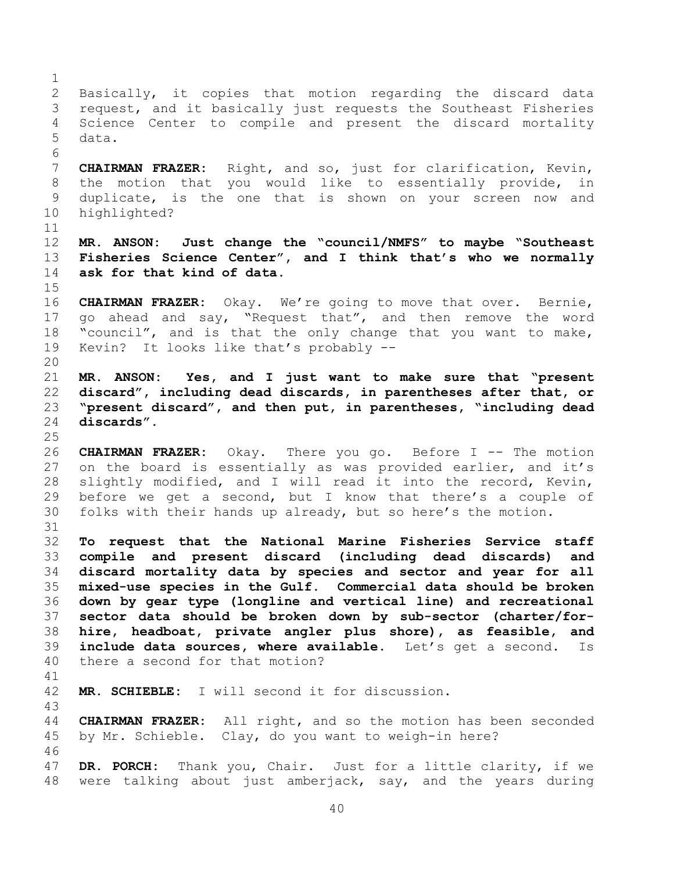Basically, it copies that motion regarding the discard data request, and it basically just requests the Southeast Fisheries Science Center to compile and present the discard mortality data. **CHAIRMAN FRAZER:** Right, and so, just for clarification, Kevin, the motion that you would like to essentially provide, in duplicate, is the one that is shown on your screen now and highlighted? **MR. ANSON: Just change the "council/NMFS" to maybe "Southeast Fisheries Science Center", and I think that's who we normally ask for that kind of data. CHAIRMAN FRAZER:** Okay. We're going to move that over. Bernie, go ahead and say, "Request that", and then remove the word "council", and is that the only change that you want to make, Kevin? It looks like that's probably -- **MR. ANSON: Yes, and I just want to make sure that "present discard", including dead discards, in parentheses after that, or "present discard", and then put, in parentheses, "including dead discards". CHAIRMAN FRAZER:** Okay. There you go. Before I -- The motion on the board is essentially as was provided earlier, and it's slightly modified, and I will read it into the record, Kevin, before we get a second, but I know that there's a couple of folks with their hands up already, but so here's the motion. **To request that the National Marine Fisheries Service staff compile and present discard (including dead discards) and discard mortality data by species and sector and year for all mixed-use species in the Gulf. Commercial data should be broken down by gear type (longline and vertical line) and recreational sector data should be broken down by sub-sector (charter/for- hire, headboat, private angler plus shore), as feasible, and include data sources, where available.** Let's get a second. Is there a second for that motion? **MR. SCHIEBLE:** I will second it for discussion. **CHAIRMAN FRAZER:** All right, and so the motion has been seconded by Mr. Schieble. Clay, do you want to weigh-in here? **DR. PORCH:** Thank you, Chair. Just for a little clarity, if we were talking about just amberjack, say, and the years during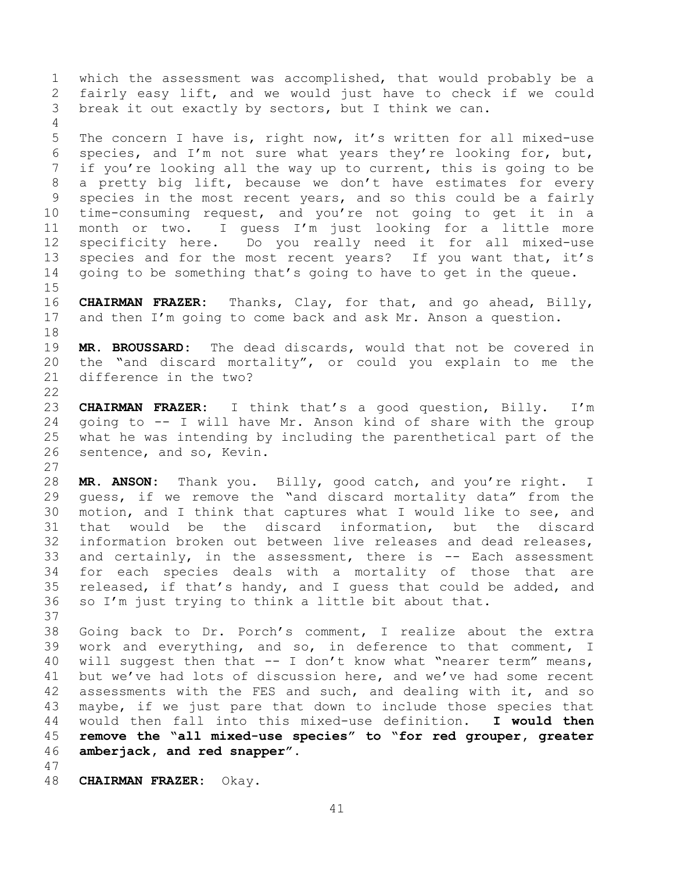which the assessment was accomplished, that would probably be a fairly easy lift, and we would just have to check if we could break it out exactly by sectors, but I think we can. 

 The concern I have is, right now, it's written for all mixed-use 6 species, and I'm not sure what years they're looking for, but, if you're looking all the way up to current, this is going to be a pretty big lift, because we don't have estimates for every species in the most recent years, and so this could be a fairly time-consuming request, and you're not going to get it in a month or two. I guess I'm just looking for a little more specificity here. Do you really need it for all mixed-use 13 species and for the most recent years? If you want that, it's going to be something that's going to have to get in the queue. 

 **CHAIRMAN FRAZER:** Thanks, Clay, for that, and go ahead, Billy, and then I'm going to come back and ask Mr. Anson a question. 

 **MR. BROUSSARD:** The dead discards, would that not be covered in the "and discard mortality", or could you explain to me the difference in the two?

 **CHAIRMAN FRAZER:** I think that's a good question, Billy. I'm going to -- I will have Mr. Anson kind of share with the group what he was intending by including the parenthetical part of the sentence, and so, Kevin. 

 **MR. ANSON:** Thank you. Billy, good catch, and you're right. I guess, if we remove the "and discard mortality data" from the motion, and I think that captures what I would like to see, and that would be the discard information, but the discard information broken out between live releases and dead releases, and certainly, in the assessment, there is -- Each assessment for each species deals with a mortality of those that are released, if that's handy, and I guess that could be added, and so I'm just trying to think a little bit about that. 

 Going back to Dr. Porch's comment, I realize about the extra work and everything, and so, in deference to that comment, I will suggest then that -- I don't know what "nearer term" means, but we've had lots of discussion here, and we've had some recent assessments with the FES and such, and dealing with it, and so maybe, if we just pare that down to include those species that would then fall into this mixed-use definition. **I would then remove the "all mixed-use species" to "for red grouper, greater amberjack, and red snapper".**

**CHAIRMAN FRAZER:** Okay.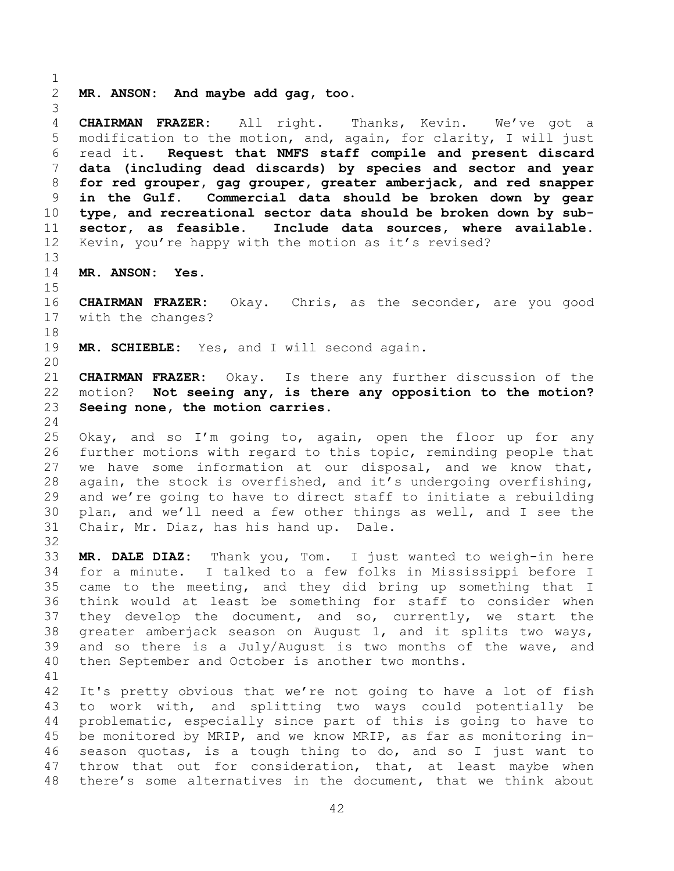**MR. ANSON: And maybe add gag, too.**

 **CHAIRMAN FRAZER:** All right. Thanks, Kevin. We've got a modification to the motion, and, again, for clarity, I will just read it. **Request that NMFS staff compile and present discard data (including dead discards) by species and sector and year for red grouper, gag grouper, greater amberjack, and red snapper in the Gulf. Commercial data should be broken down by gear type, and recreational sector data should be broken down by sub- sector, as feasible. Include data sources, where available.**  Kevin, you're happy with the motion as it's revised?

**MR. ANSON: Yes.**

 **CHAIRMAN FRAZER:** Okay. Chris, as the seconder, are you good with the changes?

**MR. SCHIEBLE:** Yes, and I will second again.

 **CHAIRMAN FRAZER:** Okay. Is there any further discussion of the motion? **Not seeing any, is there any opposition to the motion? Seeing none, the motion carries.**

 Okay, and so I'm going to, again, open the floor up for any further motions with regard to this topic, reminding people that we have some information at our disposal, and we know that, again, the stock is overfished, and it's undergoing overfishing, and we're going to have to direct staff to initiate a rebuilding plan, and we'll need a few other things as well, and I see the Chair, Mr. Diaz, has his hand up. Dale.

 **MR. DALE DIAZ:** Thank you, Tom. I just wanted to weigh-in here for a minute. I talked to a few folks in Mississippi before I came to the meeting, and they did bring up something that I think would at least be something for staff to consider when they develop the document, and so, currently, we start the greater amberjack season on August 1, and it splits two ways, 39 and so there is a July/August is two months of the wave, and then September and October is another two months.

 It's pretty obvious that we're not going to have a lot of fish to work with, and splitting two ways could potentially be problematic, especially since part of this is going to have to be monitored by MRIP, and we know MRIP, as far as monitoring in- season quotas, is a tough thing to do, and so I just want to 47 throw that out for consideration, that, at least maybe when there's some alternatives in the document, that we think about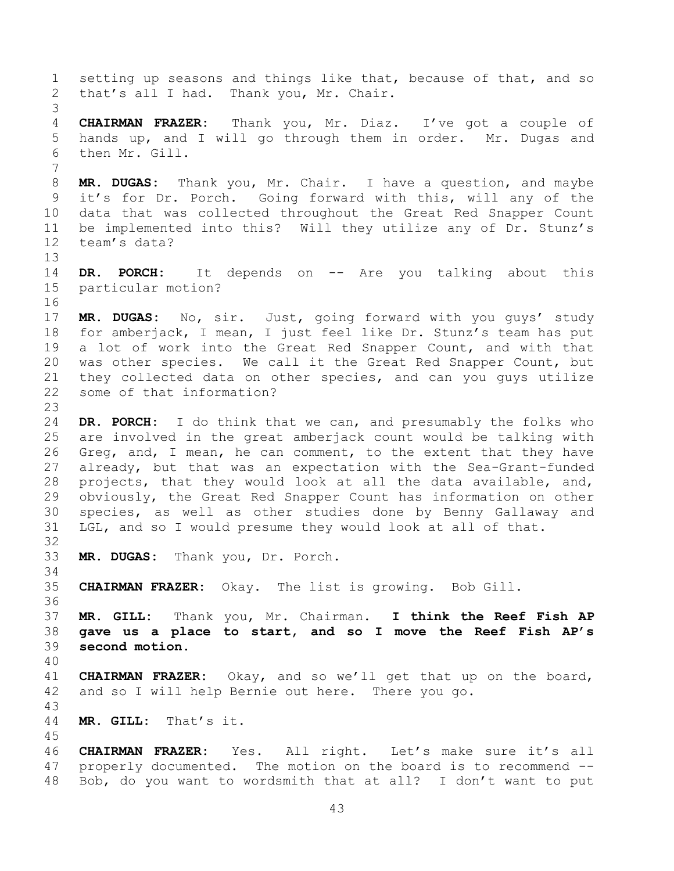setting up seasons and things like that, because of that, and so that's all I had. Thank you, Mr. Chair. **CHAIRMAN FRAZER:** Thank you, Mr. Diaz. I've got a couple of hands up, and I will go through them in order. Mr. Dugas and then Mr. Gill. **MR. DUGAS:** Thank you, Mr. Chair. I have a question, and maybe it's for Dr. Porch. Going forward with this, will any of the data that was collected throughout the Great Red Snapper Count be implemented into this? Will they utilize any of Dr. Stunz's team's data? **DR. PORCH:** It depends on -- Are you talking about this particular motion? **MR. DUGAS:** No, sir. Just, going forward with you guys' study for amberjack, I mean, I just feel like Dr. Stunz's team has put a lot of work into the Great Red Snapper Count, and with that was other species. We call it the Great Red Snapper Count, but they collected data on other species, and can you guys utilize some of that information? **DR. PORCH:** I do think that we can, and presumably the folks who are involved in the great amberjack count would be talking with Greg, and, I mean, he can comment, to the extent that they have already, but that was an expectation with the Sea-Grant-funded projects, that they would look at all the data available, and, obviously, the Great Red Snapper Count has information on other species, as well as other studies done by Benny Gallaway and LGL, and so I would presume they would look at all of that. **MR. DUGAS:** Thank you, Dr. Porch. **CHAIRMAN FRAZER:** Okay. The list is growing. Bob Gill. **MR. GILL:** Thank you, Mr. Chairman. **I think the Reef Fish AP gave us a place to start, and so I move the Reef Fish AP's second motion. CHAIRMAN FRAZER:** Okay, and so we'll get that up on the board, and so I will help Bernie out here. There you go. **MR. GILL:** That's it. **CHAIRMAN FRAZER:** Yes. All right. Let's make sure it's all properly documented. The motion on the board is to recommend -- Bob, do you want to wordsmith that at all? I don't want to put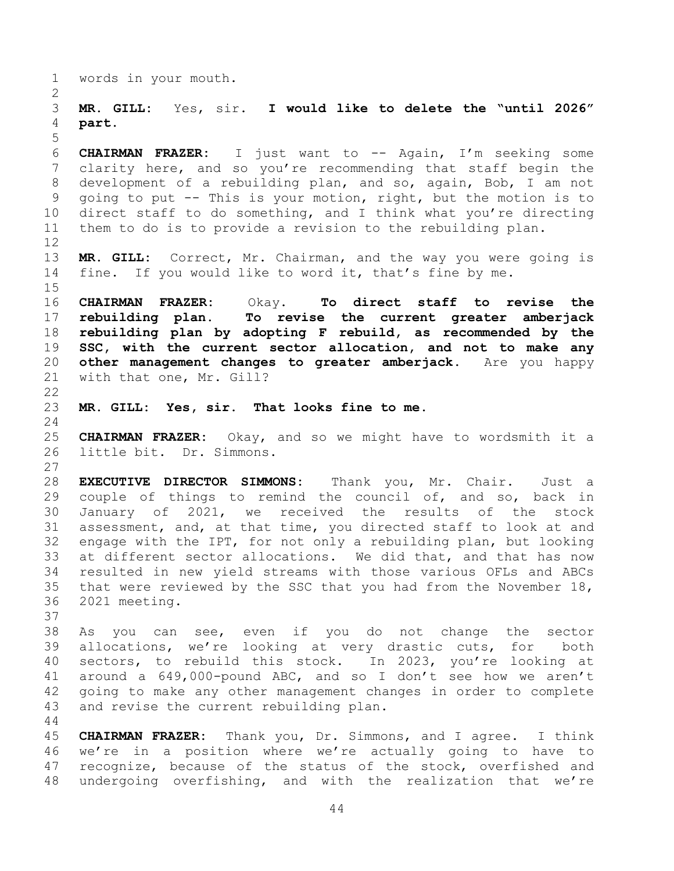words in your mouth.

 **MR. GILL:** Yes, sir. **I would like to delete the "until 2026" part.**

 **CHAIRMAN FRAZER:** I just want to -- Again, I'm seeking some clarity here, and so you're recommending that staff begin the development of a rebuilding plan, and so, again, Bob, I am not going to put -- This is your motion, right, but the motion is to direct staff to do something, and I think what you're directing them to do is to provide a revision to the rebuilding plan. 

 **MR. GILL:** Correct, Mr. Chairman, and the way you were going is fine. If you would like to word it, that's fine by me.

 **CHAIRMAN FRAZER:** Okay. **To direct staff to revise the rebuilding plan. To revise the current greater amberjack rebuilding plan by adopting F rebuild, as recommended by the SSC, with the current sector allocation, and not to make any other management changes to greater amberjack.** Are you happy with that one, Mr. Gill?

**MR. GILL: Yes, sir. That looks fine to me.**

 **CHAIRMAN FRAZER:** Okay, and so we might have to wordsmith it a little bit. Dr. Simmons.

 **EXECUTIVE DIRECTOR SIMMONS:** Thank you, Mr. Chair. Just a couple of things to remind the council of, and so, back in January of 2021, we received the results of the stock assessment, and, at that time, you directed staff to look at and engage with the IPT, for not only a rebuilding plan, but looking at different sector allocations. We did that, and that has now resulted in new yield streams with those various OFLs and ABCs that were reviewed by the SSC that you had from the November 18, 2021 meeting.

 As you can see, even if you do not change the sector allocations, we're looking at very drastic cuts, for both sectors, to rebuild this stock. In 2023, you're looking at around a 649,000-pound ABC, and so I don't see how we aren't going to make any other management changes in order to complete and revise the current rebuilding plan.

 **CHAIRMAN FRAZER:** Thank you, Dr. Simmons, and I agree. I think we're in a position where we're actually going to have to recognize, because of the status of the stock, overfished and undergoing overfishing, and with the realization that we're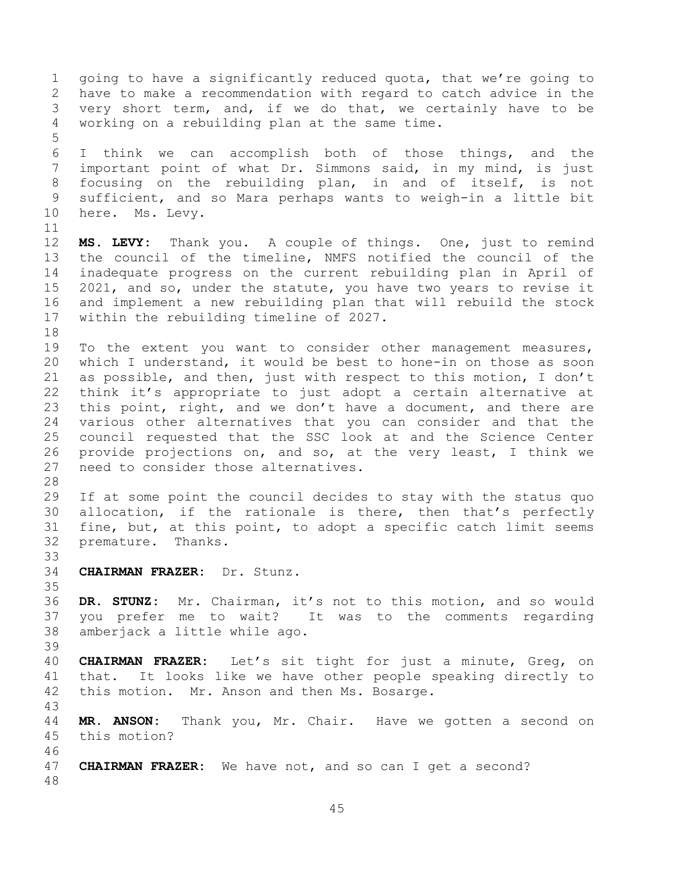going to have a significantly reduced quota, that we're going to have to make a recommendation with regard to catch advice in the very short term, and, if we do that, we certainly have to be working on a rebuilding plan at the same time. I think we can accomplish both of those things, and the important point of what Dr. Simmons said, in my mind, is just focusing on the rebuilding plan, in and of itself, is not sufficient, and so Mara perhaps wants to weigh-in a little bit here. Ms. Levy. **MS. LEVY:** Thank you. A couple of things. One, just to remind the council of the timeline, NMFS notified the council of the inadequate progress on the current rebuilding plan in April of 2021, and so, under the statute, you have two years to revise it and implement a new rebuilding plan that will rebuild the stock within the rebuilding timeline of 2027. To the extent you want to consider other management measures, which I understand, it would be best to hone-in on those as soon as possible, and then, just with respect to this motion, I don't think it's appropriate to just adopt a certain alternative at this point, right, and we don't have a document, and there are various other alternatives that you can consider and that the council requested that the SSC look at and the Science Center provide projections on, and so, at the very least, I think we need to consider those alternatives. If at some point the council decides to stay with the status quo allocation, if the rationale is there, then that's perfectly fine, but, at this point, to adopt a specific catch limit seems premature. Thanks. **CHAIRMAN FRAZER:** Dr. Stunz. **DR. STUNZ:** Mr. Chairman, it's not to this motion, and so would you prefer me to wait? It was to the comments regarding amberjack a little while ago. **CHAIRMAN FRAZER:** Let's sit tight for just a minute, Greg, on that. It looks like we have other people speaking directly to this motion. Mr. Anson and then Ms. Bosarge. **MR. ANSON:** Thank you, Mr. Chair. Have we gotten a second on this motion? **CHAIRMAN FRAZER:** We have not, and so can I get a second?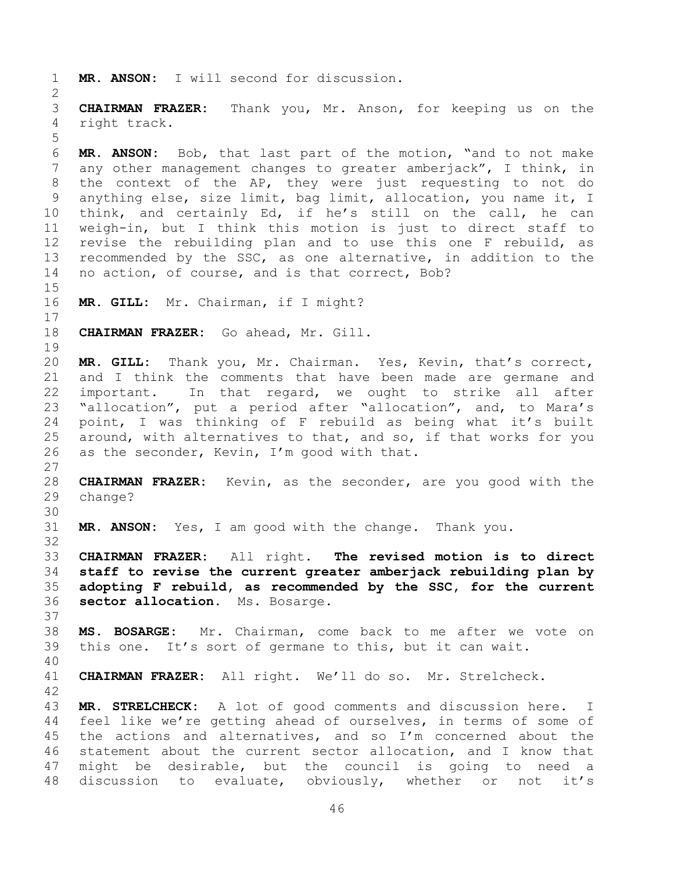```
1 MR. ANSON: I will second for discussion. 
2
3 CHAIRMAN FRAZER: Thank you, Mr. Anson, for keeping us on the 
4 right track.
5
6 MR. ANSON: Bob, that last part of the motion, "and to not make 
7 any other management changes to greater amberjack", I think, in 
8 the context of the AP, they were just requesting to not do 
9 anything else, size limit, bag limit, allocation, you name it, I 
10 think, and certainly Ed, if he's still on the call, he can 
11 weigh-in, but I think this motion is just to direct staff to 
12 revise the rebuilding plan and to use this one F rebuild, as 
13 recommended by the SSC, as one alternative, in addition to the 
14 no action, of course, and is that correct, Bob?
15
16 MR. GILL: Mr. Chairman, if I might?
17
18 CHAIRMAN FRAZER: Go ahead, Mr. Gill.
19
20 MR. GILL: Thank you, Mr. Chairman. Yes, Kevin, that's correct, 
21 and I think the comments that have been made are germane and 
22 important. In that regard, we ought to strike all after 
23 "allocation", put a period after "allocation", and, to Mara's 
24 point, I was thinking of F rebuild as being what it's built 
25 around, with alternatives to that, and so, if that works for you 
26 as the seconder, Kevin, I'm good with that.
27
28 CHAIRMAN FRAZER: Kevin, as the seconder, are you good with the 
29 change?
30
31 MR. ANSON: Yes, I am good with the change. Thank you.
32
33 CHAIRMAN FRAZER: All right. The revised motion is to direct 
34 staff to revise the current greater amberjack rebuilding plan by 
35 adopting F rebuild, as recommended by the SSC, for the current 
36 sector allocation. Ms. Bosarge.
37
38 MS. BOSARGE: Mr. Chairman, come back to me after we vote on 
39 this one. It's sort of germane to this, but it can wait.
40
41 CHAIRMAN FRAZER: All right. We'll do so. Mr. Strelcheck.
42
43 MR. STRELCHECK: A lot of good comments and discussion here. I 
44 feel like we're getting ahead of ourselves, in terms of some of 
45 the actions and alternatives, and so I'm concerned about the 
46 statement about the current sector allocation, and I know that 
47 might be desirable, but the council is going to need a 
48 discussion to evaluate, obviously, whether or not it's
```

```
46
```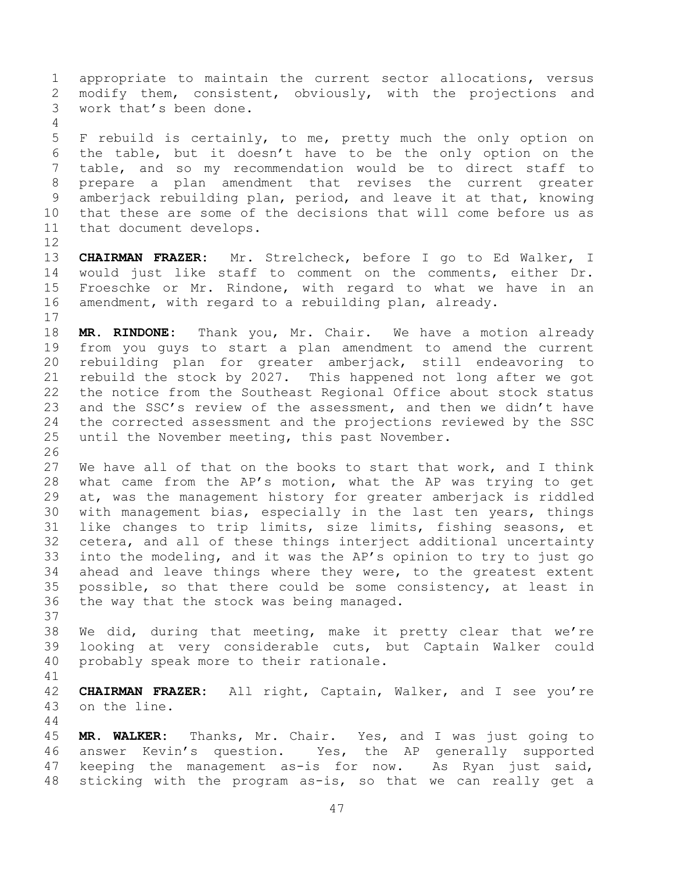appropriate to maintain the current sector allocations, versus modify them, consistent, obviously, with the projections and work that's been done. F rebuild is certainly, to me, pretty much the only option on the table, but it doesn't have to be the only option on the table, and so my recommendation would be to direct staff to prepare a plan amendment that revises the current greater amberjack rebuilding plan, period, and leave it at that, knowing that these are some of the decisions that will come before us as that document develops. **CHAIRMAN FRAZER:** Mr. Strelcheck, before I go to Ed Walker, I would just like staff to comment on the comments, either Dr. Froeschke or Mr. Rindone, with regard to what we have in an amendment, with regard to a rebuilding plan, already. **MR. RINDONE:** Thank you, Mr. Chair. We have a motion already from you guys to start a plan amendment to amend the current rebuilding plan for greater amberjack, still endeavoring to rebuild the stock by 2027. This happened not long after we got the notice from the Southeast Regional Office about stock status and the SSC's review of the assessment, and then we didn't have the corrected assessment and the projections reviewed by the SSC until the November meeting, this past November.

 We have all of that on the books to start that work, and I think what came from the AP's motion, what the AP was trying to get at, was the management history for greater amberjack is riddled with management bias, especially in the last ten years, things like changes to trip limits, size limits, fishing seasons, et cetera, and all of these things interject additional uncertainty into the modeling, and it was the AP's opinion to try to just go ahead and leave things where they were, to the greatest extent possible, so that there could be some consistency, at least in the way that the stock was being managed.

 We did, during that meeting, make it pretty clear that we're looking at very considerable cuts, but Captain Walker could probably speak more to their rationale.

 **CHAIRMAN FRAZER:** All right, Captain, Walker, and I see you're on the line.

 **MR. WALKER:** Thanks, Mr. Chair. Yes, and I was just going to answer Kevin's question. Yes, the AP generally supported keeping the management as-is for now. As Ryan just said, sticking with the program as-is, so that we can really get a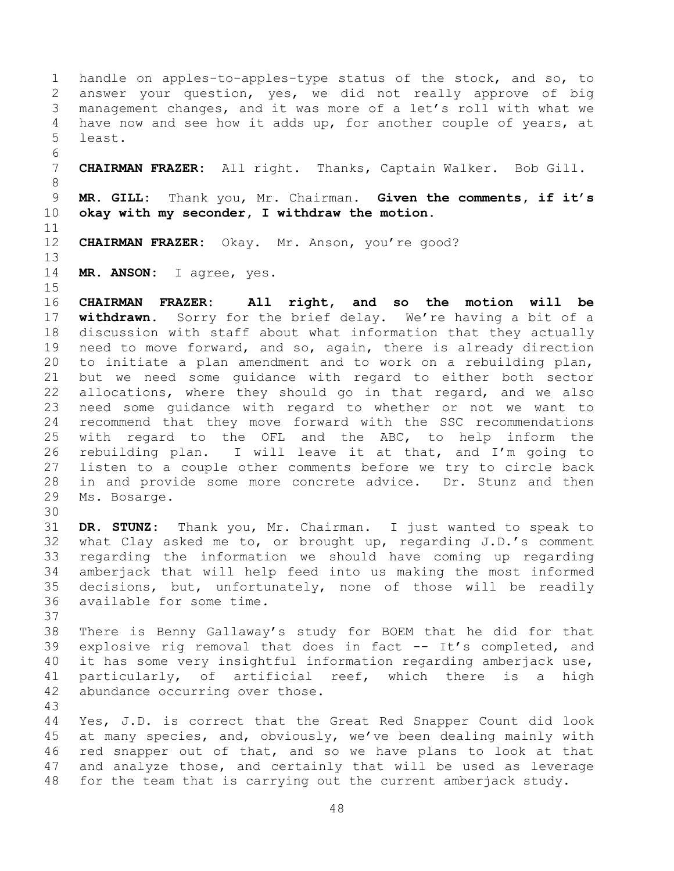handle on apples-to-apples-type status of the stock, and so, to answer your question, yes, we did not really approve of big management changes, and it was more of a let's roll with what we have now and see how it adds up, for another couple of years, at least. **CHAIRMAN FRAZER:** All right. Thanks, Captain Walker. Bob Gill.

 **MR. GILL:** Thank you, Mr. Chairman. **Given the comments, if it's okay with my seconder, I withdraw the motion.**

**CHAIRMAN FRAZER:** Okay. Mr. Anson, you're good?

**MR. ANSON:** I agree, yes.

 **CHAIRMAN FRAZER: All right, and so the motion will be withdrawn.** Sorry for the brief delay. We're having a bit of a discussion with staff about what information that they actually need to move forward, and so, again, there is already direction to initiate a plan amendment and to work on a rebuilding plan, but we need some guidance with regard to either both sector allocations, where they should go in that regard, and we also need some guidance with regard to whether or not we want to recommend that they move forward with the SSC recommendations with regard to the OFL and the ABC, to help inform the rebuilding plan. I will leave it at that, and I'm going to listen to a couple other comments before we try to circle back in and provide some more concrete advice. Dr. Stunz and then Ms. Bosarge.

 **DR. STUNZ:** Thank you, Mr. Chairman. I just wanted to speak to what Clay asked me to, or brought up, regarding J.D.'s comment regarding the information we should have coming up regarding amberjack that will help feed into us making the most informed decisions, but, unfortunately, none of those will be readily available for some time.

 There is Benny Gallaway's study for BOEM that he did for that explosive rig removal that does in fact -- It's completed, and it has some very insightful information regarding amberjack use, particularly, of artificial reef, which there is a high abundance occurring over those.

 Yes, J.D. is correct that the Great Red Snapper Count did look at many species, and, obviously, we've been dealing mainly with red snapper out of that, and so we have plans to look at that and analyze those, and certainly that will be used as leverage for the team that is carrying out the current amberjack study.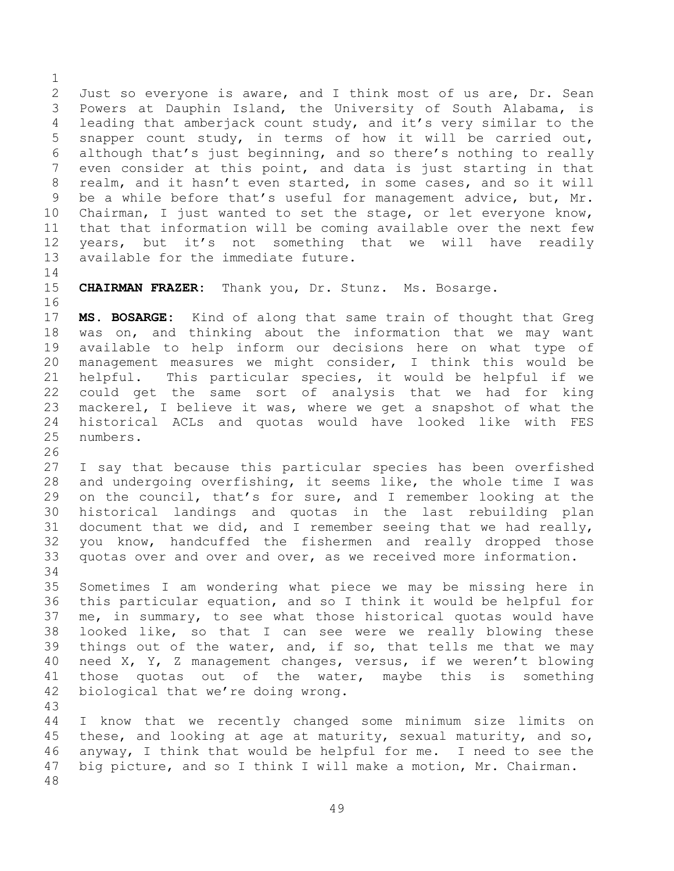Just so everyone is aware, and I think most of us are, Dr. Sean Powers at Dauphin Island, the University of South Alabama, is leading that amberjack count study, and it's very similar to the snapper count study, in terms of how it will be carried out, although that's just beginning, and so there's nothing to really even consider at this point, and data is just starting in that realm, and it hasn't even started, in some cases, and so it will be a while before that's useful for management advice, but, Mr. Chairman, I just wanted to set the stage, or let everyone know, that that information will be coming available over the next few years, but it's not something that we will have readily available for the immediate future.

## 

**CHAIRMAN FRAZER:** Thank you, Dr. Stunz. Ms. Bosarge.

 **MS. BOSARGE:** Kind of along that same train of thought that Greg was on, and thinking about the information that we may want available to help inform our decisions here on what type of management measures we might consider, I think this would be helpful. This particular species, it would be helpful if we could get the same sort of analysis that we had for king mackerel, I believe it was, where we get a snapshot of what the historical ACLs and quotas would have looked like with FES numbers.

 I say that because this particular species has been overfished and undergoing overfishing, it seems like, the whole time I was on the council, that's for sure, and I remember looking at the historical landings and quotas in the last rebuilding plan document that we did, and I remember seeing that we had really, you know, handcuffed the fishermen and really dropped those quotas over and over and over, as we received more information. 

 Sometimes I am wondering what piece we may be missing here in this particular equation, and so I think it would be helpful for me, in summary, to see what those historical quotas would have looked like, so that I can see were we really blowing these things out of the water, and, if so, that tells me that we may need X, Y, Z management changes, versus, if we weren't blowing those quotas out of the water, maybe this is something biological that we're doing wrong.

 I know that we recently changed some minimum size limits on these, and looking at age at maturity, sexual maturity, and so, anyway, I think that would be helpful for me. I need to see the big picture, and so I think I will make a motion, Mr. Chairman.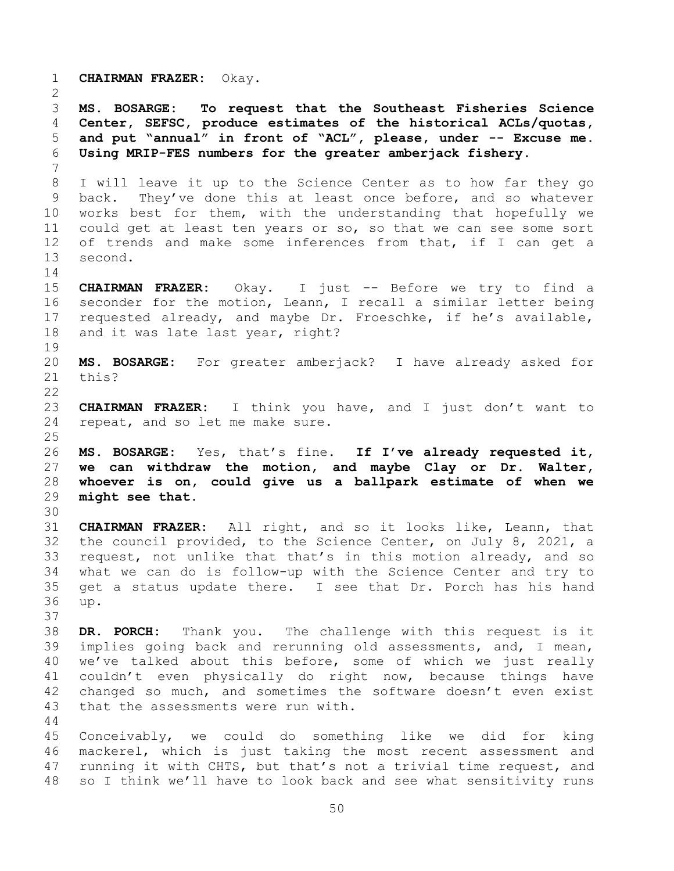**CHAIRMAN FRAZER:** Okay. **MS. BOSARGE: To request that the Southeast Fisheries Science Center, SEFSC, produce estimates of the historical ACLs/quotas, and put "annual" in front of "ACL", please, under -- Excuse me. Using MRIP-FES numbers for the greater amberjack fishery.**  I will leave it up to the Science Center as to how far they go back. They've done this at least once before, and so whatever works best for them, with the understanding that hopefully we could get at least ten years or so, so that we can see some sort of trends and make some inferences from that, if I can get a second. **CHAIRMAN FRAZER:** Okay. I just -- Before we try to find a seconder for the motion, Leann, I recall a similar letter being requested already, and maybe Dr. Froeschke, if he's available, and it was late last year, right? **MS. BOSARGE:** For greater amberjack? I have already asked for this? **CHAIRMAN FRAZER:** I think you have, and I just don't want to repeat, and so let me make sure. **MS. BOSARGE:** Yes, that's fine. **If I've already requested it, we can withdraw the motion, and maybe Clay or Dr. Walter, whoever is on, could give us a ballpark estimate of when we might see that. CHAIRMAN FRAZER:** All right, and so it looks like, Leann, that the council provided, to the Science Center, on July 8, 2021, a request, not unlike that that's in this motion already, and so what we can do is follow-up with the Science Center and try to get a status update there. I see that Dr. Porch has his hand up. **DR. PORCH:** Thank you. The challenge with this request is it implies going back and rerunning old assessments, and, I mean, we've talked about this before, some of which we just really couldn't even physically do right now, because things have changed so much, and sometimes the software doesn't even exist that the assessments were run with. Conceivably, we could do something like we did for king mackerel, which is just taking the most recent assessment and running it with CHTS, but that's not a trivial time request, and so I think we'll have to look back and see what sensitivity runs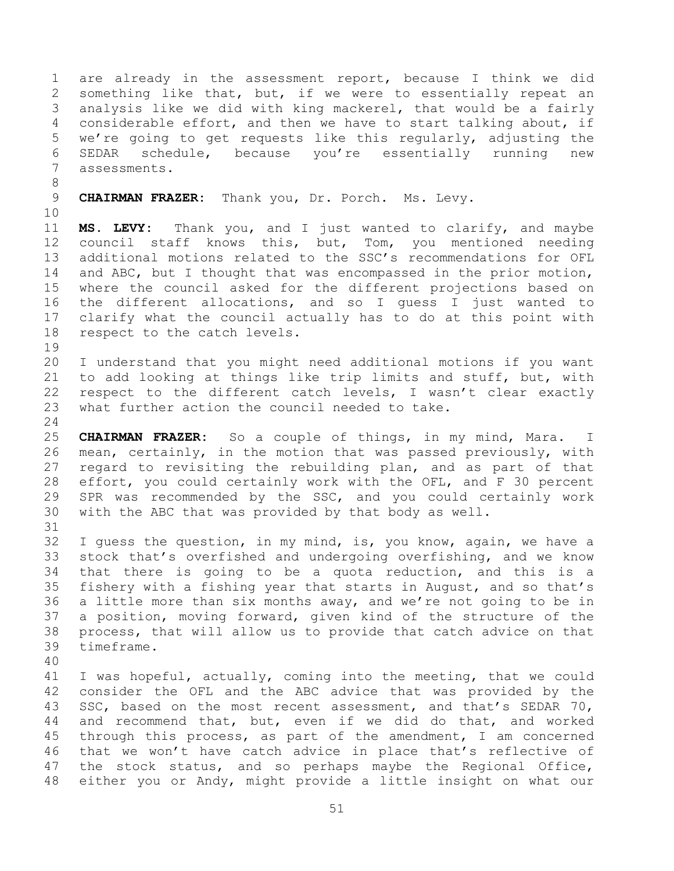are already in the assessment report, because I think we did something like that, but, if we were to essentially repeat an analysis like we did with king mackerel, that would be a fairly considerable effort, and then we have to start talking about, if we're going to get requests like this regularly, adjusting the SEDAR schedule, because you're essentially running new assessments.

**CHAIRMAN FRAZER:** Thank you, Dr. Porch. Ms. Levy.

 **MS. LEVY:** Thank you, and I just wanted to clarify, and maybe council staff knows this, but, Tom, you mentioned needing additional motions related to the SSC's recommendations for OFL 14 and ABC, but I thought that was encompassed in the prior motion, where the council asked for the different projections based on the different allocations, and so I guess I just wanted to clarify what the council actually has to do at this point with respect to the catch levels.

 I understand that you might need additional motions if you want to add looking at things like trip limits and stuff, but, with respect to the different catch levels, I wasn't clear exactly what further action the council needed to take.

 **CHAIRMAN FRAZER:** So a couple of things, in my mind, Mara. I mean, certainly, in the motion that was passed previously, with regard to revisiting the rebuilding plan, and as part of that effort, you could certainly work with the OFL, and F 30 percent SPR was recommended by the SSC, and you could certainly work with the ABC that was provided by that body as well. 

 I guess the question, in my mind, is, you know, again, we have a stock that's overfished and undergoing overfishing, and we know that there is going to be a quota reduction, and this is a fishery with a fishing year that starts in August, and so that's a little more than six months away, and we're not going to be in a position, moving forward, given kind of the structure of the process, that will allow us to provide that catch advice on that timeframe.

 I was hopeful, actually, coming into the meeting, that we could consider the OFL and the ABC advice that was provided by the SSC, based on the most recent assessment, and that's SEDAR 70, and recommend that, but, even if we did do that, and worked through this process, as part of the amendment, I am concerned that we won't have catch advice in place that's reflective of the stock status, and so perhaps maybe the Regional Office, either you or Andy, might provide a little insight on what our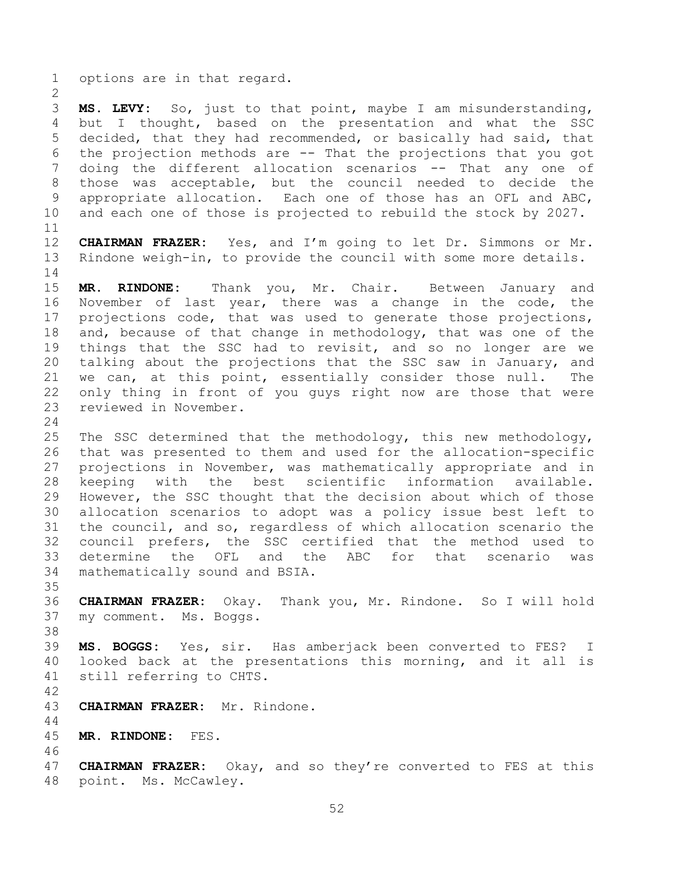options are in that regard.

 **MS. LEVY:** So, just to that point, maybe I am misunderstanding, but I thought, based on the presentation and what the SSC decided, that they had recommended, or basically had said, that the projection methods are -- That the projections that you got doing the different allocation scenarios -- That any one of those was acceptable, but the council needed to decide the appropriate allocation. Each one of those has an OFL and ABC, and each one of those is projected to rebuild the stock by 2027. 

 **CHAIRMAN FRAZER:** Yes, and I'm going to let Dr. Simmons or Mr. Rindone weigh-in, to provide the council with some more details. 

 **MR. RINDONE:** Thank you, Mr. Chair. Between January and November of last year, there was a change in the code, the projections code, that was used to generate those projections, 18 and, because of that change in methodology, that was one of the things that the SSC had to revisit, and so no longer are we talking about the projections that the SSC saw in January, and we can, at this point, essentially consider those null. The only thing in front of you guys right now are those that were reviewed in November.

 The SSC determined that the methodology, this new methodology, that was presented to them and used for the allocation-specific projections in November, was mathematically appropriate and in keeping with the best scientific information available. However, the SSC thought that the decision about which of those allocation scenarios to adopt was a policy issue best left to the council, and so, regardless of which allocation scenario the council prefers, the SSC certified that the method used to determine the OFL and the ABC for that scenario was mathematically sound and BSIA.

 **CHAIRMAN FRAZER:** Okay. Thank you, Mr. Rindone. So I will hold my comment. Ms. Boggs.

 **MS. BOGGS:** Yes, sir. Has amberjack been converted to FES? I looked back at the presentations this morning, and it all is still referring to CHTS.

- **CHAIRMAN FRAZER:** Mr. Rindone.
- **MR. RINDONE:** FES.
- 

 **CHAIRMAN FRAZER:** Okay, and so they're converted to FES at this point. Ms. McCawley.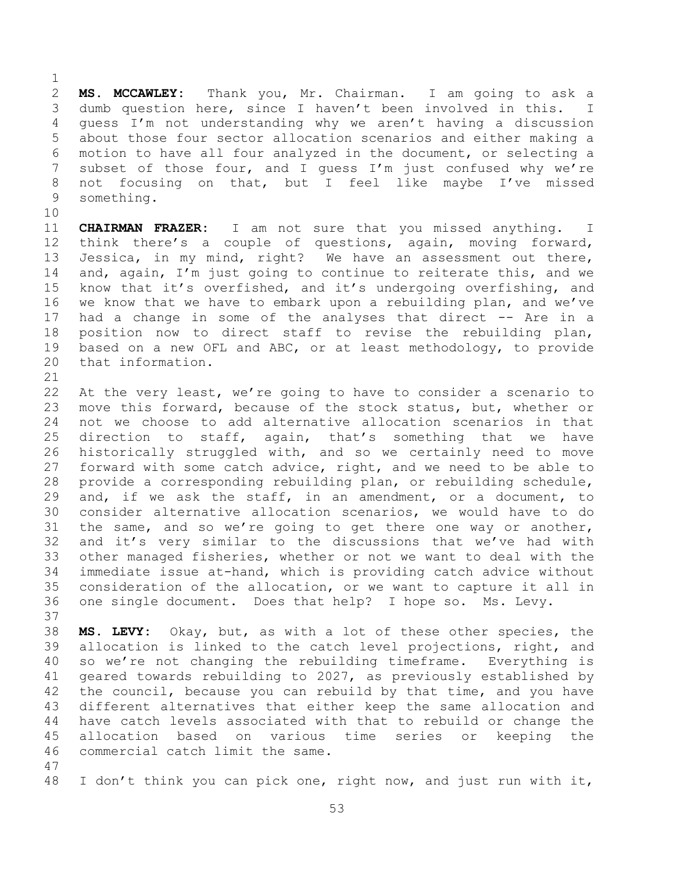**MS. MCCAWLEY:** Thank you, Mr. Chairman. I am going to ask a dumb question here, since I haven't been involved in this. I guess I'm not understanding why we aren't having a discussion about those four sector allocation scenarios and either making a motion to have all four analyzed in the document, or selecting a subset of those four, and I guess I'm just confused why we're not focusing on that, but I feel like maybe I've missed something.

 **CHAIRMAN FRAZER:** I am not sure that you missed anything. I think there's a couple of questions, again, moving forward, Jessica, in my mind, right? We have an assessment out there, and, again, I'm just going to continue to reiterate this, and we know that it's overfished, and it's undergoing overfishing, and we know that we have to embark upon a rebuilding plan, and we've had a change in some of the analyses that direct -- Are in a position now to direct staff to revise the rebuilding plan, based on a new OFL and ABC, or at least methodology, to provide that information.

 At the very least, we're going to have to consider a scenario to move this forward, because of the stock status, but, whether or not we choose to add alternative allocation scenarios in that direction to staff, again, that's something that we have historically struggled with, and so we certainly need to move forward with some catch advice, right, and we need to be able to provide a corresponding rebuilding plan, or rebuilding schedule, and, if we ask the staff, in an amendment, or a document, to consider alternative allocation scenarios, we would have to do the same, and so we're going to get there one way or another, and it's very similar to the discussions that we've had with other managed fisheries, whether or not we want to deal with the immediate issue at-hand, which is providing catch advice without consideration of the allocation, or we want to capture it all in one single document. Does that help? I hope so. Ms. Levy. 

 **MS. LEVY:** Okay, but, as with a lot of these other species, the allocation is linked to the catch level projections, right, and so we're not changing the rebuilding timeframe. Everything is geared towards rebuilding to 2027, as previously established by 42 the council, because you can rebuild by that time, and you have different alternatives that either keep the same allocation and have catch levels associated with that to rebuild or change the allocation based on various time series or keeping the commercial catch limit the same.

I don't think you can pick one, right now, and just run with it,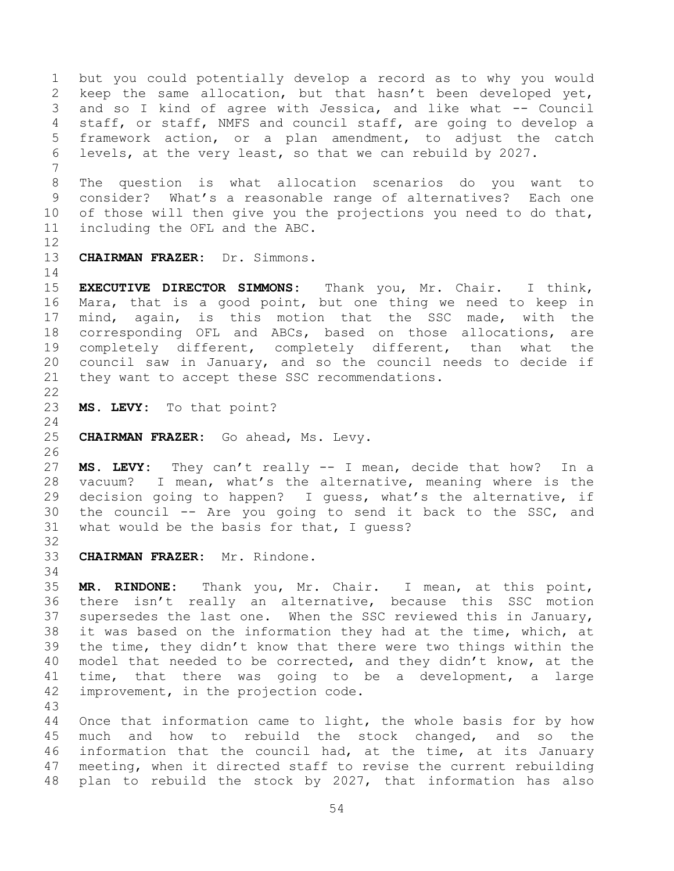but you could potentially develop a record as to why you would keep the same allocation, but that hasn't been developed yet, and so I kind of agree with Jessica, and like what -- Council staff, or staff, NMFS and council staff, are going to develop a framework action, or a plan amendment, to adjust the catch levels, at the very least, so that we can rebuild by 2027. The question is what allocation scenarios do you want to consider? What's a reasonable range of alternatives? Each one 10 of those will then give you the projections you need to do that, including the OFL and the ABC. **CHAIRMAN FRAZER:** Dr. Simmons. **EXECUTIVE DIRECTOR SIMMONS:** Thank you, Mr. Chair. I think, Mara, that is a good point, but one thing we need to keep in mind, again, is this motion that the SSC made, with the corresponding OFL and ABCs, based on those allocations, are completely different, completely different, than what the council saw in January, and so the council needs to decide if they want to accept these SSC recommendations. **MS. LEVY:** To that point? **CHAIRMAN FRAZER:** Go ahead, Ms. Levy. **MS. LEVY:** They can't really -- I mean, decide that how? In a vacuum? I mean, what's the alternative, meaning where is the decision going to happen? I guess, what's the alternative, if the council -- Are you going to send it back to the SSC, and what would be the basis for that, I guess? **CHAIRMAN FRAZER:** Mr. Rindone. **MR. RINDONE:** Thank you, Mr. Chair. I mean, at this point, there isn't really an alternative, because this SSC motion supersedes the last one. When the SSC reviewed this in January, it was based on the information they had at the time, which, at the time, they didn't know that there were two things within the model that needed to be corrected, and they didn't know, at the time, that there was going to be a development, a large improvement, in the projection code. Once that information came to light, the whole basis for by how much and how to rebuild the stock changed, and so the information that the council had, at the time, at its January meeting, when it directed staff to revise the current rebuilding

plan to rebuild the stock by 2027, that information has also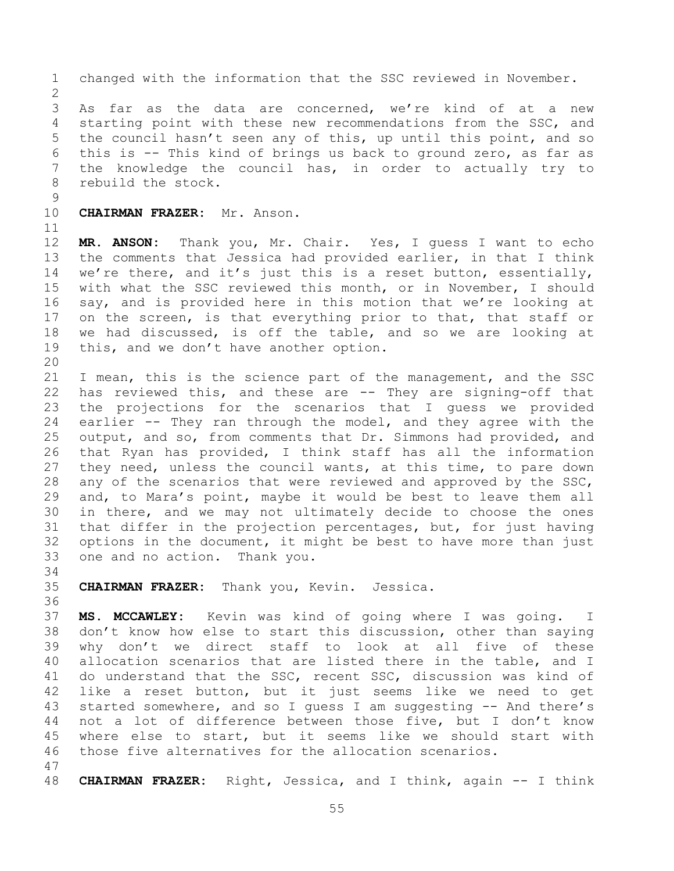changed with the information that the SSC reviewed in November. As far as the data are concerned, we're kind of at a new starting point with these new recommendations from the SSC, and the council hasn't seen any of this, up until this point, and so this is -- This kind of brings us back to ground zero, as far as the knowledge the council has, in order to actually try to rebuild the stock.

**CHAIRMAN FRAZER:** Mr. Anson.

 **MR. ANSON:** Thank you, Mr. Chair. Yes, I guess I want to echo the comments that Jessica had provided earlier, in that I think we're there, and it's just this is a reset button, essentially, with what the SSC reviewed this month, or in November, I should say, and is provided here in this motion that we're looking at on the screen, is that everything prior to that, that staff or we had discussed, is off the table, and so we are looking at this, and we don't have another option.

 I mean, this is the science part of the management, and the SSC has reviewed this, and these are -- They are signing-off that the projections for the scenarios that I guess we provided earlier -- They ran through the model, and they agree with the output, and so, from comments that Dr. Simmons had provided, and that Ryan has provided, I think staff has all the information they need, unless the council wants, at this time, to pare down 28 any of the scenarios that were reviewed and approved by the SSC, and, to Mara's point, maybe it would be best to leave them all in there, and we may not ultimately decide to choose the ones that differ in the projection percentages, but, for just having options in the document, it might be best to have more than just one and no action. Thank you.

**CHAIRMAN FRAZER:** Thank you, Kevin. Jessica.

 **MS. MCCAWLEY:** Kevin was kind of going where I was going. I don't know how else to start this discussion, other than saying why don't we direct staff to look at all five of these allocation scenarios that are listed there in the table, and I do understand that the SSC, recent SSC, discussion was kind of like a reset button, but it just seems like we need to get started somewhere, and so I guess I am suggesting -- And there's not a lot of difference between those five, but I don't know where else to start, but it seems like we should start with those five alternatives for the allocation scenarios.

**CHAIRMAN FRAZER:** Right, Jessica, and I think, again -- I think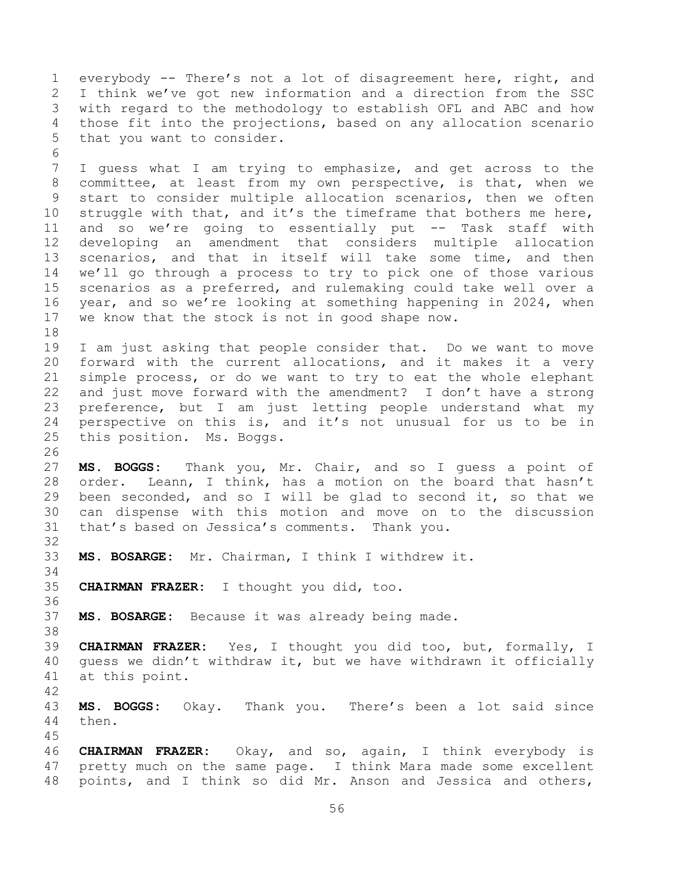everybody -- There's not a lot of disagreement here, right, and I think we've got new information and a direction from the SSC with regard to the methodology to establish OFL and ABC and how those fit into the projections, based on any allocation scenario that you want to consider. 

 I guess what I am trying to emphasize, and get across to the committee, at least from my own perspective, is that, when we start to consider multiple allocation scenarios, then we often 10 struggle with that, and it's the timeframe that bothers me here, and so we're going to essentially put -- Task staff with developing an amendment that considers multiple allocation scenarios, and that in itself will take some time, and then we'll go through a process to try to pick one of those various scenarios as a preferred, and rulemaking could take well over a year, and so we're looking at something happening in 2024, when we know that the stock is not in good shape now.

 I am just asking that people consider that. Do we want to move forward with the current allocations, and it makes it a very simple process, or do we want to try to eat the whole elephant and just move forward with the amendment? I don't have a strong preference, but I am just letting people understand what my perspective on this is, and it's not unusual for us to be in this position. Ms. Boggs.

 **MS. BOGGS:** Thank you, Mr. Chair, and so I guess a point of order. Leann, I think, has a motion on the board that hasn't been seconded, and so I will be glad to second it, so that we can dispense with this motion and move on to the discussion that's based on Jessica's comments. Thank you.

- **MS. BOSARGE:** Mr. Chairman, I think I withdrew it.
- **CHAIRMAN FRAZER:** I thought you did, too.

**MS. BOSARGE:** Because it was already being made.

 **CHAIRMAN FRAZER:** Yes, I thought you did too, but, formally, I guess we didn't withdraw it, but we have withdrawn it officially at this point.

 **MS. BOGGS:** Okay. Thank you. There's been a lot said since then.

 **CHAIRMAN FRAZER:** Okay, and so, again, I think everybody is pretty much on the same page. I think Mara made some excellent points, and I think so did Mr. Anson and Jessica and others,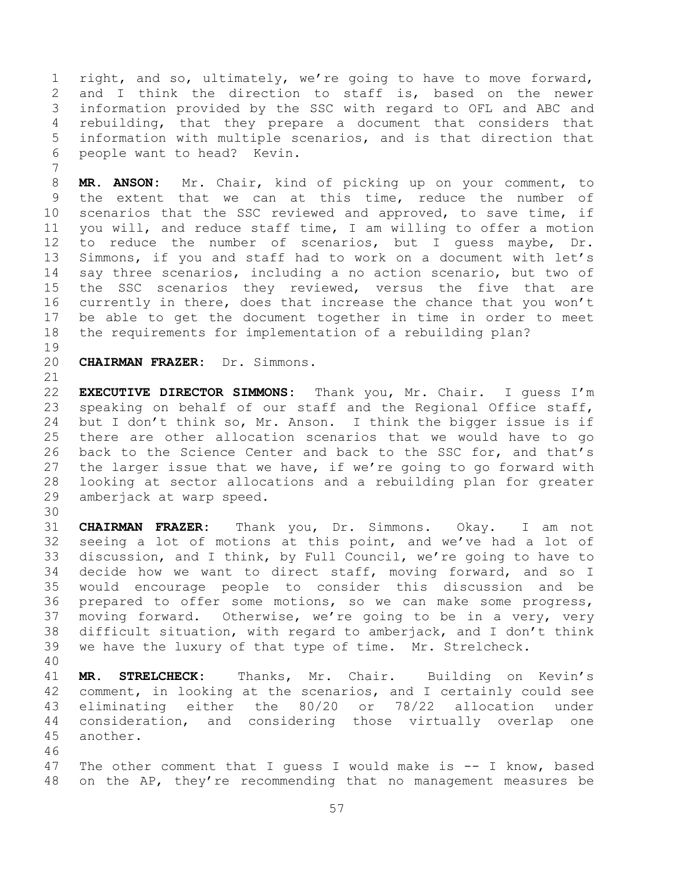right, and so, ultimately, we're going to have to move forward, and I think the direction to staff is, based on the newer information provided by the SSC with regard to OFL and ABC and rebuilding, that they prepare a document that considers that information with multiple scenarios, and is that direction that people want to head? Kevin.

 **MR. ANSON:** Mr. Chair, kind of picking up on your comment, to the extent that we can at this time, reduce the number of scenarios that the SSC reviewed and approved, to save time, if you will, and reduce staff time, I am willing to offer a motion to reduce the number of scenarios, but I guess maybe, Dr. Simmons, if you and staff had to work on a document with let's say three scenarios, including a no action scenario, but two of the SSC scenarios they reviewed, versus the five that are currently in there, does that increase the chance that you won't be able to get the document together in time in order to meet the requirements for implementation of a rebuilding plan?

**CHAIRMAN FRAZER:** Dr. Simmons.

 **EXECUTIVE DIRECTOR SIMMONS:** Thank you, Mr. Chair. I guess I'm speaking on behalf of our staff and the Regional Office staff, but I don't think so, Mr. Anson. I think the bigger issue is if there are other allocation scenarios that we would have to go back to the Science Center and back to the SSC for, and that's the larger issue that we have, if we're going to go forward with looking at sector allocations and a rebuilding plan for greater amberjack at warp speed.

 **CHAIRMAN FRAZER:** Thank you, Dr. Simmons. Okay. I am not seeing a lot of motions at this point, and we've had a lot of discussion, and I think, by Full Council, we're going to have to decide how we want to direct staff, moving forward, and so I would encourage people to consider this discussion and be prepared to offer some motions, so we can make some progress, moving forward. Otherwise, we're going to be in a very, very difficult situation, with regard to amberjack, and I don't think we have the luxury of that type of time. Mr. Strelcheck.

 **MR. STRELCHECK:** Thanks, Mr. Chair. Building on Kevin's comment, in looking at the scenarios, and I certainly could see eliminating either the 80/20 or 78/22 allocation under consideration, and considering those virtually overlap one another.

 The other comment that I guess I would make is -- I know, based on the AP, they're recommending that no management measures be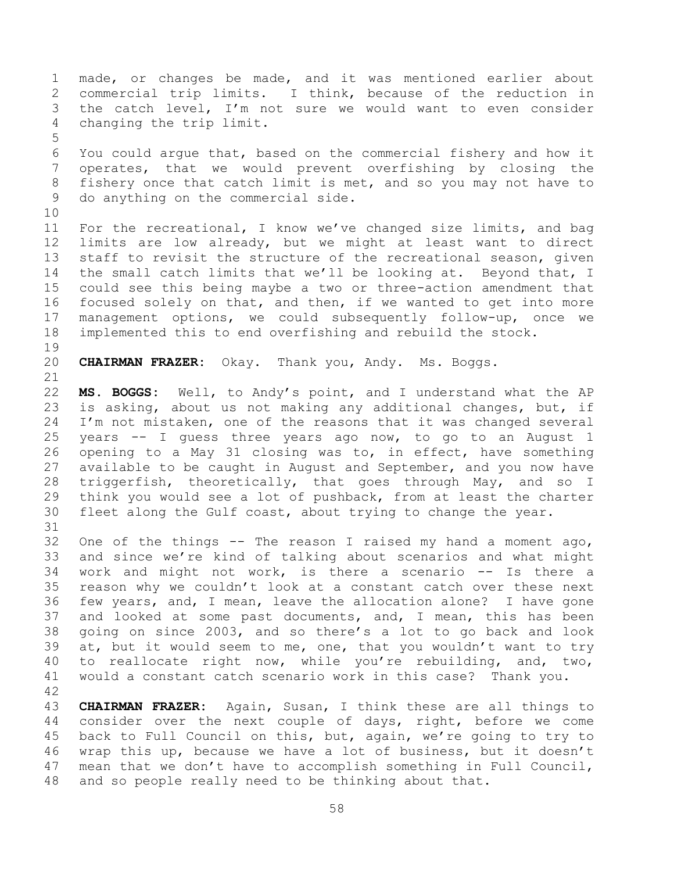made, or changes be made, and it was mentioned earlier about commercial trip limits. I think, because of the reduction in the catch level, I'm not sure we would want to even consider changing the trip limit. You could argue that, based on the commercial fishery and how it operates, that we would prevent overfishing by closing the fishery once that catch limit is met, and so you may not have to do anything on the commercial side. For the recreational, I know we've changed size limits, and bag limits are low already, but we might at least want to direct staff to revisit the structure of the recreational season, given 14 the small catch limits that we'll be looking at. Beyond that, I could see this being maybe a two or three-action amendment that focused solely on that, and then, if we wanted to get into more management options, we could subsequently follow-up, once we implemented this to end overfishing and rebuild the stock. **CHAIRMAN FRAZER:** Okay. Thank you, Andy. Ms. Boggs. **MS. BOGGS:** Well, to Andy's point, and I understand what the AP is asking, about us not making any additional changes, but, if I'm not mistaken, one of the reasons that it was changed several years -- I guess three years ago now, to go to an August 1 opening to a May 31 closing was to, in effect, have something available to be caught in August and September, and you now have triggerfish, theoretically, that goes through May, and so I think you would see a lot of pushback, from at least the charter fleet along the Gulf coast, about trying to change the year. 32 One of the things  $-$  The reason I raised my hand a moment ago, and since we're kind of talking about scenarios and what might work and might not work, is there a scenario -- Is there a reason why we couldn't look at a constant catch over these next few years, and, I mean, leave the allocation alone? I have gone and looked at some past documents, and, I mean, this has been going on since 2003, and so there's a lot to go back and look at, but it would seem to me, one, that you wouldn't want to try to reallocate right now, while you're rebuilding, and, two, would a constant catch scenario work in this case? Thank you. **CHAIRMAN FRAZER:** Again, Susan, I think these are all things to consider over the next couple of days, right, before we come back to Full Council on this, but, again, we're going to try to wrap this up, because we have a lot of business, but it doesn't

mean that we don't have to accomplish something in Full Council,

and so people really need to be thinking about that.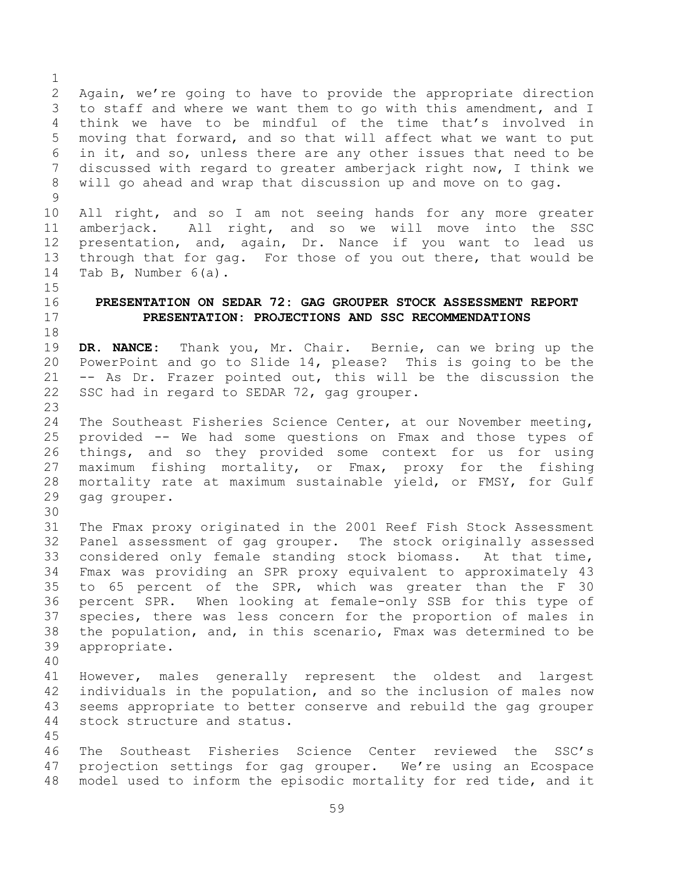Again, we're going to have to provide the appropriate direction to staff and where we want them to go with this amendment, and I think we have to be mindful of the time that's involved in moving that forward, and so that will affect what we want to put in it, and so, unless there are any other issues that need to be discussed with regard to greater amberjack right now, I think we will go ahead and wrap that discussion up and move on to gag.

 All right, and so I am not seeing hands for any more greater amberjack. All right, and so we will move into the SSC presentation, and, again, Dr. Nance if you want to lead us through that for gag. For those of you out there, that would be Tab B, Number 6(a).

## **PRESENTATION ON SEDAR 72: GAG GROUPER STOCK ASSESSMENT REPORT PRESENTATION: PROJECTIONS AND SSC RECOMMENDATIONS**

## **DR. NANCE:** Thank you, Mr. Chair. Bernie, can we bring up the PowerPoint and go to Slide 14, please? This is going to be the -- As Dr. Frazer pointed out, this will be the discussion the SSC had in regard to SEDAR 72, gag grouper.

 The Southeast Fisheries Science Center, at our November meeting, provided -- We had some questions on Fmax and those types of things, and so they provided some context for us for using maximum fishing mortality, or Fmax, proxy for the fishing mortality rate at maximum sustainable yield, or FMSY, for Gulf gag grouper.

 The Fmax proxy originated in the 2001 Reef Fish Stock Assessment Panel assessment of gag grouper. The stock originally assessed considered only female standing stock biomass. At that time, Fmax was providing an SPR proxy equivalent to approximately 43 to 65 percent of the SPR, which was greater than the F 30 percent SPR. When looking at female-only SSB for this type of species, there was less concern for the proportion of males in the population, and, in this scenario, Fmax was determined to be appropriate.

 However, males generally represent the oldest and largest individuals in the population, and so the inclusion of males now seems appropriate to better conserve and rebuild the gag grouper stock structure and status.

 The Southeast Fisheries Science Center reviewed the SSC's projection settings for gag grouper. We're using an Ecospace model used to inform the episodic mortality for red tide, and it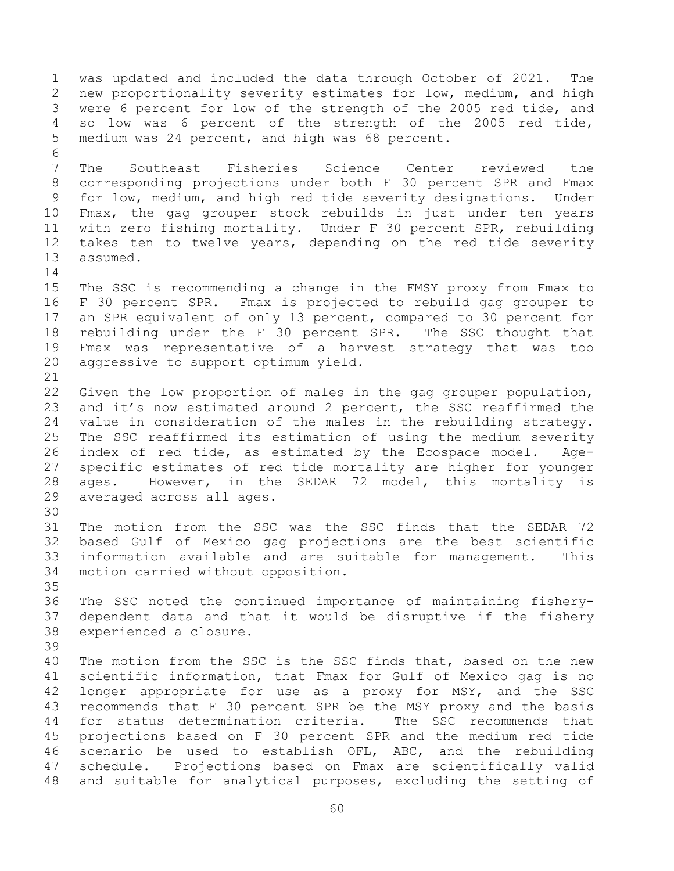was updated and included the data through October of 2021. The new proportionality severity estimates for low, medium, and high were 6 percent for low of the strength of the 2005 red tide, and so low was 6 percent of the strength of the 2005 red tide, medium was 24 percent, and high was 68 percent. The Southeast Fisheries Science Center reviewed the corresponding projections under both F 30 percent SPR and Fmax for low, medium, and high red tide severity designations. Under Fmax, the gag grouper stock rebuilds in just under ten years with zero fishing mortality. Under F 30 percent SPR, rebuilding takes ten to twelve years, depending on the red tide severity assumed. The SSC is recommending a change in the FMSY proxy from Fmax to F 30 percent SPR. Fmax is projected to rebuild gag grouper to an SPR equivalent of only 13 percent, compared to 30 percent for rebuilding under the F 30 percent SPR. The SSC thought that Fmax was representative of a harvest strategy that was too aggressive to support optimum yield. Given the low proportion of males in the gag grouper population, and it's now estimated around 2 percent, the SSC reaffirmed the value in consideration of the males in the rebuilding strategy. The SSC reaffirmed its estimation of using the medium severity index of red tide, as estimated by the Ecospace model. Age- specific estimates of red tide mortality are higher for younger ages. However, in the SEDAR 72 model, this mortality is averaged across all ages. The motion from the SSC was the SSC finds that the SEDAR 72 based Gulf of Mexico gag projections are the best scientific information available and are suitable for management. This motion carried without opposition. The SSC noted the continued importance of maintaining fishery- dependent data and that it would be disruptive if the fishery experienced a closure. The motion from the SSC is the SSC finds that, based on the new scientific information, that Fmax for Gulf of Mexico gag is no longer appropriate for use as a proxy for MSY, and the SSC recommends that F 30 percent SPR be the MSY proxy and the basis for status determination criteria. The SSC recommends that projections based on F 30 percent SPR and the medium red tide scenario be used to establish OFL, ABC, and the rebuilding schedule. Projections based on Fmax are scientifically valid and suitable for analytical purposes, excluding the setting of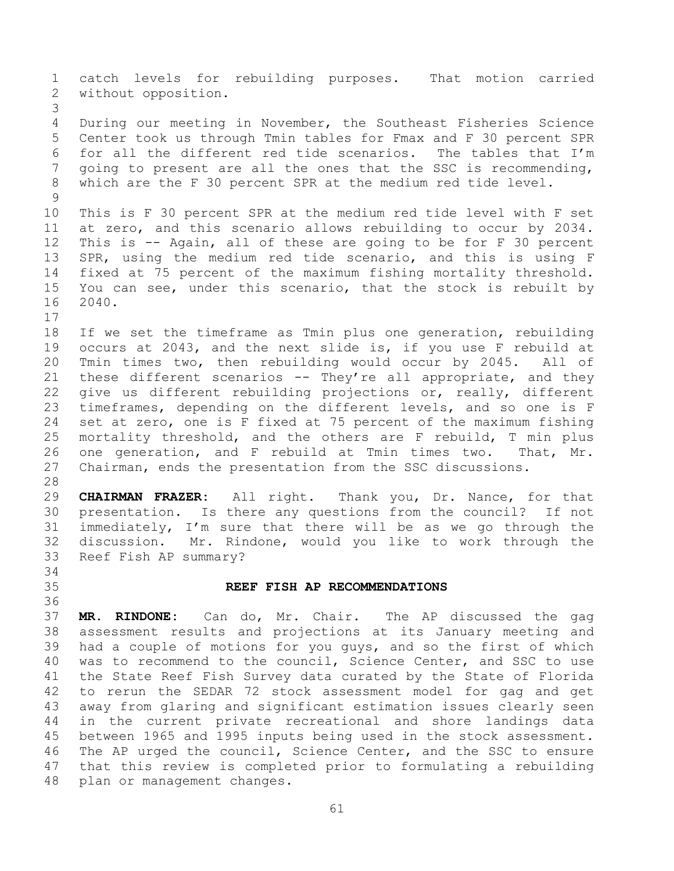catch levels for rebuilding purposes. That motion carried without opposition. During our meeting in November, the Southeast Fisheries Science Center took us through Tmin tables for Fmax and F 30 percent SPR for all the different red tide scenarios. The tables that I'm going to present are all the ones that the SSC is recommending, which are the F 30 percent SPR at the medium red tide level. This is F 30 percent SPR at the medium red tide level with F set at zero, and this scenario allows rebuilding to occur by 2034. This is -- Again, all of these are going to be for F 30 percent SPR, using the medium red tide scenario, and this is using F fixed at 75 percent of the maximum fishing mortality threshold. You can see, under this scenario, that the stock is rebuilt by 2040. If we set the timeframe as Tmin plus one generation, rebuilding occurs at 2043, and the next slide is, if you use F rebuild at Tmin times two, then rebuilding would occur by 2045. All of 21 these different scenarios -- They're all appropriate, and they give us different rebuilding projections or, really, different timeframes, depending on the different levels, and so one is F set at zero, one is F fixed at 75 percent of the maximum fishing mortality threshold, and the others are F rebuild, T min plus one generation, and F rebuild at Tmin times two. That, Mr. Chairman, ends the presentation from the SSC discussions. **CHAIRMAN FRAZER:** All right. Thank you, Dr. Nance, for that presentation. Is there any questions from the council? If not immediately, I'm sure that there will be as we go through the discussion. Mr. Rindone, would you like to work through the Reef Fish AP summary? **REEF FISH AP RECOMMENDATIONS** 

 **MR. RINDONE:** Can do, Mr. Chair. The AP discussed the gag assessment results and projections at its January meeting and had a couple of motions for you guys, and so the first of which was to recommend to the council, Science Center, and SSC to use the State Reef Fish Survey data curated by the State of Florida to rerun the SEDAR 72 stock assessment model for gag and get away from glaring and significant estimation issues clearly seen in the current private recreational and shore landings data between 1965 and 1995 inputs being used in the stock assessment. The AP urged the council, Science Center, and the SSC to ensure that this review is completed prior to formulating a rebuilding plan or management changes.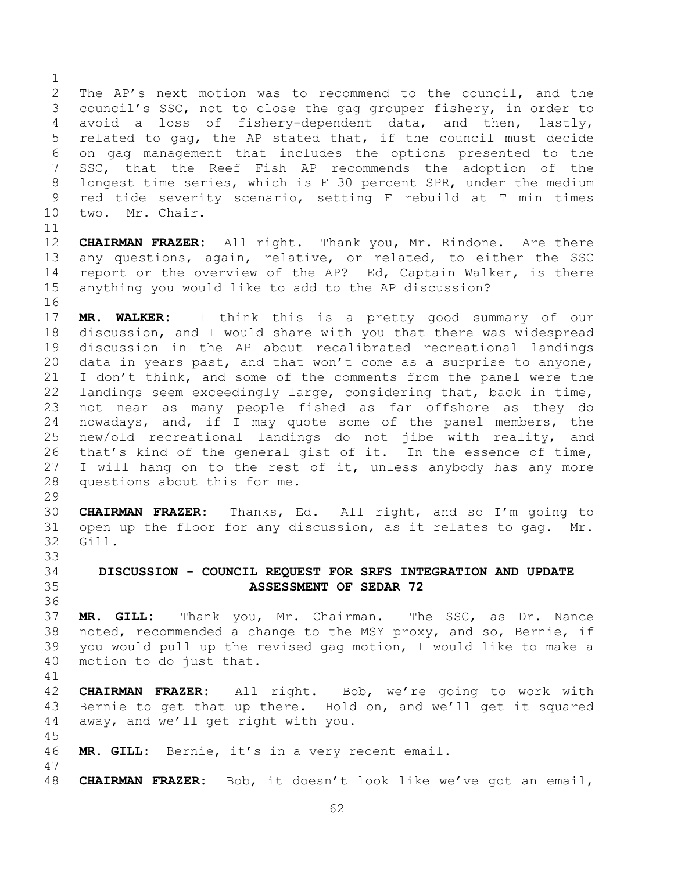The AP's next motion was to recommend to the council, and the council's SSC, not to close the gag grouper fishery, in order to avoid a loss of fishery-dependent data, and then, lastly, related to gag, the AP stated that, if the council must decide on gag management that includes the options presented to the SSC, that the Reef Fish AP recommends the adoption of the longest time series, which is F 30 percent SPR, under the medium red tide severity scenario, setting F rebuild at T min times two. Mr. Chair. 

 **CHAIRMAN FRAZER:** All right. Thank you, Mr. Rindone. Are there any questions, again, relative, or related, to either the SSC report or the overview of the AP? Ed, Captain Walker, is there anything you would like to add to the AP discussion?

 **MR. WALKER:** I think this is a pretty good summary of our discussion, and I would share with you that there was widespread discussion in the AP about recalibrated recreational landings data in years past, and that won't come as a surprise to anyone, I don't think, and some of the comments from the panel were the landings seem exceedingly large, considering that, back in time, not near as many people fished as far offshore as they do nowadays, and, if I may quote some of the panel members, the new/old recreational landings do not jibe with reality, and that's kind of the general gist of it. In the essence of time, I will hang on to the rest of it, unless anybody has any more questions about this for me.

 **CHAIRMAN FRAZER:** Thanks, Ed. All right, and so I'm going to open up the floor for any discussion, as it relates to gag. Mr. Gill. 

## **DISCUSSION - COUNCIL REQUEST FOR SRFS INTEGRATION AND UPDATE ASSESSMENT OF SEDAR 72**

 **MR. GILL:** Thank you, Mr. Chairman. The SSC, as Dr. Nance noted, recommended a change to the MSY proxy, and so, Bernie, if you would pull up the revised gag motion, I would like to make a motion to do just that.

 **CHAIRMAN FRAZER:** All right. Bob, we're going to work with Bernie to get that up there. Hold on, and we'll get it squared away, and we'll get right with you.

**MR. GILL:** Bernie, it's in a very recent email.

**CHAIRMAN FRAZER:** Bob, it doesn't look like we've got an email,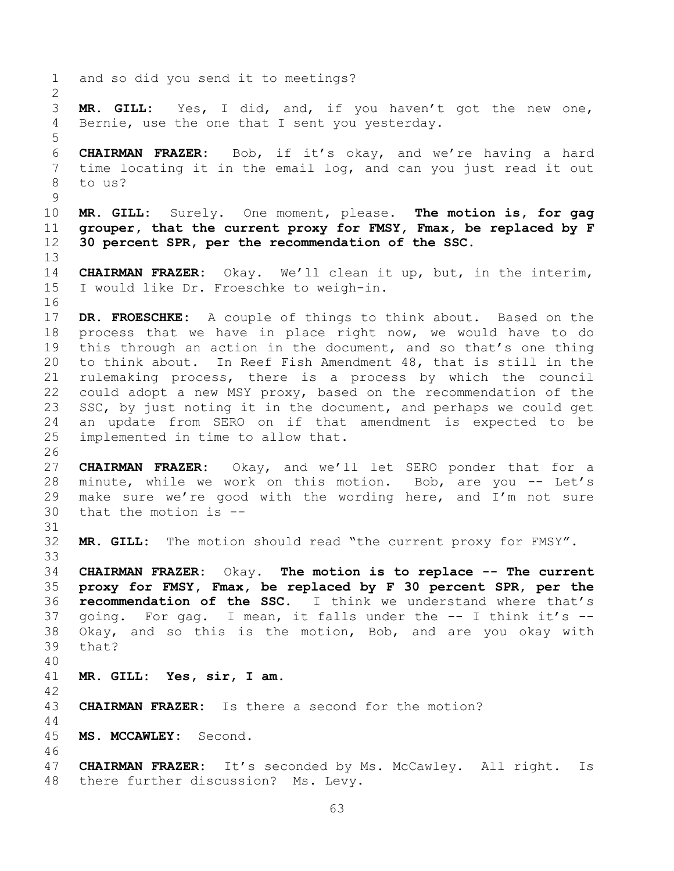and so did you send it to meetings? **MR. GILL:** Yes, I did, and, if you haven't got the new one, Bernie, use the one that I sent you yesterday. **CHAIRMAN FRAZER:** Bob, if it's okay, and we're having a hard time locating it in the email log, and can you just read it out to us? **MR. GILL:** Surely. One moment, please. **The motion is, for gag grouper, that the current proxy for FMSY, Fmax, be replaced by F 30 percent SPR, per the recommendation of the SSC. CHAIRMAN FRAZER:** Okay. We'll clean it up, but, in the interim, I would like Dr. Froeschke to weigh-in. **DR. FROESCHKE:** A couple of things to think about. Based on the process that we have in place right now, we would have to do this through an action in the document, and so that's one thing to think about. In Reef Fish Amendment 48, that is still in the rulemaking process, there is a process by which the council could adopt a new MSY proxy, based on the recommendation of the 23 SSC, by just noting it in the document, and perhaps we could get an update from SERO on if that amendment is expected to be implemented in time to allow that. **CHAIRMAN FRAZER:** Okay, and we'll let SERO ponder that for a 28 minute, while we work on this motion. Bob, are you -- Let's make sure we're good with the wording here, and I'm not sure that the motion is -- **MR. GILL:** The motion should read "the current proxy for FMSY". **CHAIRMAN FRAZER:** Okay. **The motion is to replace -- The current proxy for FMSY, Fmax, be replaced by F 30 percent SPR, per the recommendation of the SSC.** I think we understand where that's going. For gag. I mean, it falls under the -- I think it's -- Okay, and so this is the motion, Bob, and are you okay with that? **MR. GILL: Yes, sir, I am. CHAIRMAN FRAZER:** Is there a second for the motion? **MS. MCCAWLEY:** Second. **CHAIRMAN FRAZER:** It's seconded by Ms. McCawley. All right. Is there further discussion? Ms. Levy.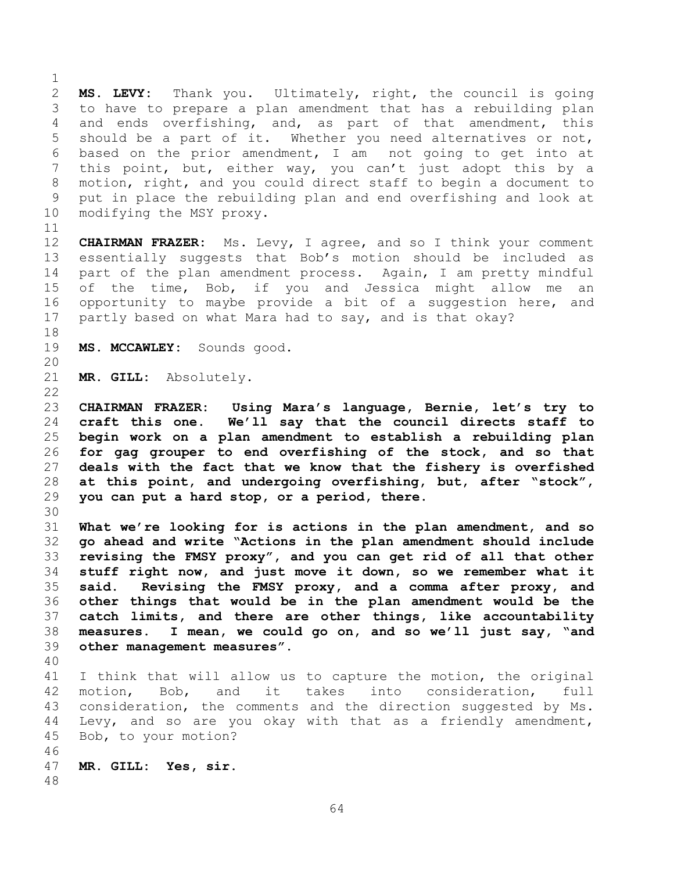**MS. LEVY:** Thank you. Ultimately, right, the council is going to have to prepare a plan amendment that has a rebuilding plan and ends overfishing, and, as part of that amendment, this should be a part of it. Whether you need alternatives or not, based on the prior amendment, I am not going to get into at this point, but, either way, you can't just adopt this by a motion, right, and you could direct staff to begin a document to put in place the rebuilding plan and end overfishing and look at modifying the MSY proxy.

 **CHAIRMAN FRAZER:** Ms. Levy, I agree, and so I think your comment essentially suggests that Bob's motion should be included as part of the plan amendment process. Again, I am pretty mindful of the time, Bob, if you and Jessica might allow me an opportunity to maybe provide a bit of a suggestion here, and partly based on what Mara had to say, and is that okay?

- 
- **MS. MCCAWLEY:** Sounds good.
- 

**MR. GILL:** Absolutely.

 **CHAIRMAN FRAZER: Using Mara's language, Bernie, let's try to craft this one. We'll say that the council directs staff to begin work on a plan amendment to establish a rebuilding plan for gag grouper to end overfishing of the stock, and so that deals with the fact that we know that the fishery is overfished at this point, and undergoing overfishing, but, after "stock", you can put a hard stop, or a period, there.**

 **What we're looking for is actions in the plan amendment, and so go ahead and write "Actions in the plan amendment should include revising the FMSY proxy", and you can get rid of all that other stuff right now, and just move it down, so we remember what it said. Revising the FMSY proxy, and a comma after proxy, and other things that would be in the plan amendment would be the catch limits, and there are other things, like accountability measures. I mean, we could go on, and so we'll just say, "and other management measures".**

 I think that will allow us to capture the motion, the original motion, Bob, and it takes into consideration, full consideration, the comments and the direction suggested by Ms. Levy, and so are you okay with that as a friendly amendment, Bob, to your motion? 

- **MR. GILL: Yes, sir.**
-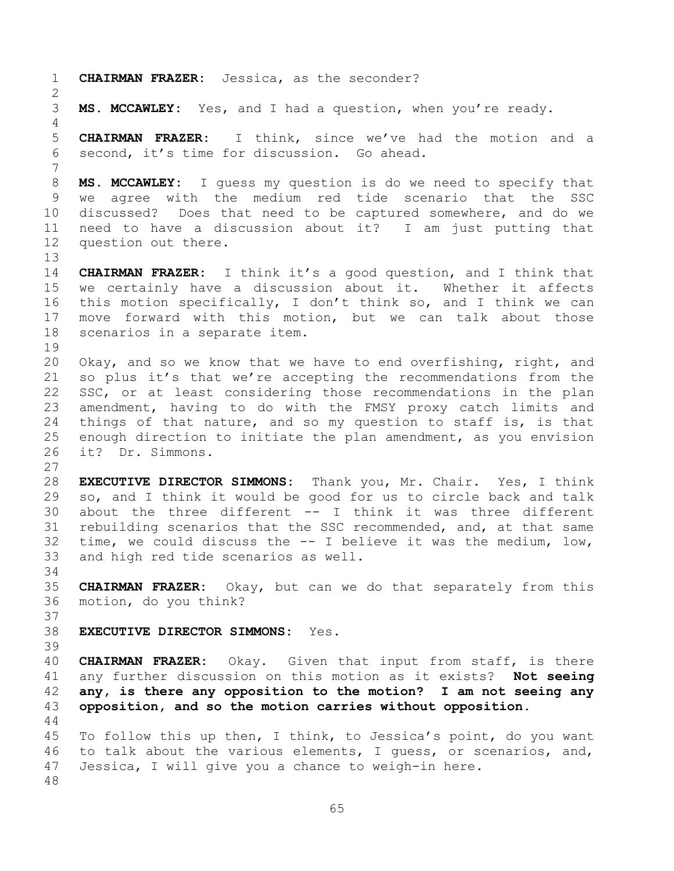**CHAIRMAN FRAZER:** Jessica, as the seconder? **MS. MCCAWLEY:** Yes, and I had a question, when you're ready. **CHAIRMAN FRAZER:** I think, since we've had the motion and a second, it's time for discussion. Go ahead. **MS. MCCAWLEY:** I guess my question is do we need to specify that we agree with the medium red tide scenario that the SSC discussed? Does that need to be captured somewhere, and do we need to have a discussion about it? I am just putting that question out there. **CHAIRMAN FRAZER:** I think it's a good question, and I think that we certainly have a discussion about it. Whether it affects this motion specifically, I don't think so, and I think we can move forward with this motion, but we can talk about those scenarios in a separate item. Okay, and so we know that we have to end overfishing, right, and so plus it's that we're accepting the recommendations from the SSC, or at least considering those recommendations in the plan amendment, having to do with the FMSY proxy catch limits and things of that nature, and so my question to staff is, is that enough direction to initiate the plan amendment, as you envision it? Dr. Simmons. **EXECUTIVE DIRECTOR SIMMONS:** Thank you, Mr. Chair. Yes, I think so, and I think it would be good for us to circle back and talk about the three different -- I think it was three different rebuilding scenarios that the SSC recommended, and, at that same time, we could discuss the -- I believe it was the medium, low, and high red tide scenarios as well. **CHAIRMAN FRAZER:** Okay, but can we do that separately from this motion, do you think? **EXECUTIVE DIRECTOR SIMMONS:** Yes. **CHAIRMAN FRAZER:** Okay. Given that input from staff, is there any further discussion on this motion as it exists? **Not seeing any, is there any opposition to the motion? I am not seeing any opposition, and so the motion carries without opposition.** To follow this up then, I think, to Jessica's point, do you want to talk about the various elements, I guess, or scenarios, and, Jessica, I will give you a chance to weigh-in here.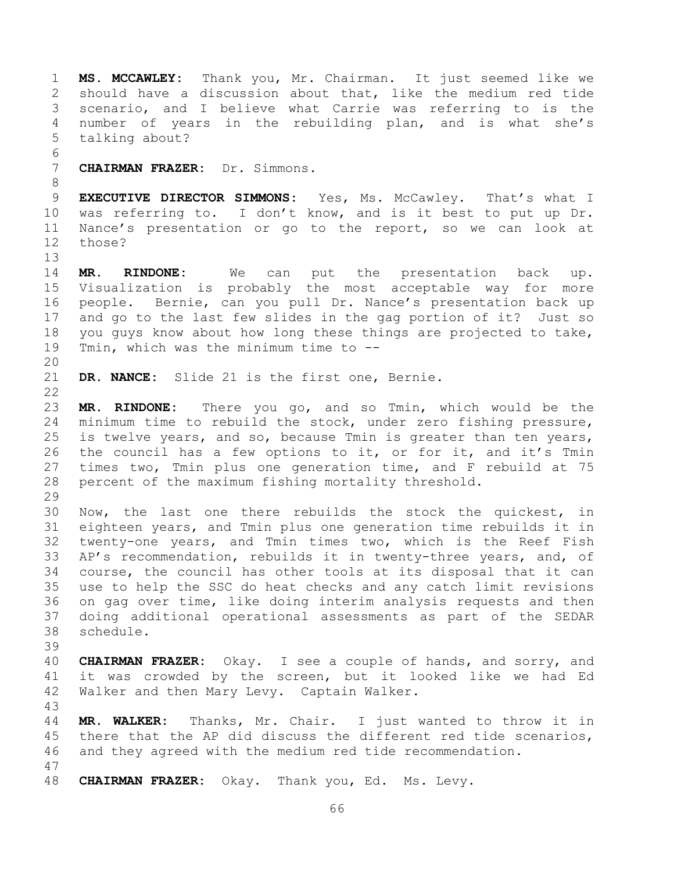**MS. MCCAWLEY:** Thank you, Mr. Chairman. It just seemed like we should have a discussion about that, like the medium red tide scenario, and I believe what Carrie was referring to is the number of years in the rebuilding plan, and is what she's talking about? **CHAIRMAN FRAZER:** Dr. Simmons. **EXECUTIVE DIRECTOR SIMMONS:** Yes, Ms. McCawley. That's what I was referring to. I don't know, and is it best to put up Dr. Nance's presentation or go to the report, so we can look at those? **MR. RINDONE:** We can put the presentation back up. Visualization is probably the most acceptable way for more people. Bernie, can you pull Dr. Nance's presentation back up and go to the last few slides in the gag portion of it? Just so you guys know about how long these things are projected to take, Tmin, which was the minimum time to -- **DR. NANCE:** Slide 21 is the first one, Bernie. **MR. RINDONE:** There you go, and so Tmin, which would be the minimum time to rebuild the stock, under zero fishing pressure, is twelve years, and so, because Tmin is greater than ten years, the council has a few options to it, or for it, and it's Tmin times two, Tmin plus one generation time, and F rebuild at 75 percent of the maximum fishing mortality threshold. Now, the last one there rebuilds the stock the quickest, in eighteen years, and Tmin plus one generation time rebuilds it in twenty-one years, and Tmin times two, which is the Reef Fish AP's recommendation, rebuilds it in twenty-three years, and, of course, the council has other tools at its disposal that it can use to help the SSC do heat checks and any catch limit revisions on gag over time, like doing interim analysis requests and then doing additional operational assessments as part of the SEDAR schedule. **CHAIRMAN FRAZER:** Okay. I see a couple of hands, and sorry, and it was crowded by the screen, but it looked like we had Ed Walker and then Mary Levy. Captain Walker. **MR. WALKER:** Thanks, Mr. Chair. I just wanted to throw it in there that the AP did discuss the different red tide scenarios, and they agreed with the medium red tide recommendation. **CHAIRMAN FRAZER:** Okay. Thank you, Ed. Ms. Levy.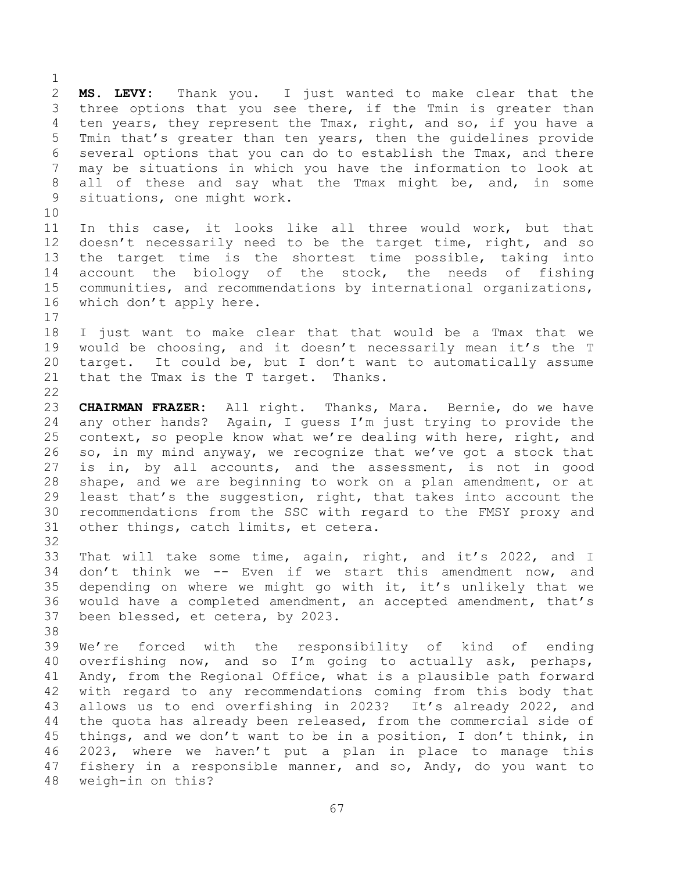**MS. LEVY:** Thank you. I just wanted to make clear that the three options that you see there, if the Tmin is greater than ten years, they represent the Tmax, right, and so, if you have a Tmin that's greater than ten years, then the guidelines provide several options that you can do to establish the Tmax, and there may be situations in which you have the information to look at all of these and say what the Tmax might be, and, in some situations, one might work. 

 In this case, it looks like all three would work, but that 12 doesn't necessarily need to be the target time, right, and so the target time is the shortest time possible, taking into 14 account the biology of the stock, the needs of fishing communities, and recommendations by international organizations, which don't apply here.

 I just want to make clear that that would be a Tmax that we would be choosing, and it doesn't necessarily mean it's the T target. It could be, but I don't want to automatically assume that the Tmax is the T target. Thanks. 

 **CHAIRMAN FRAZER:** All right. Thanks, Mara. Bernie, do we have any other hands? Again, I guess I'm just trying to provide the context, so people know what we're dealing with here, right, and so, in my mind anyway, we recognize that we've got a stock that is in, by all accounts, and the assessment, is not in good shape, and we are beginning to work on a plan amendment, or at least that's the suggestion, right, that takes into account the recommendations from the SSC with regard to the FMSY proxy and other things, catch limits, et cetera.

 That will take some time, again, right, and it's 2022, and I don't think we -- Even if we start this amendment now, and depending on where we might go with it, it's unlikely that we would have a completed amendment, an accepted amendment, that's been blessed, et cetera, by 2023.

 We're forced with the responsibility of kind of ending overfishing now, and so I'm going to actually ask, perhaps, Andy, from the Regional Office, what is a plausible path forward with regard to any recommendations coming from this body that allows us to end overfishing in 2023? It's already 2022, and the quota has already been released, from the commercial side of things, and we don't want to be in a position, I don't think, in 2023, where we haven't put a plan in place to manage this fishery in a responsible manner, and so, Andy, do you want to weigh-in on this?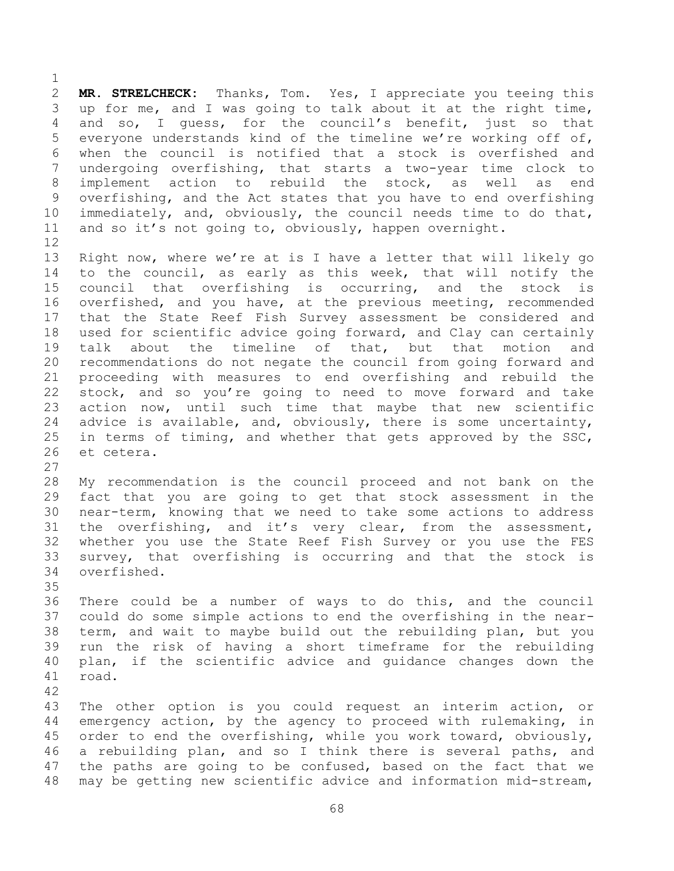**MR. STRELCHECK:** Thanks, Tom. Yes, I appreciate you teeing this up for me, and I was going to talk about it at the right time, and so, I guess, for the council's benefit, just so that everyone understands kind of the timeline we're working off of, when the council is notified that a stock is overfished and undergoing overfishing, that starts a two-year time clock to implement action to rebuild the stock, as well as end overfishing, and the Act states that you have to end overfishing immediately, and, obviously, the council needs time to do that, and so it's not going to, obviously, happen overnight. 

 Right now, where we're at is I have a letter that will likely go to the council, as early as this week, that will notify the council that overfishing is occurring, and the stock is overfished, and you have, at the previous meeting, recommended that the State Reef Fish Survey assessment be considered and used for scientific advice going forward, and Clay can certainly talk about the timeline of that, but that motion and recommendations do not negate the council from going forward and proceeding with measures to end overfishing and rebuild the stock, and so you're going to need to move forward and take action now, until such time that maybe that new scientific advice is available, and, obviously, there is some uncertainty, in terms of timing, and whether that gets approved by the SSC, et cetera.

 My recommendation is the council proceed and not bank on the fact that you are going to get that stock assessment in the near-term, knowing that we need to take some actions to address the overfishing, and it's very clear, from the assessment, whether you use the State Reef Fish Survey or you use the FES survey, that overfishing is occurring and that the stock is overfished.

 There could be a number of ways to do this, and the council could do some simple actions to end the overfishing in the near- term, and wait to maybe build out the rebuilding plan, but you run the risk of having a short timeframe for the rebuilding plan, if the scientific advice and guidance changes down the road.

 The other option is you could request an interim action, or emergency action, by the agency to proceed with rulemaking, in order to end the overfishing, while you work toward, obviously, a rebuilding plan, and so I think there is several paths, and the paths are going to be confused, based on the fact that we may be getting new scientific advice and information mid-stream,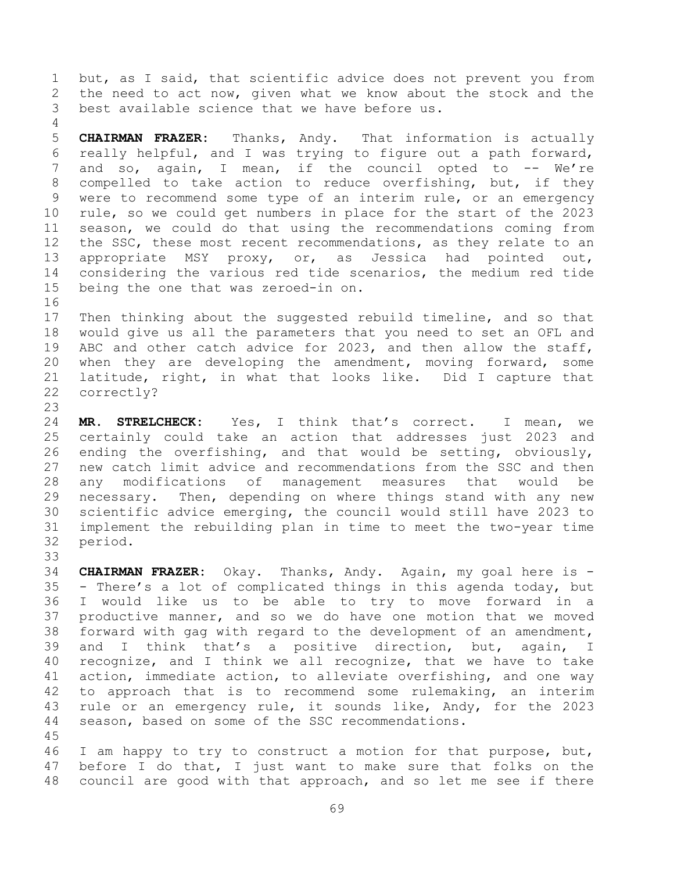but, as I said, that scientific advice does not prevent you from the need to act now, given what we know about the stock and the best available science that we have before us.

 **CHAIRMAN FRAZER:** Thanks, Andy. That information is actually really helpful, and I was trying to figure out a path forward, 7 and so, again, I mean, if the council opted to -- We're compelled to take action to reduce overfishing, but, if they were to recommend some type of an interim rule, or an emergency rule, so we could get numbers in place for the start of the 2023 season, we could do that using the recommendations coming from 12 the SSC, these most recent recommendations, as they relate to an appropriate MSY proxy, or, as Jessica had pointed out, considering the various red tide scenarios, the medium red tide being the one that was zeroed-in on.

 Then thinking about the suggested rebuild timeline, and so that would give us all the parameters that you need to set an OFL and ABC and other catch advice for 2023, and then allow the staff, when they are developing the amendment, moving forward, some latitude, right, in what that looks like. Did I capture that correctly?

 **MR. STRELCHECK:** Yes, I think that's correct. I mean, we certainly could take an action that addresses just 2023 and ending the overfishing, and that would be setting, obviously, new catch limit advice and recommendations from the SSC and then any modifications of management measures that would be necessary. Then, depending on where things stand with any new scientific advice emerging, the council would still have 2023 to implement the rebuilding plan in time to meet the two-year time period.

 **CHAIRMAN FRAZER:** Okay. Thanks, Andy. Again, my goal here is - - There's a lot of complicated things in this agenda today, but I would like us to be able to try to move forward in a productive manner, and so we do have one motion that we moved forward with gag with regard to the development of an amendment, and I think that's a positive direction, but, again, I recognize, and I think we all recognize, that we have to take action, immediate action, to alleviate overfishing, and one way to approach that is to recommend some rulemaking, an interim rule or an emergency rule, it sounds like, Andy, for the 2023 season, based on some of the SSC recommendations.

 I am happy to try to construct a motion for that purpose, but, before I do that, I just want to make sure that folks on the council are good with that approach, and so let me see if there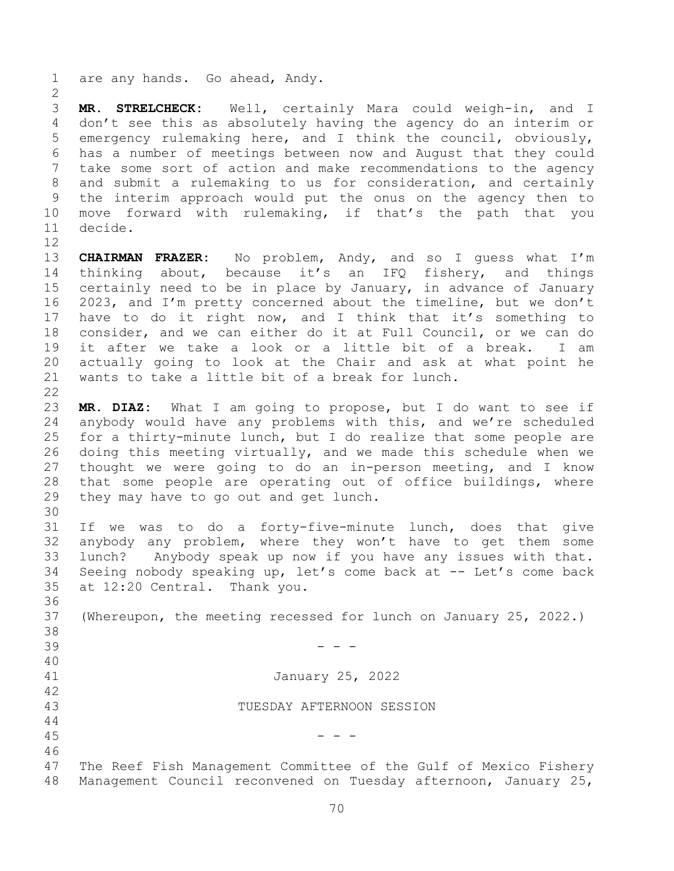are any hands. Go ahead, Andy.

 **MR. STRELCHECK:** Well, certainly Mara could weigh-in, and I don't see this as absolutely having the agency do an interim or emergency rulemaking here, and I think the council, obviously, has a number of meetings between now and August that they could take some sort of action and make recommendations to the agency and submit a rulemaking to us for consideration, and certainly the interim approach would put the onus on the agency then to move forward with rulemaking, if that's the path that you decide.

 **CHAIRMAN FRAZER:** No problem, Andy, and so I guess what I'm thinking about, because it's an IFQ fishery, and things certainly need to be in place by January, in advance of January 2023, and I'm pretty concerned about the timeline, but we don't have to do it right now, and I think that it's something to consider, and we can either do it at Full Council, or we can do it after we take a look or a little bit of a break. I am actually going to look at the Chair and ask at what point he wants to take a little bit of a break for lunch. 

 **MR. DIAZ:** What I am going to propose, but I do want to see if anybody would have any problems with this, and we're scheduled for a thirty-minute lunch, but I do realize that some people are doing this meeting virtually, and we made this schedule when we thought we were going to do an in-person meeting, and I know that some people are operating out of office buildings, where they may have to go out and get lunch.

 If we was to do a forty-five-minute lunch, does that give anybody any problem, where they won't have to get them some lunch? Anybody speak up now if you have any issues with that. Seeing nobody speaking up, let's come back at -- Let's come back at 12:20 Central. Thank you.

 (Whereupon, the meeting recessed for lunch on January 25, 2022.) - - - January 25, 2022 TUESDAY AFTERNOON SESSION - - - The Reef Fish Management Committee of the Gulf of Mexico Fishery

Management Council reconvened on Tuesday afternoon, January 25,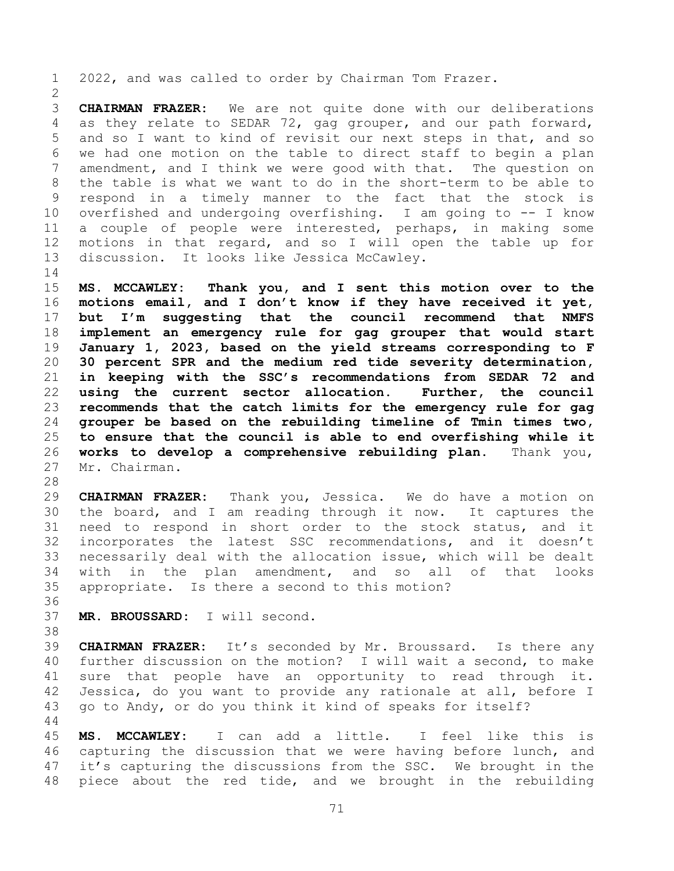2022, and was called to order by Chairman Tom Frazer.

 **CHAIRMAN FRAZER:** We are not quite done with our deliberations as they relate to SEDAR 72, gag grouper, and our path forward, and so I want to kind of revisit our next steps in that, and so we had one motion on the table to direct staff to begin a plan amendment, and I think we were good with that. The question on the table is what we want to do in the short-term to be able to respond in a timely manner to the fact that the stock is overfished and undergoing overfishing. I am going to -- I know a couple of people were interested, perhaps, in making some motions in that regard, and so I will open the table up for discussion. It looks like Jessica McCawley.

 **MS. MCCAWLEY: Thank you, and I sent this motion over to the motions email, and I don't know if they have received it yet, but I'm suggesting that the council recommend that NMFS implement an emergency rule for gag grouper that would start January 1, 2023, based on the yield streams corresponding to F 30 percent SPR and the medium red tide severity determination, in keeping with the SSC's recommendations from SEDAR 72 and using the current sector allocation. Further, the council recommends that the catch limits for the emergency rule for gag grouper be based on the rebuilding timeline of Tmin times two, to ensure that the council is able to end overfishing while it works to develop a comprehensive rebuilding plan.** Thank you, Mr. Chairman.

 **CHAIRMAN FRAZER:** Thank you, Jessica. We do have a motion on the board, and I am reading through it now. It captures the need to respond in short order to the stock status, and it incorporates the latest SSC recommendations, and it doesn't necessarily deal with the allocation issue, which will be dealt with in the plan amendment, and so all of that looks appropriate. Is there a second to this motion?

**MR. BROUSSARD:** I will second.

 **CHAIRMAN FRAZER:** It's seconded by Mr. Broussard. Is there any further discussion on the motion? I will wait a second, to make sure that people have an opportunity to read through it. Jessica, do you want to provide any rationale at all, before I go to Andy, or do you think it kind of speaks for itself? 

 **MS. MCCAWLEY:** I can add a little. I feel like this is capturing the discussion that we were having before lunch, and it's capturing the discussions from the SSC. We brought in the piece about the red tide, and we brought in the rebuilding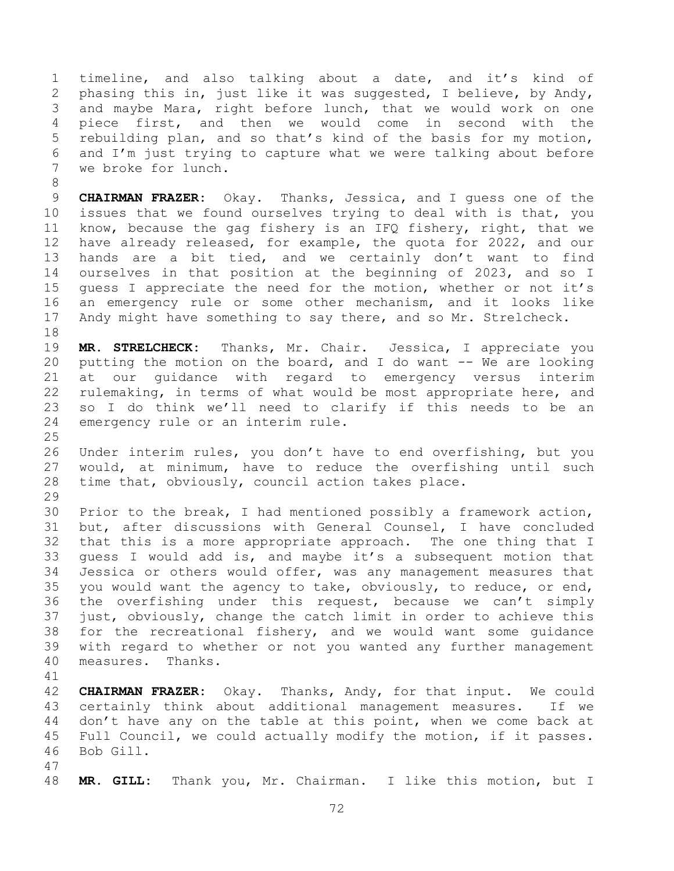timeline, and also talking about a date, and it's kind of phasing this in, just like it was suggested, I believe, by Andy, and maybe Mara, right before lunch, that we would work on one piece first, and then we would come in second with the rebuilding plan, and so that's kind of the basis for my motion, and I'm just trying to capture what we were talking about before we broke for lunch.

 **CHAIRMAN FRAZER:** Okay. Thanks, Jessica, and I guess one of the issues that we found ourselves trying to deal with is that, you know, because the gag fishery is an IFQ fishery, right, that we have already released, for example, the quota for 2022, and our hands are a bit tied, and we certainly don't want to find ourselves in that position at the beginning of 2023, and so I guess I appreciate the need for the motion, whether or not it's an emergency rule or some other mechanism, and it looks like Andy might have something to say there, and so Mr. Strelcheck.

 **MR. STRELCHECK:** Thanks, Mr. Chair. Jessica, I appreciate you 20 putting the motion on the board, and I do want  $-$ - We are looking at our guidance with regard to emergency versus interim rulemaking, in terms of what would be most appropriate here, and so I do think we'll need to clarify if this needs to be an emergency rule or an interim rule.

 Under interim rules, you don't have to end overfishing, but you would, at minimum, have to reduce the overfishing until such time that, obviously, council action takes place. 

 Prior to the break, I had mentioned possibly a framework action, but, after discussions with General Counsel, I have concluded that this is a more appropriate approach. The one thing that I guess I would add is, and maybe it's a subsequent motion that Jessica or others would offer, was any management measures that you would want the agency to take, obviously, to reduce, or end, the overfishing under this request, because we can't simply just, obviously, change the catch limit in order to achieve this for the recreational fishery, and we would want some guidance with regard to whether or not you wanted any further management measures. Thanks.

 **CHAIRMAN FRAZER:** Okay. Thanks, Andy, for that input. We could certainly think about additional management measures. If we don't have any on the table at this point, when we come back at Full Council, we could actually modify the motion, if it passes. Bob Gill.

**MR. GILL:** Thank you, Mr. Chairman. I like this motion, but I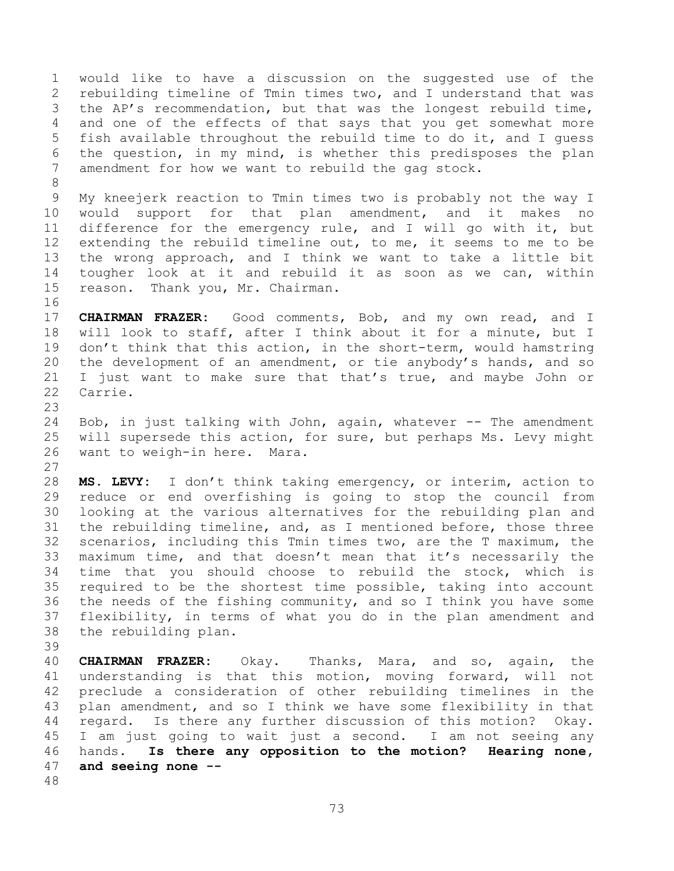would like to have a discussion on the suggested use of the rebuilding timeline of Tmin times two, and I understand that was the AP's recommendation, but that was the longest rebuild time, and one of the effects of that says that you get somewhat more fish available throughout the rebuild time to do it, and I guess the question, in my mind, is whether this predisposes the plan amendment for how we want to rebuild the gag stock.

 My kneejerk reaction to Tmin times two is probably not the way I would support for that plan amendment, and it makes no difference for the emergency rule, and I will go with it, but extending the rebuild timeline out, to me, it seems to me to be the wrong approach, and I think we want to take a little bit tougher look at it and rebuild it as soon as we can, within reason. Thank you, Mr. Chairman.

 **CHAIRMAN FRAZER:** Good comments, Bob, and my own read, and I will look to staff, after I think about it for a minute, but I 19 don't think that this action, in the short-term, would hamstring the development of an amendment, or tie anybody's hands, and so I just want to make sure that that's true, and maybe John or Carrie.

24 Bob, in just talking with John, again, whatever -- The amendment will supersede this action, for sure, but perhaps Ms. Levy might want to weigh-in here. Mara.

 **MS. LEVY:** I don't think taking emergency, or interim, action to reduce or end overfishing is going to stop the council from looking at the various alternatives for the rebuilding plan and the rebuilding timeline, and, as I mentioned before, those three scenarios, including this Tmin times two, are the T maximum, the maximum time, and that doesn't mean that it's necessarily the time that you should choose to rebuild the stock, which is required to be the shortest time possible, taking into account the needs of the fishing community, and so I think you have some flexibility, in terms of what you do in the plan amendment and the rebuilding plan.

 **CHAIRMAN FRAZER:** Okay. Thanks, Mara, and so, again, the understanding is that this motion, moving forward, will not preclude a consideration of other rebuilding timelines in the plan amendment, and so I think we have some flexibility in that regard. Is there any further discussion of this motion? Okay. I am just going to wait just a second. I am not seeing any hands. **Is there any opposition to the motion? Hearing none, and seeing none --**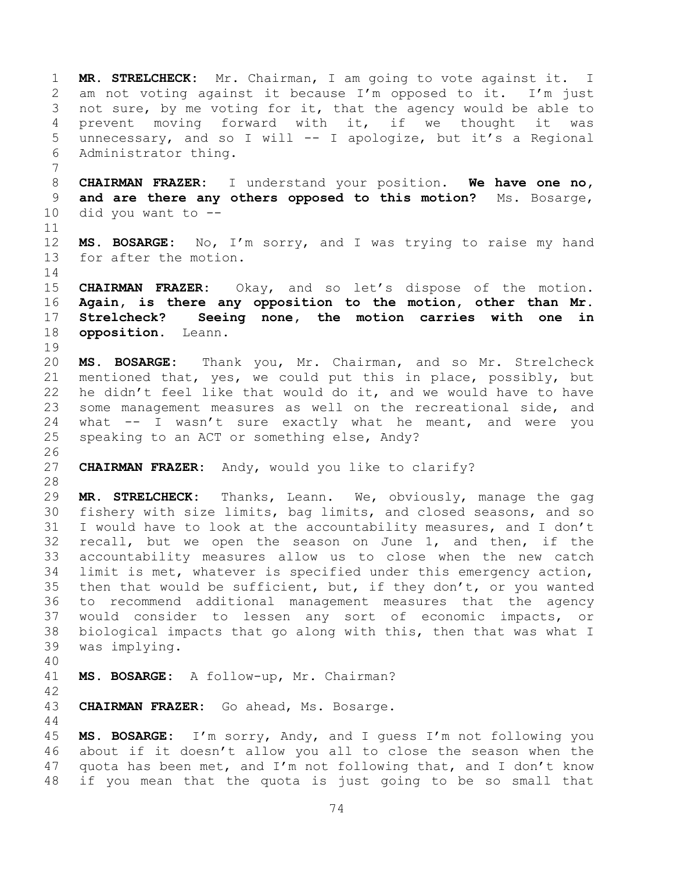**MR. STRELCHECK:** Mr. Chairman, I am going to vote against it. I am not voting against it because I'm opposed to it. I'm just not sure, by me voting for it, that the agency would be able to prevent moving forward with it, if we thought it was unnecessary, and so I will -- I apologize, but it's a Regional Administrator thing. **CHAIRMAN FRAZER:** I understand your position. **We have one no, and are there any others opposed to this motion?** Ms. Bosarge, did you want to -- **MS. BOSARGE:** No, I'm sorry, and I was trying to raise my hand for after the motion. **CHAIRMAN FRAZER:** Okay, and so let's dispose of the motion. **Again, is there any opposition to the motion, other than Mr. Strelcheck? Seeing none, the motion carries with one in opposition.** Leann. **MS. BOSARGE:** Thank you, Mr. Chairman, and so Mr. Strelcheck mentioned that, yes, we could put this in place, possibly, but he didn't feel like that would do it, and we would have to have some management measures as well on the recreational side, and what -- I wasn't sure exactly what he meant, and were you speaking to an ACT or something else, Andy? **CHAIRMAN FRAZER:** Andy, would you like to clarify? **MR. STRELCHECK:** Thanks, Leann. We, obviously, manage the gag fishery with size limits, bag limits, and closed seasons, and so I would have to look at the accountability measures, and I don't recall, but we open the season on June 1, and then, if the accountability measures allow us to close when the new catch limit is met, whatever is specified under this emergency action, then that would be sufficient, but, if they don't, or you wanted to recommend additional management measures that the agency would consider to lessen any sort of economic impacts, or biological impacts that go along with this, then that was what I was implying. **MS. BOSARGE:** A follow-up, Mr. Chairman? **CHAIRMAN FRAZER:** Go ahead, Ms. Bosarge. **MS. BOSARGE:** I'm sorry, Andy, and I guess I'm not following you about if it doesn't allow you all to close the season when the quota has been met, and I'm not following that, and I don't know if you mean that the quota is just going to be so small that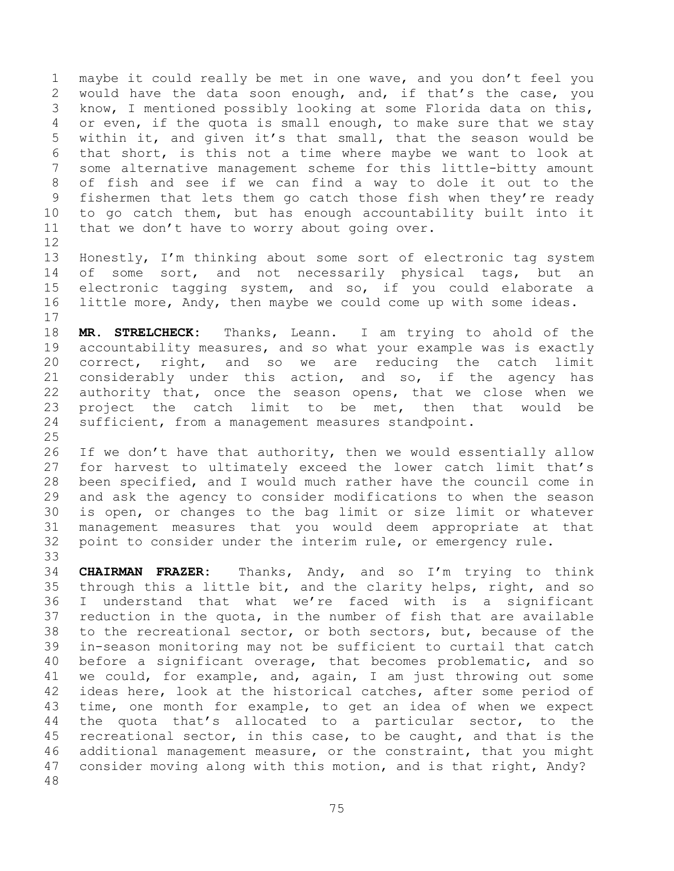maybe it could really be met in one wave, and you don't feel you would have the data soon enough, and, if that's the case, you know, I mentioned possibly looking at some Florida data on this, or even, if the quota is small enough, to make sure that we stay within it, and given it's that small, that the season would be that short, is this not a time where maybe we want to look at some alternative management scheme for this little-bitty amount of fish and see if we can find a way to dole it out to the fishermen that lets them go catch those fish when they're ready to go catch them, but has enough accountability built into it that we don't have to worry about going over.

 Honestly, I'm thinking about some sort of electronic tag system 14 of some sort, and not necessarily physical tags, but an electronic tagging system, and so, if you could elaborate a little more, Andy, then maybe we could come up with some ideas. 

 **MR. STRELCHECK:** Thanks, Leann. I am trying to ahold of the accountability measures, and so what your example was is exactly correct, right, and so we are reducing the catch limit considerably under this action, and so, if the agency has authority that, once the season opens, that we close when we project the catch limit to be met, then that would be sufficient, from a management measures standpoint.

26 If we don't have that authority, then we would essentially allow for harvest to ultimately exceed the lower catch limit that's been specified, and I would much rather have the council come in and ask the agency to consider modifications to when the season is open, or changes to the bag limit or size limit or whatever management measures that you would deem appropriate at that point to consider under the interim rule, or emergency rule. 

 **CHAIRMAN FRAZER:** Thanks, Andy, and so I'm trying to think through this a little bit, and the clarity helps, right, and so I understand that what we're faced with is a significant reduction in the quota, in the number of fish that are available to the recreational sector, or both sectors, but, because of the in-season monitoring may not be sufficient to curtail that catch before a significant overage, that becomes problematic, and so we could, for example, and, again, I am just throwing out some ideas here, look at the historical catches, after some period of time, one month for example, to get an idea of when we expect the quota that's allocated to a particular sector, to the recreational sector, in this case, to be caught, and that is the additional management measure, or the constraint, that you might consider moving along with this motion, and is that right, Andy?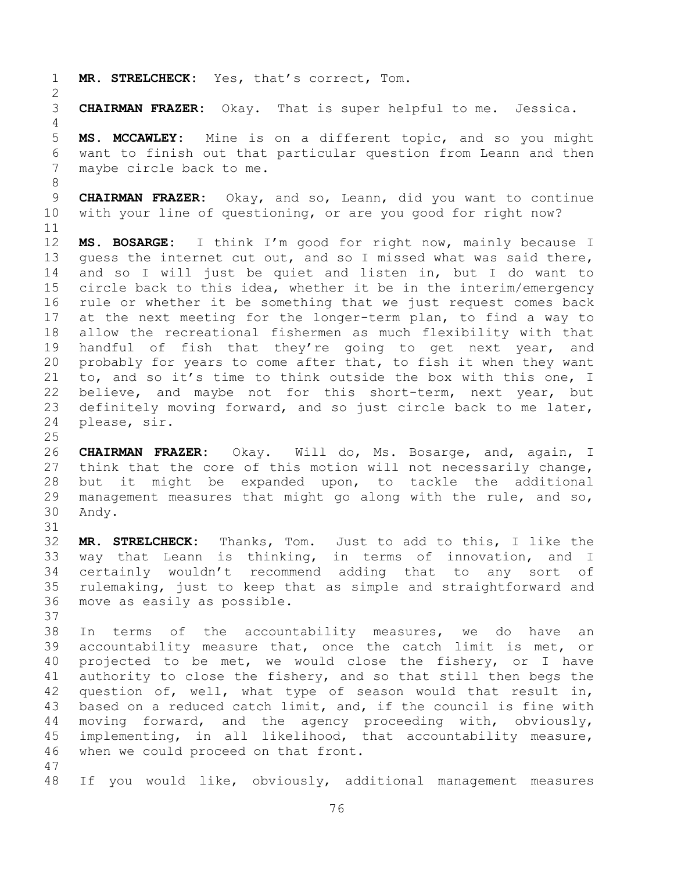**MR. STRELCHECK:** Yes, that's correct, Tom.

**CHAIRMAN FRAZER:** Okay. That is super helpful to me. Jessica.

 **MS. MCCAWLEY:** Mine is on a different topic, and so you might want to finish out that particular question from Leann and then maybe circle back to me.

 **CHAIRMAN FRAZER:** Okay, and so, Leann, did you want to continue with your line of questioning, or are you good for right now?

 **MS. BOSARGE:** I think I'm good for right now, mainly because I guess the internet cut out, and so I missed what was said there, and so I will just be quiet and listen in, but I do want to circle back to this idea, whether it be in the interim/emergency rule or whether it be something that we just request comes back at the next meeting for the longer-term plan, to find a way to allow the recreational fishermen as much flexibility with that handful of fish that they're going to get next year, and probably for years to come after that, to fish it when they want to, and so it's time to think outside the box with this one, I believe, and maybe not for this short-term, next year, but definitely moving forward, and so just circle back to me later, please, sir.

 **CHAIRMAN FRAZER:** Okay. Will do, Ms. Bosarge, and, again, I think that the core of this motion will not necessarily change, but it might be expanded upon, to tackle the additional management measures that might go along with the rule, and so, Andy.

 **MR. STRELCHECK:** Thanks, Tom. Just to add to this, I like the way that Leann is thinking, in terms of innovation, and I certainly wouldn't recommend adding that to any sort of rulemaking, just to keep that as simple and straightforward and move as easily as possible.

 In terms of the accountability measures, we do have an accountability measure that, once the catch limit is met, or projected to be met, we would close the fishery, or I have authority to close the fishery, and so that still then begs the question of, well, what type of season would that result in, based on a reduced catch limit, and, if the council is fine with moving forward, and the agency proceeding with, obviously, implementing, in all likelihood, that accountability measure, when we could proceed on that front. 

If you would like, obviously, additional management measures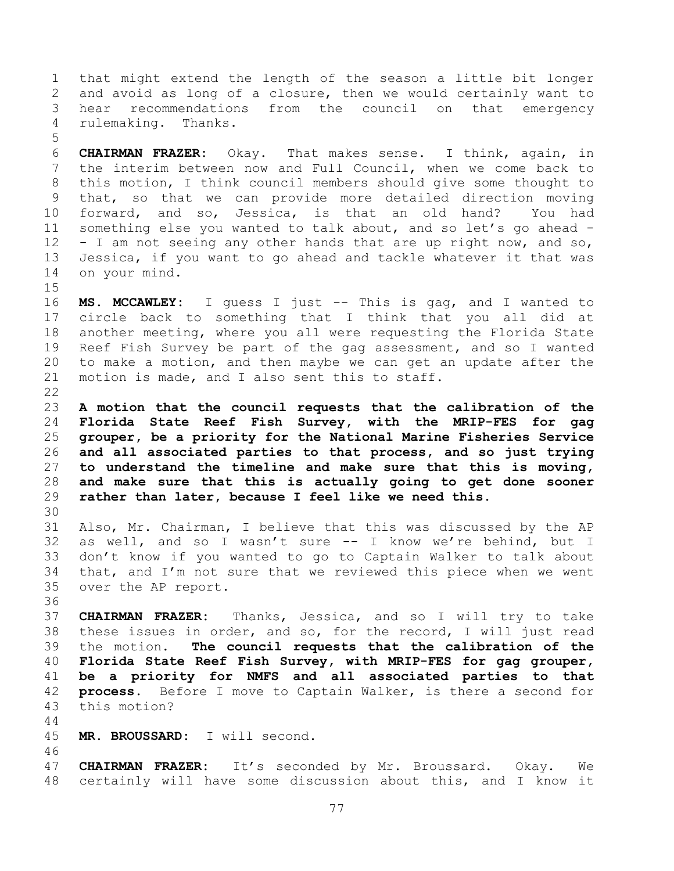that might extend the length of the season a little bit longer and avoid as long of a closure, then we would certainly want to hear recommendations from the council on that emergency rulemaking. Thanks.

 **CHAIRMAN FRAZER:** Okay. That makes sense. I think, again, in the interim between now and Full Council, when we come back to this motion, I think council members should give some thought to that, so that we can provide more detailed direction moving forward, and so, Jessica, is that an old hand? You had something else you wanted to talk about, and so let's go ahead - - I am not seeing any other hands that are up right now, and so, Jessica, if you want to go ahead and tackle whatever it that was on your mind.

 **MS. MCCAWLEY:** I guess I just -- This is gag, and I wanted to circle back to something that I think that you all did at another meeting, where you all were requesting the Florida State Reef Fish Survey be part of the gag assessment, and so I wanted to make a motion, and then maybe we can get an update after the 21 motion is made, and I also sent this to staff. 

 **A motion that the council requests that the calibration of the Florida State Reef Fish Survey, with the MRIP-FES for gag grouper, be a priority for the National Marine Fisheries Service and all associated parties to that process, and so just trying to understand the timeline and make sure that this is moving, and make sure that this is actually going to get done sooner rather than later, because I feel like we need this.**

 Also, Mr. Chairman, I believe that this was discussed by the AP as well, and so I wasn't sure -- I know we're behind, but I don't know if you wanted to go to Captain Walker to talk about that, and I'm not sure that we reviewed this piece when we went over the AP report.

 **CHAIRMAN FRAZER:** Thanks, Jessica, and so I will try to take these issues in order, and so, for the record, I will just read the motion. **The council requests that the calibration of the Florida State Reef Fish Survey, with MRIP-FES for gag grouper, be a priority for NMFS and all associated parties to that process.** Before I move to Captain Walker, is there a second for this motion?

**MR. BROUSSARD:** I will second.

 **CHAIRMAN FRAZER:** It's seconded by Mr. Broussard. Okay. We certainly will have some discussion about this, and I know it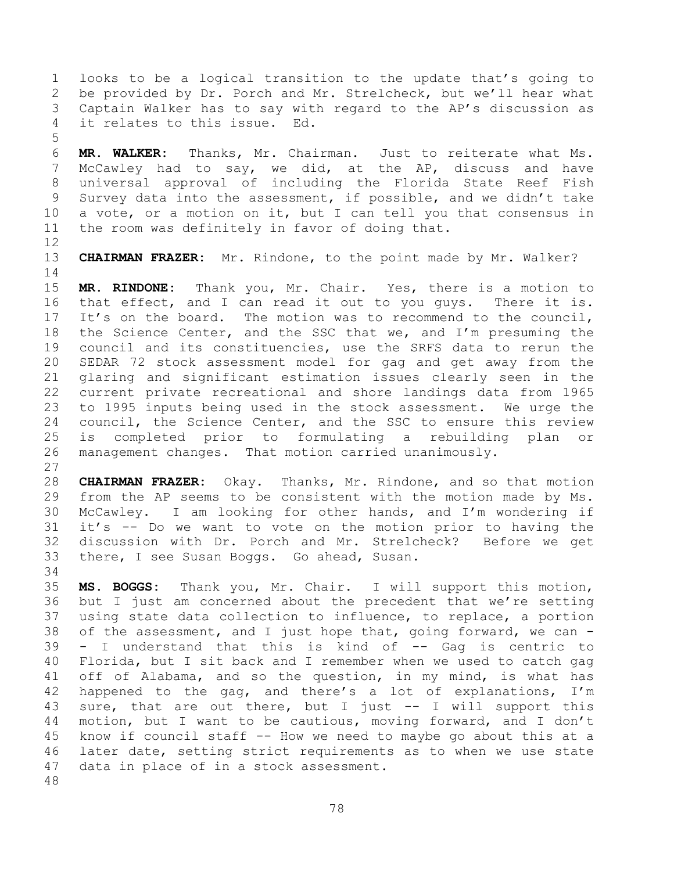looks to be a logical transition to the update that's going to be provided by Dr. Porch and Mr. Strelcheck, but we'll hear what Captain Walker has to say with regard to the AP's discussion as it relates to this issue. Ed.

 **MR. WALKER:** Thanks, Mr. Chairman. Just to reiterate what Ms. McCawley had to say, we did, at the AP, discuss and have universal approval of including the Florida State Reef Fish Survey data into the assessment, if possible, and we didn't take a vote, or a motion on it, but I can tell you that consensus in the room was definitely in favor of doing that.

**CHAIRMAN FRAZER:** Mr. Rindone, to the point made by Mr. Walker?

 **MR. RINDONE:** Thank you, Mr. Chair. Yes, there is a motion to that effect, and I can read it out to you guys. There it is. It's on the board. The motion was to recommend to the council, the Science Center, and the SSC that we, and I'm presuming the council and its constituencies, use the SRFS data to rerun the SEDAR 72 stock assessment model for gag and get away from the glaring and significant estimation issues clearly seen in the current private recreational and shore landings data from 1965 to 1995 inputs being used in the stock assessment. We urge the council, the Science Center, and the SSC to ensure this review is completed prior to formulating a rebuilding plan or management changes. That motion carried unanimously.

 **CHAIRMAN FRAZER:** Okay. Thanks, Mr. Rindone, and so that motion from the AP seems to be consistent with the motion made by Ms. McCawley. I am looking for other hands, and I'm wondering if it's -- Do we want to vote on the motion prior to having the discussion with Dr. Porch and Mr. Strelcheck? Before we get there, I see Susan Boggs. Go ahead, Susan.

 **MS. BOGGS:** Thank you, Mr. Chair. I will support this motion, but I just am concerned about the precedent that we're setting using state data collection to influence, to replace, a portion of the assessment, and I just hope that, going forward, we can - - I understand that this is kind of -- Gag is centric to Florida, but I sit back and I remember when we used to catch gag off of Alabama, and so the question, in my mind, is what has happened to the gag, and there's a lot of explanations, I'm sure, that are out there, but I just -- I will support this motion, but I want to be cautious, moving forward, and I don't know if council staff -- How we need to maybe go about this at a later date, setting strict requirements as to when we use state data in place of in a stock assessment.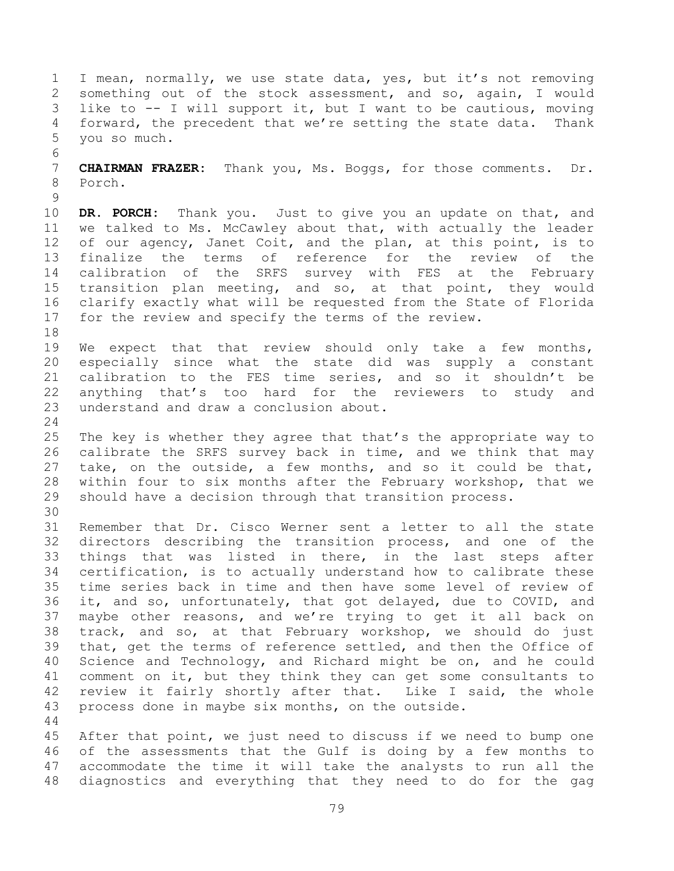I mean, normally, we use state data, yes, but it's not removing something out of the stock assessment, and so, again, I would like to -- I will support it, but I want to be cautious, moving forward, the precedent that we're setting the state data. Thank you so much. **CHAIRMAN FRAZER:** Thank you, Ms. Boggs, for those comments. Dr. Porch. **DR. PORCH:** Thank you. Just to give you an update on that, and we talked to Ms. McCawley about that, with actually the leader of our agency, Janet Coit, and the plan, at this point, is to finalize the terms of reference for the review of the calibration of the SRFS survey with FES at the February transition plan meeting, and so, at that point, they would clarify exactly what will be requested from the State of Florida for the review and specify the terms of the review. We expect that that review should only take a few months, especially since what the state did was supply a constant calibration to the FES time series, and so it shouldn't be anything that's too hard for the reviewers to study and understand and draw a conclusion about. The key is whether they agree that that's the appropriate way to calibrate the SRFS survey back in time, and we think that may take, on the outside, a few months, and so it could be that, within four to six months after the February workshop, that we should have a decision through that transition process. Remember that Dr. Cisco Werner sent a letter to all the state directors describing the transition process, and one of the things that was listed in there, in the last steps after certification, is to actually understand how to calibrate these time series back in time and then have some level of review of it, and so, unfortunately, that got delayed, due to COVID, and maybe other reasons, and we're trying to get it all back on track, and so, at that February workshop, we should do just that, get the terms of reference settled, and then the Office of Science and Technology, and Richard might be on, and he could comment on it, but they think they can get some consultants to review it fairly shortly after that. Like I said, the whole process done in maybe six months, on the outside. After that point, we just need to discuss if we need to bump one of the assessments that the Gulf is doing by a few months to accommodate the time it will take the analysts to run all the diagnostics and everything that they need to do for the gag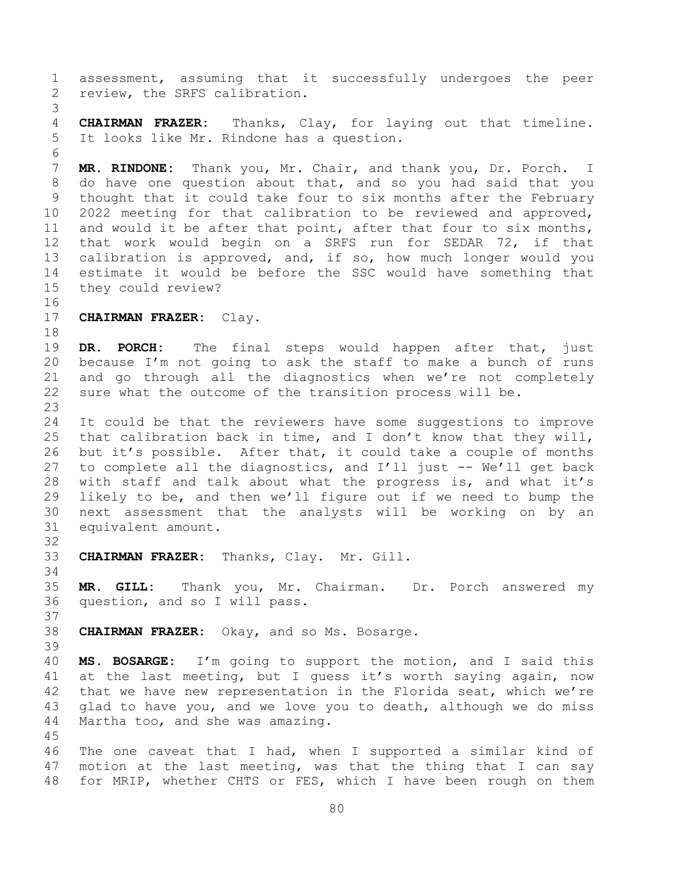assessment, assuming that it successfully undergoes the peer review, the SRFS calibration. **CHAIRMAN FRAZER:** Thanks, Clay, for laying out that timeline. It looks like Mr. Rindone has a question. **MR. RINDONE:** Thank you, Mr. Chair, and thank you, Dr. Porch. I do have one question about that, and so you had said that you thought that it could take four to six months after the February 2022 meeting for that calibration to be reviewed and approved, 11 and would it be after that point, after that four to six months, that work would begin on a SRFS run for SEDAR 72, if that calibration is approved, and, if so, how much longer would you estimate it would be before the SSC would have something that they could review? **CHAIRMAN FRAZER:** Clay. **DR. PORCH:** The final steps would happen after that, just because I'm not going to ask the staff to make a bunch of runs and go through all the diagnostics when we're not completely sure what the outcome of the transition process will be. It could be that the reviewers have some suggestions to improve that calibration back in time, and I don't know that they will, but it's possible. After that, it could take a couple of months 27 to complete all the diagnostics, and  $I'll$  just  $-$  We'll get back with staff and talk about what the progress is, and what it's likely to be, and then we'll figure out if we need to bump the next assessment that the analysts will be working on by an equivalent amount. **CHAIRMAN FRAZER:** Thanks, Clay. Mr. Gill. **MR. GILL:** Thank you, Mr. Chairman. Dr. Porch answered my question, and so I will pass. **CHAIRMAN FRAZER:** Okay, and so Ms. Bosarge. **MS. BOSARGE:** I'm going to support the motion, and I said this at the last meeting, but I guess it's worth saying again, now that we have new representation in the Florida seat, which we're glad to have you, and we love you to death, although we do miss Martha too, and she was amazing. The one caveat that I had, when I supported a similar kind of motion at the last meeting, was that the thing that I can say for MRIP, whether CHTS or FES, which I have been rough on them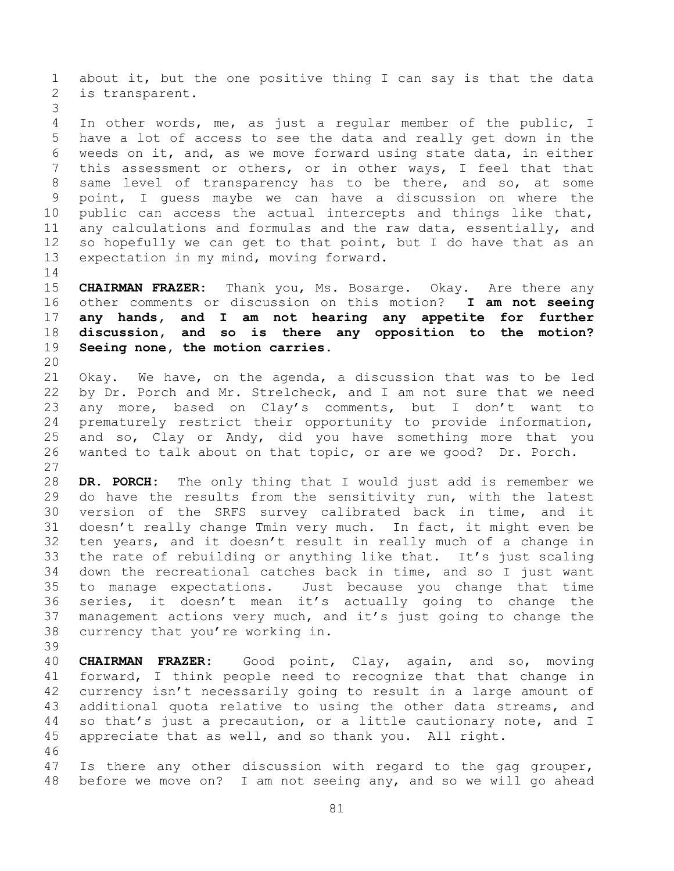about it, but the one positive thing I can say is that the data is transparent.

 In other words, me, as just a regular member of the public, I have a lot of access to see the data and really get down in the weeds on it, and, as we move forward using state data, in either this assessment or others, or in other ways, I feel that that same level of transparency has to be there, and so, at some point, I guess maybe we can have a discussion on where the public can access the actual intercepts and things like that, any calculations and formulas and the raw data, essentially, and so hopefully we can get to that point, but I do have that as an expectation in my mind, moving forward.

 **CHAIRMAN FRAZER:** Thank you, Ms. Bosarge. Okay. Are there any other comments or discussion on this motion? **I am not seeing any hands, and I am not hearing any appetite for further discussion, and so is there any opposition to the motion? Seeing none, the motion carries.** 

 Okay. We have, on the agenda, a discussion that was to be led by Dr. Porch and Mr. Strelcheck, and I am not sure that we need any more, based on Clay's comments, but I don't want to prematurely restrict their opportunity to provide information, and so, Clay or Andy, did you have something more that you wanted to talk about on that topic, or are we good? Dr. Porch. 

 **DR. PORCH:** The only thing that I would just add is remember we do have the results from the sensitivity run, with the latest version of the SRFS survey calibrated back in time, and it doesn't really change Tmin very much. In fact, it might even be ten years, and it doesn't result in really much of a change in the rate of rebuilding or anything like that. It's just scaling down the recreational catches back in time, and so I just want to manage expectations. Just because you change that time series, it doesn't mean it's actually going to change the management actions very much, and it's just going to change the currency that you're working in.

 **CHAIRMAN FRAZER:** Good point, Clay, again, and so, moving forward, I think people need to recognize that that change in currency isn't necessarily going to result in a large amount of additional quota relative to using the other data streams, and so that's just a precaution, or a little cautionary note, and I appreciate that as well, and so thank you. All right. 

 Is there any other discussion with regard to the gag grouper, before we move on? I am not seeing any, and so we will go ahead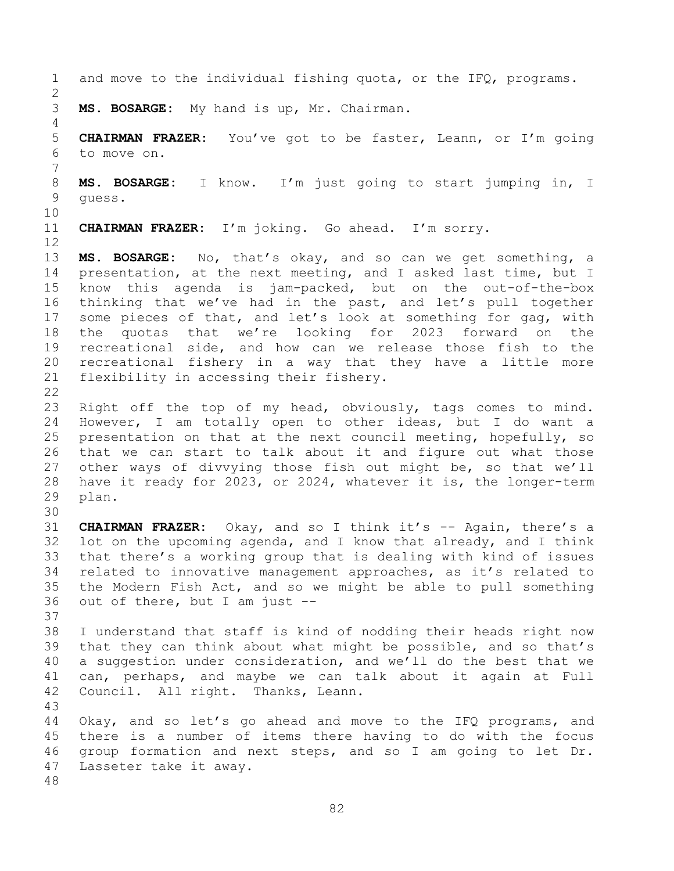and move to the individual fishing quota, or the IFQ, programs. **MS. BOSARGE:** My hand is up, Mr. Chairman. **CHAIRMAN FRAZER:** You've got to be faster, Leann, or I'm going to move on. **MS. BOSARGE:** I know. I'm just going to start jumping in, I guess. **CHAIRMAN FRAZER:** I'm joking. Go ahead. I'm sorry. **MS. BOSARGE:** No, that's okay, and so can we get something, a presentation, at the next meeting, and I asked last time, but I know this agenda is jam-packed, but on the out-of-the-box thinking that we've had in the past, and let's pull together some pieces of that, and let's look at something for gag, with the quotas that we're looking for 2023 forward on the recreational side, and how can we release those fish to the recreational fishery in a way that they have a little more flexibility in accessing their fishery. Right off the top of my head, obviously, tags comes to mind. However, I am totally open to other ideas, but I do want a presentation on that at the next council meeting, hopefully, so that we can start to talk about it and figure out what those other ways of divvying those fish out might be, so that we'll have it ready for 2023, or 2024, whatever it is, the longer-term plan. **CHAIRMAN FRAZER:** Okay, and so I think it's -- Again, there's a lot on the upcoming agenda, and I know that already, and I think that there's a working group that is dealing with kind of issues related to innovative management approaches, as it's related to the Modern Fish Act, and so we might be able to pull something out of there, but I am just -- I understand that staff is kind of nodding their heads right now that they can think about what might be possible, and so that's a suggestion under consideration, and we'll do the best that we can, perhaps, and maybe we can talk about it again at Full Council. All right. Thanks, Leann. Okay, and so let's go ahead and move to the IFQ programs, and there is a number of items there having to do with the focus group formation and next steps, and so I am going to let Dr. Lasseter take it away.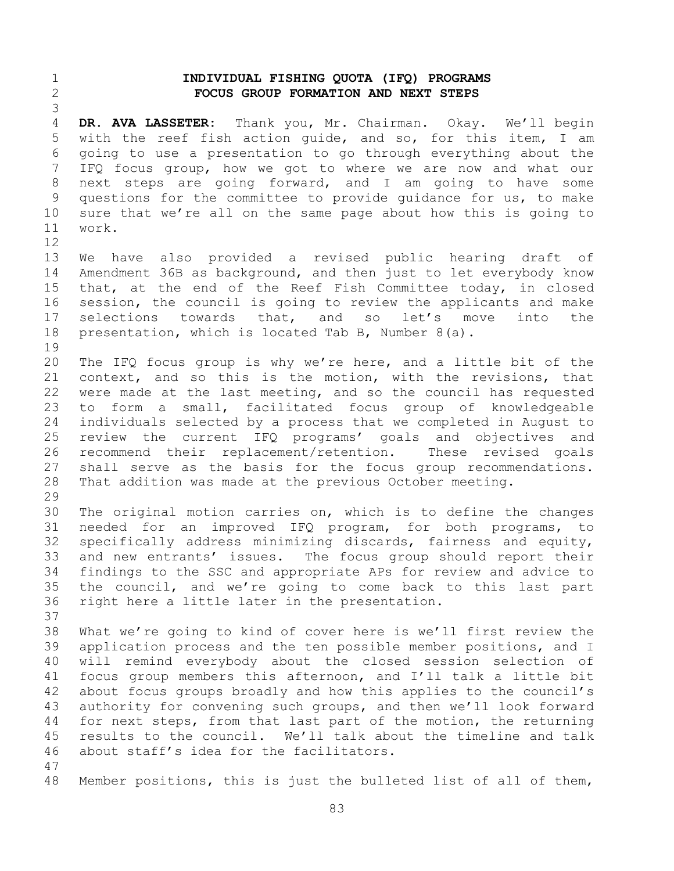## **INDIVIDUAL FISHING QUOTA (IFQ) PROGRAMS FOCUS GROUP FORMATION AND NEXT STEPS**

 **DR. AVA LASSETER:** Thank you, Mr. Chairman. Okay. We'll begin with the reef fish action guide, and so, for this item, I am going to use a presentation to go through everything about the IFQ focus group, how we got to where we are now and what our next steps are going forward, and I am going to have some questions for the committee to provide guidance for us, to make sure that we're all on the same page about how this is going to work. 

 We have also provided a revised public hearing draft of Amendment 36B as background, and then just to let everybody know that, at the end of the Reef Fish Committee today, in closed session, the council is going to review the applicants and make selections towards that, and so let's move into the presentation, which is located Tab B, Number 8(a).

 The IFQ focus group is why we're here, and a little bit of the context, and so this is the motion, with the revisions, that were made at the last meeting, and so the council has requested to form a small, facilitated focus group of knowledgeable individuals selected by a process that we completed in August to review the current IFQ programs' goals and objectives and recommend their replacement/retention. These revised goals shall serve as the basis for the focus group recommendations. That addition was made at the previous October meeting.

 The original motion carries on, which is to define the changes needed for an improved IFQ program, for both programs, to specifically address minimizing discards, fairness and equity, and new entrants' issues. The focus group should report their findings to the SSC and appropriate APs for review and advice to the council, and we're going to come back to this last part right here a little later in the presentation.

 What we're going to kind of cover here is we'll first review the application process and the ten possible member positions, and I will remind everybody about the closed session selection of focus group members this afternoon, and I'll talk a little bit about focus groups broadly and how this applies to the council's authority for convening such groups, and then we'll look forward for next steps, from that last part of the motion, the returning results to the council. We'll talk about the timeline and talk about staff's idea for the facilitators.

Member positions, this is just the bulleted list of all of them,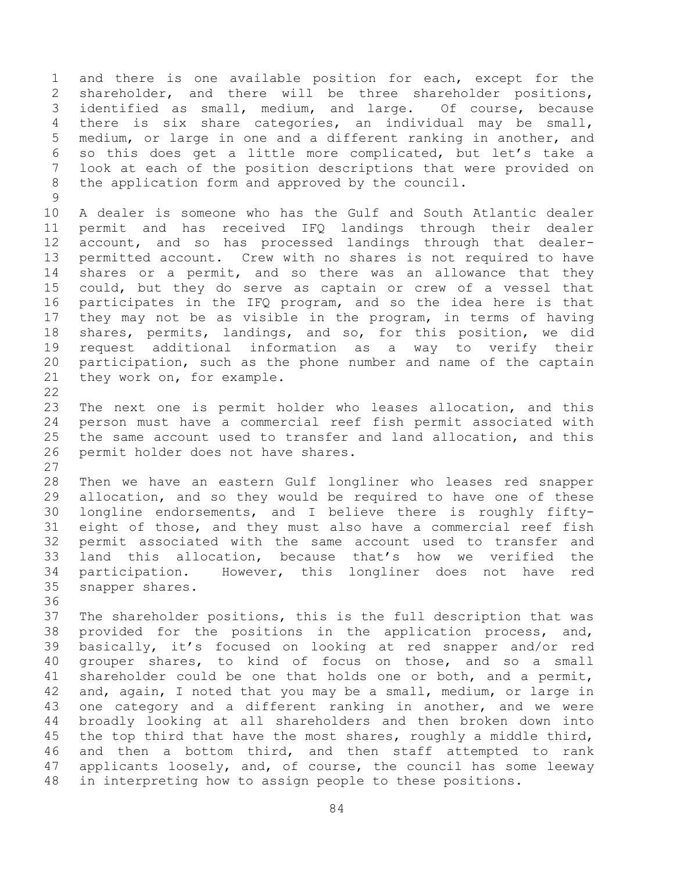and there is one available position for each, except for the shareholder, and there will be three shareholder positions, identified as small, medium, and large. Of course, because there is six share categories, an individual may be small, medium, or large in one and a different ranking in another, and so this does get a little more complicated, but let's take a look at each of the position descriptions that were provided on the application form and approved by the council.

 A dealer is someone who has the Gulf and South Atlantic dealer permit and has received IFQ landings through their dealer account, and so has processed landings through that dealer- permitted account. Crew with no shares is not required to have shares or a permit, and so there was an allowance that they could, but they do serve as captain or crew of a vessel that participates in the IFQ program, and so the idea here is that they may not be as visible in the program, in terms of having shares, permits, landings, and so, for this position, we did request additional information as a way to verify their participation, such as the phone number and name of the captain they work on, for example.

 The next one is permit holder who leases allocation, and this person must have a commercial reef fish permit associated with the same account used to transfer and land allocation, and this permit holder does not have shares.

 Then we have an eastern Gulf longliner who leases red snapper allocation, and so they would be required to have one of these longline endorsements, and I believe there is roughly fifty- eight of those, and they must also have a commercial reef fish permit associated with the same account used to transfer and land this allocation, because that's how we verified the participation. However, this longliner does not have red snapper shares.

 The shareholder positions, this is the full description that was provided for the positions in the application process, and, basically, it's focused on looking at red snapper and/or red grouper shares, to kind of focus on those, and so a small shareholder could be one that holds one or both, and a permit, and, again, I noted that you may be a small, medium, or large in one category and a different ranking in another, and we were broadly looking at all shareholders and then broken down into 45 the top third that have the most shares, roughly a middle third, and then a bottom third, and then staff attempted to rank applicants loosely, and, of course, the council has some leeway in interpreting how to assign people to these positions.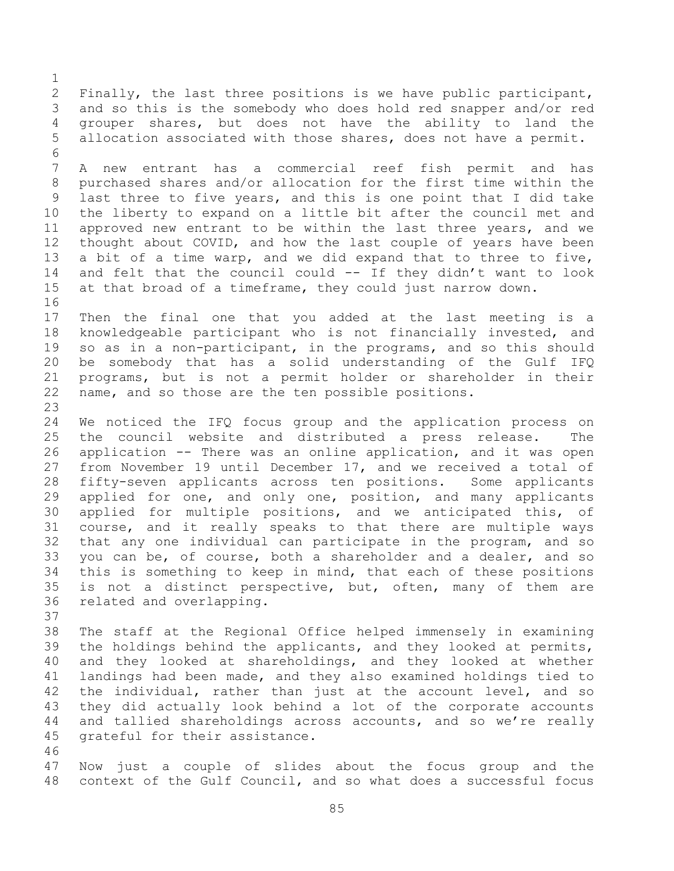Finally, the last three positions is we have public participant, and so this is the somebody who does hold red snapper and/or red grouper shares, but does not have the ability to land the allocation associated with those shares, does not have a permit. A new entrant has a commercial reef fish permit and has purchased shares and/or allocation for the first time within the last three to five years, and this is one point that I did take the liberty to expand on a little bit after the council met and approved new entrant to be within the last three years, and we thought about COVID, and how the last couple of years have been a bit of a time warp, and we did expand that to three to five, and felt that the council could -- If they didn't want to look at that broad of a timeframe, they could just narrow down. Then the final one that you added at the last meeting is a knowledgeable participant who is not financially invested, and so as in a non-participant, in the programs, and so this should be somebody that has a solid understanding of the Gulf IFQ programs, but is not a permit holder or shareholder in their name, and so those are the ten possible positions. We noticed the IFQ focus group and the application process on the council website and distributed a press release. The application -- There was an online application, and it was open from November 19 until December 17, and we received a total of fifty-seven applicants across ten positions. Some applicants applied for one, and only one, position, and many applicants applied for multiple positions, and we anticipated this, of course, and it really speaks to that there are multiple ways that any one individual can participate in the program, and so you can be, of course, both a shareholder and a dealer, and so this is something to keep in mind, that each of these positions is not a distinct perspective, but, often, many of them are related and overlapping. The staff at the Regional Office helped immensely in examining the holdings behind the applicants, and they looked at permits, and they looked at shareholdings, and they looked at whether landings had been made, and they also examined holdings tied to 42 the individual, rather than just at the account level, and so they did actually look behind a lot of the corporate accounts and tallied shareholdings across accounts, and so we're really grateful for their assistance. 

 Now just a couple of slides about the focus group and the context of the Gulf Council, and so what does a successful focus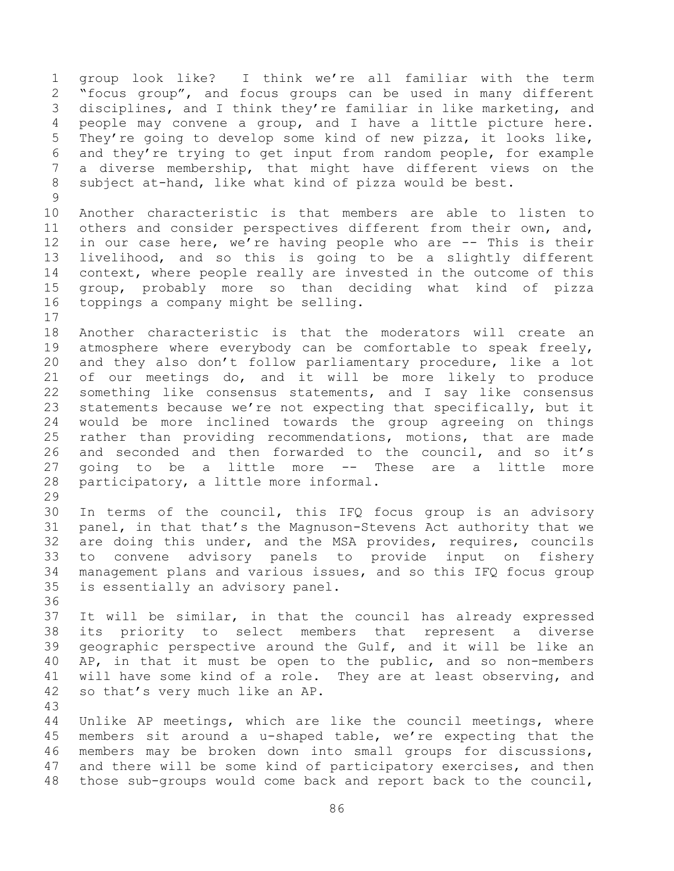group look like? I think we're all familiar with the term "focus group", and focus groups can be used in many different disciplines, and I think they're familiar in like marketing, and people may convene a group, and I have a little picture here. They're going to develop some kind of new pizza, it looks like, and they're trying to get input from random people, for example a diverse membership, that might have different views on the subject at-hand, like what kind of pizza would be best. 

 Another characteristic is that members are able to listen to others and consider perspectives different from their own, and, in our case here, we're having people who are -- This is their livelihood, and so this is going to be a slightly different context, where people really are invested in the outcome of this group, probably more so than deciding what kind of pizza toppings a company might be selling.

 Another characteristic is that the moderators will create an atmosphere where everybody can be comfortable to speak freely, and they also don't follow parliamentary procedure, like a lot of our meetings do, and it will be more likely to produce something like consensus statements, and I say like consensus statements because we're not expecting that specifically, but it would be more inclined towards the group agreeing on things rather than providing recommendations, motions, that are made 26 and seconded and then forwarded to the council, and so it's going to be a little more -- These are a little more participatory, a little more informal.

 In terms of the council, this IFQ focus group is an advisory panel, in that that's the Magnuson-Stevens Act authority that we are doing this under, and the MSA provides, requires, councils to convene advisory panels to provide input on fishery management plans and various issues, and so this IFQ focus group is essentially an advisory panel.

 It will be similar, in that the council has already expressed its priority to select members that represent a diverse geographic perspective around the Gulf, and it will be like an AP, in that it must be open to the public, and so non-members will have some kind of a role. They are at least observing, and so that's very much like an AP.

 Unlike AP meetings, which are like the council meetings, where members sit around a u-shaped table, we're expecting that the members may be broken down into small groups for discussions, 47 and there will be some kind of participatory exercises, and then those sub-groups would come back and report back to the council,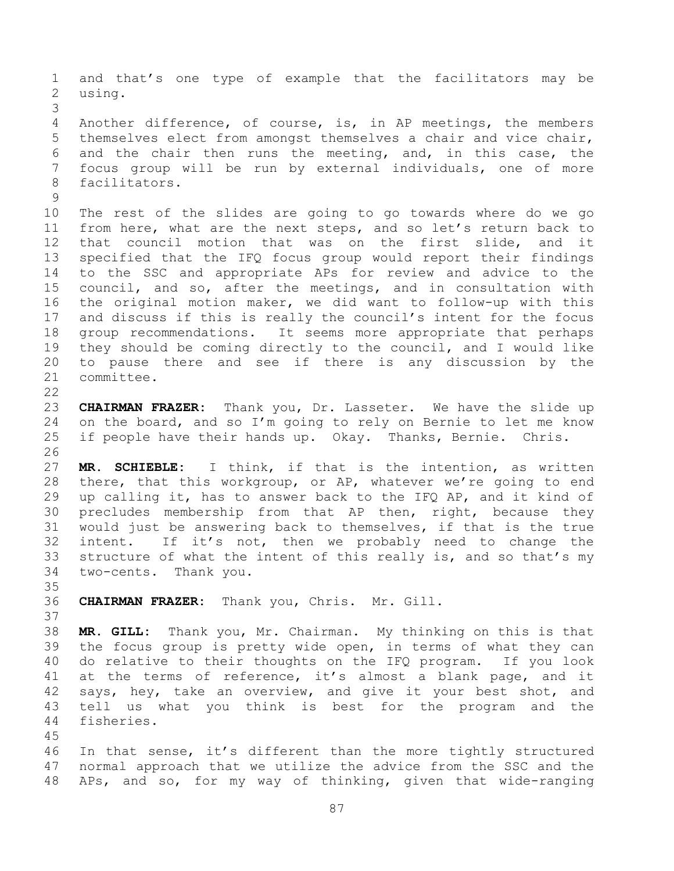and that's one type of example that the facilitators may be using. Another difference, of course, is, in AP meetings, the members themselves elect from amongst themselves a chair and vice chair, and the chair then runs the meeting, and, in this case, the focus group will be run by external individuals, one of more facilitators. The rest of the slides are going to go towards where do we go from here, what are the next steps, and so let's return back to that council motion that was on the first slide, and it specified that the IFQ focus group would report their findings to the SSC and appropriate APs for review and advice to the council, and so, after the meetings, and in consultation with the original motion maker, we did want to follow-up with this and discuss if this is really the council's intent for the focus group recommendations. It seems more appropriate that perhaps they should be coming directly to the council, and I would like to pause there and see if there is any discussion by the committee. **CHAIRMAN FRAZER:** Thank you, Dr. Lasseter. We have the slide up on the board, and so I'm going to rely on Bernie to let me know if people have their hands up. Okay. Thanks, Bernie. Chris. **MR. SCHIEBLE:** I think, if that is the intention, as written there, that this workgroup, or AP, whatever we're going to end up calling it, has to answer back to the IFQ AP, and it kind of precludes membership from that AP then, right, because they would just be answering back to themselves, if that is the true intent. If it's not, then we probably need to change the structure of what the intent of this really is, and so that's my two-cents. Thank you. **CHAIRMAN FRAZER:** Thank you, Chris. Mr. Gill. **MR. GILL:** Thank you, Mr. Chairman. My thinking on this is that the focus group is pretty wide open, in terms of what they can do relative to their thoughts on the IFQ program. If you look at the terms of reference, it's almost a blank page, and it says, hey, take an overview, and give it your best shot, and tell us what you think is best for the program and the fisheries. In that sense, it's different than the more tightly structured normal approach that we utilize the advice from the SSC and the

APs, and so, for my way of thinking, given that wide-ranging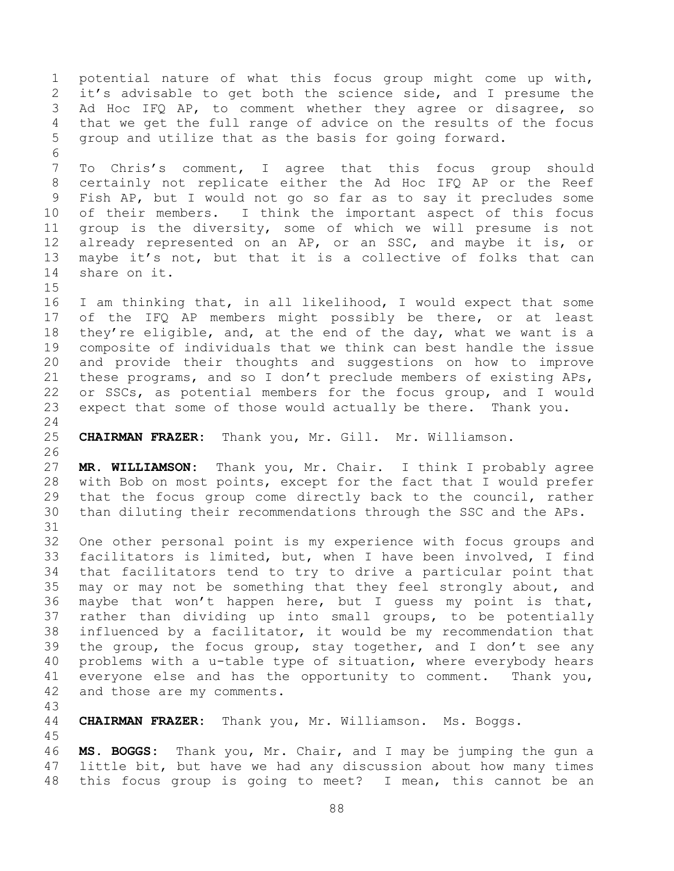potential nature of what this focus group might come up with, it's advisable to get both the science side, and I presume the 3 Ad Hoc IFQ AP, to comment whether they agree or disagree, so that we get the full range of advice on the results of the focus group and utilize that as the basis for going forward. To Chris's comment, I agree that this focus group should certainly not replicate either the Ad Hoc IFQ AP or the Reef Fish AP, but I would not go so far as to say it precludes some of their members. I think the important aspect of this focus group is the diversity, some of which we will presume is not 12 already represented on an AP, or an SSC, and maybe it is, or maybe it's not, but that it is a collective of folks that can share on it. I am thinking that, in all likelihood, I would expect that some of the IFQ AP members might possibly be there, or at least they're eligible, and, at the end of the day, what we want is a composite of individuals that we think can best handle the issue and provide their thoughts and suggestions on how to improve these programs, and so I don't preclude members of existing APs, or SSCs, as potential members for the focus group, and I would expect that some of those would actually be there. Thank you. **CHAIRMAN FRAZER:** Thank you, Mr. Gill. Mr. Williamson. **MR. WILLIAMSON:** Thank you, Mr. Chair. I think I probably agree with Bob on most points, except for the fact that I would prefer that the focus group come directly back to the council, rather than diluting their recommendations through the SSC and the APs. One other personal point is my experience with focus groups and facilitators is limited, but, when I have been involved, I find that facilitators tend to try to drive a particular point that may or may not be something that they feel strongly about, and maybe that won't happen here, but I guess my point is that, rather than dividing up into small groups, to be potentially influenced by a facilitator, it would be my recommendation that the group, the focus group, stay together, and I don't see any problems with a u-table type of situation, where everybody hears everyone else and has the opportunity to comment. Thank you, and those are my comments. **CHAIRMAN FRAZER:** Thank you, Mr. Williamson. Ms. Boggs.

 **MS. BOGGS:** Thank you, Mr. Chair, and I may be jumping the gun a little bit, but have we had any discussion about how many times this focus group is going to meet? I mean, this cannot be an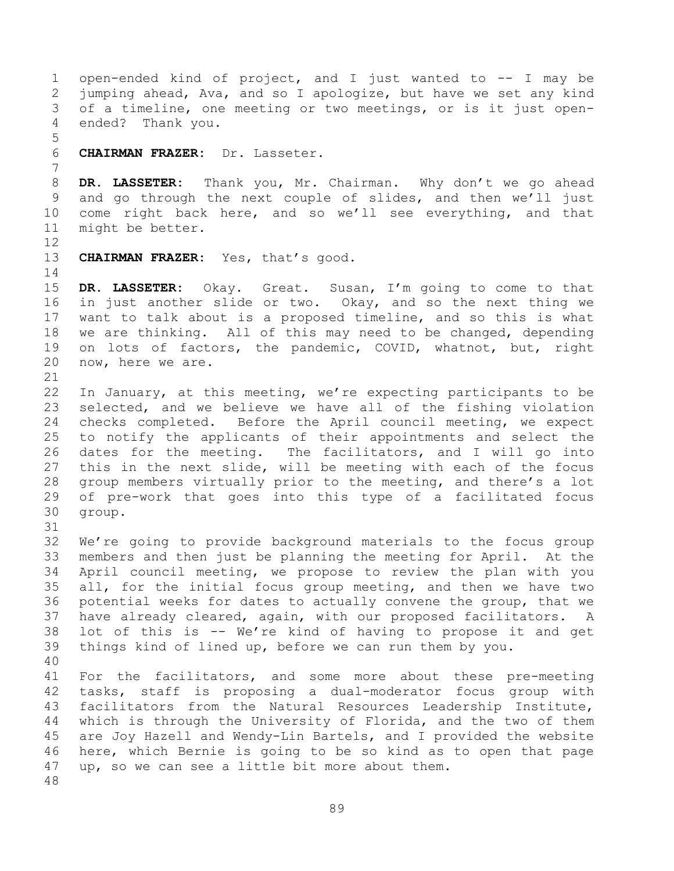open-ended kind of project, and I just wanted to -- I may be jumping ahead, Ava, and so I apologize, but have we set any kind of a timeline, one meeting or two meetings, or is it just open- ended? Thank you. **CHAIRMAN FRAZER:** Dr. Lasseter. **DR. LASSETER:** Thank you, Mr. Chairman. Why don't we go ahead and go through the next couple of slides, and then we'll just come right back here, and so we'll see everything, and that might be better. **CHAIRMAN FRAZER:** Yes, that's good. **DR. LASSETER:** Okay. Great. Susan, I'm going to come to that in just another slide or two. Okay, and so the next thing we want to talk about is a proposed timeline, and so this is what we are thinking. All of this may need to be changed, depending on lots of factors, the pandemic, COVID, whatnot, but, right now, here we are. 

 In January, at this meeting, we're expecting participants to be selected, and we believe we have all of the fishing violation checks completed. Before the April council meeting, we expect to notify the applicants of their appointments and select the dates for the meeting. The facilitators, and I will go into this in the next slide, will be meeting with each of the focus group members virtually prior to the meeting, and there's a lot of pre-work that goes into this type of a facilitated focus group. 

 We're going to provide background materials to the focus group members and then just be planning the meeting for April. At the April council meeting, we propose to review the plan with you all, for the initial focus group meeting, and then we have two potential weeks for dates to actually convene the group, that we have already cleared, again, with our proposed facilitators. A lot of this is -- We're kind of having to propose it and get things kind of lined up, before we can run them by you. 

 For the facilitators, and some more about these pre-meeting tasks, staff is proposing a dual-moderator focus group with facilitators from the Natural Resources Leadership Institute, which is through the University of Florida, and the two of them are Joy Hazell and Wendy-Lin Bartels, and I provided the website here, which Bernie is going to be so kind as to open that page up, so we can see a little bit more about them.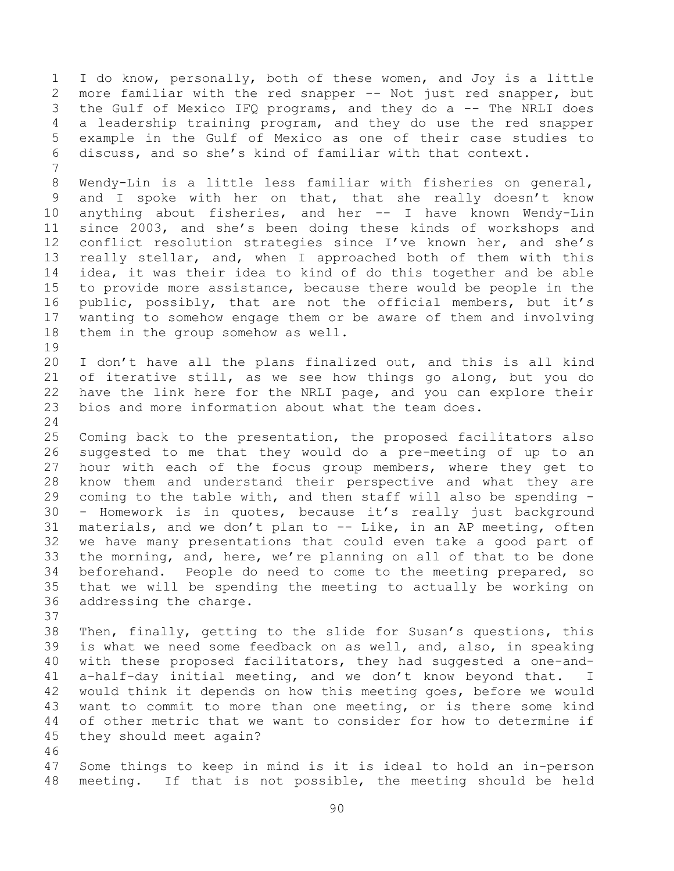I do know, personally, both of these women, and Joy is a little more familiar with the red snapper -- Not just red snapper, but the Gulf of Mexico IFQ programs, and they do a -- The NRLI does a leadership training program, and they do use the red snapper example in the Gulf of Mexico as one of their case studies to discuss, and so she's kind of familiar with that context. Wendy-Lin is a little less familiar with fisheries on general, and I spoke with her on that, that she really doesn't know anything about fisheries, and her -- I have known Wendy-Lin since 2003, and she's been doing these kinds of workshops and conflict resolution strategies since I've known her, and she's really stellar, and, when I approached both of them with this idea, it was their idea to kind of do this together and be able to provide more assistance, because there would be people in the public, possibly, that are not the official members, but it's wanting to somehow engage them or be aware of them and involving them in the group somehow as well. I don't have all the plans finalized out, and this is all kind of iterative still, as we see how things go along, but you do have the link here for the NRLI page, and you can explore their bios and more information about what the team does. Coming back to the presentation, the proposed facilitators also suggested to me that they would do a pre-meeting of up to an hour with each of the focus group members, where they get to know them and understand their perspective and what they are coming to the table with, and then staff will also be spending - - Homework is in quotes, because it's really just background materials, and we don't plan to -- Like, in an AP meeting, often we have many presentations that could even take a good part of the morning, and, here, we're planning on all of that to be done beforehand. People do need to come to the meeting prepared, so that we will be spending the meeting to actually be working on addressing the charge. Then, finally, getting to the slide for Susan's questions, this is what we need some feedback on as well, and, also, in speaking with these proposed facilitators, they had suggested a one-and- a-half-day initial meeting, and we don't know beyond that. I would think it depends on how this meeting goes, before we would want to commit to more than one meeting, or is there some kind of other metric that we want to consider for how to determine if they should meet again? 

 Some things to keep in mind is it is ideal to hold an in-person meeting. If that is not possible, the meeting should be held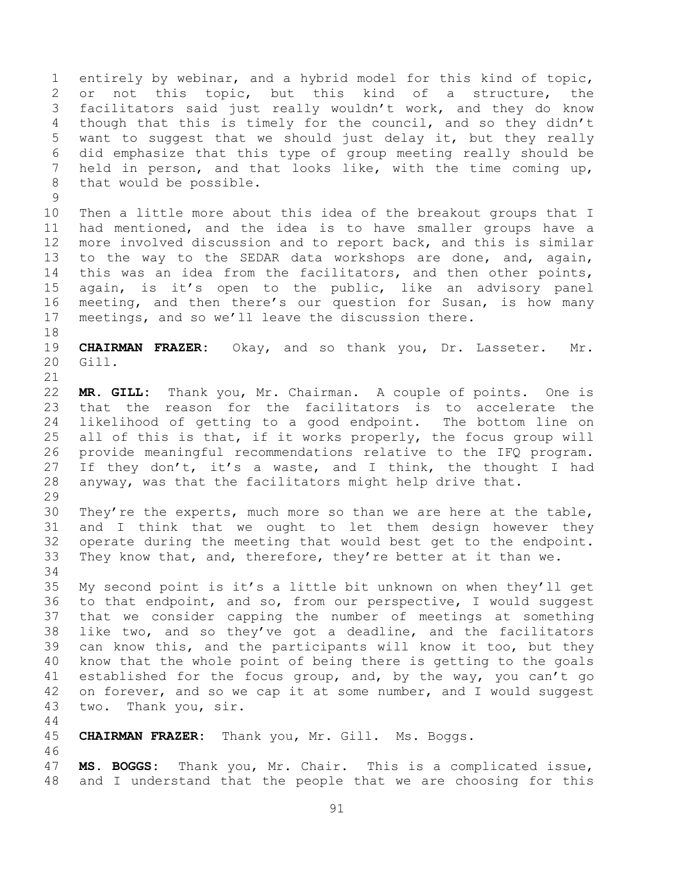entirely by webinar, and a hybrid model for this kind of topic, or not this topic, but this kind of a structure, the facilitators said just really wouldn't work, and they do know though that this is timely for the council, and so they didn't want to suggest that we should just delay it, but they really did emphasize that this type of group meeting really should be held in person, and that looks like, with the time coming up, that would be possible.

 Then a little more about this idea of the breakout groups that I had mentioned, and the idea is to have smaller groups have a more involved discussion and to report back, and this is similar to the way to the SEDAR data workshops are done, and, again, this was an idea from the facilitators, and then other points, again, is it's open to the public, like an advisory panel meeting, and then there's our question for Susan, is how many meetings, and so we'll leave the discussion there.

 **CHAIRMAN FRAZER:** Okay, and so thank you, Dr. Lasseter. Mr. Gill.

 **MR. GILL:** Thank you, Mr. Chairman. A couple of points. One is that the reason for the facilitators is to accelerate the likelihood of getting to a good endpoint. The bottom line on all of this is that, if it works properly, the focus group will provide meaningful recommendations relative to the IFQ program. 27 If they don't, it's a waste, and I think, the thought I had anyway, was that the facilitators might help drive that. 

 They're the experts, much more so than we are here at the table, and I think that we ought to let them design however they operate during the meeting that would best get to the endpoint. They know that, and, therefore, they're better at it than we. 

 My second point is it's a little bit unknown on when they'll get to that endpoint, and so, from our perspective, I would suggest that we consider capping the number of meetings at something like two, and so they've got a deadline, and the facilitators can know this, and the participants will know it too, but they know that the whole point of being there is getting to the goals established for the focus group, and, by the way, you can't go 42 on forever, and so we cap it at some number, and I would suggest two. Thank you, sir.

**CHAIRMAN FRAZER:** Thank you, Mr. Gill. Ms. Boggs.

 **MS. BOGGS:** Thank you, Mr. Chair. This is a complicated issue, and I understand that the people that we are choosing for this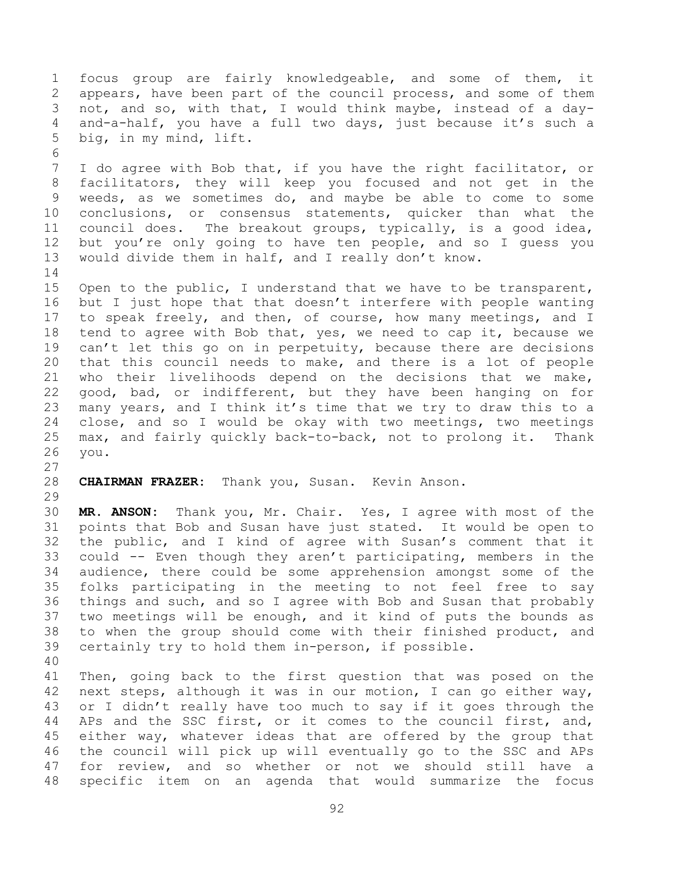focus group are fairly knowledgeable, and some of them, it appears, have been part of the council process, and some of them not, and so, with that, I would think maybe, instead of a day- and-a-half, you have a full two days, just because it's such a big, in my mind, lift. I do agree with Bob that, if you have the right facilitator, or facilitators, they will keep you focused and not get in the weeds, as we sometimes do, and maybe be able to come to some conclusions, or consensus statements, quicker than what the council does. The breakout groups, typically, is a good idea, but you're only going to have ten people, and so I guess you would divide them in half, and I really don't know. Open to the public, I understand that we have to be transparent,

 but I just hope that that doesn't interfere with people wanting to speak freely, and then, of course, how many meetings, and I tend to agree with Bob that, yes, we need to cap it, because we 19 can't let this go on in perpetuity, because there are decisions that this council needs to make, and there is a lot of people who their livelihoods depend on the decisions that we make, good, bad, or indifferent, but they have been hanging on for many years, and I think it's time that we try to draw this to a close, and so I would be okay with two meetings, two meetings max, and fairly quickly back-to-back, not to prolong it. Thank you.

**CHAIRMAN FRAZER:** Thank you, Susan. Kevin Anson.

 **MR. ANSON:** Thank you, Mr. Chair. Yes, I agree with most of the points that Bob and Susan have just stated. It would be open to the public, and I kind of agree with Susan's comment that it could -- Even though they aren't participating, members in the audience, there could be some apprehension amongst some of the folks participating in the meeting to not feel free to say things and such, and so I agree with Bob and Susan that probably two meetings will be enough, and it kind of puts the bounds as to when the group should come with their finished product, and certainly try to hold them in-person, if possible.

 Then, going back to the first question that was posed on the next steps, although it was in our motion, I can go either way, or I didn't really have too much to say if it goes through the APs and the SSC first, or it comes to the council first, and, either way, whatever ideas that are offered by the group that the council will pick up will eventually go to the SSC and APs for review, and so whether or not we should still have a specific item on an agenda that would summarize the focus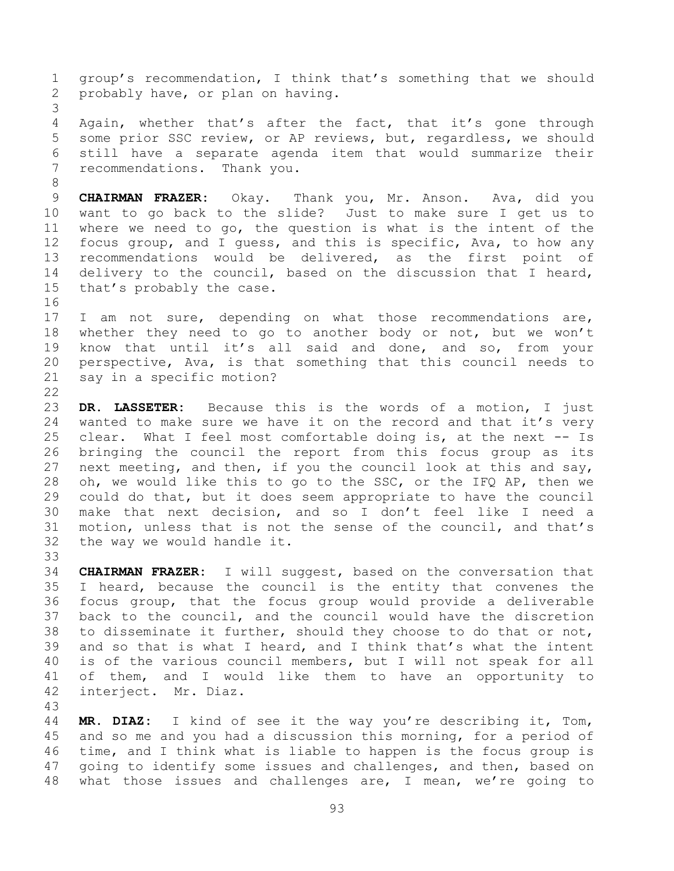group's recommendation, I think that's something that we should probably have, or plan on having. Again, whether that's after the fact, that it's gone through some prior SSC review, or AP reviews, but, regardless, we should still have a separate agenda item that would summarize their recommendations. Thank you. **CHAIRMAN FRAZER:** Okay. Thank you, Mr. Anson. Ava, did you want to go back to the slide? Just to make sure I get us to where we need to go, the question is what is the intent of the focus group, and I guess, and this is specific, Ava, to how any recommendations would be delivered, as the first point of delivery to the council, based on the discussion that I heard, that's probably the case. 17 I am not sure, depending on what those recommendations are, whether they need to go to another body or not, but we won't know that until it's all said and done, and so, from your perspective, Ava, is that something that this council needs to say in a specific motion? **DR. LASSETER:** Because this is the words of a motion, I just wanted to make sure we have it on the record and that it's very clear. What I feel most comfortable doing is, at the next -- Is bringing the council the report from this focus group as its next meeting, and then, if you the council look at this and say, oh, we would like this to go to the SSC, or the IFQ AP, then we could do that, but it does seem appropriate to have the council make that next decision, and so I don't feel like I need a motion, unless that is not the sense of the council, and that's

 the way we would handle it. 

 **CHAIRMAN FRAZER:** I will suggest, based on the conversation that I heard, because the council is the entity that convenes the focus group, that the focus group would provide a deliverable back to the council, and the council would have the discretion to disseminate it further, should they choose to do that or not, and so that is what I heard, and I think that's what the intent is of the various council members, but I will not speak for all of them, and I would like them to have an opportunity to interject. Mr. Diaz.

 **MR. DIAZ:** I kind of see it the way you're describing it, Tom, and so me and you had a discussion this morning, for a period of time, and I think what is liable to happen is the focus group is going to identify some issues and challenges, and then, based on what those issues and challenges are, I mean, we're going to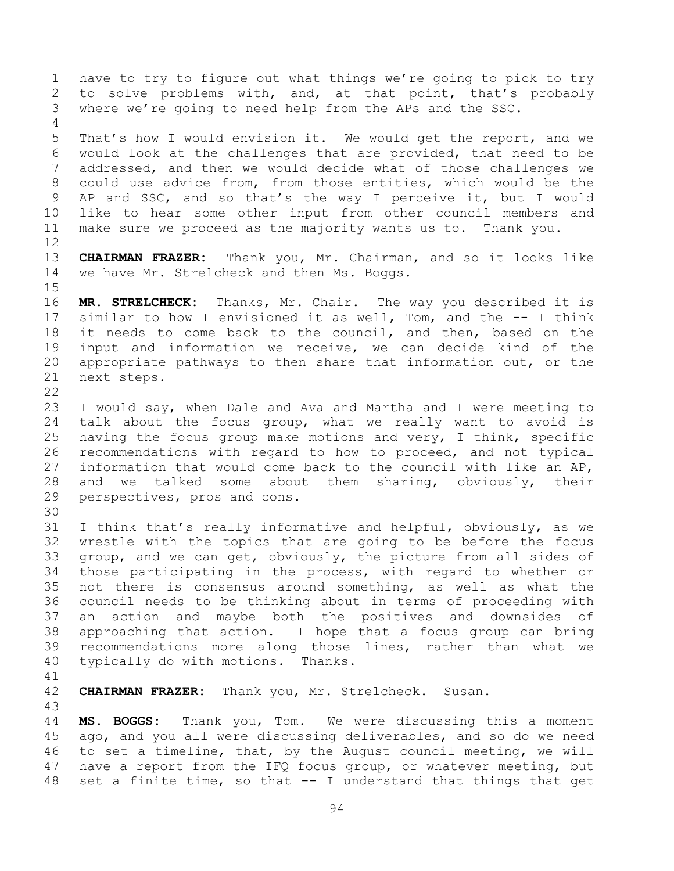have to try to figure out what things we're going to pick to try to solve problems with, and, at that point, that's probably where we're going to need help from the APs and the SSC. That's how I would envision it. We would get the report, and we would look at the challenges that are provided, that need to be addressed, and then we would decide what of those challenges we could use advice from, from those entities, which would be the AP and SSC, and so that's the way I perceive it, but I would like to hear some other input from other council members and make sure we proceed as the majority wants us to. Thank you. **CHAIRMAN FRAZER:** Thank you, Mr. Chairman, and so it looks like we have Mr. Strelcheck and then Ms. Boggs. **MR. STRELCHECK:** Thanks, Mr. Chair. The way you described it is similar to how I envisioned it as well, Tom, and the -- I think it needs to come back to the council, and then, based on the input and information we receive, we can decide kind of the appropriate pathways to then share that information out, or the next steps. I would say, when Dale and Ava and Martha and I were meeting to talk about the focus group, what we really want to avoid is having the focus group make motions and very, I think, specific recommendations with regard to how to proceed, and not typical information that would come back to the council with like an AP, and we talked some about them sharing, obviously, their perspectives, pros and cons. I think that's really informative and helpful, obviously, as we wrestle with the topics that are going to be before the focus group, and we can get, obviously, the picture from all sides of those participating in the process, with regard to whether or not there is consensus around something, as well as what the council needs to be thinking about in terms of proceeding with an action and maybe both the positives and downsides of approaching that action. I hope that a focus group can bring recommendations more along those lines, rather than what we typically do with motions. Thanks.

**CHAIRMAN FRAZER:** Thank you, Mr. Strelcheck. Susan.

 **MS. BOGGS:** Thank you, Tom. We were discussing this a moment ago, and you all were discussing deliverables, and so do we need to set a timeline, that, by the August council meeting, we will have a report from the IFQ focus group, or whatever meeting, but set a finite time, so that -- I understand that things that get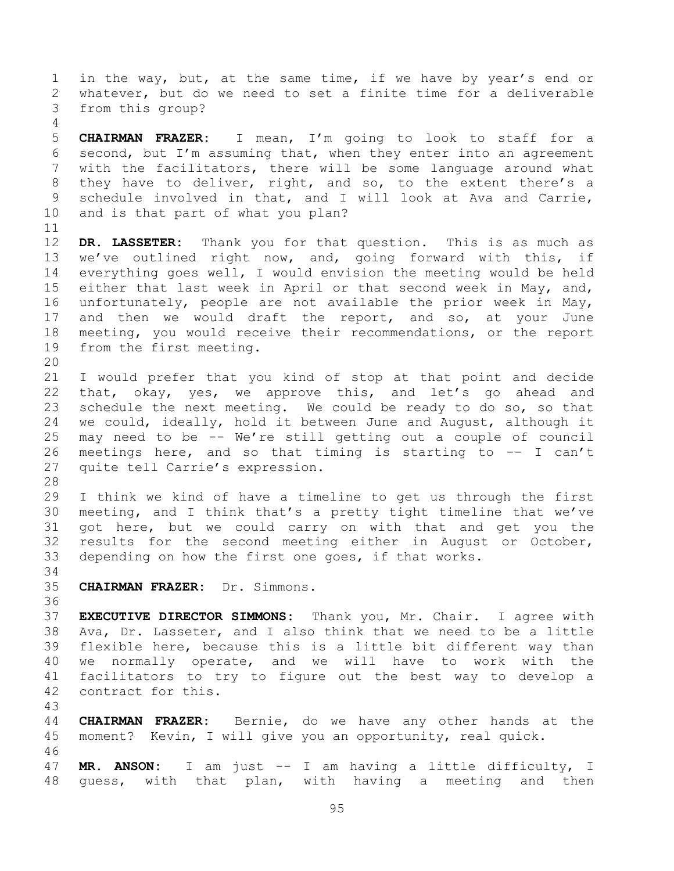1 in the way, but, at the same time, if we have by year's end or whatever, but do we need to set a finite time for a deliverable from this group?

 **CHAIRMAN FRAZER:** I mean, I'm going to look to staff for a second, but I'm assuming that, when they enter into an agreement with the facilitators, there will be some language around what they have to deliver, right, and so, to the extent there's a schedule involved in that, and I will look at Ava and Carrie, and is that part of what you plan?

 **DR. LASSETER:** Thank you for that question. This is as much as we've outlined right now, and, going forward with this, if everything goes well, I would envision the meeting would be held 15 either that last week in April or that second week in May, and, unfortunately, people are not available the prior week in May, and then we would draft the report, and so, at your June meeting, you would receive their recommendations, or the report from the first meeting.

 I would prefer that you kind of stop at that point and decide that, okay, yes, we approve this, and let's go ahead and schedule the next meeting. We could be ready to do so, so that we could, ideally, hold it between June and August, although it may need to be -- We're still getting out a couple of council meetings here, and so that timing is starting to -- I can't quite tell Carrie's expression.

 I think we kind of have a timeline to get us through the first meeting, and I think that's a pretty tight timeline that we've got here, but we could carry on with that and get you the results for the second meeting either in August or October, depending on how the first one goes, if that works.

**CHAIRMAN FRAZER:** Dr. Simmons.

 **EXECUTIVE DIRECTOR SIMMONS:** Thank you, Mr. Chair. I agree with Ava, Dr. Lasseter, and I also think that we need to be a little flexible here, because this is a little bit different way than we normally operate, and we will have to work with the facilitators to try to figure out the best way to develop a contract for this.

 **CHAIRMAN FRAZER:** Bernie, do we have any other hands at the moment? Kevin, I will give you an opportunity, real quick. 

 **MR. ANSON:** I am just -- I am having a little difficulty, I guess, with that plan, with having a meeting and then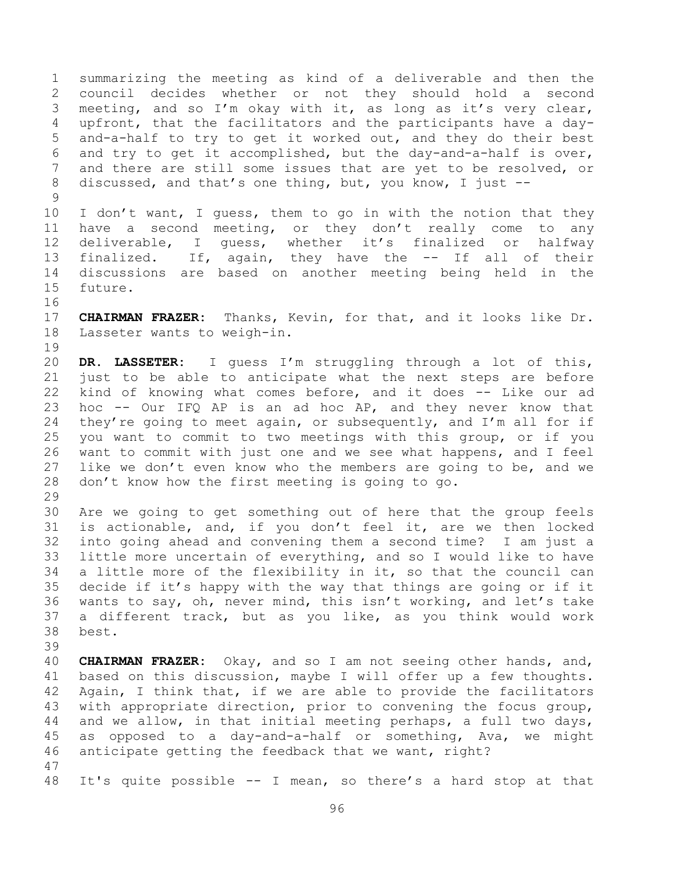summarizing the meeting as kind of a deliverable and then the council decides whether or not they should hold a second meeting, and so I'm okay with it, as long as it's very clear, upfront, that the facilitators and the participants have a day- and-a-half to try to get it worked out, and they do their best and try to get it accomplished, but the day-and-a-half is over, and there are still some issues that are yet to be resolved, or discussed, and that's one thing, but, you know, I just -- 

 I don't want, I guess, them to go in with the notion that they have a second meeting, or they don't really come to any deliverable, I guess, whether it's finalized or halfway finalized. If, again, they have the -- If all of their discussions are based on another meeting being held in the future.

 **CHAIRMAN FRAZER:** Thanks, Kevin, for that, and it looks like Dr. Lasseter wants to weigh-in. 

 **DR. LASSETER:** I guess I'm struggling through a lot of this, just to be able to anticipate what the next steps are before kind of knowing what comes before, and it does -- Like our ad hoc -- Our IFQ AP is an ad hoc AP, and they never know that 24 they're going to meet again, or subsequently, and I'm all for if you want to commit to two meetings with this group, or if you want to commit with just one and we see what happens, and I feel like we don't even know who the members are going to be, and we don't know how the first meeting is going to go. 

 Are we going to get something out of here that the group feels is actionable, and, if you don't feel it, are we then locked into going ahead and convening them a second time? I am just a little more uncertain of everything, and so I would like to have a little more of the flexibility in it, so that the council can decide if it's happy with the way that things are going or if it wants to say, oh, never mind, this isn't working, and let's take a different track, but as you like, as you think would work best.

 **CHAIRMAN FRAZER:** Okay, and so I am not seeing other hands, and, based on this discussion, maybe I will offer up a few thoughts. Again, I think that, if we are able to provide the facilitators with appropriate direction, prior to convening the focus group, and we allow, in that initial meeting perhaps, a full two days, as opposed to a day-and-a-half or something, Ava, we might anticipate getting the feedback that we want, right? 

It's quite possible -- I mean, so there's a hard stop at that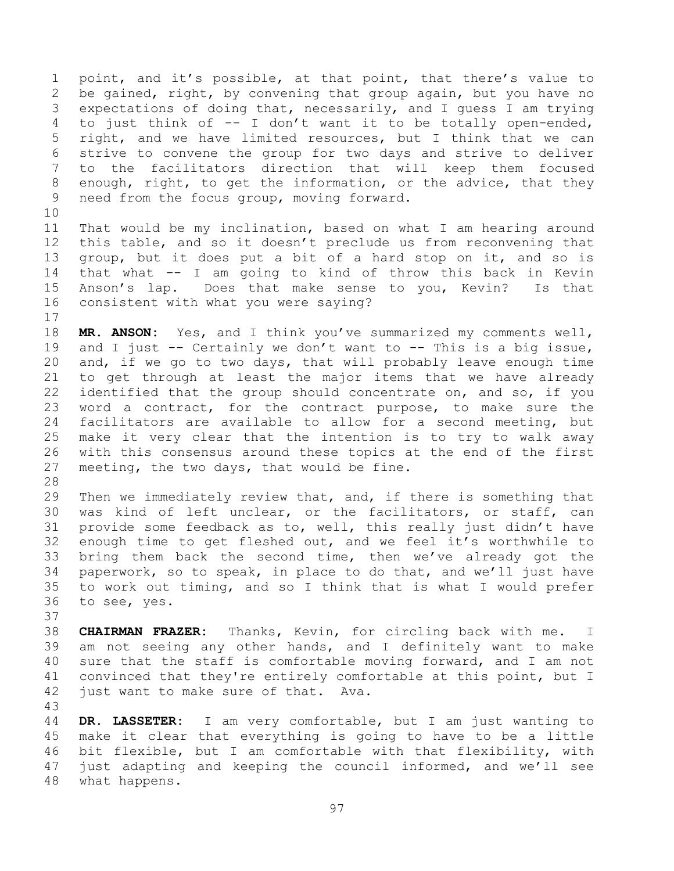point, and it's possible, at that point, that there's value to be gained, right, by convening that group again, but you have no expectations of doing that, necessarily, and I guess I am trying to just think of -- I don't want it to be totally open-ended, right, and we have limited resources, but I think that we can strive to convene the group for two days and strive to deliver to the facilitators direction that will keep them focused enough, right, to get the information, or the advice, that they need from the focus group, moving forward.

 That would be my inclination, based on what I am hearing around this table, and so it doesn't preclude us from reconvening that group, but it does put a bit of a hard stop on it, and so is that what -- I am going to kind of throw this back in Kevin Anson's lap. Does that make sense to you, Kevin? Is that consistent with what you were saying?

 **MR. ANSON:** Yes, and I think you've summarized my comments well, 19 and I just -- Certainly we don't want to -- This is a big issue, and, if we go to two days, that will probably leave enough time to get through at least the major items that we have already identified that the group should concentrate on, and so, if you word a contract, for the contract purpose, to make sure the facilitators are available to allow for a second meeting, but make it very clear that the intention is to try to walk away with this consensus around these topics at the end of the first meeting, the two days, that would be fine.

 Then we immediately review that, and, if there is something that was kind of left unclear, or the facilitators, or staff, can provide some feedback as to, well, this really just didn't have enough time to get fleshed out, and we feel it's worthwhile to bring them back the second time, then we've already got the paperwork, so to speak, in place to do that, and we'll just have to work out timing, and so I think that is what I would prefer to see, yes.

 **CHAIRMAN FRAZER:** Thanks, Kevin, for circling back with me. I am not seeing any other hands, and I definitely want to make sure that the staff is comfortable moving forward, and I am not convinced that they're entirely comfortable at this point, but I just want to make sure of that. Ava. 

 **DR. LASSETER:** I am very comfortable, but I am just wanting to make it clear that everything is going to have to be a little bit flexible, but I am comfortable with that flexibility, with just adapting and keeping the council informed, and we'll see what happens.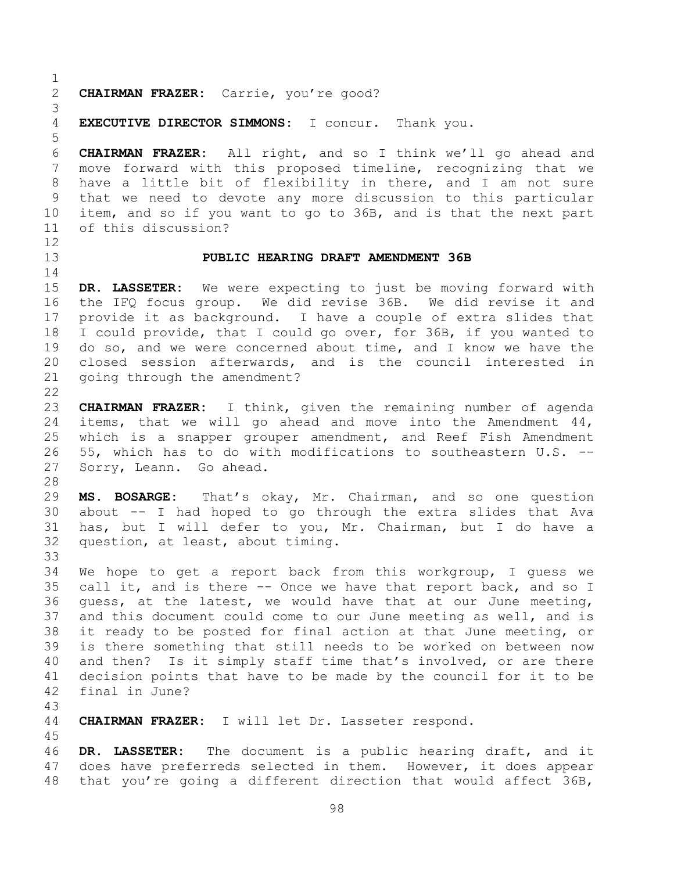**CHAIRMAN FRAZER:** Carrie, you're good?

**EXECUTIVE DIRECTOR SIMMONS:** I concur. Thank you.

 **CHAIRMAN FRAZER:** All right, and so I think we'll go ahead and move forward with this proposed timeline, recognizing that we have a little bit of flexibility in there, and I am not sure that we need to devote any more discussion to this particular item, and so if you want to go to 36B, and is that the next part of this discussion?

# 

### **PUBLIC HEARING DRAFT AMENDMENT 36B**

 **DR. LASSETER:** We were expecting to just be moving forward with the IFQ focus group. We did revise 36B. We did revise it and provide it as background. I have a couple of extra slides that I could provide, that I could go over, for 36B, if you wanted to do so, and we were concerned about time, and I know we have the closed session afterwards, and is the council interested in going through the amendment?

 **CHAIRMAN FRAZER:** I think, given the remaining number of agenda items, that we will go ahead and move into the Amendment 44, which is a snapper grouper amendment, and Reef Fish Amendment 55, which has to do with modifications to southeastern U.S. -- Sorry, Leann. Go ahead.

 **MS. BOSARGE:** That's okay, Mr. Chairman, and so one question about -- I had hoped to go through the extra slides that Ava has, but I will defer to you, Mr. Chairman, but I do have a question, at least, about timing. 

 We hope to get a report back from this workgroup, I guess we call it, and is there -- Once we have that report back, and so I guess, at the latest, we would have that at our June meeting, and this document could come to our June meeting as well, and is it ready to be posted for final action at that June meeting, or is there something that still needs to be worked on between now and then? Is it simply staff time that's involved, or are there decision points that have to be made by the council for it to be final in June?

#### 

**CHAIRMAN FRAZER:** I will let Dr. Lasseter respond.

 **DR. LASSETER:** The document is a public hearing draft, and it does have preferreds selected in them. However, it does appear that you're going a different direction that would affect 36B,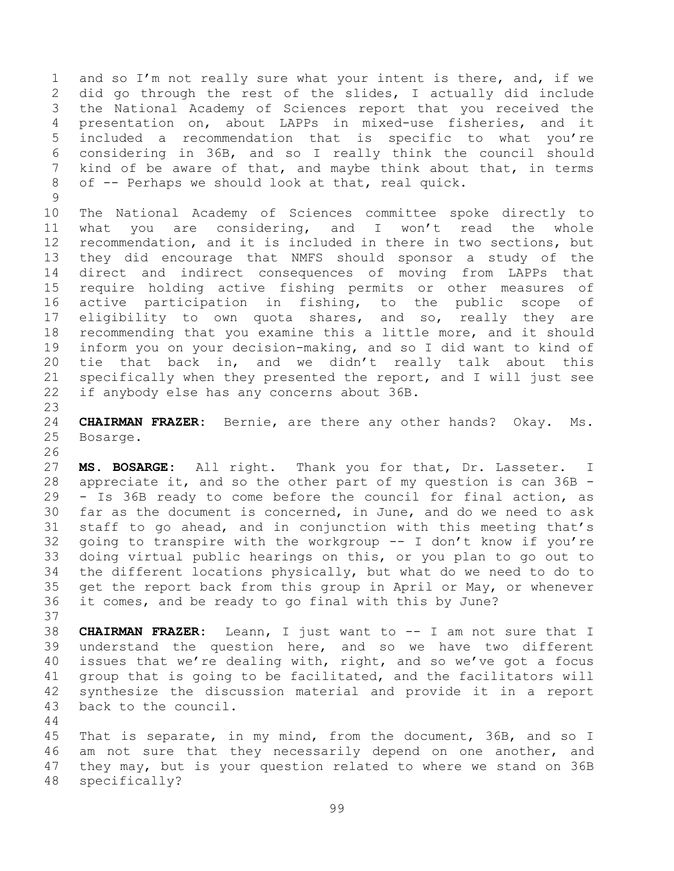and so I'm not really sure what your intent is there, and, if we did go through the rest of the slides, I actually did include the National Academy of Sciences report that you received the presentation on, about LAPPs in mixed-use fisheries, and it included a recommendation that is specific to what you're considering in 36B, and so I really think the council should kind of be aware of that, and maybe think about that, in terms of -- Perhaps we should look at that, real quick.

 The National Academy of Sciences committee spoke directly to what you are considering, and I won't read the whole recommendation, and it is included in there in two sections, but they did encourage that NMFS should sponsor a study of the direct and indirect consequences of moving from LAPPs that require holding active fishing permits or other measures of active participation in fishing, to the public scope of eligibility to own quota shares, and so, really they are recommending that you examine this a little more, and it should inform you on your decision-making, and so I did want to kind of tie that back in, and we didn't really talk about this specifically when they presented the report, and I will just see if anybody else has any concerns about 36B.

 **CHAIRMAN FRAZER:** Bernie, are there any other hands? Okay. Ms. Bosarge.

 **MS. BOSARGE:** All right. Thank you for that, Dr. Lasseter. I appreciate it, and so the other part of my question is can 36B - - Is 36B ready to come before the council for final action, as far as the document is concerned, in June, and do we need to ask staff to go ahead, and in conjunction with this meeting that's going to transpire with the workgroup -- I don't know if you're doing virtual public hearings on this, or you plan to go out to the different locations physically, but what do we need to do to 35 get the report back from this group in April or May, or whenever it comes, and be ready to go final with this by June?

 **CHAIRMAN FRAZER:** Leann, I just want to -- I am not sure that I understand the question here, and so we have two different issues that we're dealing with, right, and so we've got a focus group that is going to be facilitated, and the facilitators will synthesize the discussion material and provide it in a report back to the council.

 That is separate, in my mind, from the document, 36B, and so I am not sure that they necessarily depend on one another, and they may, but is your question related to where we stand on 36B specifically?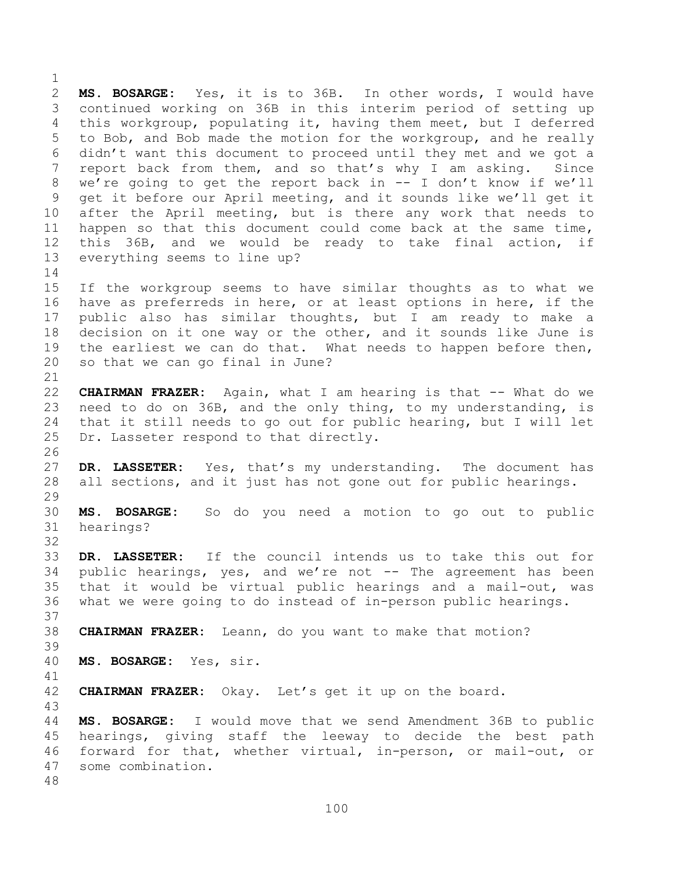**MS. BOSARGE:** Yes, it is to 36B. In other words, I would have continued working on 36B in this interim period of setting up this workgroup, populating it, having them meet, but I deferred to Bob, and Bob made the motion for the workgroup, and he really didn't want this document to proceed until they met and we got a report back from them, and so that's why I am asking. Since we're going to get the report back in -- I don't know if we'll get it before our April meeting, and it sounds like we'll get it after the April meeting, but is there any work that needs to happen so that this document could come back at the same time, this 36B, and we would be ready to take final action, if everything seems to line up? If the workgroup seems to have similar thoughts as to what we have as preferreds in here, or at least options in here, if the public also has similar thoughts, but I am ready to make a decision on it one way or the other, and it sounds like June is the earliest we can do that. What needs to happen before then, so that we can go final in June? **CHAIRMAN FRAZER:** Again, what I am hearing is that -- What do we need to do on 36B, and the only thing, to my understanding, is that it still needs to go out for public hearing, but I will let Dr. Lasseter respond to that directly. **DR. LASSETER:** Yes, that's my understanding. The document has all sections, and it just has not gone out for public hearings. 

 **MS. BOSARGE:** So do you need a motion to go out to public hearings?

 **DR. LASSETER:** If the council intends us to take this out for 34 public hearings, yes, and we're not -- The agreement has been that it would be virtual public hearings and a mail-out, was what we were going to do instead of in-person public hearings. 

**CHAIRMAN FRAZER:** Leann, do you want to make that motion?

**MS. BOSARGE:** Yes, sir.

**CHAIRMAN FRAZER:** Okay. Let's get it up on the board.

 **MS. BOSARGE:** I would move that we send Amendment 36B to public hearings, giving staff the leeway to decide the best path forward for that, whether virtual, in-person, or mail-out, or some combination.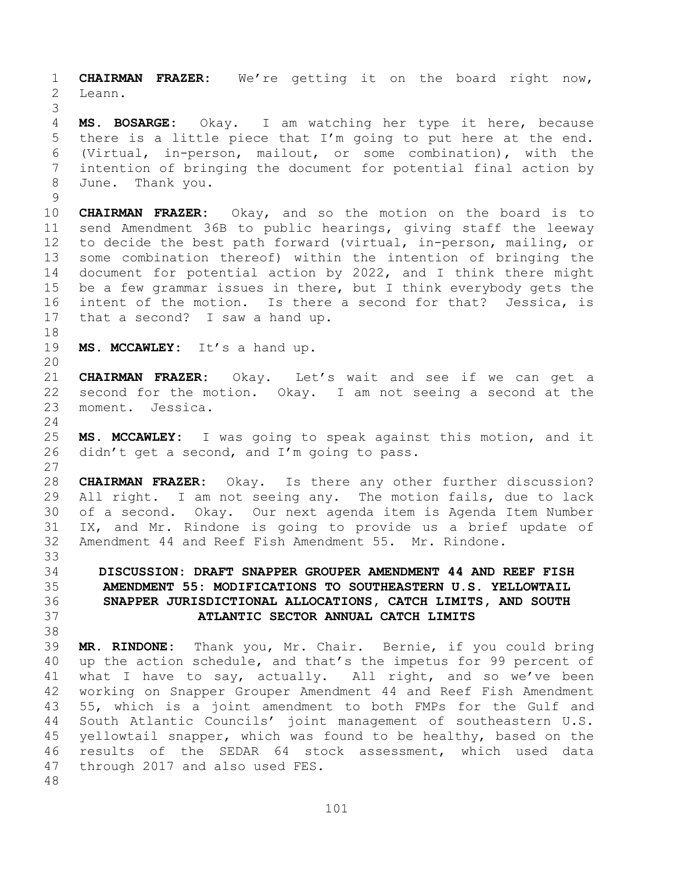**CHAIRMAN FRAZER:** We're getting it on the board right now, Leann. 

 **MS. BOSARGE:** Okay. I am watching her type it here, because there is a little piece that I'm going to put here at the end. (Virtual, in-person, mailout, or some combination), with the intention of bringing the document for potential final action by June.Thank you.

 **CHAIRMAN FRAZER:** Okay, and so the motion on the board is to send Amendment 36B to public hearings, giving staff the leeway to decide the best path forward (virtual, in-person, mailing, or some combination thereof) within the intention of bringing the document for potential action by 2022, and I think there might be a few grammar issues in there, but I think everybody gets the intent of the motion. Is there a second for that? Jessica, is that a second? I saw a hand up.

**MS. MCCAWLEY:** It's a hand up.

 **CHAIRMAN FRAZER:** Okay. Let's wait and see if we can get a second for the motion. Okay. I am not seeing a second at the moment. Jessica.

 **MS. MCCAWLEY:** I was going to speak against this motion, and it didn't get a second, and I'm going to pass.

 **CHAIRMAN FRAZER:** Okay. Is there any other further discussion? All right. I am not seeing any. The motion fails, due to lack of a second. Okay. Our next agenda item is Agenda Item Number IX, and Mr. Rindone is going to provide us a brief update of Amendment 44 and Reef Fish Amendment 55. Mr. Rindone. 

# **DISCUSSION: DRAFT SNAPPER GROUPER AMENDMENT 44 AND REEF FISH AMENDMENT 55: MODIFICATIONS TO SOUTHEASTERN U.S. YELLOWTAIL SNAPPER JURISDICTIONAL ALLOCATIONS, CATCH LIMITS, AND SOUTH ATLANTIC SECTOR ANNUAL CATCH LIMITS**

 **MR. RINDONE:** Thank you, Mr. Chair. Bernie, if you could bring up the action schedule, and that's the impetus for 99 percent of what I have to say, actually. All right, and so we've been working on Snapper Grouper Amendment 44 and Reef Fish Amendment 55, which is a joint amendment to both FMPs for the Gulf and South Atlantic Councils' joint management of southeastern U.S. yellowtail snapper, which was found to be healthy, based on the results of the SEDAR 64 stock assessment, which used data through 2017 and also used FES.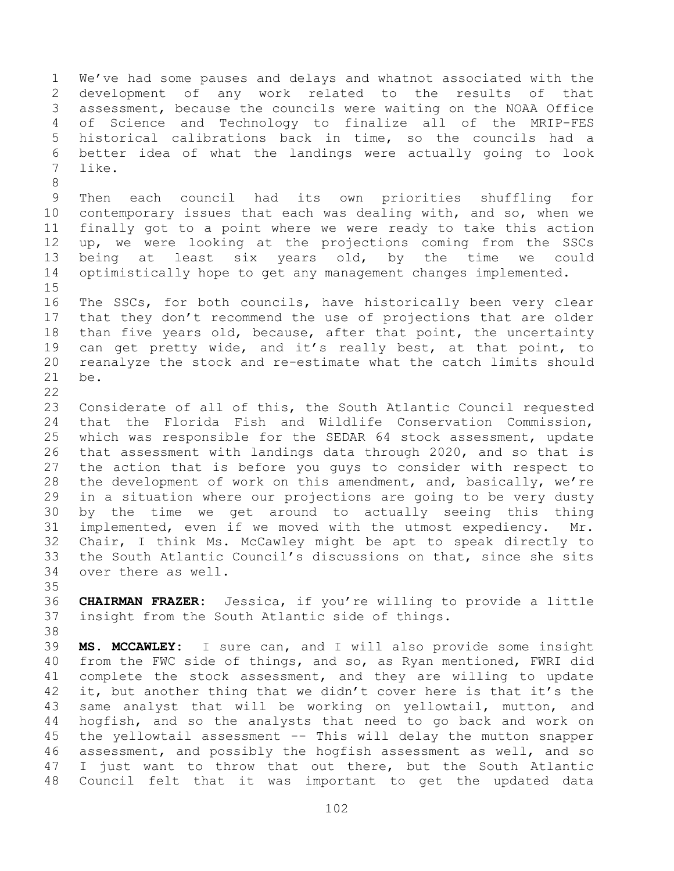We've had some pauses and delays and whatnot associated with the development of any work related to the results of that assessment, because the councils were waiting on the NOAA Office of Science and Technology to finalize all of the MRIP-FES historical calibrations back in time, so the councils had a better idea of what the landings were actually going to look like.

 Then each council had its own priorities shuffling for contemporary issues that each was dealing with, and so, when we finally got to a point where we were ready to take this action up, we were looking at the projections coming from the SSCs being at least six years old, by the time we could optimistically hope to get any management changes implemented.

 The SSCs, for both councils, have historically been very clear that they don't recommend the use of projections that are older than five years old, because, after that point, the uncertainty can get pretty wide, and it's really best, at that point, to reanalyze the stock and re-estimate what the catch limits should be.

 Considerate of all of this, the South Atlantic Council requested that the Florida Fish and Wildlife Conservation Commission, which was responsible for the SEDAR 64 stock assessment, update that assessment with landings data through 2020, and so that is the action that is before you guys to consider with respect to the development of work on this amendment, and, basically, we're in a situation where our projections are going to be very dusty by the time we get around to actually seeing this thing implemented, even if we moved with the utmost expediency. Mr. Chair, I think Ms. McCawley might be apt to speak directly to the South Atlantic Council's discussions on that, since she sits over there as well.

 **CHAIRMAN FRAZER:** Jessica, if you're willing to provide a little insight from the South Atlantic side of things.

 **MS. MCCAWLEY:** I sure can, and I will also provide some insight from the FWC side of things, and so, as Ryan mentioned, FWRI did complete the stock assessment, and they are willing to update 42 it, but another thing that we didn't cover here is that it's the same analyst that will be working on yellowtail, mutton, and hogfish, and so the analysts that need to go back and work on the yellowtail assessment -- This will delay the mutton snapper assessment, and possibly the hogfish assessment as well, and so I just want to throw that out there, but the South Atlantic Council felt that it was important to get the updated data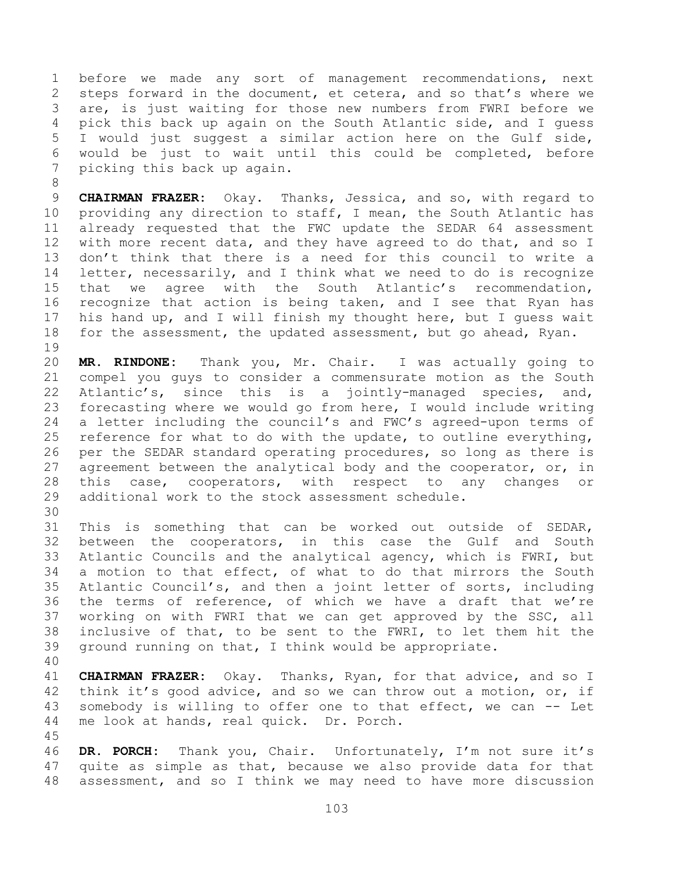before we made any sort of management recommendations, next steps forward in the document, et cetera, and so that's where we are, is just waiting for those new numbers from FWRI before we pick this back up again on the South Atlantic side, and I guess I would just suggest a similar action here on the Gulf side, would be just to wait until this could be completed, before picking this back up again.

 **CHAIRMAN FRAZER:** Okay. Thanks, Jessica, and so, with regard to providing any direction to staff, I mean, the South Atlantic has already requested that the FWC update the SEDAR 64 assessment with more recent data, and they have agreed to do that, and so I don't think that there is a need for this council to write a letter, necessarily, and I think what we need to do is recognize that we agree with the South Atlantic's recommendation, recognize that action is being taken, and I see that Ryan has his hand up, and I will finish my thought here, but I guess wait for the assessment, the updated assessment, but go ahead, Ryan. 

 **MR. RINDONE:** Thank you, Mr. Chair. I was actually going to compel you guys to consider a commensurate motion as the South Atlantic's, since this is a jointly-managed species, and, forecasting where we would go from here, I would include writing a letter including the council's and FWC's agreed-upon terms of reference for what to do with the update, to outline everything, per the SEDAR standard operating procedures, so long as there is agreement between the analytical body and the cooperator, or, in this case, cooperators, with respect to any changes or additional work to the stock assessment schedule.

 This is something that can be worked out outside of SEDAR, between the cooperators, in this case the Gulf and South Atlantic Councils and the analytical agency, which is FWRI, but a motion to that effect, of what to do that mirrors the South Atlantic Council's, and then a joint letter of sorts, including the terms of reference, of which we have a draft that we're working on with FWRI that we can get approved by the SSC, all inclusive of that, to be sent to the FWRI, to let them hit the ground running on that, I think would be appropriate.

 **CHAIRMAN FRAZER:** Okay. Thanks, Ryan, for that advice, and so I think it's good advice, and so we can throw out a motion, or, if somebody is willing to offer one to that effect, we can -- Let me look at hands, real quick. Dr. Porch.

 **DR. PORCH:** Thank you, Chair. Unfortunately, I'm not sure it's quite as simple as that, because we also provide data for that assessment, and so I think we may need to have more discussion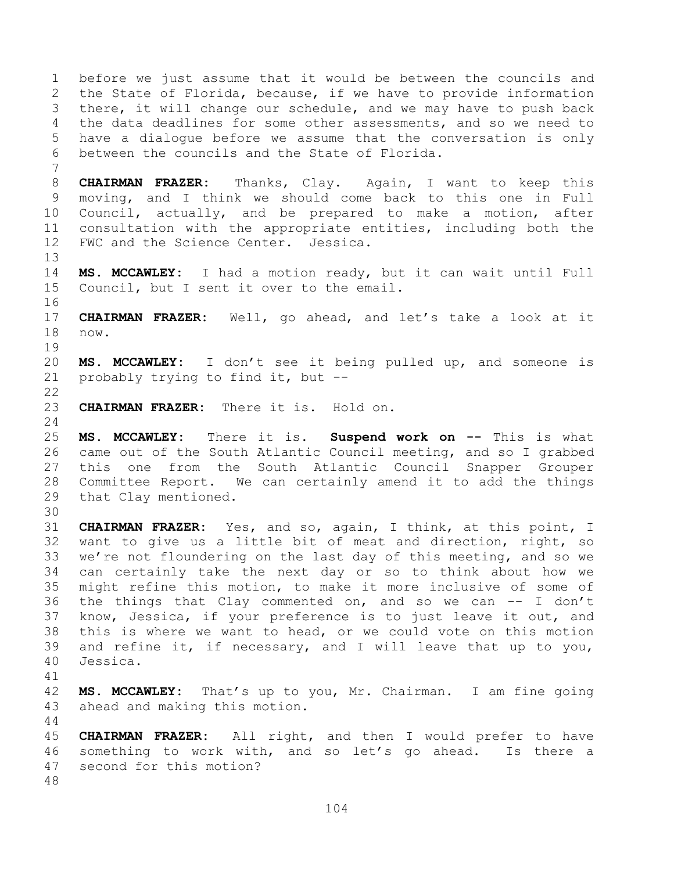before we just assume that it would be between the councils and the State of Florida, because, if we have to provide information there, it will change our schedule, and we may have to push back the data deadlines for some other assessments, and so we need to have a dialogue before we assume that the conversation is only between the councils and the State of Florida. **CHAIRMAN FRAZER:** Thanks, Clay. Again, I want to keep this moving, and I think we should come back to this one in Full Council, actually, and be prepared to make a motion, after consultation with the appropriate entities, including both the FWC and the Science Center. Jessica. **MS. MCCAWLEY:** I had a motion ready, but it can wait until Full Council, but I sent it over to the email. **CHAIRMAN FRAZER:** Well, go ahead, and let's take a look at it now. **MS. MCCAWLEY:** I don't see it being pulled up, and someone is probably trying to find it, but -- **CHAIRMAN FRAZER:** There it is. Hold on. **MS. MCCAWLEY:** There it is. **Suspend work on --** This is what came out of the South Atlantic Council meeting, and so I grabbed this one from the South Atlantic Council Snapper Grouper Committee Report. We can certainly amend it to add the things that Clay mentioned. **CHAIRMAN FRAZER:** Yes, and so, again, I think, at this point, I want to give us a little bit of meat and direction, right, so we're not floundering on the last day of this meeting, and so we can certainly take the next day or so to think about how we might refine this motion, to make it more inclusive of some of the things that Clay commented on, and so we can -- I don't know, Jessica, if your preference is to just leave it out, and this is where we want to head, or we could vote on this motion and refine it, if necessary, and I will leave that up to you, Jessica. **MS. MCCAWLEY:** That's up to you, Mr. Chairman. I am fine going ahead and making this motion. **CHAIRMAN FRAZER:** All right, and then I would prefer to have something to work with, and so let's go ahead. Is there a second for this motion?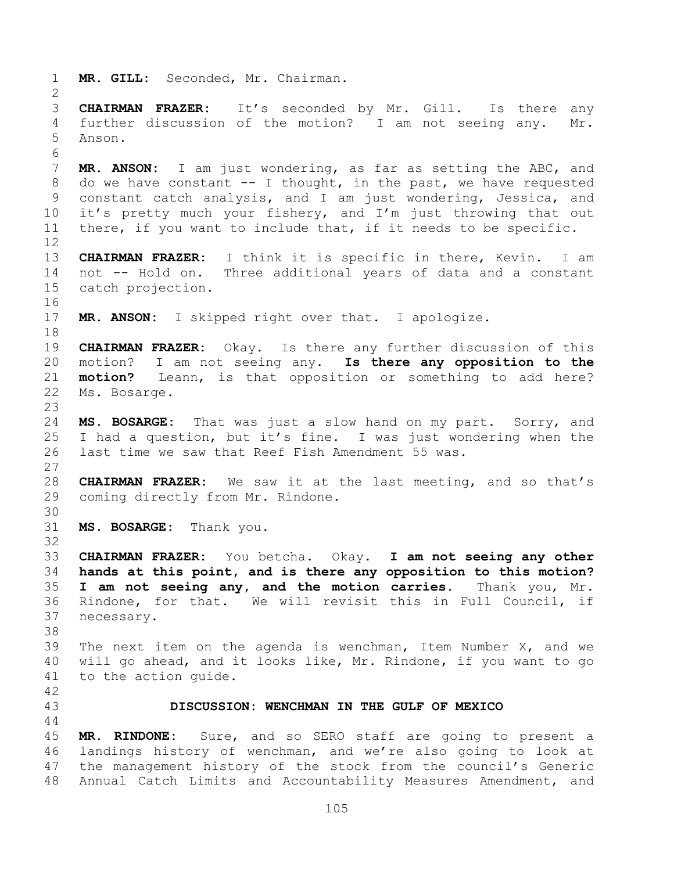**MR. GILL:** Seconded, Mr. Chairman. **CHAIRMAN FRAZER:** It's seconded by Mr. Gill. Is there any further discussion of the motion? I am not seeing any. Mr. Anson. **MR. ANSON:** I am just wondering, as far as setting the ABC, and do we have constant -- I thought, in the past, we have requested constant catch analysis, and I am just wondering, Jessica, and it's pretty much your fishery, and I'm just throwing that out there, if you want to include that, if it needs to be specific. **CHAIRMAN FRAZER:** I think it is specific in there, Kevin. I am not -- Hold on. Three additional years of data and a constant catch projection. **MR. ANSON:** I skipped right over that. I apologize. **CHAIRMAN FRAZER:** Okay. Is there any further discussion of this motion? I am not seeing any. **Is there any opposition to the motion?** Leann, is that opposition or something to add here? Ms. Bosarge. **MS. BOSARGE:** That was just a slow hand on my part. Sorry, and I had a question, but it's fine. I was just wondering when the last time we saw that Reef Fish Amendment 55 was. **CHAIRMAN FRAZER:** We saw it at the last meeting, and so that's coming directly from Mr. Rindone. **MS. BOSARGE:** Thank you. **CHAIRMAN FRAZER:** You betcha. Okay. **I am not seeing any other hands at this point, and is there any opposition to this motion? I am not seeing any, and the motion carries.** Thank you, Mr. Rindone, for that. We will revisit this in Full Council, if necessary. The next item on the agenda is wenchman, Item Number X, and we will go ahead, and it looks like, Mr. Rindone, if you want to go to the action guide. **DISCUSSION: WENCHMAN IN THE GULF OF MEXICO MR. RINDONE:** Sure, and so SERO staff are going to present a landings history of wenchman, and we're also going to look at the management history of the stock from the council's Generic Annual Catch Limits and Accountability Measures Amendment, and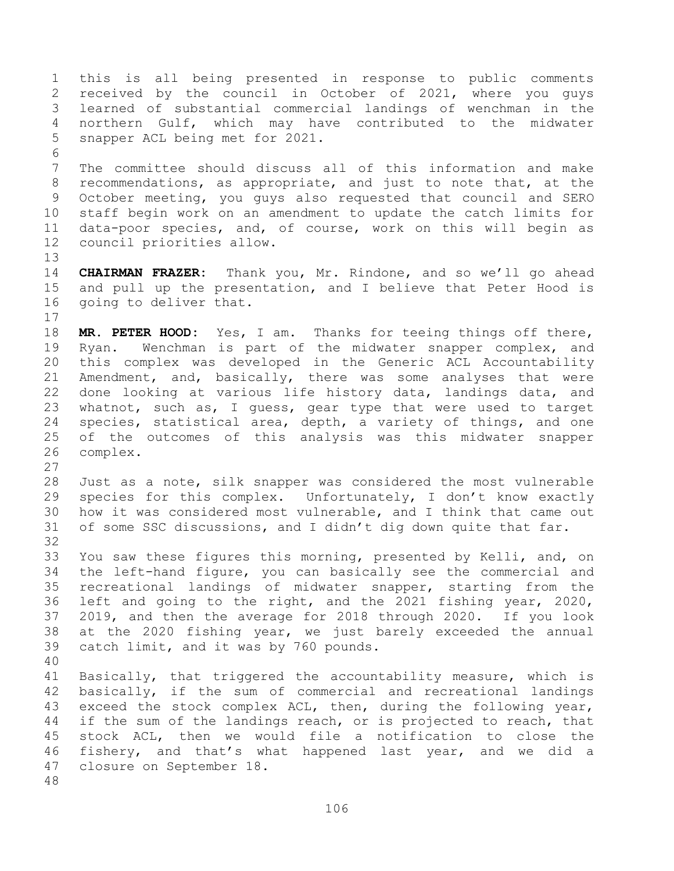this is all being presented in response to public comments received by the council in October of 2021, where you guys learned of substantial commercial landings of wenchman in the northern Gulf, which may have contributed to the midwater snapper ACL being met for 2021. The committee should discuss all of this information and make recommendations, as appropriate, and just to note that, at the October meeting, you guys also requested that council and SERO staff begin work on an amendment to update the catch limits for data-poor species, and, of course, work on this will begin as council priorities allow. **CHAIRMAN FRAZER:** Thank you, Mr. Rindone, and so we'll go ahead and pull up the presentation, and I believe that Peter Hood is going to deliver that. **MR. PETER HOOD:** Yes, I am. Thanks for teeing things off there, Ryan. Wenchman is part of the midwater snapper complex, and this complex was developed in the Generic ACL Accountability Amendment, and, basically, there was some analyses that were done looking at various life history data, landings data, and whatnot, such as, I guess, gear type that were used to target species, statistical area, depth, a variety of things, and one of the outcomes of this analysis was this midwater snapper complex. Just as a note, silk snapper was considered the most vulnerable species for this complex. Unfortunately, I don't know exactly how it was considered most vulnerable, and I think that came out of some SSC discussions, and I didn't dig down quite that far. You saw these figures this morning, presented by Kelli, and, on

 the left-hand figure, you can basically see the commercial and recreational landings of midwater snapper, starting from the left and going to the right, and the 2021 fishing year, 2020, 2019, and then the average for 2018 through 2020. If you look at the 2020 fishing year, we just barely exceeded the annual catch limit, and it was by 760 pounds.

 Basically, that triggered the accountability measure, which is basically, if the sum of commercial and recreational landings exceed the stock complex ACL, then, during the following year, 44 if the sum of the landings reach, or is projected to reach, that stock ACL, then we would file a notification to close the fishery, and that's what happened last year, and we did a closure on September 18.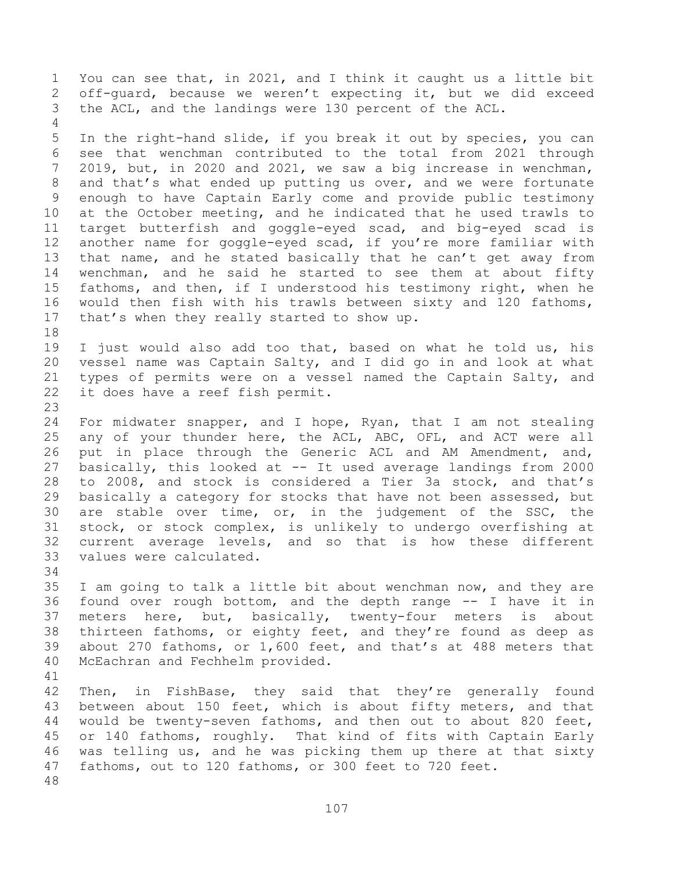You can see that, in 2021, and I think it caught us a little bit off-guard, because we weren't expecting it, but we did exceed the ACL, and the landings were 130 percent of the ACL.

 In the right-hand slide, if you break it out by species, you can see that wenchman contributed to the total from 2021 through 2019, but, in 2020 and 2021, we saw a big increase in wenchman, and that's what ended up putting us over, and we were fortunate enough to have Captain Early come and provide public testimony at the October meeting, and he indicated that he used trawls to target butterfish and goggle-eyed scad, and big-eyed scad is another name for goggle-eyed scad, if you're more familiar with that name, and he stated basically that he can't get away from wenchman, and he said he started to see them at about fifty fathoms, and then, if I understood his testimony right, when he would then fish with his trawls between sixty and 120 fathoms, that's when they really started to show up.

 I just would also add too that, based on what he told us, his vessel name was Captain Salty, and I did go in and look at what types of permits were on a vessel named the Captain Salty, and it does have a reef fish permit.

 For midwater snapper, and I hope, Ryan, that I am not stealing any of your thunder here, the ACL, ABC, OFL, and ACT were all put in place through the Generic ACL and AM Amendment, and, basically, this looked at -- It used average landings from 2000 to 2008, and stock is considered a Tier 3a stock, and that's basically a category for stocks that have not been assessed, but are stable over time, or, in the judgement of the SSC, the stock, or stock complex, is unlikely to undergo overfishing at current average levels, and so that is how these different values were calculated.

 I am going to talk a little bit about wenchman now, and they are found over rough bottom, and the depth range -- I have it in meters here, but, basically, twenty-four meters is about thirteen fathoms, or eighty feet, and they're found as deep as about 270 fathoms, or 1,600 feet, and that's at 488 meters that McEachran and Fechhelm provided.

 Then, in FishBase, they said that they're generally found between about 150 feet, which is about fifty meters, and that would be twenty-seven fathoms, and then out to about 820 feet, or 140 fathoms, roughly. That kind of fits with Captain Early was telling us, and he was picking them up there at that sixty fathoms, out to 120 fathoms, or 300 feet to 720 feet.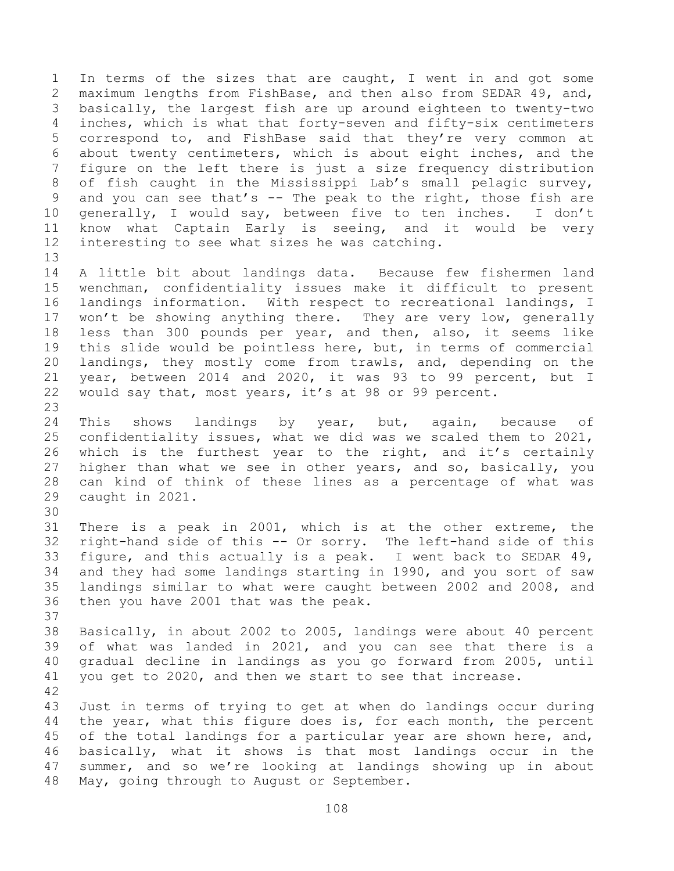In terms of the sizes that are caught, I went in and got some maximum lengths from FishBase, and then also from SEDAR 49, and, basically, the largest fish are up around eighteen to twenty-two inches, which is what that forty-seven and fifty-six centimeters correspond to, and FishBase said that they're very common at about twenty centimeters, which is about eight inches, and the figure on the left there is just a size frequency distribution of fish caught in the Mississippi Lab's small pelagic survey, 9 and you can see that's -- The peak to the right, those fish are generally, I would say, between five to ten inches. I don't know what Captain Early is seeing, and it would be very interesting to see what sizes he was catching. 

 A little bit about landings data. Because few fishermen land wenchman, confidentiality issues make it difficult to present landings information. With respect to recreational landings, I 17 won't be showing anything there. They are very low, generally less than 300 pounds per year, and then, also, it seems like this slide would be pointless here, but, in terms of commercial landings, they mostly come from trawls, and, depending on the year, between 2014 and 2020, it was 93 to 99 percent, but I would say that, most years, it's at 98 or 99 percent.

24 This shows landings by year, but, again, because of confidentiality issues, what we did was we scaled them to 2021, which is the furthest year to the right, and it's certainly higher than what we see in other years, and so, basically, you can kind of think of these lines as a percentage of what was caught in 2021.

 There is a peak in 2001, which is at the other extreme, the right-hand side of this -- Or sorry. The left-hand side of this figure, and this actually is a peak. I went back to SEDAR 49, and they had some landings starting in 1990, and you sort of saw landings similar to what were caught between 2002 and 2008, and then you have 2001 that was the peak.

 Basically, in about 2002 to 2005, landings were about 40 percent of what was landed in 2021, and you can see that there is a gradual decline in landings as you go forward from 2005, until you get to 2020, and then we start to see that increase. 

 Just in terms of trying to get at when do landings occur during the year, what this figure does is, for each month, the percent 45 of the total landings for a particular year are shown here, and, basically, what it shows is that most landings occur in the summer, and so we're looking at landings showing up in about May, going through to August or September.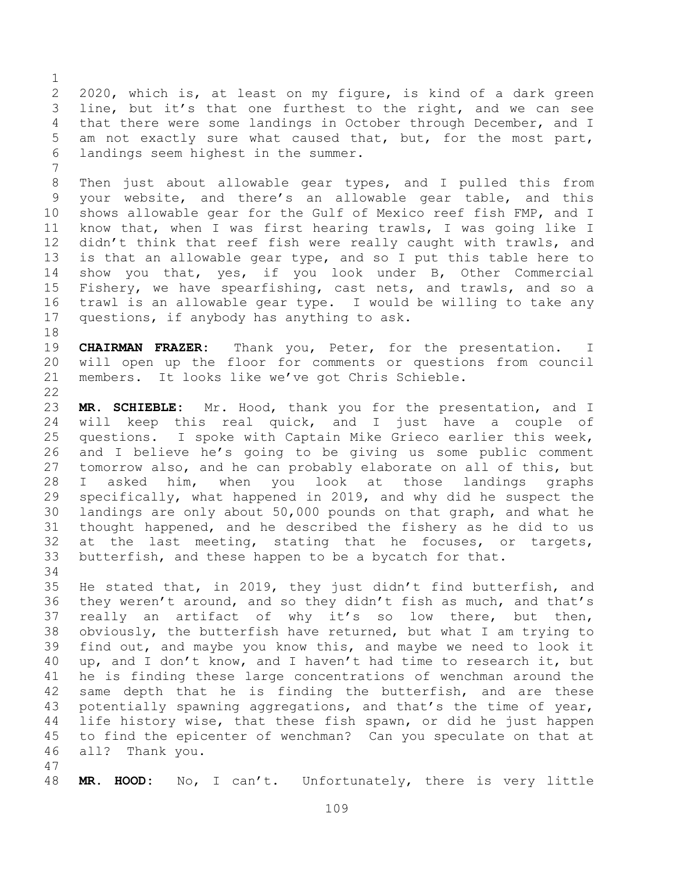2020, which is, at least on my figure, is kind of a dark green line, but it's that one furthest to the right, and we can see that there were some landings in October through December, and I am not exactly sure what caused that, but, for the most part, landings seem highest in the summer.

 Then just about allowable gear types, and I pulled this from your website, and there's an allowable gear table, and this shows allowable gear for the Gulf of Mexico reef fish FMP, and I know that, when I was first hearing trawls, I was going like I 12 didn't think that reef fish were really caught with trawls, and is that an allowable gear type, and so I put this table here to show you that, yes, if you look under B, Other Commercial Fishery, we have spearfishing, cast nets, and trawls, and so a trawl is an allowable gear type. I would be willing to take any questions, if anybody has anything to ask.

 **CHAIRMAN FRAZER:** Thank you, Peter, for the presentation. I will open up the floor for comments or questions from council members. It looks like we've got Chris Schieble. 

 **MR. SCHIEBLE:** Mr. Hood, thank you for the presentation, and I will keep this real quick, and I just have a couple of questions. I spoke with Captain Mike Grieco earlier this week, and I believe he's going to be giving us some public comment tomorrow also, and he can probably elaborate on all of this, but I asked him, when you look at those landings graphs specifically, what happened in 2019, and why did he suspect the landings are only about 50,000 pounds on that graph, and what he thought happened, and he described the fishery as he did to us at the last meeting, stating that he focuses, or targets, butterfish, and these happen to be a bycatch for that. 

 He stated that, in 2019, they just didn't find butterfish, and they weren't around, and so they didn't fish as much, and that's really an artifact of why it's so low there, but then, obviously, the butterfish have returned, but what I am trying to find out, and maybe you know this, and maybe we need to look it up, and I don't know, and I haven't had time to research it, but he is finding these large concentrations of wenchman around the 42 same depth that he is finding the butterfish, and are these potentially spawning aggregations, and that's the time of year, life history wise, that these fish spawn, or did he just happen to find the epicenter of wenchman? Can you speculate on that at all? Thank you.

**MR. HOOD:** No, I can't. Unfortunately, there is very little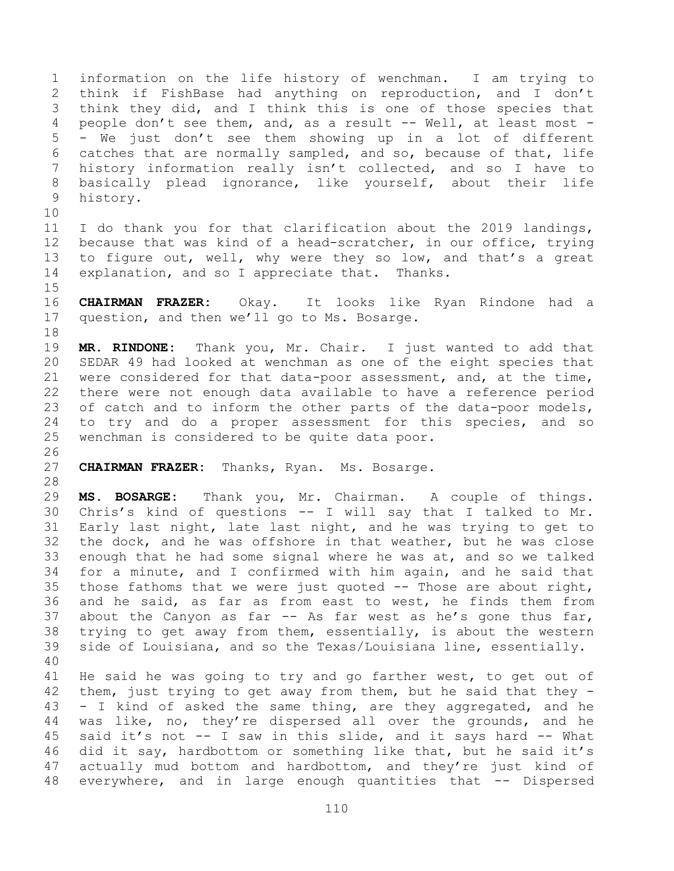information on the life history of wenchman. I am trying to think if FishBase had anything on reproduction, and I don't think they did, and I think this is one of those species that 4 people don't see them, and, as a result -- Well, at least most - - We just don't see them showing up in a lot of different catches that are normally sampled, and so, because of that, life history information really isn't collected, and so I have to basically plead ignorance, like yourself, about their life history.

 I do thank you for that clarification about the 2019 landings, because that was kind of a head-scratcher, in our office, trying to figure out, well, why were they so low, and that's a great explanation, and so I appreciate that. Thanks.

 **CHAIRMAN FRAZER:** Okay. It looks like Ryan Rindone had a question, and then we'll go to Ms. Bosarge. 

 **MR. RINDONE:** Thank you, Mr. Chair. I just wanted to add that SEDAR 49 had looked at wenchman as one of the eight species that were considered for that data-poor assessment, and, at the time, there were not enough data available to have a reference period of catch and to inform the other parts of the data-poor models, to try and do a proper assessment for this species, and so wenchman is considered to be quite data poor.

**CHAIRMAN FRAZER:** Thanks, Ryan. Ms. Bosarge.

 **MS. BOSARGE:** Thank you, Mr. Chairman. A couple of things. Chris's kind of questions -- I will say that I talked to Mr. Early last night, late last night, and he was trying to get to the dock, and he was offshore in that weather, but he was close enough that he had some signal where he was at, and so we talked for a minute, and I confirmed with him again, and he said that those fathoms that we were just quoted -- Those are about right, and he said, as far as from east to west, he finds them from about the Canyon as far -- As far west as he's gone thus far, trying to get away from them, essentially, is about the western side of Louisiana, and so the Texas/Louisiana line, essentially. 

 He said he was going to try and go farther west, to get out of them, just trying to get away from them, but he said that they - - I kind of asked the same thing, are they aggregated, and he was like, no, they're dispersed all over the grounds, and he said it's not -- I saw in this slide, and it says hard -- What did it say, hardbottom or something like that, but he said it's actually mud bottom and hardbottom, and they're just kind of 48 everywhere, and in large enough quantities that -- Dispersed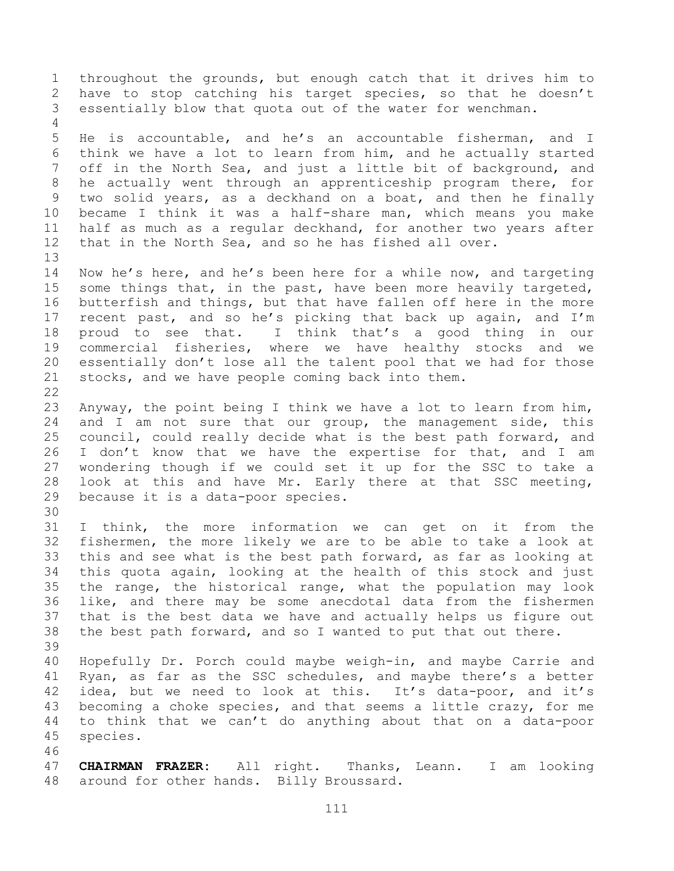throughout the grounds, but enough catch that it drives him to have to stop catching his target species, so that he doesn't essentially blow that quota out of the water for wenchman. He is accountable, and he's an accountable fisherman, and I think we have a lot to learn from him, and he actually started off in the North Sea, and just a little bit of background, and he actually went through an apprenticeship program there, for two solid years, as a deckhand on a boat, and then he finally became I think it was a half-share man, which means you make half as much as a regular deckhand, for another two years after that in the North Sea, and so he has fished all over. Now he's here, and he's been here for a while now, and targeting some things that, in the past, have been more heavily targeted, butterfish and things, but that have fallen off here in the more recent past, and so he's picking that back up again, and I'm proud to see that. I think that's a good thing in our commercial fisheries, where we have healthy stocks and we essentially don't lose all the talent pool that we had for those stocks, and we have people coming back into them. Anyway, the point being I think we have a lot to learn from him, 24 and I am not sure that our group, the management side, this council, could really decide what is the best path forward, and 26 I don't know that we have the expertise for that, and I am wondering though if we could set it up for the SSC to take a look at this and have Mr. Early there at that SSC meeting, because it is a data-poor species. I think, the more information we can get on it from the fishermen, the more likely we are to be able to take a look at this and see what is the best path forward, as far as looking at this quota again, looking at the health of this stock and just the range, the historical range, what the population may look like, and there may be some anecdotal data from the fishermen that is the best data we have and actually helps us figure out the best path forward, and so I wanted to put that out there. Hopefully Dr. Porch could maybe weigh-in, and maybe Carrie and Ryan, as far as the SSC schedules, and maybe there's a better idea, but we need to look at this. It's data-poor, and it's becoming a choke species, and that seems a little crazy, for me to think that we can't do anything about that on a data-poor species. **CHAIRMAN FRAZER:** All right. Thanks, Leann. I am looking around for other hands. Billy Broussard.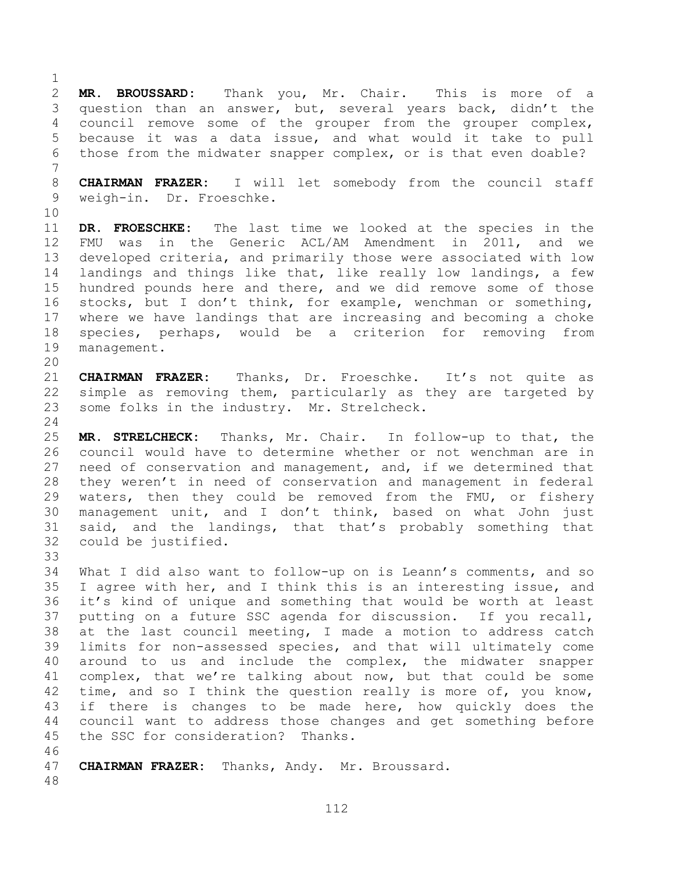**MR. BROUSSARD:** Thank you, Mr. Chair. This is more of a question than an answer, but, several years back, didn't the council remove some of the grouper from the grouper complex, because it was a data issue, and what would it take to pull those from the midwater snapper complex, or is that even doable?

 **CHAIRMAN FRAZER:** I will let somebody from the council staff weigh-in. Dr. Froeschke.

 **DR. FROESCHKE:** The last time we looked at the species in the FMU was in the Generic ACL/AM Amendment in 2011, and we developed criteria, and primarily those were associated with low landings and things like that, like really low landings, a few hundred pounds here and there, and we did remove some of those stocks, but I don't think, for example, wenchman or something, where we have landings that are increasing and becoming a choke species, perhaps, would be a criterion for removing from management.

 **CHAIRMAN FRAZER:** Thanks, Dr. Froeschke. It's not quite as simple as removing them, particularly as they are targeted by some folks in the industry. Mr. Strelcheck.

 **MR. STRELCHECK:** Thanks, Mr. Chair. In follow-up to that, the council would have to determine whether or not wenchman are in need of conservation and management, and, if we determined that they weren't in need of conservation and management in federal waters, then they could be removed from the FMU, or fishery management unit, and I don't think, based on what John just said, and the landings, that that's probably something that could be justified.

 What I did also want to follow-up on is Leann's comments, and so I agree with her, and I think this is an interesting issue, and it's kind of unique and something that would be worth at least putting on a future SSC agenda for discussion. If you recall, at the last council meeting, I made a motion to address catch limits for non-assessed species, and that will ultimately come around to us and include the complex, the midwater snapper complex, that we're talking about now, but that could be some 42 time, and so I think the question really is more of, you know, if there is changes to be made here, how quickly does the council want to address those changes and get something before the SSC for consideration? Thanks.

**CHAIRMAN FRAZER:** Thanks, Andy. Mr. Broussard.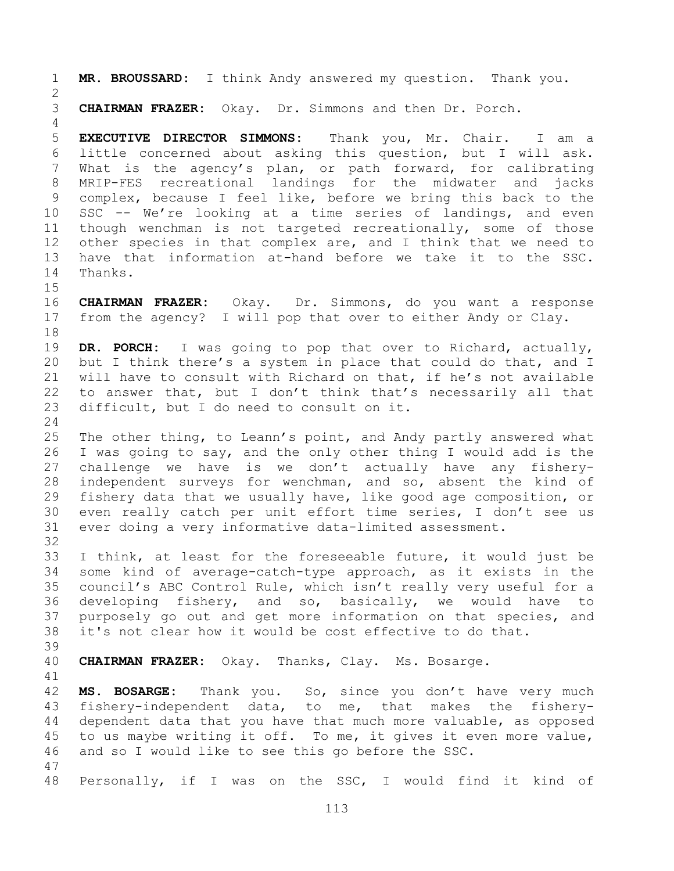**MR. BROUSSARD:** I think Andy answered my question. Thank you. **CHAIRMAN FRAZER:** Okay. Dr. Simmons and then Dr. Porch. **EXECUTIVE DIRECTOR SIMMONS:** Thank you, Mr. Chair. I am a little concerned about asking this question, but I will ask. What is the agency's plan, or path forward, for calibrating MRIP-FES recreational landings for the midwater and jacks complex, because I feel like, before we bring this back to the SSC -- We're looking at a time series of landings, and even though wenchman is not targeted recreationally, some of those other species in that complex are, and I think that we need to have that information at-hand before we take it to the SSC. Thanks. **CHAIRMAN FRAZER:** Okay. Dr. Simmons, do you want a response from the agency? I will pop that over to either Andy or Clay. **DR. PORCH:** I was going to pop that over to Richard, actually, but I think there's a system in place that could do that, and I will have to consult with Richard on that, if he's not available to answer that, but I don't think that's necessarily all that difficult, but I do need to consult on it. The other thing, to Leann's point, and Andy partly answered what I was going to say, and the only other thing I would add is the challenge we have is we don't actually have any fishery- independent surveys for wenchman, and so, absent the kind of fishery data that we usually have, like good age composition, or even really catch per unit effort time series, I don't see us ever doing a very informative data-limited assessment. I think, at least for the foreseeable future, it would just be some kind of average-catch-type approach, as it exists in the council's ABC Control Rule, which isn't really very useful for a developing fishery, and so, basically, we would have to purposely go out and get more information on that species, and it's not clear how it would be cost effective to do that. **CHAIRMAN FRAZER:** Okay. Thanks, Clay. Ms. Bosarge. **MS. BOSARGE:** Thank you. So, since you don't have very much fishery-independent data, to me, that makes the fishery- dependent data that you have that much more valuable, as opposed to us maybe writing it off. To me, it gives it even more value, and so I would like to see this go before the SSC. Personally, if I was on the SSC, I would find it kind of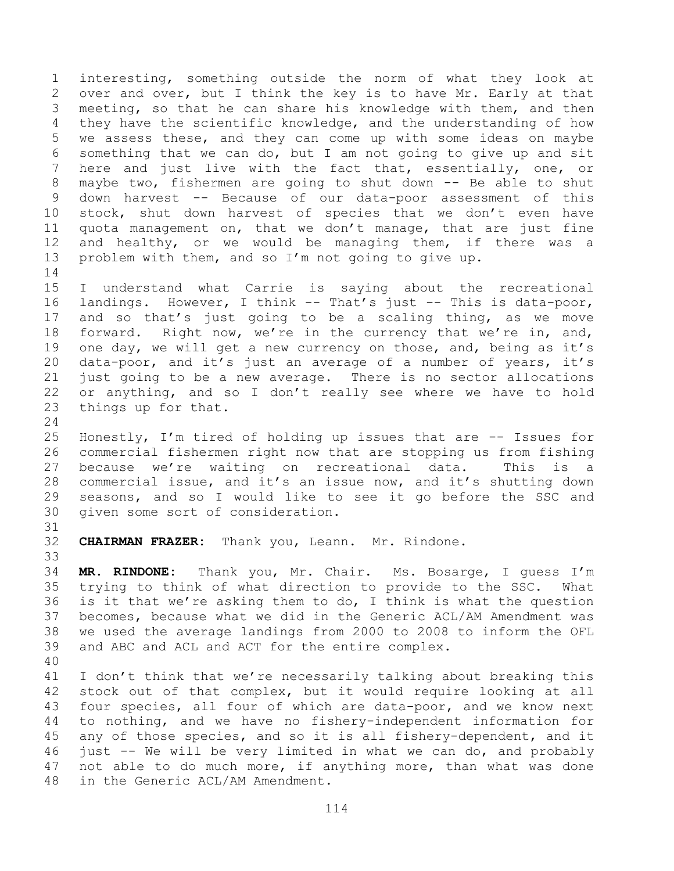interesting, something outside the norm of what they look at over and over, but I think the key is to have Mr. Early at that meeting, so that he can share his knowledge with them, and then they have the scientific knowledge, and the understanding of how we assess these, and they can come up with some ideas on maybe something that we can do, but I am not going to give up and sit here and just live with the fact that, essentially, one, or maybe two, fishermen are going to shut down -- Be able to shut down harvest -- Because of our data-poor assessment of this stock, shut down harvest of species that we don't even have quota management on, that we don't manage, that are just fine and healthy, or we would be managing them, if there was a problem with them, and so I'm not going to give up. 

 I understand what Carrie is saying about the recreational landings. However, I think -- That's just -- This is data-poor, and so that's just going to be a scaling thing, as we move forward. Right now, we're in the currency that we're in, and, 19 one day, we will get a new currency on those, and, being as it's data-poor, and it's just an average of a number of years, it's just going to be a new average. There is no sector allocations or anything, and so I don't really see where we have to hold things up for that.

 Honestly, I'm tired of holding up issues that are -- Issues for commercial fishermen right now that are stopping us from fishing because we're waiting on recreational data. This is a commercial issue, and it's an issue now, and it's shutting down seasons, and so I would like to see it go before the SSC and given some sort of consideration.

 **CHAIRMAN FRAZER:** Thank you, Leann. Mr. Rindone. 

 **MR. RINDONE:** Thank you, Mr. Chair. Ms. Bosarge, I guess I'm trying to think of what direction to provide to the SSC. What is it that we're asking them to do, I think is what the question becomes, because what we did in the Generic ACL/AM Amendment was we used the average landings from 2000 to 2008 to inform the OFL and ABC and ACL and ACT for the entire complex.

 I don't think that we're necessarily talking about breaking this stock out of that complex, but it would require looking at all four species, all four of which are data-poor, and we know next to nothing, and we have no fishery-independent information for any of those species, and so it is all fishery-dependent, and it just -- We will be very limited in what we can do, and probably not able to do much more, if anything more, than what was done in the Generic ACL/AM Amendment.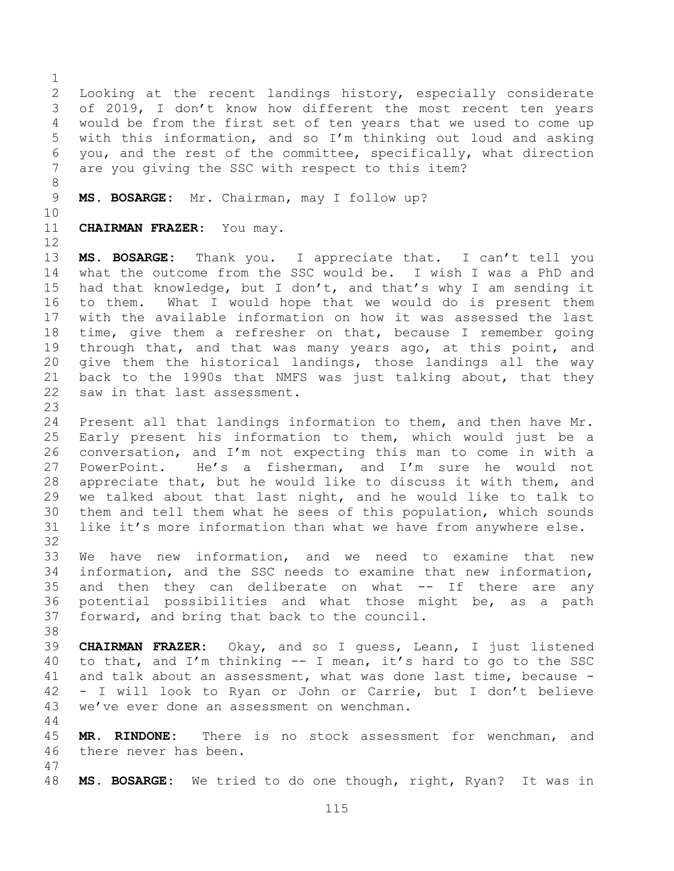Looking at the recent landings history, especially considerate of 2019, I don't know how different the most recent ten years would be from the first set of ten years that we used to come up with this information, and so I'm thinking out loud and asking you, and the rest of the committee, specifically, what direction are you giving the SSC with respect to this item?

**MS. BOSARGE:** Mr. Chairman, may I follow up?

**CHAIRMAN FRAZER:** You may.

 **MS. BOSARGE:** Thank you. I appreciate that. I can't tell you what the outcome from the SSC would be. I wish I was a PhD and had that knowledge, but I don't, and that's why I am sending it to them. What I would hope that we would do is present them with the available information on how it was assessed the last time, give them a refresher on that, because I remember going through that, and that was many years ago, at this point, and give them the historical landings, those landings all the way back to the 1990s that NMFS was just talking about, that they saw in that last assessment.

 Present all that landings information to them, and then have Mr. Early present his information to them, which would just be a conversation, and I'm not expecting this man to come in with a PowerPoint. He's a fisherman, and I'm sure he would not appreciate that, but he would like to discuss it with them, and we talked about that last night, and he would like to talk to them and tell them what he sees of this population, which sounds like it's more information than what we have from anywhere else. 

 We have new information, and we need to examine that new information, and the SSC needs to examine that new information, and then they can deliberate on what -- If there are any potential possibilities and what those might be, as a path forward, and bring that back to the council.

 **CHAIRMAN FRAZER:** Okay, and so I guess, Leann, I just listened to that, and I'm thinking -- I mean, it's hard to go to the SSC and talk about an assessment, what was done last time, because - - I will look to Ryan or John or Carrie, but I don't believe we've ever done an assessment on wenchman.

 **MR. RINDONE:** There is no stock assessment for wenchman, and there never has been.

**MS. BOSARGE:** We tried to do one though, right, Ryan? It was in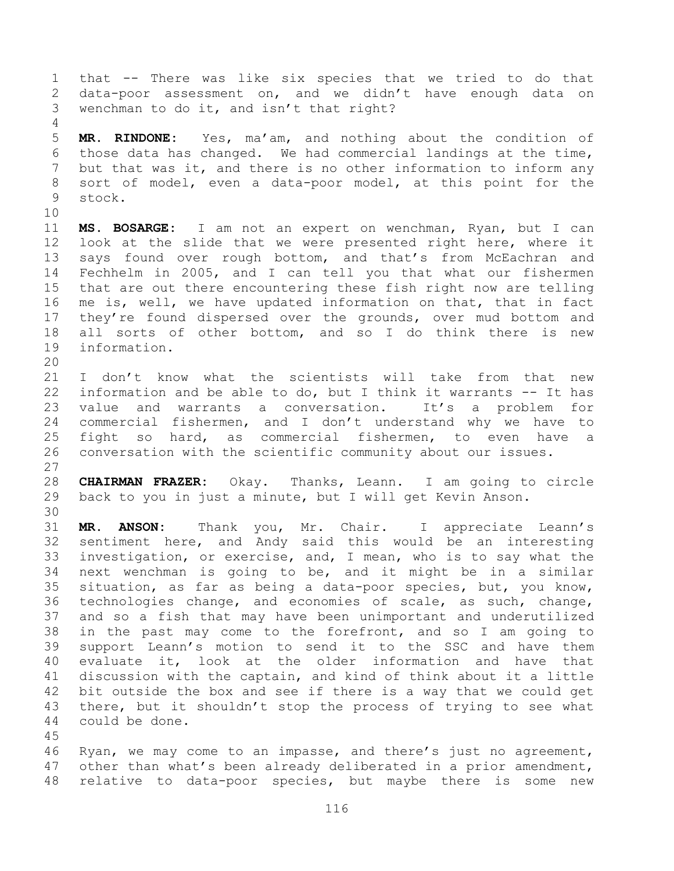that -- There was like six species that we tried to do that data-poor assessment on, and we didn't have enough data on wenchman to do it, and isn't that right?

 **MR. RINDONE:** Yes, ma'am, and nothing about the condition of those data has changed. We had commercial landings at the time, but that was it, and there is no other information to inform any sort of model, even a data-poor model, at this point for the stock.

 **MS. BOSARGE:** I am not an expert on wenchman, Ryan, but I can look at the slide that we were presented right here, where it 13 says found over rough bottom, and that's from McEachran and Fechhelm in 2005, and I can tell you that what our fishermen that are out there encountering these fish right now are telling me is, well, we have updated information on that, that in fact they're found dispersed over the grounds, over mud bottom and all sorts of other bottom, and so I do think there is new information. 

 I don't know what the scientists will take from that new information and be able to do, but I think it warrants -- It has value and warrants a conversation. It's a problem for commercial fishermen, and I don't understand why we have to fight so hard, as commercial fishermen, to even have a conversation with the scientific community about our issues.

 **CHAIRMAN FRAZER:** Okay. Thanks, Leann. I am going to circle back to you in just a minute, but I will get Kevin Anson. 

 **MR. ANSON:** Thank you, Mr. Chair. I appreciate Leann's sentiment here, and Andy said this would be an interesting investigation, or exercise, and, I mean, who is to say what the next wenchman is going to be, and it might be in a similar situation, as far as being a data-poor species, but, you know, technologies change, and economies of scale, as such, change, and so a fish that may have been unimportant and underutilized in the past may come to the forefront, and so I am going to support Leann's motion to send it to the SSC and have them evaluate it, look at the older information and have that discussion with the captain, and kind of think about it a little bit outside the box and see if there is a way that we could get there, but it shouldn't stop the process of trying to see what could be done.

 Ryan, we may come to an impasse, and there's just no agreement, other than what's been already deliberated in a prior amendment, relative to data-poor species, but maybe there is some new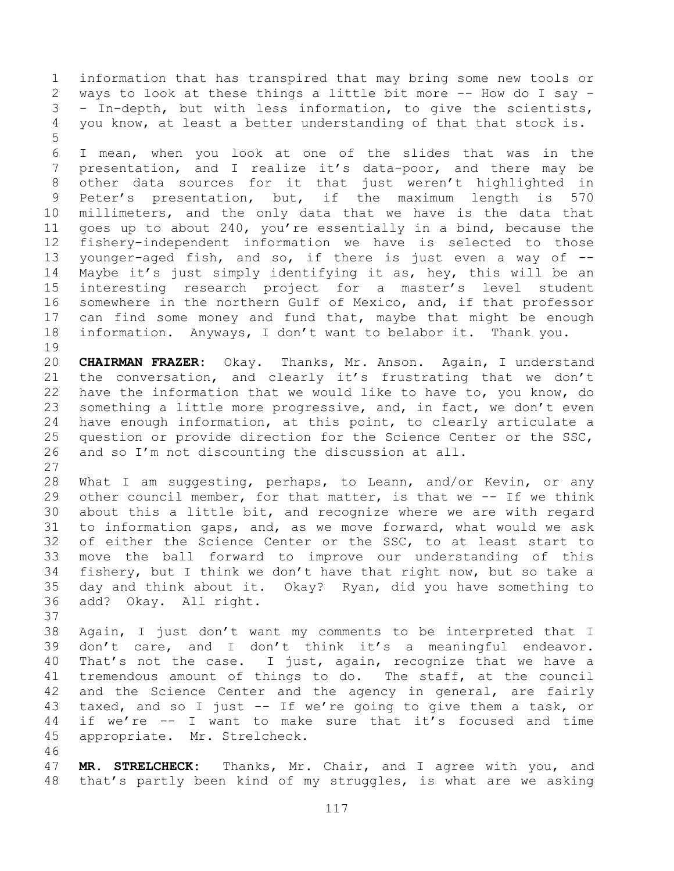information that has transpired that may bring some new tools or ways to look at these things a little bit more -- How do I say - - In-depth, but with less information, to give the scientists, you know, at least a better understanding of that that stock is. 

 I mean, when you look at one of the slides that was in the 7 presentation, and I realize it's data-poor, and there may be other data sources for it that just weren't highlighted in Peter's presentation, but, if the maximum length is 570 millimeters, and the only data that we have is the data that goes up to about 240, you're essentially in a bind, because the fishery-independent information we have is selected to those younger-aged fish, and so, if there is just even a way of -- Maybe it's just simply identifying it as, hey, this will be an interesting research project for a master's level student somewhere in the northern Gulf of Mexico, and, if that professor can find some money and fund that, maybe that might be enough information. Anyways, I don't want to belabor it. Thank you. 

 **CHAIRMAN FRAZER:** Okay. Thanks, Mr. Anson. Again, I understand the conversation, and clearly it's frustrating that we don't have the information that we would like to have to, you know, do something a little more progressive, and, in fact, we don't even have enough information, at this point, to clearly articulate a question or provide direction for the Science Center or the SSC, and so I'm not discounting the discussion at all. 

 What I am suggesting, perhaps, to Leann, and/or Kevin, or any other council member, for that matter, is that we -- If we think about this a little bit, and recognize where we are with regard to information gaps, and, as we move forward, what would we ask of either the Science Center or the SSC, to at least start to move the ball forward to improve our understanding of this fishery, but I think we don't have that right now, but so take a day and think about it. Okay? Ryan, did you have something to add? Okay. All right.

 Again, I just don't want my comments to be interpreted that I don't care, and I don't think it's a meaningful endeavor. That's not the case. I just, again, recognize that we have a tremendous amount of things to do. The staff, at the council 42 and the Science Center and the agency in general, are fairly taxed, and so I just -- If we're going to give them a task, or if we're -- I want to make sure that it's focused and time appropriate. Mr. Strelcheck.

 **MR. STRELCHECK:** Thanks, Mr. Chair, and I agree with you, and that's partly been kind of my struggles, is what are we asking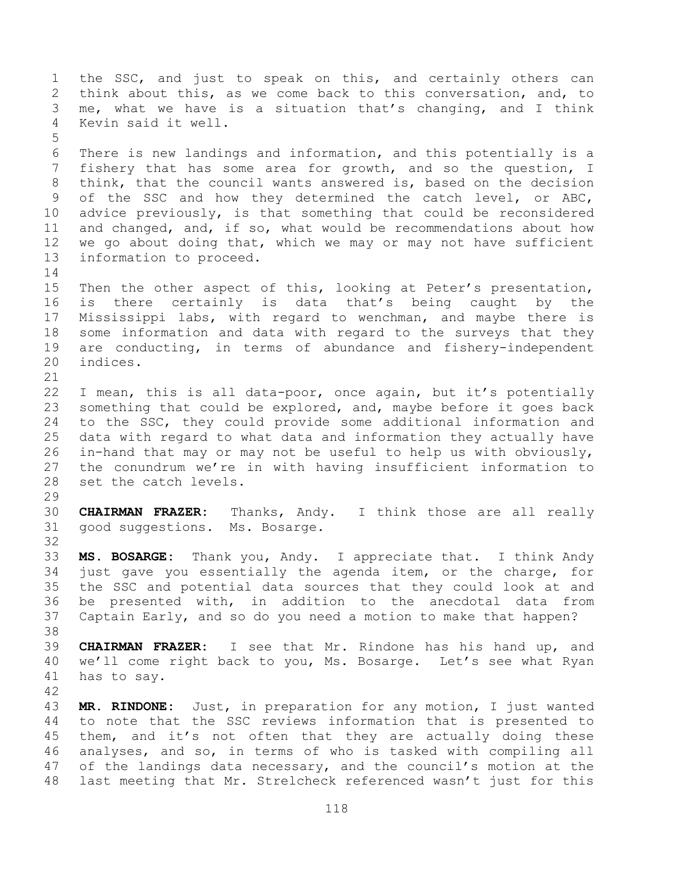1 the SSC, and just to speak on this, and certainly others can think about this, as we come back to this conversation, and, to me, what we have is a situation that's changing, and I think Kevin said it well. There is new landings and information, and this potentially is a fishery that has some area for growth, and so the question, I think, that the council wants answered is, based on the decision of the SSC and how they determined the catch level, or ABC, advice previously, is that something that could be reconsidered and changed, and, if so, what would be recommendations about how we go about doing that, which we may or may not have sufficient information to proceed. Then the other aspect of this, looking at Peter's presentation, is there certainly is data that's being caught by the Mississippi labs, with regard to wenchman, and maybe there is some information and data with regard to the surveys that they are conducting, in terms of abundance and fishery-independent indices. I mean, this is all data-poor, once again, but it's potentially something that could be explored, and, maybe before it goes back to the SSC, they could provide some additional information and data with regard to what data and information they actually have in-hand that may or may not be useful to help us with obviously, the conundrum we're in with having insufficient information to set the catch levels. **CHAIRMAN FRAZER:** Thanks, Andy. I think those are all really good suggestions. Ms. Bosarge. **MS. BOSARGE:** Thank you, Andy. I appreciate that. I think Andy just gave you essentially the agenda item, or the charge, for the SSC and potential data sources that they could look at and be presented with, in addition to the anecdotal data from Captain Early, and so do you need a motion to make that happen? **CHAIRMAN FRAZER:** I see that Mr. Rindone has his hand up, and we'll come right back to you, Ms. Bosarge. Let's see what Ryan has to say. **MR. RINDONE:** Just, in preparation for any motion, I just wanted to note that the SSC reviews information that is presented to 45 them, and it's not often that they are actually doing these analyses, and so, in terms of who is tasked with compiling all of the landings data necessary, and the council's motion at the last meeting that Mr. Strelcheck referenced wasn't just for this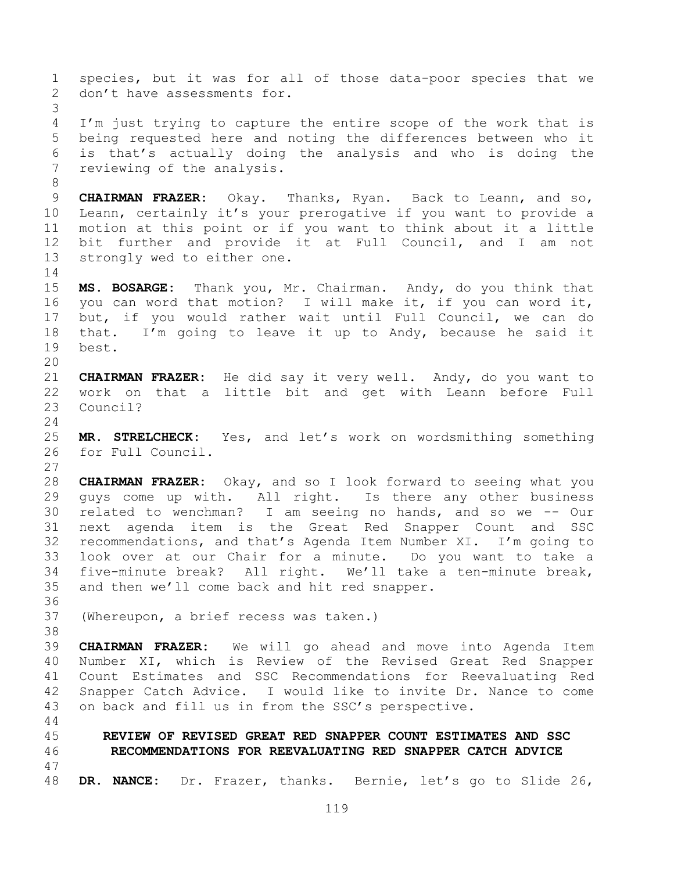species, but it was for all of those data-poor species that we 2 don't have assessments for. I'm just trying to capture the entire scope of the work that is being requested here and noting the differences between who it is that's actually doing the analysis and who is doing the reviewing of the analysis. **CHAIRMAN FRAZER:** Okay. Thanks, Ryan. Back to Leann, and so, Leann, certainly it's your prerogative if you want to provide a motion at this point or if you want to think about it a little bit further and provide it at Full Council, and I am not strongly wed to either one. **MS. BOSARGE:** Thank you, Mr. Chairman. Andy, do you think that you can word that motion? I will make it, if you can word it, but, if you would rather wait until Full Council, we can do that. I'm going to leave it up to Andy, because he said it best. **CHAIRMAN FRAZER:** He did say it very well. Andy, do you want to work on that a little bit and get with Leann before Full Council? **MR. STRELCHECK:** Yes, and let's work on wordsmithing something for Full Council. **CHAIRMAN FRAZER:** Okay, and so I look forward to seeing what you guys come up with. All right. Is there any other business related to wenchman? I am seeing no hands, and so we -- Our next agenda item is the Great Red Snapper Count and SSC recommendations, and that's Agenda Item Number XI. I'm going to look over at our Chair for a minute. Do you want to take a five-minute break? All right. We'll take a ten-minute break, and then we'll come back and hit red snapper. (Whereupon, a brief recess was taken.) **CHAIRMAN FRAZER:** We will go ahead and move into Agenda Item Number XI, which is Review of the Revised Great Red Snapper Count Estimates and SSC Recommendations for Reevaluating Red Snapper Catch Advice. I would like to invite Dr. Nance to come on back and fill us in from the SSC's perspective. **REVIEW OF REVISED GREAT RED SNAPPER COUNT ESTIMATES AND SSC RECOMMENDATIONS FOR REEVALUATING RED SNAPPER CATCH ADVICE DR. NANCE:** Dr. Frazer, thanks. Bernie, let's go to Slide 26,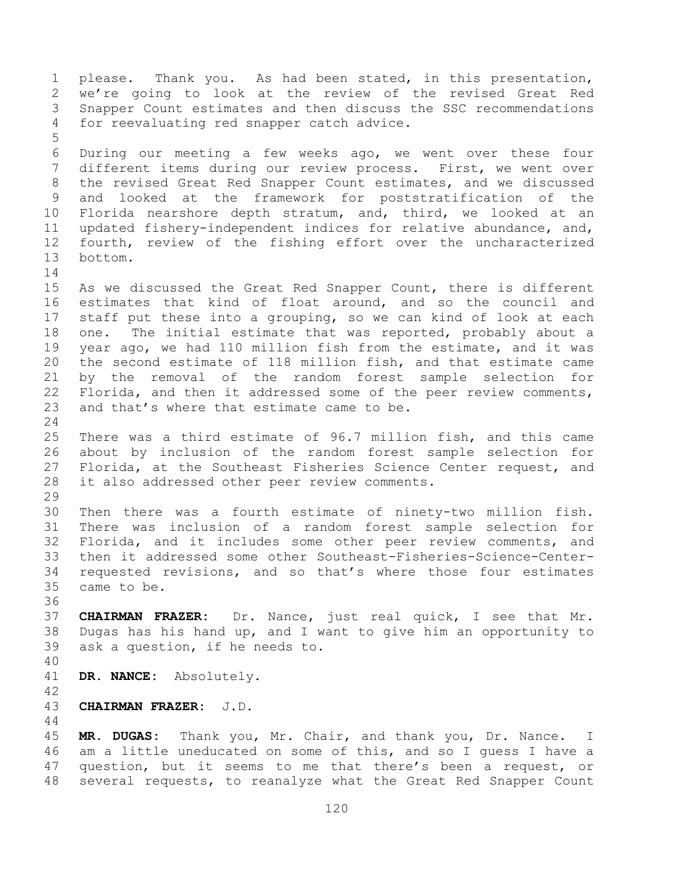please. Thank you. As had been stated, in this presentation, we're going to look at the review of the revised Great Red Snapper Count estimates and then discuss the SSC recommendations for reevaluating red snapper catch advice. During our meeting a few weeks ago, we went over these four different items during our review process. First, we went over the revised Great Red Snapper Count estimates, and we discussed and looked at the framework for poststratification of the Florida nearshore depth stratum, and, third, we looked at an updated fishery-independent indices for relative abundance, and, fourth, review of the fishing effort over the uncharacterized bottom. As we discussed the Great Red Snapper Count, there is different estimates that kind of float around, and so the council and staff put these into a grouping, so we can kind of look at each one. The initial estimate that was reported, probably about a year ago, we had 110 million fish from the estimate, and it was the second estimate of 118 million fish, and that estimate came by the removal of the random forest sample selection for Florida, and then it addressed some of the peer review comments, and that's where that estimate came to be. There was a third estimate of 96.7 million fish, and this came about by inclusion of the random forest sample selection for Florida, at the Southeast Fisheries Science Center request, and it also addressed other peer review comments. Then there was a fourth estimate of ninety-two million fish. There was inclusion of a random forest sample selection for Florida, and it includes some other peer review comments, and then it addressed some other Southeast-Fisheries-Science-Center- requested revisions, and so that's where those four estimates came to be. **CHAIRMAN FRAZER:** Dr. Nance, just real quick, I see that Mr. Dugas has his hand up, and I want to give him an opportunity to ask a question, if he needs to. **DR. NANCE:** Absolutely. **CHAIRMAN FRAZER:** J.D. **MR. DUGAS:** Thank you, Mr. Chair, and thank you, Dr. Nance. I am a little uneducated on some of this, and so I guess I have a

 question, but it seems to me that there's been a request, or several requests, to reanalyze what the Great Red Snapper Count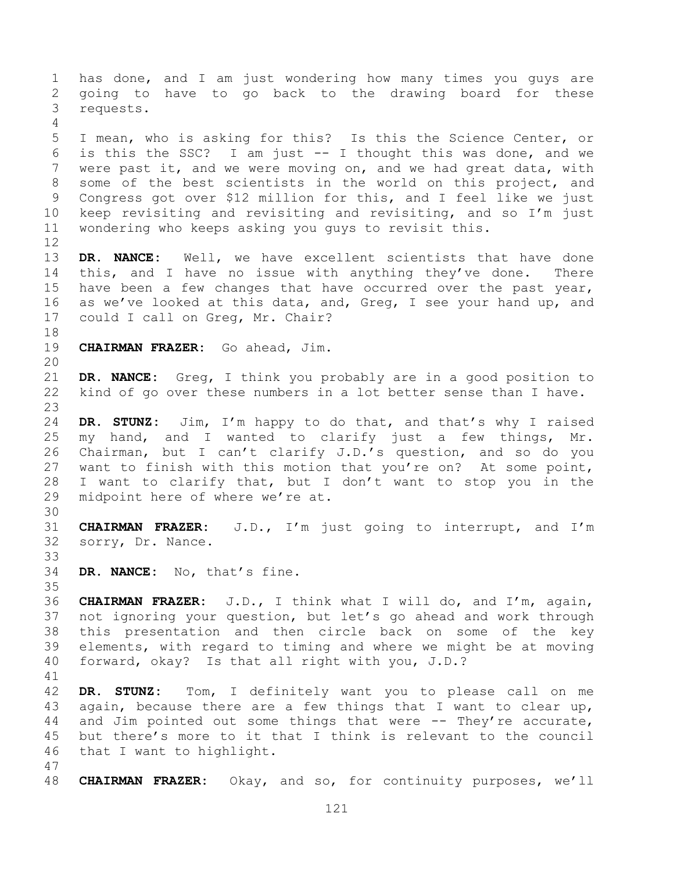has done, and I am just wondering how many times you guys are going to have to go back to the drawing board for these requests. I mean, who is asking for this? Is this the Science Center, or is this the SSC? I am just -- I thought this was done, and we were past it, and we were moving on, and we had great data, with some of the best scientists in the world on this project, and Congress got over \$12 million for this, and I feel like we just keep revisiting and revisiting and revisiting, and so I'm just wondering who keeps asking you guys to revisit this. **DR. NANCE:** Well, we have excellent scientists that have done 14 this, and I have no issue with anything they've done. There have been a few changes that have occurred over the past year, as we've looked at this data, and, Greg, I see your hand up, and could I call on Greg, Mr. Chair? **CHAIRMAN FRAZER:** Go ahead, Jim. **DR. NANCE:** Greg, I think you probably are in a good position to kind of go over these numbers in a lot better sense than I have. **DR. STUNZ:** Jim, I'm happy to do that, and that's why I raised my hand, and I wanted to clarify just a few things, Mr. Chairman, but I can't clarify J.D.'s question, and so do you want to finish with this motion that you're on? At some point, I want to clarify that, but I don't want to stop you in the midpoint here of where we're at. **CHAIRMAN FRAZER:** J.D., I'm just going to interrupt, and I'm sorry, Dr. Nance. **DR. NANCE:** No, that's fine. **CHAIRMAN FRAZER:** J.D., I think what I will do, and I'm, again, not ignoring your question, but let's go ahead and work through this presentation and then circle back on some of the key elements, with regard to timing and where we might be at moving forward, okay? Is that all right with you, J.D.? **DR. STUNZ:** Tom, I definitely want you to please call on me again, because there are a few things that I want to clear up, and Jim pointed out some things that were -- They're accurate, but there's more to it that I think is relevant to the council that I want to highlight. **CHAIRMAN FRAZER:** Okay, and so, for continuity purposes, we'll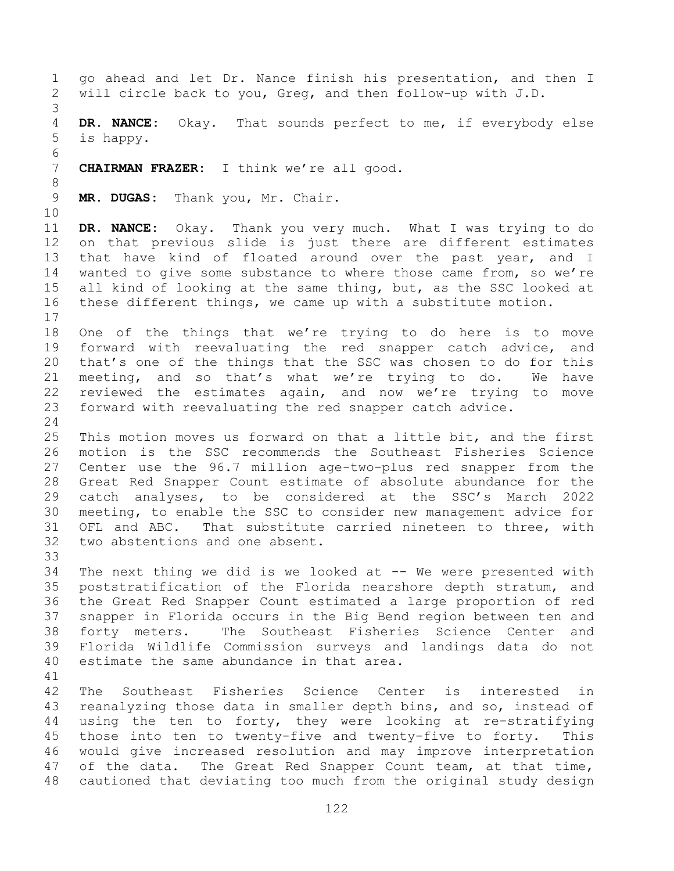go ahead and let Dr. Nance finish his presentation, and then I will circle back to you, Greg, and then follow-up with J.D. **DR. NANCE:** Okay. That sounds perfect to me, if everybody else is happy. **CHAIRMAN FRAZER:** I think we're all good. **MR. DUGAS:** Thank you, Mr. Chair. **DR. NANCE:** Okay. Thank you very much. What I was trying to do on that previous slide is just there are different estimates that have kind of floated around over the past year, and I wanted to give some substance to where those came from, so we're all kind of looking at the same thing, but, as the SSC looked at these different things, we came up with a substitute motion. One of the things that we're trying to do here is to move forward with reevaluating the red snapper catch advice, and that's one of the things that the SSC was chosen to do for this meeting, and so that's what we're trying to do. We have reviewed the estimates again, and now we're trying to move forward with reevaluating the red snapper catch advice. This motion moves us forward on that a little bit, and the first motion is the SSC recommends the Southeast Fisheries Science Center use the 96.7 million age-two-plus red snapper from the Great Red Snapper Count estimate of absolute abundance for the catch analyses, to be considered at the SSC's March 2022 meeting, to enable the SSC to consider new management advice for OFL and ABC. That substitute carried nineteen to three, with two abstentions and one absent. The next thing we did is we looked at -- We were presented with poststratification of the Florida nearshore depth stratum, and the Great Red Snapper Count estimated a large proportion of red snapper in Florida occurs in the Big Bend region between ten and forty meters. The Southeast Fisheries Science Center and Florida Wildlife Commission surveys and landings data do not estimate the same abundance in that area. The Southeast Fisheries Science Center is interested in 43 reanalyzing those data in smaller depth bins, and so, instead of using the ten to forty, they were looking at re-stratifying those into ten to twenty-five and twenty-five to forty. This would give increased resolution and may improve interpretation of the data. The Great Red Snapper Count team, at that time, cautioned that deviating too much from the original study design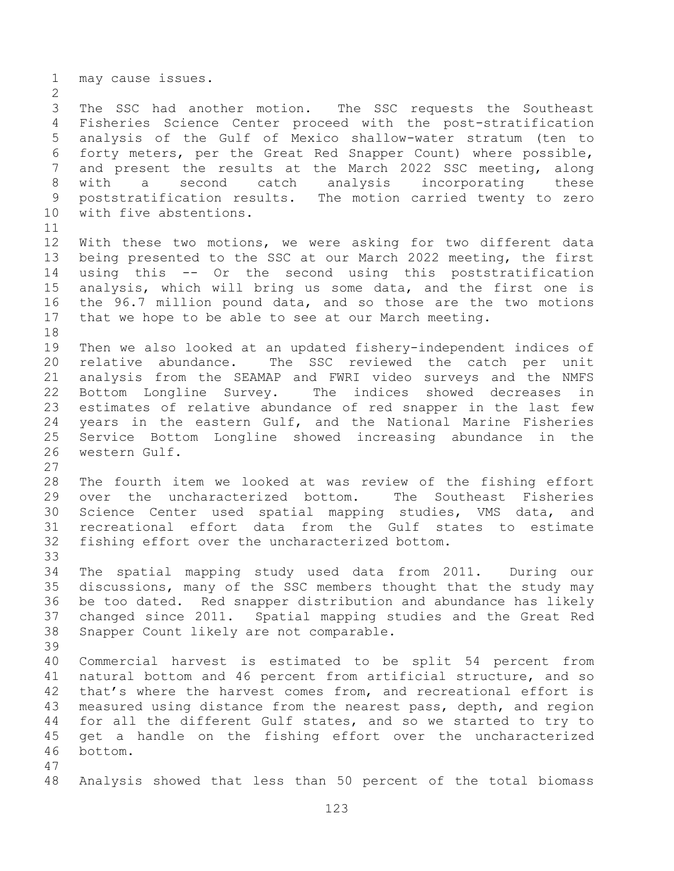may cause issues.

 The SSC had another motion. The SSC requests the Southeast Fisheries Science Center proceed with the post-stratification analysis of the Gulf of Mexico shallow-water stratum (ten to forty meters, per the Great Red Snapper Count) where possible, and present the results at the March 2022 SSC meeting, along with a second catch analysis incorporating these poststratification results. The motion carried twenty to zero with five abstentions.

 With these two motions, we were asking for two different data being presented to the SSC at our March 2022 meeting, the first using this -- Or the second using this poststratification analysis, which will bring us some data, and the first one is the 96.7 million pound data, and so those are the two motions that we hope to be able to see at our March meeting. 

 Then we also looked at an updated fishery-independent indices of relative abundance. The SSC reviewed the catch per unit analysis from the SEAMAP and FWRI video surveys and the NMFS Bottom Longline Survey. The indices showed decreases in estimates of relative abundance of red snapper in the last few years in the eastern Gulf, and the National Marine Fisheries Service Bottom Longline showed increasing abundance in the western Gulf.

 The fourth item we looked at was review of the fishing effort over the uncharacterized bottom. The Southeast Fisheries Science Center used spatial mapping studies, VMS data, and recreational effort data from the Gulf states to estimate fishing effort over the uncharacterized bottom.

 The spatial mapping study used data from 2011. During our discussions, many of the SSC members thought that the study may be too dated. Red snapper distribution and abundance has likely changed since 2011. Spatial mapping studies and the Great Red Snapper Count likely are not comparable.

 Commercial harvest is estimated to be split 54 percent from natural bottom and 46 percent from artificial structure, and so that's where the harvest comes from, and recreational effort is measured using distance from the nearest pass, depth, and region for all the different Gulf states, and so we started to try to get a handle on the fishing effort over the uncharacterized bottom. 

Analysis showed that less than 50 percent of the total biomass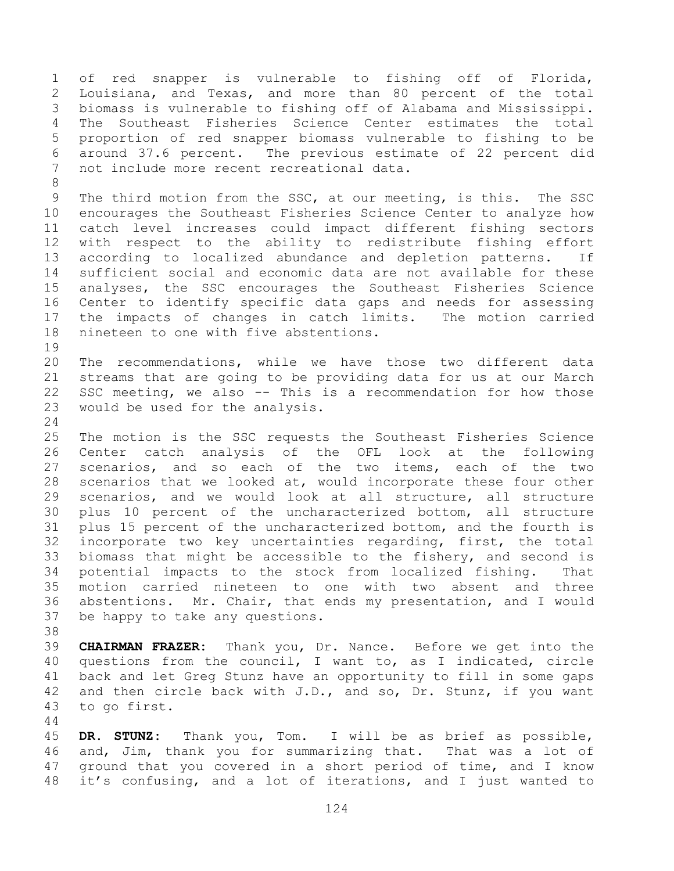of red snapper is vulnerable to fishing off of Florida, Louisiana, and Texas, and more than 80 percent of the total biomass is vulnerable to fishing off of Alabama and Mississippi. The Southeast Fisheries Science Center estimates the total proportion of red snapper biomass vulnerable to fishing to be around 37.6 percent. The previous estimate of 22 percent did not include more recent recreational data. The third motion from the SSC, at our meeting, is this. The SSC encourages the Southeast Fisheries Science Center to analyze how catch level increases could impact different fishing sectors with respect to the ability to redistribute fishing effort according to localized abundance and depletion patterns. If sufficient social and economic data are not available for these analyses, the SSC encourages the Southeast Fisheries Science Center to identify specific data gaps and needs for assessing the impacts of changes in catch limits. The motion carried nineteen to one with five abstentions. The recommendations, while we have those two different data streams that are going to be providing data for us at our March SSC meeting, we also -- This is a recommendation for how those would be used for the analysis. The motion is the SSC requests the Southeast Fisheries Science Center catch analysis of the OFL look at the following scenarios, and so each of the two items, each of the two scenarios that we looked at, would incorporate these four other scenarios, and we would look at all structure, all structure plus 10 percent of the uncharacterized bottom, all structure plus 15 percent of the uncharacterized bottom, and the fourth is incorporate two key uncertainties regarding, first, the total biomass that might be accessible to the fishery, and second is potential impacts to the stock from localized fishing. That motion carried nineteen to one with two absent and three abstentions. Mr. Chair, that ends my presentation, and I would be happy to take any questions. **CHAIRMAN FRAZER:** Thank you, Dr. Nance. Before we get into the

 questions from the council, I want to, as I indicated, circle back and let Greg Stunz have an opportunity to fill in some gaps and then circle back with J.D., and so, Dr. Stunz, if you want to go first.

 **DR. STUNZ:** Thank you, Tom. I will be as brief as possible, and, Jim, thank you for summarizing that. That was a lot of ground that you covered in a short period of time, and I know it's confusing, and a lot of iterations, and I just wanted to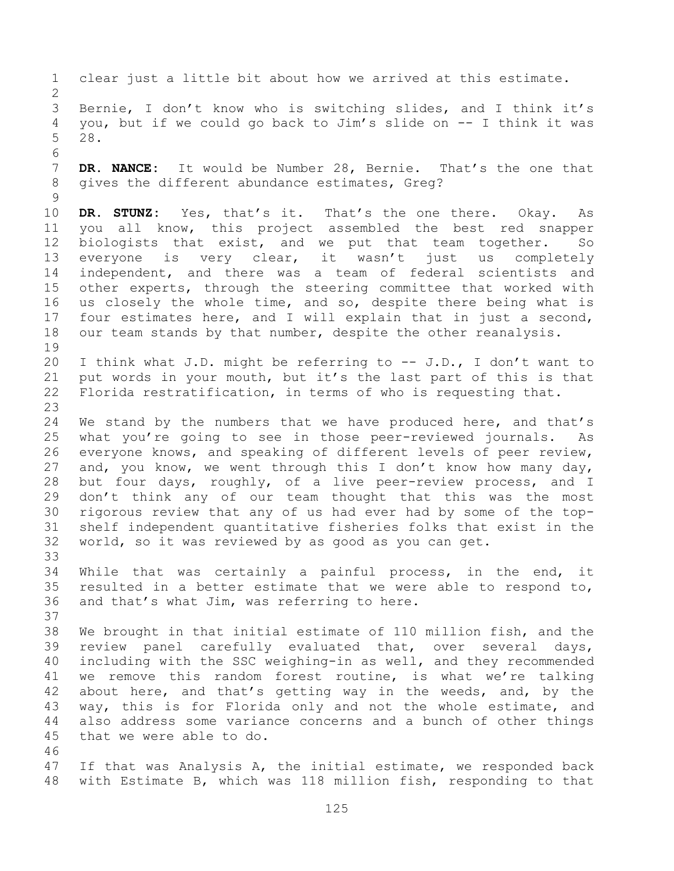clear just a little bit about how we arrived at this estimate. Bernie, I don't know who is switching slides, and I think it's you, but if we could go back to Jim's slide on -- I think it was 28. **DR. NANCE:** It would be Number 28, Bernie. That's the one that gives the different abundance estimates, Greg? **DR. STUNZ:** Yes, that's it. That's the one there. Okay. As you all know, this project assembled the best red snapper biologists that exist, and we put that team together. So everyone is very clear, it wasn't just us completely independent, and there was a team of federal scientists and other experts, through the steering committee that worked with us closely the whole time, and so, despite there being what is four estimates here, and I will explain that in just a second, 18 our team stands by that number, despite the other reanalysis. I think what J.D. might be referring to -- J.D., I don't want to put words in your mouth, but it's the last part of this is that Florida restratification, in terms of who is requesting that. We stand by the numbers that we have produced here, and that's what you're going to see in those peer-reviewed journals. As everyone knows, and speaking of different levels of peer review, and, you know, we went through this I don't know how many day, but four days, roughly, of a live peer-review process, and I don't think any of our team thought that this was the most rigorous review that any of us had ever had by some of the top- shelf independent quantitative fisheries folks that exist in the world, so it was reviewed by as good as you can get. While that was certainly a painful process, in the end, it resulted in a better estimate that we were able to respond to, and that's what Jim, was referring to here. We brought in that initial estimate of 110 million fish, and the review panel carefully evaluated that, over several days, including with the SSC weighing-in as well, and they recommended we remove this random forest routine, is what we're talking about here, and that's getting way in the weeds, and, by the way, this is for Florida only and not the whole estimate, and also address some variance concerns and a bunch of other things that we were able to do. If that was Analysis A, the initial estimate, we responded back with Estimate B, which was 118 million fish, responding to that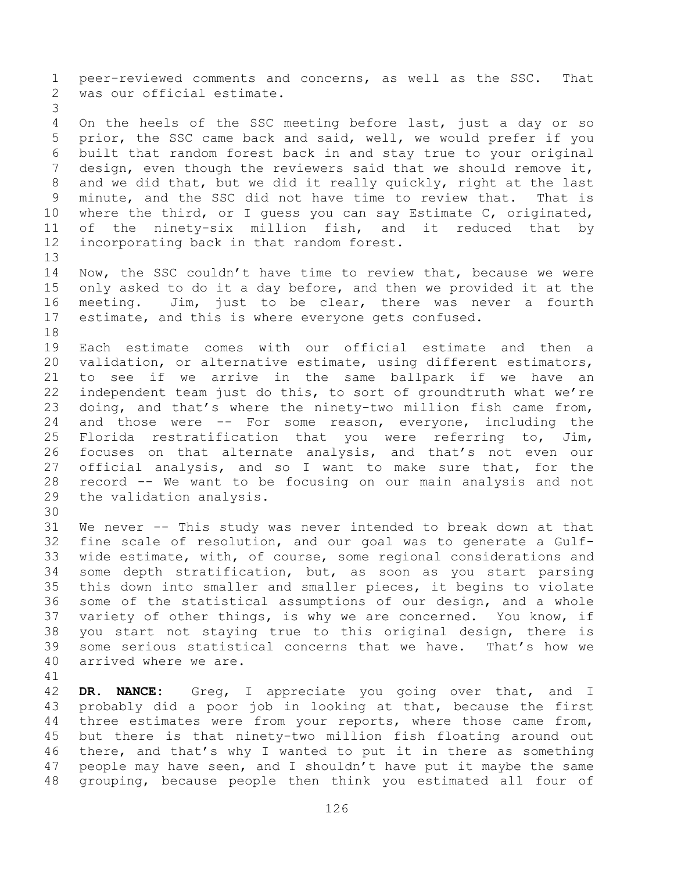peer-reviewed comments and concerns, as well as the SSC. That was our official estimate. On the heels of the SSC meeting before last, just a day or so prior, the SSC came back and said, well, we would prefer if you built that random forest back in and stay true to your original design, even though the reviewers said that we should remove it, and we did that, but we did it really quickly, right at the last minute, and the SSC did not have time to review that. That is where the third, or I guess you can say Estimate C, originated, of the ninety-six million fish, and it reduced that by incorporating back in that random forest. Now, the SSC couldn't have time to review that, because we were only asked to do it a day before, and then we provided it at the meeting. Jim, just to be clear, there was never a fourth estimate, and this is where everyone gets confused. Each estimate comes with our official estimate and then a validation, or alternative estimate, using different estimators, to see if we arrive in the same ballpark if we have an independent team just do this, to sort of groundtruth what we're doing, and that's where the ninety-two million fish came from, and those were -- For some reason, everyone, including the Florida restratification that you were referring to, Jim, focuses on that alternate analysis, and that's not even our official analysis, and so I want to make sure that, for the record -- We want to be focusing on our main analysis and not the validation analysis. We never -- This study was never intended to break down at that fine scale of resolution, and our goal was to generate a Gulf- wide estimate, with, of course, some regional considerations and some depth stratification, but, as soon as you start parsing this down into smaller and smaller pieces, it begins to violate some of the statistical assumptions of our design, and a whole variety of other things, is why we are concerned. You know, if you start not staying true to this original design, there is some serious statistical concerns that we have. That's how we arrived where we are.

 **DR. NANCE:** Greg, I appreciate you going over that, and I probably did a poor job in looking at that, because the first 44 three estimates were from your reports, where those came from, but there is that ninety-two million fish floating around out there, and that's why I wanted to put it in there as something 47 people may have seen, and I shouldn't have put it maybe the same grouping, because people then think you estimated all four of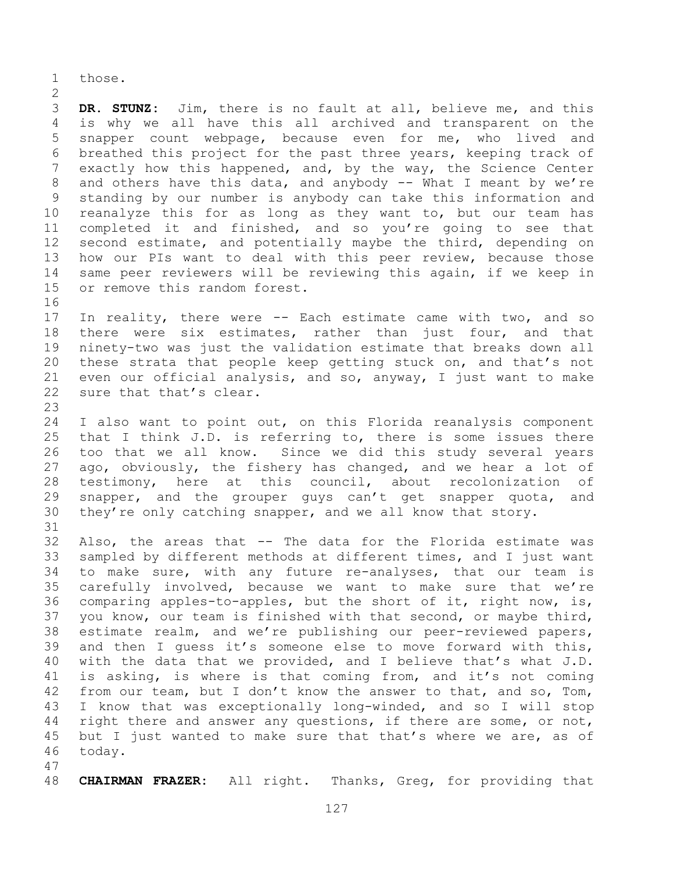those.

 **DR. STUNZ:** Jim, there is no fault at all, believe me, and this is why we all have this all archived and transparent on the snapper count webpage, because even for me, who lived and breathed this project for the past three years, keeping track of exactly how this happened, and, by the way, the Science Center 8 and others have this data, and anybody -- What I meant by we're standing by our number is anybody can take this information and reanalyze this for as long as they want to, but our team has completed it and finished, and so you're going to see that second estimate, and potentially maybe the third, depending on how our PIs want to deal with this peer review, because those same peer reviewers will be reviewing this again, if we keep in or remove this random forest. 

 In reality, there were -- Each estimate came with two, and so 18 there were six estimates, rather than just four, and that ninety-two was just the validation estimate that breaks down all these strata that people keep getting stuck on, and that's not even our official analysis, and so, anyway, I just want to make sure that that's clear.

 I also want to point out, on this Florida reanalysis component that I think J.D. is referring to, there is some issues there too that we all know. Since we did this study several years ago, obviously, the fishery has changed, and we hear a lot of testimony, here at this council, about recolonization of 29 snapper, and the grouper guys can't get snapper quota, and they're only catching snapper, and we all know that story. 

 Also, the areas that -- The data for the Florida estimate was sampled by different methods at different times, and I just want to make sure, with any future re-analyses, that our team is carefully involved, because we want to make sure that we're comparing apples-to-apples, but the short of it, right now, is, you know, our team is finished with that second, or maybe third, estimate realm, and we're publishing our peer-reviewed papers, and then I guess it's someone else to move forward with this, with the data that we provided, and I believe that's what J.D. is asking, is where is that coming from, and it's not coming 42 from our team, but I don't know the answer to that, and so, Tom, I know that was exceptionally long-winded, and so I will stop 44 right there and answer any questions, if there are some, or not, 45 but I just wanted to make sure that that's where we are, as of today.

**CHAIRMAN FRAZER:** All right. Thanks, Greg, for providing that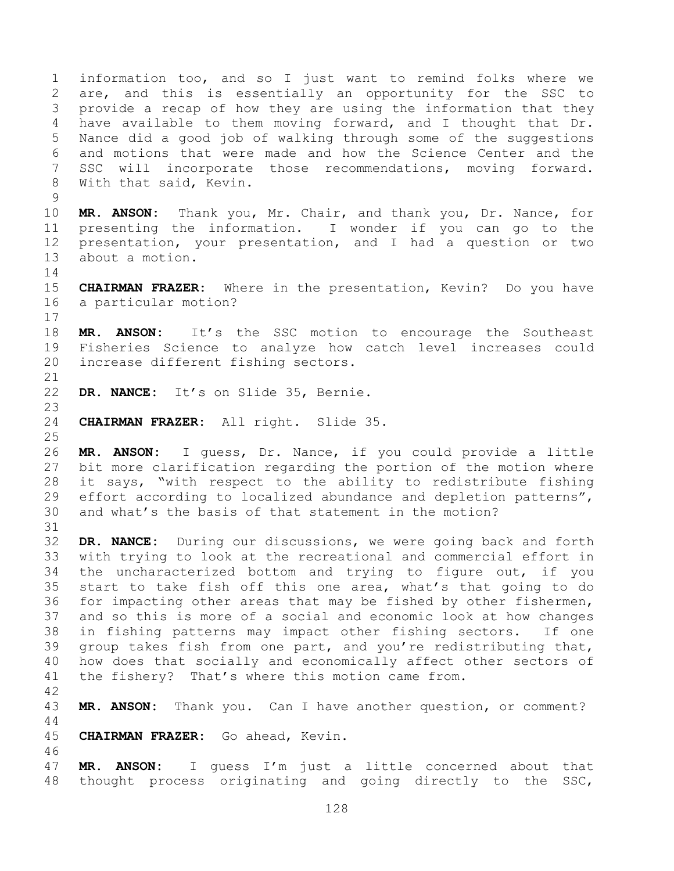information too, and so I just want to remind folks where we are, and this is essentially an opportunity for the SSC to provide a recap of how they are using the information that they have available to them moving forward, and I thought that Dr. Nance did a good job of walking through some of the suggestions and motions that were made and how the Science Center and the SSC will incorporate those recommendations, moving forward. With that said, Kevin. 

 **MR. ANSON:** Thank you, Mr. Chair, and thank you, Dr. Nance, for presenting the information. I wonder if you can go to the presentation, your presentation, and I had a question or two about a motion.

 **CHAIRMAN FRAZER:** Where in the presentation, Kevin? Do you have a particular motion?

 **MR. ANSON:** It's the SSC motion to encourage the Southeast Fisheries Science to analyze how catch level increases could increase different fishing sectors.

**DR. NANCE:** It's on Slide 35, Bernie.

**CHAIRMAN FRAZER:** All right. Slide 35.

 **MR. ANSON:** I guess, Dr. Nance, if you could provide a little bit more clarification regarding the portion of the motion where it says, "with respect to the ability to redistribute fishing effort according to localized abundance and depletion patterns", and what's the basis of that statement in the motion?

 **DR. NANCE:** During our discussions, we were going back and forth with trying to look at the recreational and commercial effort in the uncharacterized bottom and trying to figure out, if you start to take fish off this one area, what's that going to do for impacting other areas that may be fished by other fishermen, and so this is more of a social and economic look at how changes in fishing patterns may impact other fishing sectors. If one group takes fish from one part, and you're redistributing that, how does that socially and economically affect other sectors of the fishery? That's where this motion came from.

**MR. ANSON:** Thank you. Can I have another question, or comment?

**CHAIRMAN FRAZER:** Go ahead, Kevin.

 **MR. ANSON:** I guess I'm just a little concerned about that thought process originating and going directly to the SSC,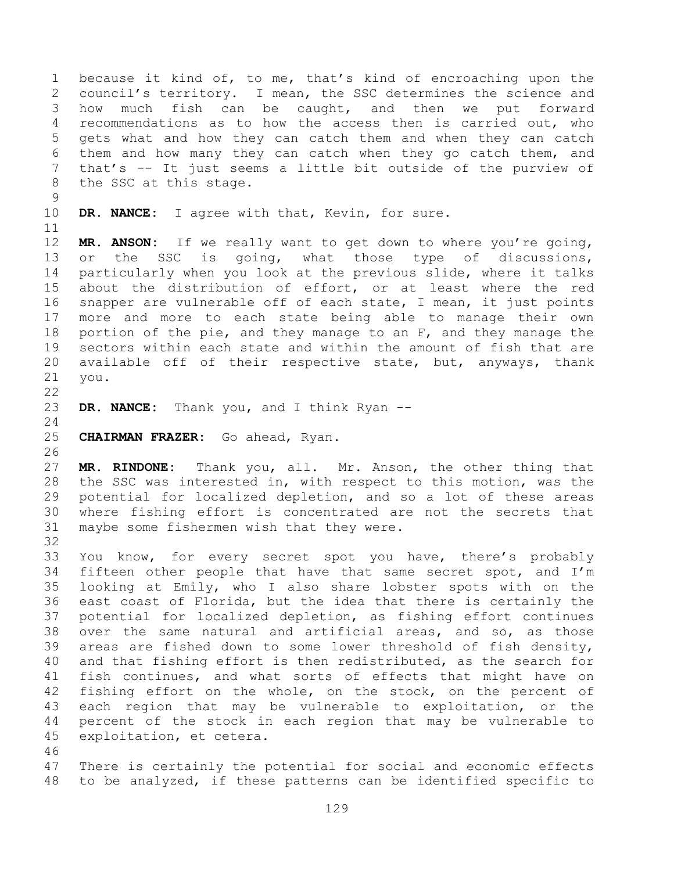because it kind of, to me, that's kind of encroaching upon the council's territory. I mean, the SSC determines the science and how much fish can be caught, and then we put forward recommendations as to how the access then is carried out, who gets what and how they can catch them and when they can catch them and how many they can catch when they go catch them, and that's -- It just seems a little bit outside of the purview of the SSC at this stage. **DR. NANCE:** I agree with that, Kevin, for sure. **MR. ANSON:** If we really want to get down to where you're going, or the SSC is going, what those type of discussions, particularly when you look at the previous slide, where it talks about the distribution of effort, or at least where the red snapper are vulnerable off of each state, I mean, it just points more and more to each state being able to manage their own 18 portion of the pie, and they manage to an F, and they manage the sectors within each state and within the amount of fish that are available off of their respective state, but, anyways, thank you. **DR. NANCE:** Thank you, and I think Ryan -- **CHAIRMAN FRAZER:** Go ahead, Ryan. **MR. RINDONE:** Thank you, all. Mr. Anson, the other thing that the SSC was interested in, with respect to this motion, was the potential for localized depletion, and so a lot of these areas where fishing effort is concentrated are not the secrets that maybe some fishermen wish that they were. You know, for every secret spot you have, there's probably fifteen other people that have that same secret spot, and I'm looking at Emily, who I also share lobster spots with on the east coast of Florida, but the idea that there is certainly the potential for localized depletion, as fishing effort continues over the same natural and artificial areas, and so, as those areas are fished down to some lower threshold of fish density, and that fishing effort is then redistributed, as the search for fish continues, and what sorts of effects that might have on fishing effort on the whole, on the stock, on the percent of each region that may be vulnerable to exploitation, or the percent of the stock in each region that may be vulnerable to exploitation, et cetera. There is certainly the potential for social and economic effects to be analyzed, if these patterns can be identified specific to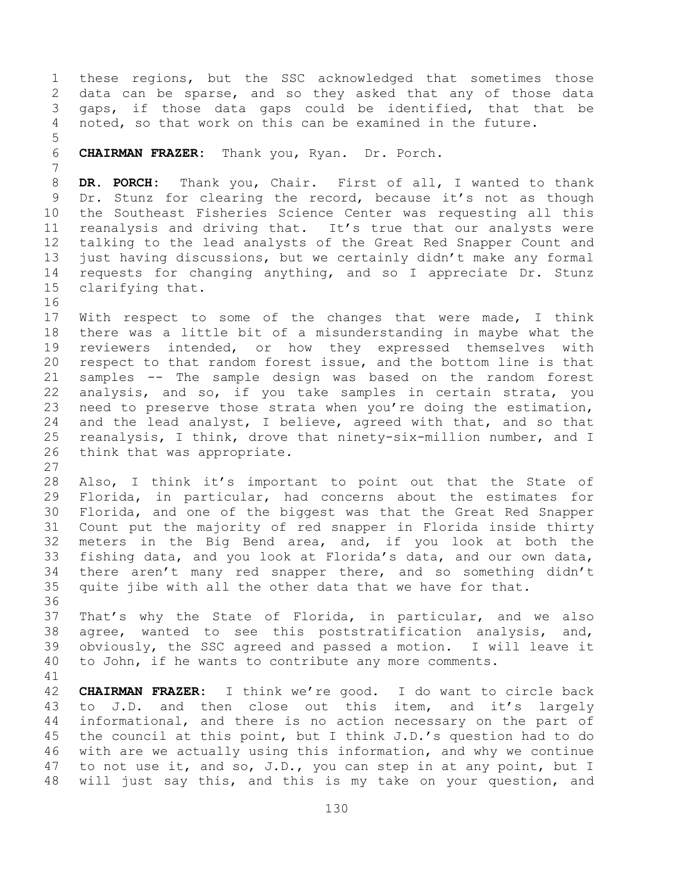these regions, but the SSC acknowledged that sometimes those data can be sparse, and so they asked that any of those data gaps, if those data gaps could be identified, that that be noted, so that work on this can be examined in the future. **CHAIRMAN FRAZER:** Thank you, Ryan. Dr. Porch. **DR. PORCH:** Thank you, Chair. First of all, I wanted to thank Dr. Stunz for clearing the record, because it's not as though the Southeast Fisheries Science Center was requesting all this reanalysis and driving that. It's true that our analysts were talking to the lead analysts of the Great Red Snapper Count and just having discussions, but we certainly didn't make any formal requests for changing anything, and so I appreciate Dr. Stunz clarifying that. With respect to some of the changes that were made, I think there was a little bit of a misunderstanding in maybe what the reviewers intended, or how they expressed themselves with respect to that random forest issue, and the bottom line is that samples -- The sample design was based on the random forest analysis, and so, if you take samples in certain strata, you need to preserve those strata when you're doing the estimation, and the lead analyst, I believe, agreed with that, and so that reanalysis, I think, drove that ninety-six-million number, and I think that was appropriate. Also, I think it's important to point out that the State of Florida, in particular, had concerns about the estimates for Florida, and one of the biggest was that the Great Red Snapper Count put the majority of red snapper in Florida inside thirty meters in the Big Bend area, and, if you look at both the fishing data, and you look at Florida's data, and our own data, there aren't many red snapper there, and so something didn't quite jibe with all the other data that we have for that. That's why the State of Florida, in particular, and we also agree, wanted to see this poststratification analysis, and, obviously, the SSC agreed and passed a motion. I will leave it to John, if he wants to contribute any more comments. **CHAIRMAN FRAZER:** I think we're good. I do want to circle back to J.D. and then close out this item, and it's largely informational, and there is no action necessary on the part of the council at this point, but I think J.D.'s question had to do with are we actually using this information, and why we continue 47 to not use it, and so, J.D., you can step in at any point, but I will just say this, and this is my take on your question, and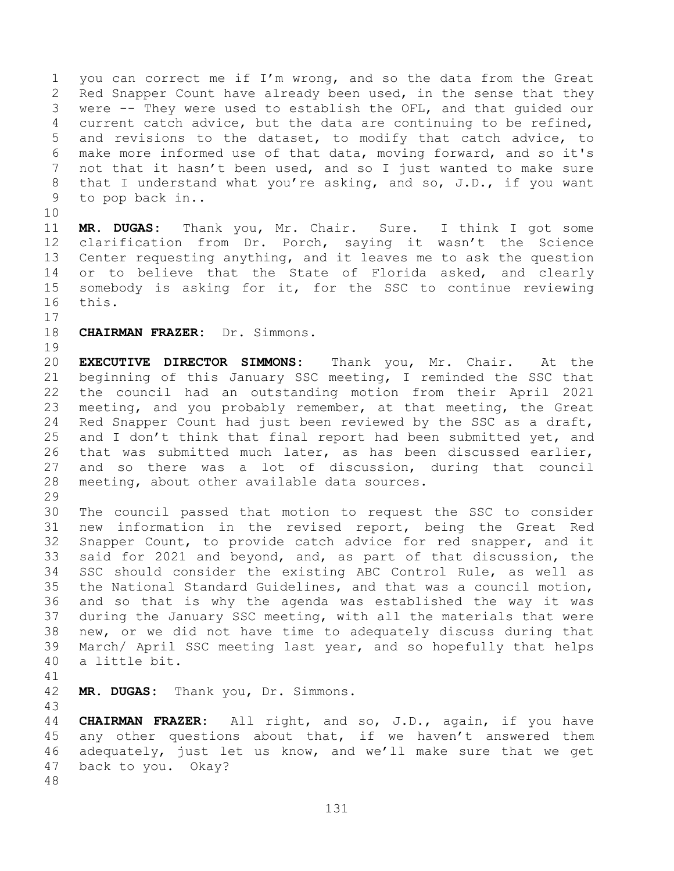you can correct me if I'm wrong, and so the data from the Great Red Snapper Count have already been used, in the sense that they were -- They were used to establish the OFL, and that guided our current catch advice, but the data are continuing to be refined, and revisions to the dataset, to modify that catch advice, to make more informed use of that data, moving forward, and so it's not that it hasn't been used, and so I just wanted to make sure that I understand what you're asking, and so, J.D., if you want to pop back in..

 **MR. DUGAS:** Thank you, Mr. Chair. Sure. I think I got some clarification from Dr. Porch, saying it wasn't the Science Center requesting anything, and it leaves me to ask the question 14 or to believe that the State of Florida asked, and clearly somebody is asking for it, for the SSC to continue reviewing this.

- 
- **CHAIRMAN FRAZER:** Dr. Simmons.

 **EXECUTIVE DIRECTOR SIMMONS:** Thank you, Mr. Chair. At the beginning of this January SSC meeting, I reminded the SSC that the council had an outstanding motion from their April 2021 meeting, and you probably remember, at that meeting, the Great Red Snapper Count had just been reviewed by the SSC as a draft, 25 and I don't think that final report had been submitted yet, and that was submitted much later, as has been discussed earlier, and so there was a lot of discussion, during that council meeting, about other available data sources.

 The council passed that motion to request the SSC to consider new information in the revised report, being the Great Red Snapper Count, to provide catch advice for red snapper, and it said for 2021 and beyond, and, as part of that discussion, the SSC should consider the existing ABC Control Rule, as well as the National Standard Guidelines, and that was a council motion, and so that is why the agenda was established the way it was during the January SSC meeting, with all the materials that were new, or we did not have time to adequately discuss during that March/ April SSC meeting last year, and so hopefully that helps a little bit.

**MR. DUGAS:** Thank you, Dr. Simmons.

 **CHAIRMAN FRAZER:** All right, and so, J.D., again, if you have any other questions about that, if we haven't answered them adequately, just let us know, and we'll make sure that we get back to you. Okay?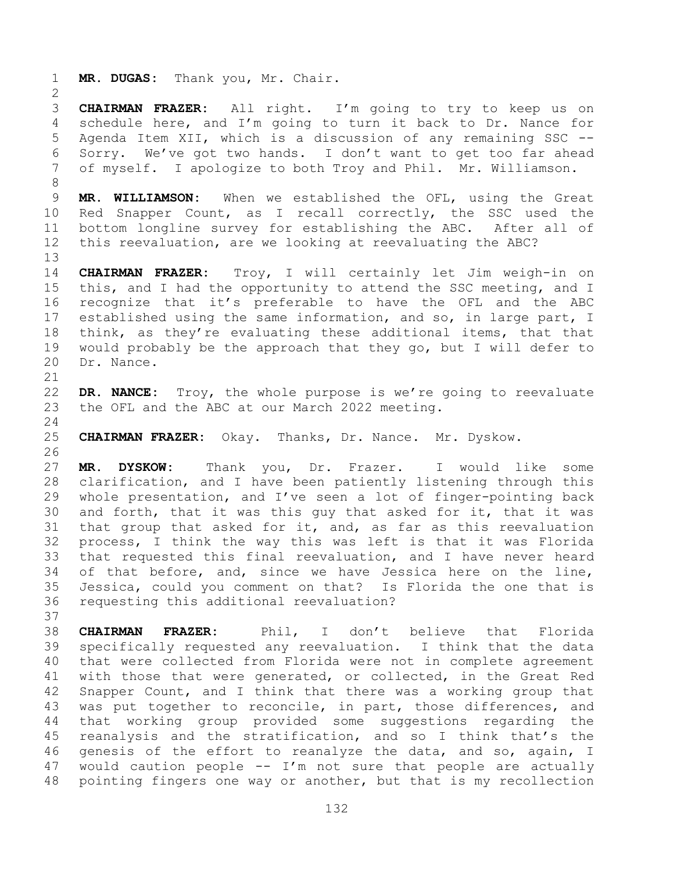**MR. DUGAS:** Thank you, Mr. Chair. **CHAIRMAN FRAZER:** All right. I'm going to try to keep us on

 schedule here, and I'm going to turn it back to Dr. Nance for Agenda Item XII, which is a discussion of any remaining SSC -- Sorry. We've got two hands. I don't want to get too far ahead of myself. I apologize to both Troy and Phil. Mr. Williamson.

 **MR. WILLIAMSON:** When we established the OFL, using the Great Red Snapper Count, as I recall correctly, the SSC used the bottom longline survey for establishing the ABC. After all of this reevaluation, are we looking at reevaluating the ABC?

 **CHAIRMAN FRAZER:** Troy, I will certainly let Jim weigh-in on 15 this, and I had the opportunity to attend the SSC meeting, and I recognize that it's preferable to have the OFL and the ABC established using the same information, and so, in large part, I think, as they're evaluating these additional items, that that would probably be the approach that they go, but I will defer to Dr. Nance.

 **DR. NANCE:** Troy, the whole purpose is we're going to reevaluate the OFL and the ABC at our March 2022 meeting.

**CHAIRMAN FRAZER:** Okay. Thanks, Dr. Nance. Mr. Dyskow.

 **MR. DYSKOW:** Thank you, Dr. Frazer. I would like some clarification, and I have been patiently listening through this whole presentation, and I've seen a lot of finger-pointing back and forth, that it was this guy that asked for it, that it was that group that asked for it, and, as far as this reevaluation process, I think the way this was left is that it was Florida that requested this final reevaluation, and I have never heard of that before, and, since we have Jessica here on the line, Jessica, could you comment on that? Is Florida the one that is requesting this additional reevaluation?

 **CHAIRMAN FRAZER:** Phil, I don't believe that Florida specifically requested any reevaluation. I think that the data that were collected from Florida were not in complete agreement with those that were generated, or collected, in the Great Red Snapper Count, and I think that there was a working group that was put together to reconcile, in part, those differences, and that working group provided some suggestions regarding the reanalysis and the stratification, and so I think that's the genesis of the effort to reanalyze the data, and so, again, I would caution people -- I'm not sure that people are actually pointing fingers one way or another, but that is my recollection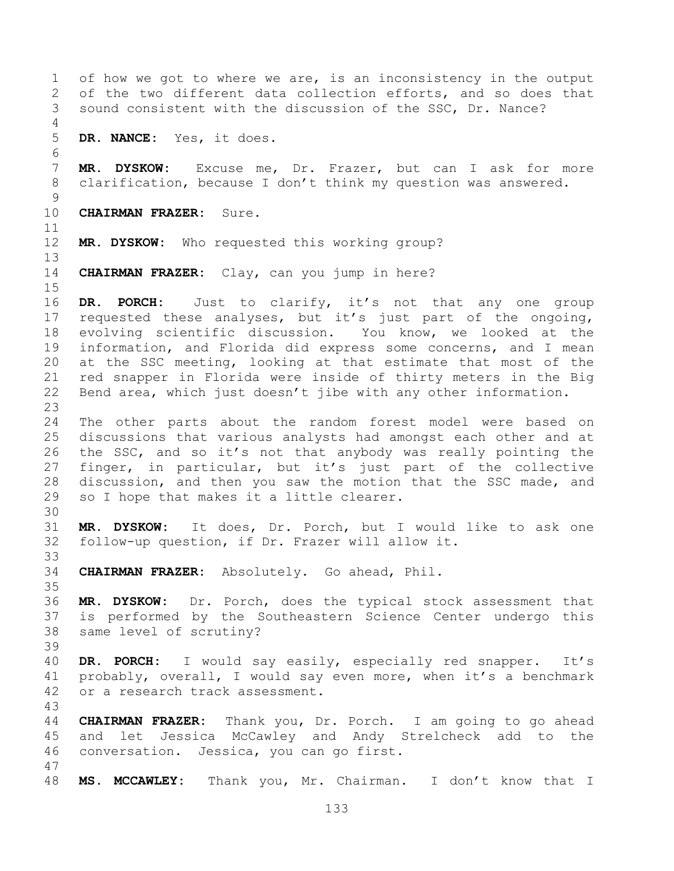of how we got to where we are, is an inconsistency in the output of the two different data collection efforts, and so does that sound consistent with the discussion of the SSC, Dr. Nance? **DR. NANCE:** Yes, it does. **MR. DYSKOW:** Excuse me, Dr. Frazer, but can I ask for more clarification, because I don't think my question was answered. **CHAIRMAN FRAZER:** Sure. **MR. DYSKOW:** Who requested this working group? **CHAIRMAN FRAZER:** Clay, can you jump in here? **DR. PORCH:** Just to clarify, it's not that any one group requested these analyses, but it's just part of the ongoing, evolving scientific discussion. You know, we looked at the information, and Florida did express some concerns, and I mean at the SSC meeting, looking at that estimate that most of the red snapper in Florida were inside of thirty meters in the Big Bend area, which just doesn't jibe with any other information. The other parts about the random forest model were based on discussions that various analysts had amongst each other and at the SSC, and so it's not that anybody was really pointing the finger, in particular, but it's just part of the collective discussion, and then you saw the motion that the SSC made, and so I hope that makes it a little clearer. **MR. DYSKOW:** It does, Dr. Porch, but I would like to ask one follow-up question, if Dr. Frazer will allow it. **CHAIRMAN FRAZER:** Absolutely. Go ahead, Phil. **MR. DYSKOW:** Dr. Porch, does the typical stock assessment that is performed by the Southeastern Science Center undergo this same level of scrutiny? **DR. PORCH:** I would say easily, especially red snapper. It's probably, overall, I would say even more, when it's a benchmark or a research track assessment. **CHAIRMAN FRAZER:** Thank you, Dr. Porch. I am going to go ahead and let Jessica McCawley and Andy Strelcheck add to the conversation. Jessica, you can go first. **MS. MCCAWLEY:** Thank you, Mr. Chairman. I don't know that I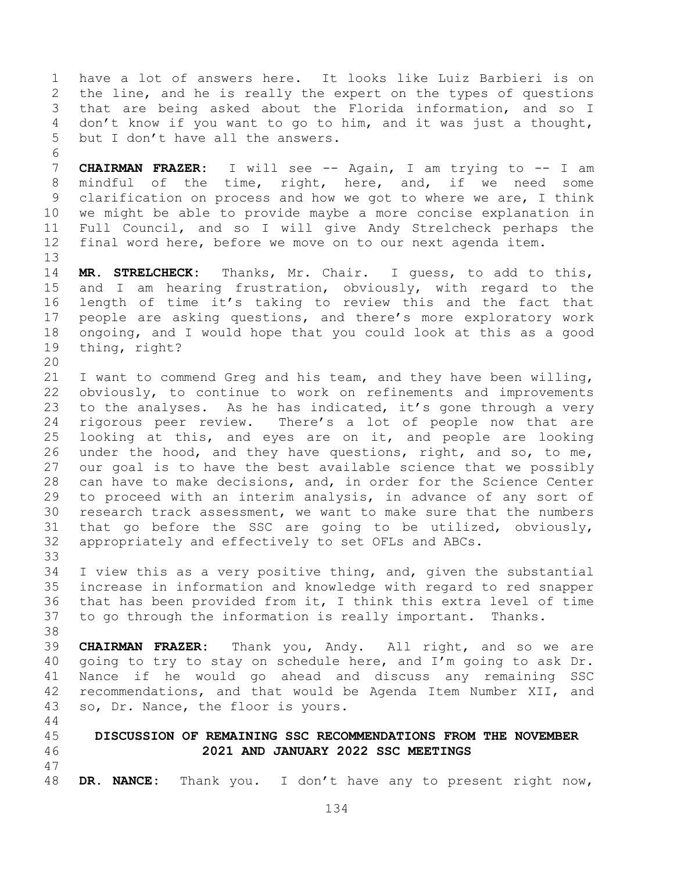have a lot of answers here. It looks like Luiz Barbieri is on the line, and he is really the expert on the types of questions that are being asked about the Florida information, and so I don't know if you want to go to him, and it was just a thought, but I don't have all the answers. 

 **CHAIRMAN FRAZER:** I will see -- Again, I am trying to -- I am mindful of the time, right, here, and, if we need some clarification on process and how we got to where we are, I think we might be able to provide maybe a more concise explanation in Full Council, and so I will give Andy Strelcheck perhaps the final word here, before we move on to our next agenda item.

 **MR. STRELCHECK:** Thanks, Mr. Chair. I guess, to add to this, and I am hearing frustration, obviously, with regard to the length of time it's taking to review this and the fact that people are asking questions, and there's more exploratory work ongoing, and I would hope that you could look at this as a good thing, right?

 I want to commend Greg and his team, and they have been willing, obviously, to continue to work on refinements and improvements to the analyses. As he has indicated, it's gone through a very rigorous peer review. There's a lot of people now that are looking at this, and eyes are on it, and people are looking under the hood, and they have questions, right, and so, to me, our goal is to have the best available science that we possibly can have to make decisions, and, in order for the Science Center to proceed with an interim analysis, in advance of any sort of research track assessment, we want to make sure that the numbers that go before the SSC are going to be utilized, obviously, appropriately and effectively to set OFLs and ABCs. 

 I view this as a very positive thing, and, given the substantial increase in information and knowledge with regard to red snapper that has been provided from it, I think this extra level of time to go through the information is really important. Thanks.

 **CHAIRMAN FRAZER:** Thank you, Andy. All right, and so we are going to try to stay on schedule here, and I'm going to ask Dr. Nance if he would go ahead and discuss any remaining SSC recommendations, and that would be Agenda Item Number XII, and so, Dr. Nance, the floor is yours.

 **DISCUSSION OF REMAINING SSC RECOMMENDATIONS FROM THE NOVEMBER 2021 AND JANUARY 2022 SSC MEETINGS**

**DR. NANCE:** Thank you. I don't have any to present right now,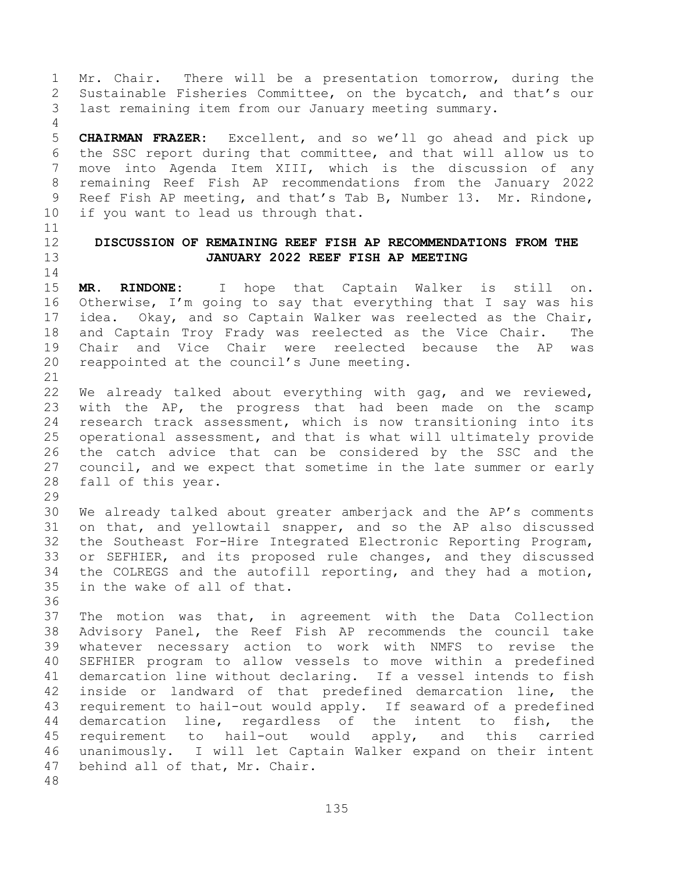Mr. Chair. There will be a presentation tomorrow, during the Sustainable Fisheries Committee, on the bycatch, and that's our last remaining item from our January meeting summary.

 **CHAIRMAN FRAZER:** Excellent, and so we'll go ahead and pick up the SSC report during that committee, and that will allow us to move into Agenda Item XIII, which is the discussion of any remaining Reef Fish AP recommendations from the January 2022 Reef Fish AP meeting, and that's Tab B, Number 13. Mr. Rindone, if you want to lead us through that.

## **DISCUSSION OF REMAINING REEF FISH AP RECOMMENDATIONS FROM THE JANUARY 2022 REEF FISH AP MEETING**

 **MR. RINDONE:** I hope that Captain Walker is still on. Otherwise, I'm going to say that everything that I say was his idea. Okay, and so Captain Walker was reelected as the Chair, and Captain Troy Frady was reelected as the Vice Chair. The Chair and Vice Chair were reelected because the AP was reappointed at the council's June meeting.

 We already talked about everything with gag, and we reviewed, with the AP, the progress that had been made on the scamp research track assessment, which is now transitioning into its operational assessment, and that is what will ultimately provide the catch advice that can be considered by the SSC and the council, and we expect that sometime in the late summer or early fall of this year.

 We already talked about greater amberjack and the AP's comments on that, and yellowtail snapper, and so the AP also discussed the Southeast For-Hire Integrated Electronic Reporting Program, or SEFHIER, and its proposed rule changes, and they discussed the COLREGS and the autofill reporting, and they had a motion, in the wake of all of that.

 The motion was that, in agreement with the Data Collection Advisory Panel, the Reef Fish AP recommends the council take whatever necessary action to work with NMFS to revise the SEFHIER program to allow vessels to move within a predefined demarcation line without declaring. If a vessel intends to fish inside or landward of that predefined demarcation line, the requirement to hail-out would apply. If seaward of a predefined demarcation line, regardless of the intent to fish, the requirement to hail-out would apply, and this carried unanimously. I will let Captain Walker expand on their intent behind all of that, Mr. Chair.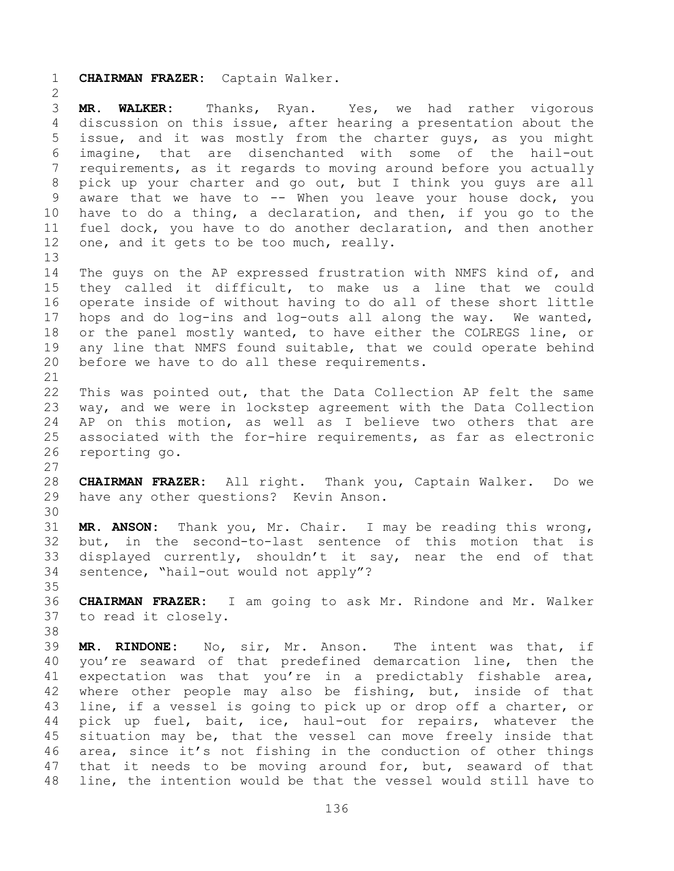**CHAIRMAN FRAZER:** Captain Walker.

 **MR. WALKER:** Thanks, Ryan. Yes, we had rather vigorous discussion on this issue, after hearing a presentation about the issue, and it was mostly from the charter guys, as you might imagine, that are disenchanted with some of the hail-out requirements, as it regards to moving around before you actually pick up your charter and go out, but I think you guys are all aware that we have to -- When you leave your house dock, you have to do a thing, a declaration, and then, if you go to the fuel dock, you have to do another declaration, and then another 12 one, and it gets to be too much, really. The guys on the AP expressed frustration with NMFS kind of, and they called it difficult, to make us a line that we could operate inside of without having to do all of these short little hops and do log-ins and log-outs all along the way. We wanted, or the panel mostly wanted, to have either the COLREGS line, or any line that NMFS found suitable, that we could operate behind before we have to do all these requirements. This was pointed out, that the Data Collection AP felt the same

 way, and we were in lockstep agreement with the Data Collection AP on this motion, as well as I believe two others that are associated with the for-hire requirements, as far as electronic reporting go. 

 **CHAIRMAN FRAZER:** All right. Thank you, Captain Walker. Do we have any other questions? Kevin Anson.

 **MR. ANSON:** Thank you, Mr. Chair. I may be reading this wrong, but, in the second-to-last sentence of this motion that is displayed currently, shouldn't it say, near the end of that sentence, "hail-out would not apply"?

 **CHAIRMAN FRAZER:** I am going to ask Mr. Rindone and Mr. Walker to read it closely.

 **MR. RINDONE:** No, sir, Mr. Anson. The intent was that, if you're seaward of that predefined demarcation line, then the expectation was that you're in a predictably fishable area, 42 where other people may also be fishing, but, inside of that line, if a vessel is going to pick up or drop off a charter, or pick up fuel, bait, ice, haul-out for repairs, whatever the situation may be, that the vessel can move freely inside that area, since it's not fishing in the conduction of other things that it needs to be moving around for, but, seaward of that line, the intention would be that the vessel would still have to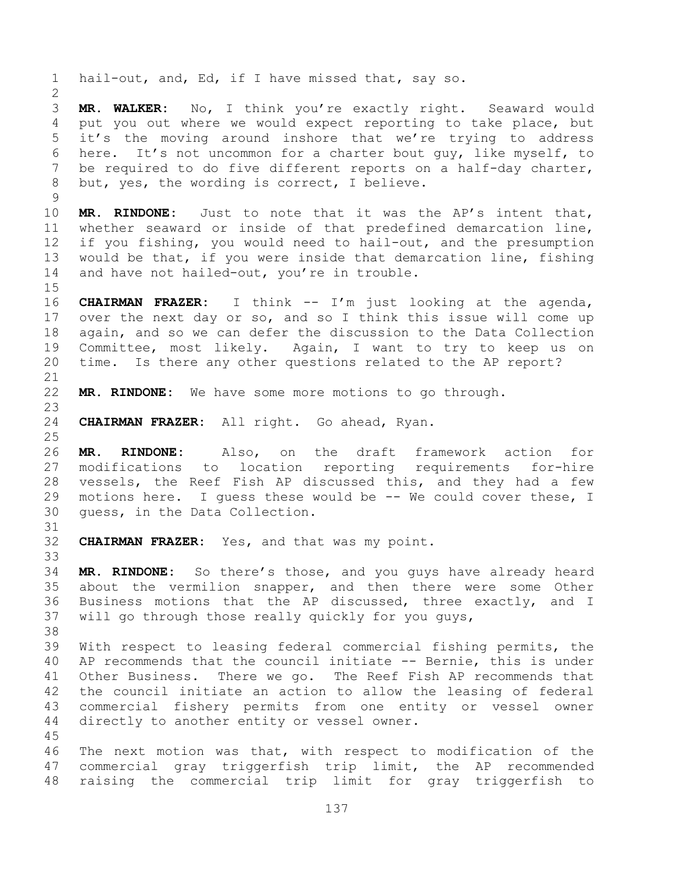hail-out, and, Ed, if I have missed that, say so.

 **MR. WALKER:** No, I think you're exactly right. Seaward would put you out where we would expect reporting to take place, but it's the moving around inshore that we're trying to address here. It's not uncommon for a charter bout guy, like myself, to be required to do five different reports on a half-day charter, but, yes, the wording is correct, I believe.

 **MR. RINDONE:** Just to note that it was the AP's intent that, whether seaward or inside of that predefined demarcation line, if you fishing, you would need to hail-out, and the presumption would be that, if you were inside that demarcation line, fishing 14 and have not hailed-out, you're in trouble.

 **CHAIRMAN FRAZER:** I think -- I'm just looking at the agenda, over the next day or so, and so I think this issue will come up again, and so we can defer the discussion to the Data Collection Committee, most likely. Again, I want to try to keep us on time. Is there any other questions related to the AP report?

**MR. RINDONE:** We have some more motions to go through.

**CHAIRMAN FRAZER:** All right. Go ahead, Ryan.

 **MR. RINDONE:** Also, on the draft framework action for modifications to location reporting requirements for-hire vessels, the Reef Fish AP discussed this, and they had a few motions here. I guess these would be -- We could cover these, I guess, in the Data Collection.

**CHAIRMAN FRAZER:** Yes, and that was my point.

 **MR. RINDONE:** So there's those, and you guys have already heard about the vermilion snapper, and then there were some Other Business motions that the AP discussed, three exactly, and I will go through those really quickly for you guys,

 With respect to leasing federal commercial fishing permits, the AP recommends that the council initiate -- Bernie, this is under Other Business. There we go. The Reef Fish AP recommends that the council initiate an action to allow the leasing of federal commercial fishery permits from one entity or vessel owner directly to another entity or vessel owner.

 The next motion was that, with respect to modification of the commercial gray triggerfish trip limit, the AP recommended raising the commercial trip limit for gray triggerfish to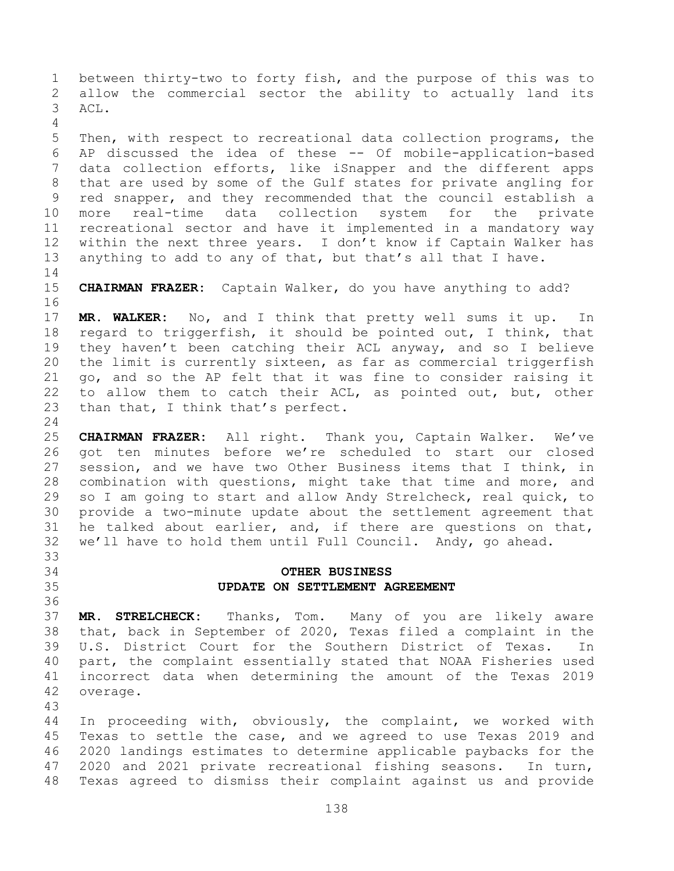between thirty-two to forty fish, and the purpose of this was to allow the commercial sector the ability to actually land its ACL. Then, with respect to recreational data collection programs, the AP discussed the idea of these -- Of mobile-application-based data collection efforts, like iSnapper and the different apps that are used by some of the Gulf states for private angling for red snapper, and they recommended that the council establish a more real-time data collection system for the private recreational sector and have it implemented in a mandatory way within the next three years. I don't know if Captain Walker has anything to add to any of that, but that's all that I have. 

 **CHAIRMAN FRAZER:** Captain Walker, do you have anything to add? 

 **MR. WALKER:** No, and I think that pretty well sums it up. In regard to triggerfish, it should be pointed out, I think, that they haven't been catching their ACL anyway, and so I believe the limit is currently sixteen, as far as commercial triggerfish go, and so the AP felt that it was fine to consider raising it to allow them to catch their ACL, as pointed out, but, other than that, I think that's perfect.

 **CHAIRMAN FRAZER:** All right. Thank you, Captain Walker. We've got ten minutes before we're scheduled to start our closed session, and we have two Other Business items that I think, in combination with questions, might take that time and more, and so I am going to start and allow Andy Strelcheck, real quick, to provide a two-minute update about the settlement agreement that he talked about earlier, and, if there are questions on that, we'll have to hold them until Full Council. Andy, go ahead. 

## **OTHER BUSINESS UPDATE ON SETTLEMENT AGREEMENT**

 **MR. STRELCHECK:** Thanks, Tom. Many of you are likely aware that, back in September of 2020, Texas filed a complaint in the U.S. District Court for the Southern District of Texas. In part, the complaint essentially stated that NOAA Fisheries used incorrect data when determining the amount of the Texas 2019 overage.

 In proceeding with, obviously, the complaint, we worked with Texas to settle the case, and we agreed to use Texas 2019 and 2020 landings estimates to determine applicable paybacks for the 2020 and 2021 private recreational fishing seasons. In turn, Texas agreed to dismiss their complaint against us and provide